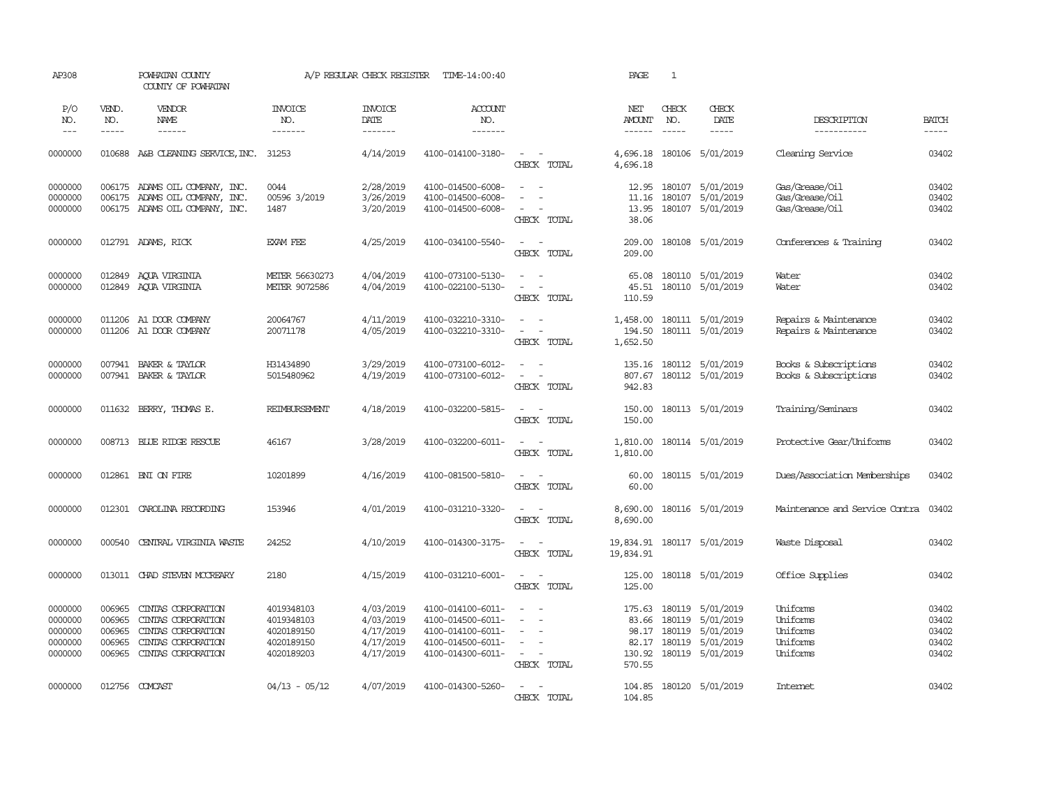| AP308                                               |                                                | POWHATAN COUNTY<br>COUNTY OF POWHATAN                                                                      |                                                                    | A/P REGULAR CHECK REGISTER                                    | TIME-14:00:40                                                                                         |                                                                                                                                          | PAGE                                         | 1            |                                                                                                        |                                                          |                                           |
|-----------------------------------------------------|------------------------------------------------|------------------------------------------------------------------------------------------------------------|--------------------------------------------------------------------|---------------------------------------------------------------|-------------------------------------------------------------------------------------------------------|------------------------------------------------------------------------------------------------------------------------------------------|----------------------------------------------|--------------|--------------------------------------------------------------------------------------------------------|----------------------------------------------------------|-------------------------------------------|
| P/O<br>NO.<br>$\frac{1}{2}$                         | VEND.<br>NO.<br>$- - - - -$                    | VENDOR<br>NAME                                                                                             | <b>INVOICE</b><br>NO.<br>-------                                   | <b>INVOICE</b><br>DATE<br>-------                             | <b>ACCOUNT</b><br>NO.<br>$- - - - - - -$                                                              |                                                                                                                                          | NET<br><b>AMOUNT</b><br>------               | CHECK<br>NO. | CHECK<br>DATE                                                                                          | DESCRIPTION<br>-----------                               | <b>BATCH</b><br>-----                     |
| 0000000                                             |                                                | 010688 A&B CLEANING SERVICE, INC. 31253                                                                    |                                                                    | 4/14/2019                                                     | 4100-014100-3180-                                                                                     | $\sim$<br>$\sim$ $-$<br>CHECK TOTAL                                                                                                      | 4,696.18<br>4,696.18                         |              | 180106 5/01/2019                                                                                       | Cleaning Service                                         | 03402                                     |
| 0000000<br>0000000<br>0000000                       |                                                | 006175 ADAMS OIL COMPANY, INC.<br>006175 ADAMS OIL COMPANY, INC.<br>006175 ADAMS OIL COMPANY, INC.         | 0044<br>00596 3/2019<br>1487                                       | 2/28/2019<br>3/26/2019<br>3/20/2019                           | 4100-014500-6008-<br>4100-014500-6008-<br>4100-014500-6008-                                           | $\overline{\phantom{a}}$<br>$\sim$<br>CHECK TOTAL                                                                                        | 12.95<br>11.16<br>13.95<br>38.06             |              | 180107 5/01/2019<br>180107 5/01/2019<br>180107 5/01/2019                                               | Gas/Grease/Oil<br>Gas/Grease/Oil<br>Gas/Grease/Oil       | 03402<br>03402<br>03402                   |
| 0000000                                             |                                                | 012791 ADAMS, RICK                                                                                         | EXAM FEE                                                           | 4/25/2019                                                     | 4100-034100-5540-                                                                                     | $\sim$ $ \sim$<br>CHECK TOTAL                                                                                                            | 209.00<br>209.00                             |              | 180108 5/01/2019                                                                                       | Conferences & Training                                   | 03402                                     |
| 0000000<br>0000000                                  | 012849                                         | AQUA VIRGINIA<br>012849 AQUA VIRGINIA                                                                      | METER 56630273<br>METER 9072586                                    | 4/04/2019<br>4/04/2019                                        | 4100-073100-5130-<br>4100-022100-5130-                                                                | $\sim$ $-$<br>$\sim$<br>$\sim$<br>$\sim$ $-$<br>CHECK TOTAL                                                                              | 65.08<br>45.51<br>110.59                     |              | 180110 5/01/2019<br>180110 5/01/2019                                                                   | Water<br>Water                                           | 03402<br>03402                            |
| 0000000<br>0000000                                  |                                                | 011206 A1 DOOR COMPANY<br>011206 A1 DOOR COMPANY                                                           | 20064767<br>20071178                                               | 4/11/2019<br>4/05/2019                                        | 4100-032210-3310-<br>4100-032210-3310-                                                                | $\sim$ $ -$<br>$\sim$ $ \sim$<br>CHECK TOTAL                                                                                             | 194.50<br>1,652.50                           |              | 1,458.00 180111 5/01/2019<br>180111 5/01/2019                                                          | Repairs & Maintenance<br>Repairs & Maintenance           | 03402<br>03402                            |
| 0000000<br>0000000                                  |                                                | 007941 BAKER & TAYLOR<br>007941 BAKER & TAYLOR                                                             | H31434890<br>5015480962                                            | 3/29/2019<br>4/19/2019                                        | 4100-073100-6012-<br>4100-073100-6012-                                                                | $\sim$<br>$\frac{1}{2} \left( \frac{1}{2} \right) \left( \frac{1}{2} \right) = \frac{1}{2} \left( \frac{1}{2} \right)$<br>CHECK TOTAL    | 135.16<br>942.83                             |              | 180112 5/01/2019<br>807.67 180112 5/01/2019                                                            | Books & Subscriptions<br>Books & Subscriptions           | 03402<br>03402                            |
| 0000000                                             |                                                | 011632 BERRY, THOMAS E.                                                                                    | <b>REIMBURSEMENT</b>                                               | 4/18/2019                                                     | 4100-032200-5815-                                                                                     | $\omega_{\rm{max}}$ and $\omega_{\rm{max}}$<br>CHECK TOTAL                                                                               | 150.00<br>150.00                             |              | 180113 5/01/2019                                                                                       | Training/Seminars                                        | 03402                                     |
| 0000000                                             |                                                | 008713 BLUE RIDGE RESCUE                                                                                   | 46167                                                              | 3/28/2019                                                     | 4100-032200-6011-                                                                                     | $\omega_{\rm{max}}$ and $\omega_{\rm{max}}$<br>CHECK TOTAL                                                                               | 1,810.00<br>1,810.00                         |              | 180114 5/01/2019                                                                                       | Protective Gear/Uniforms                                 | 03402                                     |
| 0000000                                             |                                                | 012861 BNI ON FIRE                                                                                         | 10201899                                                           | 4/16/2019                                                     | 4100-081500-5810-                                                                                     | $\sim$ $ \sim$<br>CHECK TOTAL                                                                                                            | 60.00<br>60.00                               |              | 180115 5/01/2019                                                                                       | Dues/Association Memberships                             | 03402                                     |
| 0000000                                             |                                                | 012301 CAROLINA RECORDING                                                                                  | 153946                                                             | 4/01/2019                                                     | 4100-031210-3320-                                                                                     | $\frac{1}{2} \left( \frac{1}{2} \right) \left( \frac{1}{2} \right) \left( \frac{1}{2} \right) \left( \frac{1}{2} \right)$<br>CHECK TOTAL | 8,690.00<br>8,690.00                         |              | 180116 5/01/2019                                                                                       | Maintenance and Service Contra                           | 03402                                     |
| 0000000                                             | 000540                                         | CENTRAL VIRGINIA WASTE                                                                                     | 24252                                                              | 4/10/2019                                                     | 4100-014300-3175-                                                                                     | $\sim$ $ \sim$<br>CHECK TOTAL                                                                                                            | 19,834.91                                    |              | 19,834.91  180117  5/01/2019                                                                           | Waste Disposal                                           | 03402                                     |
| 0000000                                             | 013011                                         | CHAD STEVEN MCCREARY                                                                                       | 2180                                                               | 4/15/2019                                                     | 4100-031210-6001-                                                                                     | $\sim$ $ \sim$<br>CHECK TOTAL                                                                                                            | 125.00<br>125.00                             |              | 180118 5/01/2019                                                                                       | Office Supplies                                          | 03402                                     |
| 0000000<br>0000000<br>0000000<br>0000000<br>0000000 | 006965<br>006965<br>006965<br>006965<br>006965 | CINIAS CORPORATION<br>CINIAS CORPORATION<br>CINIAS CORPORATION<br>CINIAS CORPORATION<br>CINIAS CORPORATION | 4019348103<br>4019348103<br>4020189150<br>4020189150<br>4020189203 | 4/03/2019<br>4/03/2019<br>4/17/2019<br>4/17/2019<br>4/17/2019 | 4100-014100-6011-<br>4100-014500-6011-<br>4100-014100-6011-<br>4100-014500-6011-<br>4100-014300-6011- | $\overline{\phantom{a}}$<br>$\sim$<br>$\overline{\phantom{a}}$<br>$\sim$ $ \sim$<br>CHECK TOTAL                                          | 175.63<br>83.66<br>82.17<br>130.92<br>570.55 |              | 180119 5/01/2019<br>180119 5/01/2019<br>98.17 180119 5/01/2019<br>180119 5/01/2019<br>180119 5/01/2019 | Uniforms<br>Uniforms<br>Uniforms<br>Uniforms<br>Uniforms | 03402<br>03402<br>03402<br>03402<br>03402 |
| 0000000                                             |                                                | 012756 COMCAST                                                                                             | $04/13 - 05/12$                                                    | 4/07/2019                                                     | 4100-014300-5260-                                                                                     | $\sim$<br>$\sim$<br>CHECK TOTAL                                                                                                          | 104.85<br>104.85                             |              | 180120 5/01/2019                                                                                       | <b>Internet</b>                                          | 03402                                     |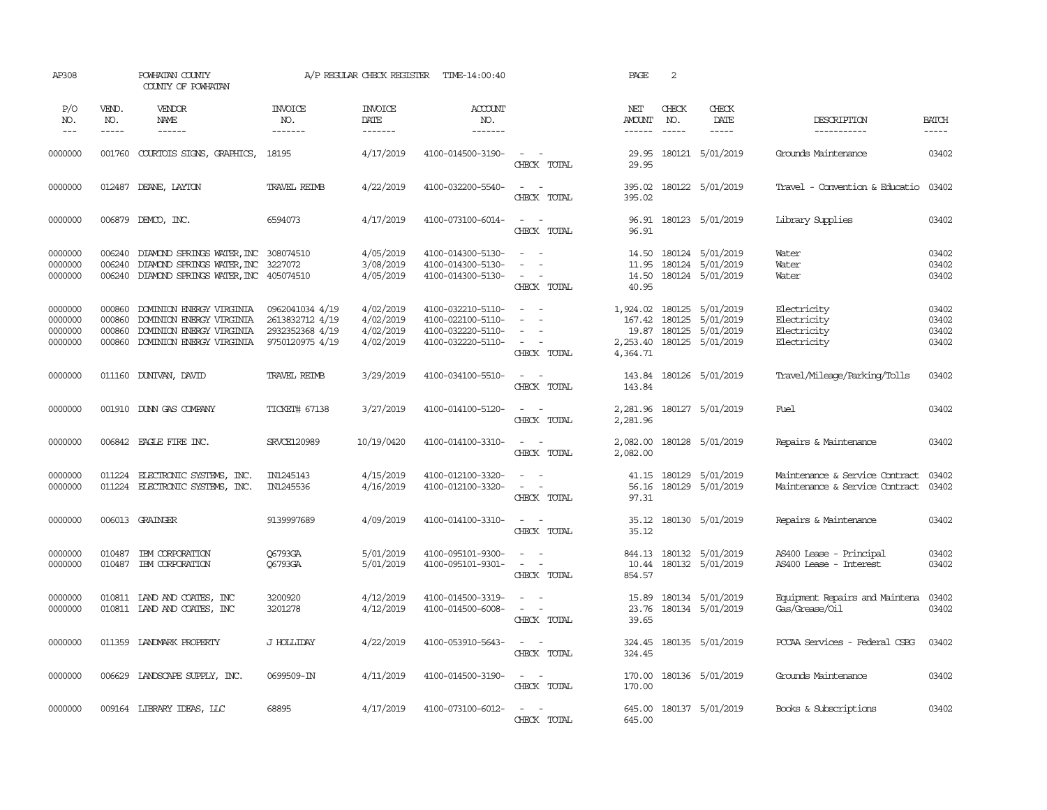| AP308                                    |                                      | POWHATAN COUNTY<br>COUNTY OF POWHATAN                                                                              |                                                                          | A/P REGULAR CHECK REGISTER                       | TIME-14:00:40                                                                    |                                                                            | PAGE                                  | 2                        |                                                                                               |                                                                  |                                  |
|------------------------------------------|--------------------------------------|--------------------------------------------------------------------------------------------------------------------|--------------------------------------------------------------------------|--------------------------------------------------|----------------------------------------------------------------------------------|----------------------------------------------------------------------------|---------------------------------------|--------------------------|-----------------------------------------------------------------------------------------------|------------------------------------------------------------------|----------------------------------|
| P/O<br>NO.<br>$\frac{1}{2}$              | VEND.<br>NO.<br>-----                | <b>VENDOR</b><br>NAME<br>$- - - - - -$                                                                             | <b>INVOICE</b><br>NO.<br>-------                                         | <b>INVOICE</b><br>DATE<br>--------               | <b>ACCOUNT</b><br>NO.<br>-------                                                 |                                                                            | NET<br><b>AMOUNT</b><br>$- - - - - -$ | CHECK<br>NO.<br>$\cdots$ | CHECK<br>DATE<br>$\cdots\cdots\cdots$                                                         | DESCRIPTION<br>-----------                                       | <b>BATCH</b><br>$- - - - -$      |
| 0000000                                  |                                      | 001760 COURTOIS SIGNS, GRAPHICS, 18195                                                                             |                                                                          | 4/17/2019                                        | 4100-014500-3190-                                                                | $\sim$<br>$\sim$<br>CHECK TOTAL                                            | 29.95<br>29.95                        |                          | 180121 5/01/2019                                                                              | Grounds Maintenance                                              | 03402                            |
| 0000000                                  |                                      | 012487 DEANE, LAYTON                                                                                               | <b>TRAVEL REIMB</b>                                                      | 4/22/2019                                        | 4100-032200-5540-                                                                | $\omega_{\rm{max}}$ and $\omega_{\rm{max}}$<br>CHECK TOTAL                 | 395.02<br>395.02                      |                          | 180122 5/01/2019                                                                              | Travel - Convention & Educatio 03402                             |                                  |
| 0000000                                  |                                      | 006879 DEMCO, INC.                                                                                                 | 6594073                                                                  | 4/17/2019                                        | 4100-073100-6014-                                                                | $\sim$ $ \sim$<br>CHECK TOTAL                                              | 96.91                                 |                          | 96.91 180123 5/01/2019                                                                        | Library Supplies                                                 | 03402                            |
| 0000000<br>0000000<br>0000000            | 006240<br>006240<br>006240           | DIAMOND SPRINGS WATER, INC 308074510<br>DIAMOND SPRINGS WATER, INC 3227072<br>DIAMOND SPRINGS WATER, INC 405074510 |                                                                          | 4/05/2019<br>3/08/2019<br>4/05/2019              | 4100-014300-5130-<br>4100-014300-5130-<br>4100-014300-5130-                      | $\sim$ $\sim$<br>$\sim$<br>$\sim$<br>$\sim$<br>$\sim$<br>CHECK TOTAL       | 11.95<br>14.50<br>40.95               |                          | 14.50 180124 5/01/2019<br>180124 5/01/2019<br>180124 5/01/2019                                | Water<br>Water<br>Water                                          | 03402<br>03402<br>03402          |
| 0000000<br>0000000<br>0000000<br>0000000 | 000860<br>000860<br>000860<br>000860 | DOMINION ENERGY VIRGINIA<br>DOMINION ENERGY VIRGINIA<br>DOMINION ENERGY VIRGINIA<br>DOMINION ENERGY VIRGINIA       | 0962041034 4/19<br>2613832712 4/19<br>2932352368 4/19<br>9750120975 4/19 | 4/02/2019<br>4/02/2019<br>4/02/2019<br>4/02/2019 | 4100-032210-5110-<br>4100-022100-5110-<br>4100-032220-5110-<br>4100-032220-5110- | $\sim$ $ -$<br>$\sim$<br>$\sim$<br>$\sim$<br>$\sim$ $ \sim$<br>CHECK TOTAL | 167.42<br>4,364.71                    | 180125                   | 1,924.02 180125 5/01/2019<br>5/01/2019<br>19.87 180125 5/01/2019<br>2,253.40 180125 5/01/2019 | Electricity<br>Electricity<br>Electricity<br>Electricity         | 03402<br>03402<br>03402<br>03402 |
| 0000000                                  |                                      | 011160 DUNIVAN, DAVID                                                                                              | <b>TRAVEL REIMB</b>                                                      | 3/29/2019                                        | 4100-034100-5510-                                                                | $\sim$ $ \sim$<br>CHECK TOTAL                                              | 143.84                                |                          | 143.84 180126 5/01/2019                                                                       | Travel/Mileage/Parking/Tolls                                     | 03402                            |
| 0000000                                  |                                      | 001910 DUNN GAS COMPANY                                                                                            | TICKET# 67138                                                            | 3/27/2019                                        | 4100-014100-5120-                                                                | $\sim$ $ \sim$<br>CHECK TOTAL                                              | 2,281.96<br>2,281.96                  |                          | 180127 5/01/2019                                                                              | Fuel                                                             | 03402                            |
| 0000000                                  |                                      | 006842 EAGLE FIRE INC.                                                                                             | SRVCE120989                                                              | 10/19/0420                                       | 4100-014100-3310-                                                                | $\sim$ $ \sim$<br>CHECK TOTAL                                              | 2,082.00<br>2,082.00                  |                          | 180128 5/01/2019                                                                              | Repairs & Maintenance                                            | 03402                            |
| 0000000<br>0000000                       | 011224                               | ELECTRONIC SYSTEMS, INC.<br>011224 ELECTRONIC SYSTEMS, INC.                                                        | IN1245143<br>IN1245536                                                   | 4/15/2019<br>4/16/2019                           | 4100-012100-3320-<br>4100-012100-3320-                                           | $\sim$<br>$\sim$ $ \sim$<br>CHECK TOTAL                                    | 41.15<br>56.16<br>97.31               |                          | 180129 5/01/2019<br>180129 5/01/2019                                                          | Maintenance & Service Contract<br>Maintenance & Service Contract | 03402<br>03402                   |
| 0000000                                  |                                      | 006013 GRAINGER                                                                                                    | 9139997689                                                               | 4/09/2019                                        | 4100-014100-3310-                                                                | $\sim$ $ -$<br>CHECK TOTAL                                                 | 35.12                                 |                          | 35.12 180130 5/01/2019                                                                        | Repairs & Maintenance                                            | 03402                            |
| 0000000<br>0000000                       | 010487                               | IEM CORPORATION<br>010487 IBM CORPORATION                                                                          | 06793GA<br>06793GA                                                       | 5/01/2019<br>5/01/2019                           | 4100-095101-9300-<br>4100-095101-9301-                                           | $\sim$ $ -$<br>$\sim$<br>$\sim$ $-$<br>CHECK TOTAL                         | 10.44<br>854.57                       |                          | 844.13 180132 5/01/2019<br>180132 5/01/2019                                                   | AS400 Lease - Principal<br>AS400 Lease - Interest                | 03402<br>03402                   |
| 0000000<br>0000000                       |                                      | 010811 LAND AND COATES, INC<br>010811 LAND AND COATES, INC                                                         | 3200920<br>3201278                                                       | 4/12/2019<br>4/12/2019                           | 4100-014500-3319-<br>4100-014500-6008-                                           | $\sim$<br>$\sim$ $ \sim$<br>CHECK TOTAL                                    | 15.89<br>23.76<br>39.65               |                          | 180134 5/01/2019<br>180134 5/01/2019                                                          | Equipment Repairs and Maintena<br>Gas/Grease/Oil                 | 03402<br>03402                   |
| 0000000                                  |                                      | 011359 LANDMARK PROPERTY                                                                                           | J HOLLIDAY                                                               | 4/22/2019                                        | 4100-053910-5643-                                                                | $\sim$ $ -$<br>CHECK TOTAL                                                 | 324.45<br>324.45                      |                          | 180135 5/01/2019                                                                              | PCCAA Services - Federal CSBG                                    | 03402                            |
| 0000000                                  |                                      | 006629 LANDSCAPE SUPPLY, INC.                                                                                      | 0699509-IN                                                               | 4/11/2019                                        | 4100-014500-3190-                                                                | $\sim$ $ \sim$<br>CHECK TOTAL                                              | 170.00<br>170.00                      |                          | 180136 5/01/2019                                                                              | Grounds Maintenance                                              | 03402                            |
| 0000000                                  |                                      | 009164 LIBRARY IDEAS, LLC                                                                                          | 68895                                                                    | 4/17/2019                                        | 4100-073100-6012-                                                                | $\overline{\phantom{0}}$<br>$\sim$<br>CHECK TOTAL                          | 645.00                                |                          | 645.00 180137 5/01/2019                                                                       | Books & Subscriptions                                            | 03402                            |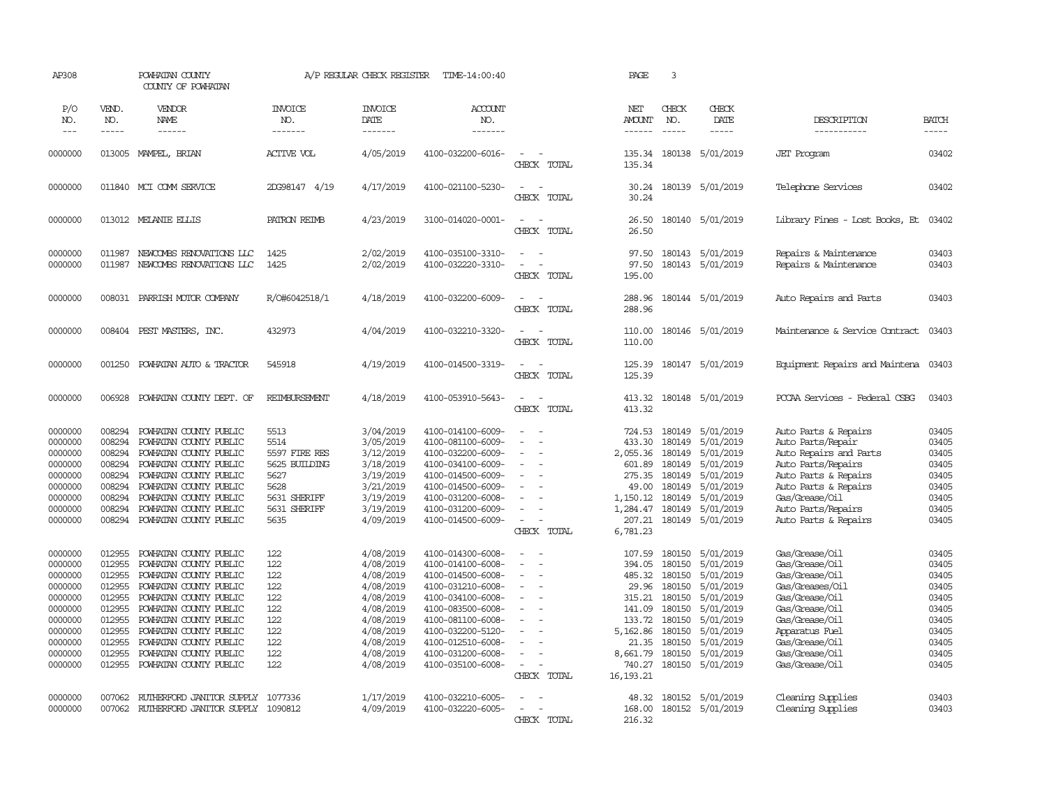| AP308                                                                                                                 |                                                                                                            | POWHATAN COUNTY<br>COUNTY OF POWHATAN                                                                                                                                                                                                                                                      |                                                                                                        | A/P REGULAR CHECK REGISTER                                                                                                                  | TIME-14:00:40                                                                                                                                                                                                                       |                                                                                                                                             | PAGE                                                                                                                        | $\overline{3}$                                                                                                                                                                                                                                                                                                                                                                                                                                                                             |                                                                                                                                             |                                                                                                                                                                                                           |                                                                                                 |
|-----------------------------------------------------------------------------------------------------------------------|------------------------------------------------------------------------------------------------------------|--------------------------------------------------------------------------------------------------------------------------------------------------------------------------------------------------------------------------------------------------------------------------------------------|--------------------------------------------------------------------------------------------------------|---------------------------------------------------------------------------------------------------------------------------------------------|-------------------------------------------------------------------------------------------------------------------------------------------------------------------------------------------------------------------------------------|---------------------------------------------------------------------------------------------------------------------------------------------|-----------------------------------------------------------------------------------------------------------------------------|--------------------------------------------------------------------------------------------------------------------------------------------------------------------------------------------------------------------------------------------------------------------------------------------------------------------------------------------------------------------------------------------------------------------------------------------------------------------------------------------|---------------------------------------------------------------------------------------------------------------------------------------------|-----------------------------------------------------------------------------------------------------------------------------------------------------------------------------------------------------------|-------------------------------------------------------------------------------------------------|
| P/O<br>NO.<br>$---$                                                                                                   | VEND.<br>NO.<br>$- - - - -$                                                                                | <b>VENDOR</b><br>NAME<br>------                                                                                                                                                                                                                                                            | <b>INVOICE</b><br>NO.<br>-------                                                                       | <b>INVOICE</b><br>DATE<br>-------                                                                                                           | <b>ACCOUNT</b><br>NO.<br>--------                                                                                                                                                                                                   |                                                                                                                                             | NET<br><b>AMOUNT</b><br>------                                                                                              | CHECK<br>NO.<br>$\frac{1}{2} \left( \frac{1}{2} \right) \left( \frac{1}{2} \right) \left( \frac{1}{2} \right) \left( \frac{1}{2} \right) \left( \frac{1}{2} \right) \left( \frac{1}{2} \right) \left( \frac{1}{2} \right) \left( \frac{1}{2} \right) \left( \frac{1}{2} \right) \left( \frac{1}{2} \right) \left( \frac{1}{2} \right) \left( \frac{1}{2} \right) \left( \frac{1}{2} \right) \left( \frac{1}{2} \right) \left( \frac{1}{2} \right) \left( \frac{1}{2} \right) \left( \frac$ | CHECK<br>DATE<br>$- - - - -$                                                                                                                | DESCRIPTION<br>-----------                                                                                                                                                                                | <b>BATCH</b><br>-----                                                                           |
| 0000000                                                                                                               |                                                                                                            | 013005 MAMPEL, BRIAN                                                                                                                                                                                                                                                                       | ACTIVE VOL                                                                                             | 4/05/2019                                                                                                                                   | 4100-032200-6016-                                                                                                                                                                                                                   | $\equiv$<br>CHECK TOTAL                                                                                                                     | 135.34<br>135.34                                                                                                            |                                                                                                                                                                                                                                                                                                                                                                                                                                                                                            | 180138 5/01/2019                                                                                                                            | <b>JET</b> Program                                                                                                                                                                                        | 03402                                                                                           |
| 0000000                                                                                                               |                                                                                                            | 011840 MCI COMM SERVICE                                                                                                                                                                                                                                                                    | 2DG98147 4/19                                                                                          | 4/17/2019                                                                                                                                   | 4100-021100-5230-                                                                                                                                                                                                                   | $\sim$<br>$\sim$<br>CHECK TOTAL                                                                                                             | 30.24<br>30.24                                                                                                              |                                                                                                                                                                                                                                                                                                                                                                                                                                                                                            | 180139 5/01/2019                                                                                                                            | Telephone Services                                                                                                                                                                                        | 03402                                                                                           |
| 0000000                                                                                                               |                                                                                                            | 013012 MELANIE ELLIS                                                                                                                                                                                                                                                                       | PATRON REIMB                                                                                           | 4/23/2019                                                                                                                                   | 3100-014020-0001-                                                                                                                                                                                                                   | $\sim$<br>$\sim$<br>CHECK TOTAL                                                                                                             | 26.50<br>26.50                                                                                                              |                                                                                                                                                                                                                                                                                                                                                                                                                                                                                            | 180140 5/01/2019                                                                                                                            | Library Fines - Lost Books, Et                                                                                                                                                                            | 03402                                                                                           |
| 0000000<br>0000000                                                                                                    | 011987<br>011987                                                                                           | NEWCOMBS RENOVATIONS LLC<br>NEWCOMBS RENOVATIONS LLC                                                                                                                                                                                                                                       | 1425<br>1425                                                                                           | 2/02/2019<br>2/02/2019                                                                                                                      | 4100-035100-3310-<br>4100-032220-3310-                                                                                                                                                                                              | $\sim$<br>CHECK TOTAL                                                                                                                       | 97.50<br>97.50<br>195.00                                                                                                    | 180143                                                                                                                                                                                                                                                                                                                                                                                                                                                                                     | 5/01/2019<br>180143 5/01/2019                                                                                                               | Repairs & Maintenance<br>Repairs & Maintenance                                                                                                                                                            | 03403<br>03403                                                                                  |
| 0000000                                                                                                               | 008031                                                                                                     | PARRISH MOTOR COMPANY                                                                                                                                                                                                                                                                      | R/O#6042518/1                                                                                          | 4/18/2019                                                                                                                                   | 4100-032200-6009-                                                                                                                                                                                                                   | $\sim$<br>$\sim$<br>CHECK TOTAL                                                                                                             | 288.96<br>288.96                                                                                                            |                                                                                                                                                                                                                                                                                                                                                                                                                                                                                            | 180144 5/01/2019                                                                                                                            | Auto Repairs and Parts                                                                                                                                                                                    | 03403                                                                                           |
| 0000000                                                                                                               | 008404                                                                                                     | PEST MASTERS, INC.                                                                                                                                                                                                                                                                         | 432973                                                                                                 | 4/04/2019                                                                                                                                   | 4100-032210-3320-                                                                                                                                                                                                                   | $\overline{\phantom{a}}$<br>$\sim$<br>CHECK TOTAL                                                                                           | 110.00<br>110.00                                                                                                            |                                                                                                                                                                                                                                                                                                                                                                                                                                                                                            | 180146 5/01/2019                                                                                                                            | Maintenance & Service Contract                                                                                                                                                                            | 03403                                                                                           |
| 0000000                                                                                                               | 001250                                                                                                     | POWHATAN AUTO & TRACTOR                                                                                                                                                                                                                                                                    | 545918                                                                                                 | 4/19/2019                                                                                                                                   | 4100-014500-3319-                                                                                                                                                                                                                   | $\sim$<br>$\sim$<br>CHECK TOTAL                                                                                                             | 125.39<br>125.39                                                                                                            |                                                                                                                                                                                                                                                                                                                                                                                                                                                                                            | 180147 5/01/2019                                                                                                                            | Equipment Repairs and Maintena 03403                                                                                                                                                                      |                                                                                                 |
| 0000000                                                                                                               | 006928                                                                                                     | POWHATAN COUNTY DEPT. OF                                                                                                                                                                                                                                                                   | <b>REIMBURSEMENT</b>                                                                                   | 4/18/2019                                                                                                                                   | 4100-053910-5643-                                                                                                                                                                                                                   | $\sim$<br>$\overline{\phantom{a}}$<br>CHECK TOTAL                                                                                           | 413.32<br>413.32                                                                                                            |                                                                                                                                                                                                                                                                                                                                                                                                                                                                                            | 180148 5/01/2019                                                                                                                            | PCCAA Services - Federal CSBG                                                                                                                                                                             | 03403                                                                                           |
| 0000000<br>0000000<br>0000000<br>0000000<br>0000000<br>0000000<br>0000000<br>0000000<br>0000000                       | 008294<br>008294<br>008294<br>008294<br>008294<br>008294<br>008294<br>008294<br>008294                     | POWHATAN COUNTY PUBLIC<br>POWHATAN COUNTY PUBLIC<br>POWHATAN COUNTY PUBLIC<br>POWHATAN COUNTY PUBLIC<br>POWHATAN COUNTY PUBLIC<br>POWHATAN COUNTY PUBLIC<br>POWHATAN COUNTY PUBLIC<br>POWHATAN COUNTY PUBLIC<br>POWHATAN COUNTY PUBLIC                                                     | 5513<br>5514<br>5597 FIRE RES<br>5625 BUILDING<br>5627<br>5628<br>5631 SHERIFF<br>5631 SHERIFF<br>5635 | 3/04/2019<br>3/05/2019<br>3/12/2019<br>3/18/2019<br>3/19/2019<br>3/21/2019<br>3/19/2019<br>3/19/2019<br>4/09/2019                           | 4100-014100-6009-<br>4100-081100-6009-<br>4100-032200-6009-<br>4100-034100-6009-<br>4100-014500-6009-<br>4100-014500-6009-<br>4100-031200-6008-<br>4100-031200-6009-<br>4100-014500-6009-                                           | ÷<br>$\equiv$<br>$\overline{\phantom{a}}$<br>÷<br>$\overline{\phantom{a}}$<br>CHECK TOTAL                                                   | 724.53<br>433.30<br>2,055.36<br>601.89<br>275.35<br>49.00<br>1,150.12<br>1,284.47<br>207.21<br>6,781.23                     | 180149<br>180149<br>180149<br>180149<br>180149<br>180149<br>180149<br>180149                                                                                                                                                                                                                                                                                                                                                                                                               | 5/01/2019<br>5/01/2019<br>5/01/2019<br>5/01/2019<br>5/01/2019<br>5/01/2019<br>5/01/2019<br>5/01/2019<br>180149 5/01/2019                    | Auto Parts & Repairs<br>Auto Parts/Repair<br>Auto Repairs and Parts<br>Auto Parts/Repairs<br>Auto Parts & Repairs<br>Auto Parts & Repairs<br>Gas/Grease/Oil<br>Auto Parts/Repairs<br>Auto Parts & Repairs | 03405<br>03405<br>03405<br>03405<br>03405<br>03405<br>03405<br>03405<br>03405                   |
| 0000000<br>0000000<br>0000000<br>0000000<br>0000000<br>0000000<br>0000000<br>0000000<br>0000000<br>0000000<br>0000000 | 012955<br>012955<br>012955<br>012955<br>012955<br>012955<br>012955<br>012955<br>012955<br>012955<br>012955 | POWHATAN COUNTY PUBLIC<br>POWHATAN COUNTY PUBLIC<br>POWHATAN COUNTY PUBLIC<br>POWHATAN COUNTY PUBLIC<br>POWHATAN COUNTY PUBLIC<br>POWHATAN COUNTY PUBLIC<br>POWHATAN COUNTY PUBLIC<br>POWHATAN COUNTY PUBLIC<br>POWHATAN COUNTY PUBLIC<br>POWHATAN COUNTY PUBLIC<br>POWHATAN COUNTY PUBLIC | 122<br>122<br>122<br>122<br>122<br>122<br>122<br>122<br>122<br>122<br>122                              | 4/08/2019<br>4/08/2019<br>4/08/2019<br>4/08/2019<br>4/08/2019<br>4/08/2019<br>4/08/2019<br>4/08/2019<br>4/08/2019<br>4/08/2019<br>4/08/2019 | 4100-014300-6008-<br>4100-014100-6008-<br>4100-014500-6008-<br>4100-031210-6008-<br>4100-034100-6008-<br>4100-083500-6008-<br>4100-081100-6008-<br>4100-032200-5120-<br>4100-012510-6008-<br>4100-031200-6008-<br>4100-035100-6008- | $\equiv$<br>$\overline{\phantom{a}}$<br>$\equiv$<br>$\overline{\phantom{a}}$<br>÷<br>÷<br>$\overline{\phantom{a}}$<br>$\sim$<br>CHECK TOTAL | 107.59<br>394.05<br>485.32<br>29.96<br>315.21<br>141.09<br>133.72<br>5,162.86<br>21.35<br>8,661.79<br>740.27<br>16, 193. 21 | 180150<br>180150<br>180150<br>180150<br>180150<br>180150<br>180150<br>180150<br>180150<br>180150<br>180150                                                                                                                                                                                                                                                                                                                                                                                 | 5/01/2019<br>5/01/2019<br>5/01/2019<br>5/01/2019<br>5/01/2019<br>5/01/2019<br>5/01/2019<br>5/01/2019<br>5/01/2019<br>5/01/2019<br>5/01/2019 | Gas/Grease/Oil<br>Gas/Grease/Oil<br>Gas/Grease/Oil<br>Gas/Greases/Oil<br>Gas/Grease/Oil<br>Gas/Grease/Oil<br>Gas/Grease/Oil<br>Apparatus Fuel<br>Gas/Grease/Oil<br>Gas/Grease/Oil<br>Gas/Grease/Oil       | 03405<br>03405<br>03405<br>03405<br>03405<br>03405<br>03405<br>03405<br>03405<br>03405<br>03405 |
| 0000000<br>0000000                                                                                                    | 007062                                                                                                     | RUIHERFORD JANITOR SUPPLY<br>007062 RUIHERFORD JANITOR SUPPLY 1090812                                                                                                                                                                                                                      | 1077336                                                                                                | 1/17/2019<br>4/09/2019                                                                                                                      | 4100-032210-6005-<br>4100-032220-6005-                                                                                                                                                                                              | $\equiv$<br>CHECK TOTAL                                                                                                                     | 48.32<br>168.00<br>216.32                                                                                                   |                                                                                                                                                                                                                                                                                                                                                                                                                                                                                            | 180152 5/01/2019<br>180152 5/01/2019                                                                                                        | Cleaning Supplies<br>Cleaning Supplies                                                                                                                                                                    | 03403<br>03403                                                                                  |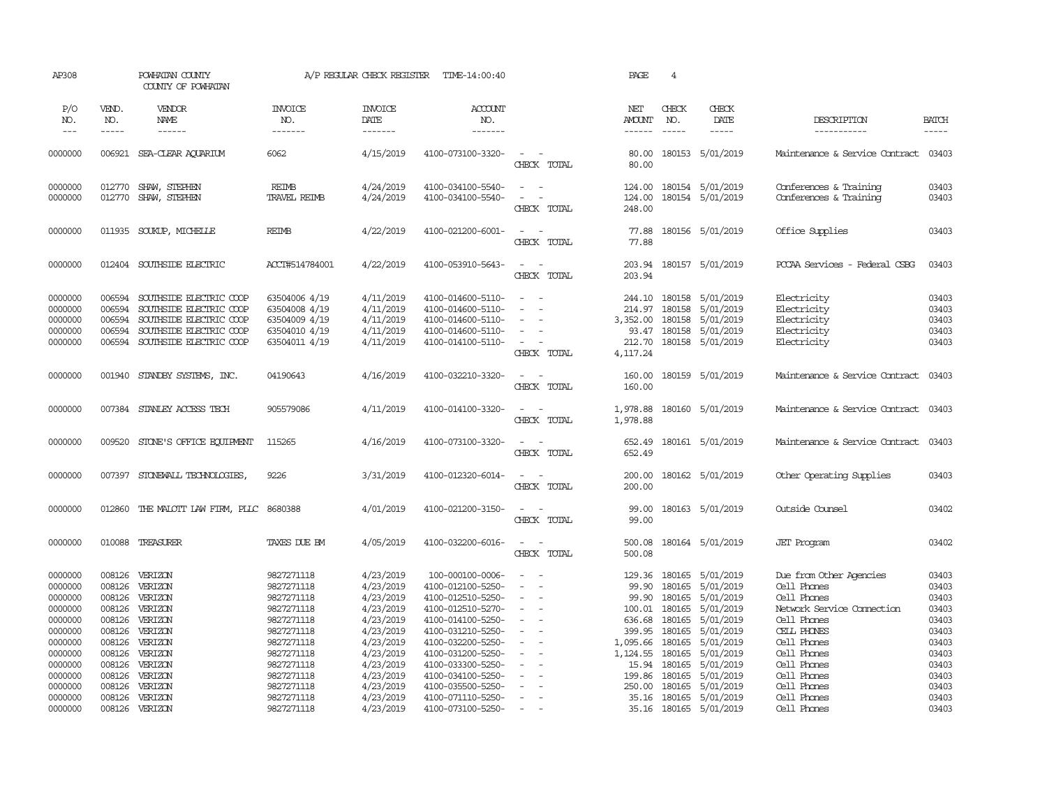| AP308                                               |                                                | POWHATAN COUNTY<br>COUNTY OF POWHATAN                                                                                               |                                                                                   | A/P REGULAR CHECK REGISTER                                    | TIME-14:00:40                                                                                         |                                                                                         | PAGE                                               | $\overline{4}$                       |                                                                             |                                                                         |                                           |
|-----------------------------------------------------|------------------------------------------------|-------------------------------------------------------------------------------------------------------------------------------------|-----------------------------------------------------------------------------------|---------------------------------------------------------------|-------------------------------------------------------------------------------------------------------|-----------------------------------------------------------------------------------------|----------------------------------------------------|--------------------------------------|-----------------------------------------------------------------------------|-------------------------------------------------------------------------|-------------------------------------------|
| P/O<br>NO.<br>$---$                                 | VEND.<br>NO.<br>$- - - - -$                    | VENDOR<br>NAME<br>$- - - - - -$                                                                                                     | <b>INVOICE</b><br>NO.<br>-------                                                  | <b>INVOICE</b><br>DATE<br>-------                             | <b>ACCOUNT</b><br>NO.<br>-------                                                                      |                                                                                         | NET<br>AMOUNT<br>------                            | CHECK<br>NO.<br>$\frac{1}{2}$        | CHECK<br>DATE<br>$- - - - -$                                                | DESCRIPTION<br>-----------                                              | <b>BATCH</b><br>$- - - - -$               |
| 0000000                                             | 006921                                         | SEA-CLEAR AQUARIUM                                                                                                                  | 6062                                                                              | 4/15/2019                                                     | 4100-073100-3320-                                                                                     | $\sim$<br>CHECK TOTAL                                                                   | 80.00<br>80.00                                     |                                      | 180153 5/01/2019                                                            | Maintenance & Service Contract                                          | 03403                                     |
| 0000000<br>0000000                                  | 012770<br>012770                               | SHAW, STEPHEN<br>SHAW, STEPHEN                                                                                                      | REIMB<br><b>TRAVEL REIMB</b>                                                      | 4/24/2019<br>4/24/2019                                        | 4100-034100-5540-<br>4100-034100-5540-                                                                | $\sim$<br>$\sim$<br>$\overline{\phantom{a}}$<br>$\overline{\phantom{a}}$<br>CHECK TOTAL | 124.00<br>124.00<br>248.00                         |                                      | 180154 5/01/2019<br>180154 5/01/2019                                        | Conferences & Training<br>Conferences & Training                        | 03403<br>03403                            |
| 0000000                                             | 011935                                         | SOUKUP, MICHELLE                                                                                                                    | <b>REIMB</b>                                                                      | 4/22/2019                                                     | 4100-021200-6001-                                                                                     | $\sim$<br>$\sim$<br>CHECK TOTAL                                                         | 77.88<br>77.88                                     |                                      | 180156 5/01/2019                                                            | Office Supplies                                                         | 03403                                     |
| 0000000                                             | 012404                                         | SOUTHSIDE ELECTRIC                                                                                                                  | ACCT#514784001                                                                    | 4/22/2019                                                     | 4100-053910-5643-                                                                                     | $\sim$<br>$\sim$<br>CHECK TOTAL                                                         | 203.94<br>203.94                                   |                                      | 180157 5/01/2019                                                            | PCCAA Services - Federal CSBG                                           | 03403                                     |
| 0000000<br>0000000<br>0000000<br>0000000<br>0000000 | 006594<br>006594<br>006594<br>006594<br>006594 | SOUTHSIDE ELECTRIC COOP<br>SOUTHSIDE ELECTRIC COOP<br>SOUTHSIDE ELECTRIC COOP<br>SOUTHSIDE ELECTRIC COOP<br>SOUTHSIDE ELECTRIC COOP | 63504006 4/19<br>63504008 4/19<br>63504009 4/19<br>63504010 4/19<br>63504011 4/19 | 4/11/2019<br>4/11/2019<br>4/11/2019<br>4/11/2019<br>4/11/2019 | 4100-014600-5110-<br>4100-014600-5110-<br>4100-014600-5110-<br>4100-014600-5110-<br>4100-014100-5110- | $\sim$<br>$\sim$<br>$\equiv$<br>$\overline{\phantom{a}}$<br>CHECK TOTAL                 | 244.10<br>214.97<br>3,352.00<br>212.70<br>4,117.24 | 180158<br>180158<br>93.47 180158     | 180158 5/01/2019<br>5/01/2019<br>5/01/2019<br>5/01/2019<br>180158 5/01/2019 | Electricity<br>Electricity<br>Electricity<br>Electricity<br>Electricity | 03403<br>03403<br>03403<br>03403<br>03403 |
| 0000000                                             | 001940                                         | STANDBY SYSTEMS, INC.                                                                                                               | 04190643                                                                          | 4/16/2019                                                     | 4100-032210-3320-                                                                                     | $\sim$<br>$\sim$<br>CHECK TOTAL                                                         | 160.00<br>160.00                                   |                                      | 180159 5/01/2019                                                            | Maintenance & Service Contract                                          | 03403                                     |
| 0000000                                             | 007384                                         | STANLEY ACCESS TECH                                                                                                                 | 905579086                                                                         | 4/11/2019                                                     | 4100-014100-3320-                                                                                     | $\sim$<br>$\sim$ $-$<br>CHECK TOTAL                                                     | 1,978.88<br>1,978.88                               |                                      | 180160 5/01/2019                                                            | Maintenance & Service Contract 03403                                    |                                           |
| 0000000                                             | 009520                                         | STONE'S OFFICE EQUIPMENT                                                                                                            | 115265                                                                            | 4/16/2019                                                     | 4100-073100-3320-                                                                                     | $\sim$ $ \sim$<br>CHECK TOTAL                                                           | 652.49<br>652.49                                   |                                      | 180161 5/01/2019                                                            | Maintenance & Service Contract                                          | 03403                                     |
| 0000000                                             | 007397                                         | STONEWALL TECHNOLOGIES,                                                                                                             | 9226                                                                              | 3/31/2019                                                     | 4100-012320-6014-                                                                                     | $\sim$ $ \sim$<br>CHECK TOTAL                                                           | 200.00<br>200.00                                   |                                      | 180162 5/01/2019                                                            | Other Operating Supplies                                                | 03403                                     |
| 0000000                                             | 012860                                         | THE MALOTT LAW FIRM, PLLC 8680388                                                                                                   |                                                                                   | 4/01/2019                                                     | 4100-021200-3150-                                                                                     | $\sim$<br>$\sim$<br>CHECK TOTAL                                                         | 99.00<br>99.00                                     |                                      | 180163 5/01/2019                                                            | Outside Counsel                                                         | 03402                                     |
| 0000000                                             | 010088                                         | TREASURER                                                                                                                           | TAXES DUE BM                                                                      | 4/05/2019                                                     | 4100-032200-6016-                                                                                     | $\sim$<br>$\overline{\phantom{a}}$<br>CHECK TOTAL                                       | 500.08<br>500.08                                   |                                      | 180164 5/01/2019                                                            | <b>JET</b> Program                                                      | 03402                                     |
| 0000000<br>0000000<br>0000000                       | 008126<br>008126<br>008126                     | VERIZON<br>VERIZON<br>VERIZON                                                                                                       | 9827271118<br>9827271118<br>9827271118                                            | 4/23/2019<br>4/23/2019<br>4/23/2019                           | 100-000100-0006-<br>4100-012100-5250-<br>4100-012510-5250-                                            | $\sim$<br>$\sim$                                                                        | 129.36<br>99.90<br>99.90                           | 180165<br>180165                     | 180165 5/01/2019<br>5/01/2019<br>5/01/2019                                  | Due from Other Agencies<br>Cell Phones<br>Cell Phones                   | 03403<br>03403<br>03403                   |
| 0000000<br>0000000                                  | 008126<br>008126                               | VERIZON<br>VERIZON                                                                                                                  | 9827271118<br>9827271118                                                          | 4/23/2019<br>4/23/2019                                        | 4100-012510-5270-<br>4100-014100-5250-                                                                | $\sim$                                                                                  | 100.01<br>636.68                                   | 180165<br>180165                     | 5/01/2019<br>5/01/2019                                                      | Network Service Connection<br>Cell Phones                               | 03403<br>03403                            |
| 0000000<br>0000000<br>0000000<br>0000000            | 008126<br>008126<br>008126<br>008126           | VERIZON<br>VERIZON<br>VERIZON<br>VERIZON                                                                                            | 9827271118<br>9827271118<br>9827271118<br>9827271118                              | 4/23/2019<br>4/23/2019<br>4/23/2019<br>4/23/2019              | 4100-031210-5250-<br>4100-032200-5250-<br>4100-031200-5250-<br>4100-033300-5250-                      | $\equiv$                                                                                | 399.95<br>1,095.66<br>1,124.55<br>15.94            | 180165<br>180165<br>180165<br>180165 | 5/01/2019<br>5/01/2019<br>5/01/2019<br>5/01/2019                            | CELL PHONES<br>Cell Phones<br>Cell Phones<br>Cell Phones                | 03403<br>03403<br>03403<br>03403          |
| 0000000<br>0000000                                  | 008126<br>008126<br>008126                     | VERIZON<br>VERIZON<br>VERIZON                                                                                                       | 9827271118<br>9827271118                                                          | 4/23/2019<br>4/23/2019                                        | 4100-034100-5250-<br>4100-035500-5250-                                                                | $\sim$                                                                                  | 199.86<br>250.00                                   | 180165<br>180165                     | 5/01/2019<br>5/01/2019                                                      | Cell Phones<br>Cell Phones<br>Cell Phones                               | 03403<br>03403<br>03403                   |
| 0000000<br>0000000                                  | 008126                                         | VERIZON                                                                                                                             | 9827271118<br>9827271118                                                          | 4/23/2019<br>4/23/2019                                        | 4100-071110-5250-<br>4100-073100-5250-                                                                |                                                                                         | 35.16                                              | 180165                               | 5/01/2019<br>35.16 180165 5/01/2019                                         | Cell Phones                                                             | 03403                                     |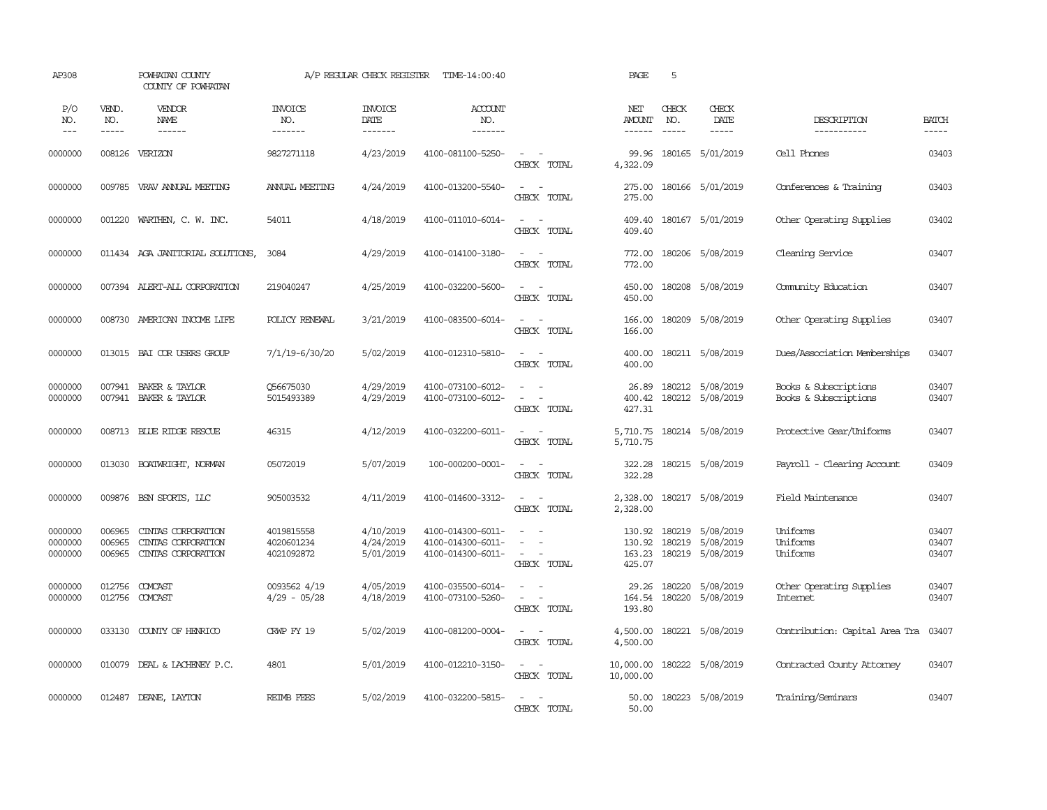| AP308                         |                             | POWHATAN COUNTY<br>COUNTY OF POWHATAN                          |                                        | A/P REGULAR CHECK REGISTER          | TIME-14:00:40                                               |                                                                                                                                                 | PAGE                                  | 5                             |                                      |                                                |                         |
|-------------------------------|-----------------------------|----------------------------------------------------------------|----------------------------------------|-------------------------------------|-------------------------------------------------------------|-------------------------------------------------------------------------------------------------------------------------------------------------|---------------------------------------|-------------------------------|--------------------------------------|------------------------------------------------|-------------------------|
| P/O<br>NO.<br>$---$           | VEND.<br>NO.<br>$- - - - -$ | VENDOR<br>NAME<br>$- - - - - -$                                | <b>INVOICE</b><br>NO.<br>-------       | <b>INVOICE</b><br>DATE<br>-------   | <b>ACCOUNT</b><br>NO.<br>-------                            |                                                                                                                                                 | NET<br><b>AMOUNT</b><br>$- - - - - -$ | CHECK<br>NO.<br>$\frac{1}{2}$ | CHECK<br>DATE<br>$- - - - -$         | DESCRIPTION<br>-----------                     | <b>BATCH</b><br>-----   |
| 0000000                       |                             | 008126 VERIZON                                                 | 9827271118                             | 4/23/2019                           | 4100-081100-5250-                                           | $\sim$ $ \sim$<br>CHECK TOTAL                                                                                                                   | 99.96<br>4,322.09                     |                               | 180165 5/01/2019                     | Cell Phones                                    | 03403                   |
| 0000000                       |                             | 009785 VRAV ANNUAL MEETING                                     | ANNUAL MEETING                         | 4/24/2019                           | 4100-013200-5540-                                           | $\sim$<br>$\sim$<br>CHECK TOTAL                                                                                                                 | 275.00<br>275.00                      |                               | 180166 5/01/2019                     | Conferences & Training                         | 03403                   |
| 0000000                       | 001220                      | WARTHEN, C. W. INC.                                            | 54011                                  | 4/18/2019                           | 4100-011010-6014-                                           | $\sim$ $ \sim$<br>CHECK TOTAL                                                                                                                   | 409.40<br>409.40                      |                               | 180167 5/01/2019                     | Other Operating Supplies                       | 03402                   |
| 0000000                       |                             | 011434 AGA JANITORIAL SOLUTIONS,                               | 3084                                   | 4/29/2019                           | 4100-014100-3180-                                           | $\sim$ $ \sim$<br>CHECK TOTAL                                                                                                                   | 772.00<br>772.00                      |                               | 180206 5/08/2019                     | Cleaning Service                               | 03407                   |
| 0000000                       |                             | 007394 ALERT-ALL CORPORATION                                   | 219040247                              | 4/25/2019                           | 4100-032200-5600-                                           | $\sim$ $ \sim$<br>CHECK TOTAL                                                                                                                   | 450.00<br>450.00                      |                               | 180208 5/08/2019                     | Community Education                            | 03407                   |
| 0000000                       | 008730                      | AMERICAN INCOME LIFE                                           | POLICY RENEWAL                         | 3/21/2019                           | 4100-083500-6014-                                           | $\sim$<br>$\sim$<br>CHECK TOTAL                                                                                                                 | 166.00<br>166.00                      |                               | 180209 5/08/2019                     | Other Operating Supplies                       | 03407                   |
| 0000000                       |                             | 013015 BAI COR USERS GROUP                                     | 7/1/19-6/30/20                         | 5/02/2019                           | 4100-012310-5810-                                           | $\sim$<br>$\sim$<br>CHECK TOTAL                                                                                                                 | 400.00<br>400.00                      |                               | 180211 5/08/2019                     | Dues/Association Memberships                   | 03407                   |
| 0000000<br>0000000            |                             | 007941 BAKER & TAYLOR<br>007941 BAKER & TAYLOR                 | 056675030<br>5015493389                | 4/29/2019<br>4/29/2019              | 4100-073100-6012-<br>4100-073100-6012-                      | $\equiv$<br>$\sim$<br>$\sim$<br>$\sim$<br>CHECK TOTAL                                                                                           | 26.89<br>400.42<br>427.31             |                               | 180212 5/08/2019<br>180212 5/08/2019 | Books & Subscriptions<br>Books & Subscriptions | 03407<br>03407          |
| 0000000                       |                             | 008713 BLUE RIDGE RESCUE                                       | 46315                                  | 4/12/2019                           | 4100-032200-6011-                                           | $\sim$<br>$\sim$<br>CHECK TOTAL                                                                                                                 | 5,710.75<br>5,710.75                  |                               | 180214 5/08/2019                     | Protective Gear/Uniforms                       | 03407                   |
| 0000000                       |                             | 013030 BOATWRIGHT, NORMAN                                      | 05072019                               | 5/07/2019                           | 100-000200-0001-                                            | $\sim$ $ \sim$<br>CHECK TOTAL                                                                                                                   | 322.28<br>322.28                      |                               | 180215 5/08/2019                     | Payroll - Clearing Account                     | 03409                   |
| 0000000                       | 009876                      | BSN SPORTS, LLC                                                | 905003532                              | 4/11/2019                           | 4100-014600-3312-                                           | $\sim$ $ \sim$<br>CHECK TOTAL                                                                                                                   | 2,328.00<br>2,328.00                  |                               | 180217 5/08/2019                     | Field Maintenance                              | 03407                   |
| 0000000<br>0000000<br>0000000 | 006965<br>006965<br>006965  | CINIAS CORPORATION<br>CINIAS CORPORATION<br>CINIAS CORPORATION | 4019815558<br>4020601234<br>4021092872 | 4/10/2019<br>4/24/2019<br>5/01/2019 | 4100-014300-6011-<br>4100-014300-6011-<br>4100-014300-6011- | $\sim$<br>$\sim$<br>$\sim$<br>$\sim$ $ \sim$<br>CHECK TOTAL                                                                                     | 130.92<br>130.92<br>163.23<br>425.07  | 180219<br>180219<br>180219    | 5/08/2019<br>5/08/2019<br>5/08/2019  | Uniforms<br>Uniforms<br>Uniforms               | 03407<br>03407<br>03407 |
| 0000000<br>0000000            | 012756<br>012756            | COMCAST<br>COMCAST                                             | 0093562 4/19<br>$4/29 - 05/28$         | 4/05/2019<br>4/18/2019              | 4100-035500-6014-<br>4100-073100-5260-                      | $\frac{1}{2} \left( \frac{1}{2} \right) \left( \frac{1}{2} \right) = \frac{1}{2} \left( \frac{1}{2} \right)$<br>$\sim$<br>$\sim$<br>CHECK TOTAL | 29.26<br>164.54<br>193.80             | 180220                        | 5/08/2019<br>180220 5/08/2019        | Other Operating Supplies<br><b>Internet</b>    | 03407<br>03407          |
| 0000000                       | 033130                      | COUNTY OF HENRICO                                              | CRWP FY 19                             | 5/02/2019                           | 4100-081200-0004-                                           | $\sim$ $ \sim$<br>CHECK TOTAL                                                                                                                   | 4,500.00<br>4,500.00                  |                               | 180221 5/08/2019                     | Contribution: Capital Area Tra 03407           |                         |
| 0000000                       | 010079                      | DEAL & LACHENEY P.C.                                           | 4801                                   | 5/01/2019                           | 4100-012210-3150-                                           | $\sim$ $ -$<br>CHECK TOTAL                                                                                                                      | 10,000.00<br>10,000.00                |                               | 180222 5/08/2019                     | Contracted County Attorney                     | 03407                   |
| 0000000                       |                             | 012487 DEANE, LAYTON                                           | <b>REIMB FEES</b>                      | 5/02/2019                           | 4100-032200-5815-                                           | $\sim$<br>$\sim$<br>CHECK TOTAL                                                                                                                 | 50.00<br>50.00                        |                               | 180223 5/08/2019                     | Training/Seminars                              | 03407                   |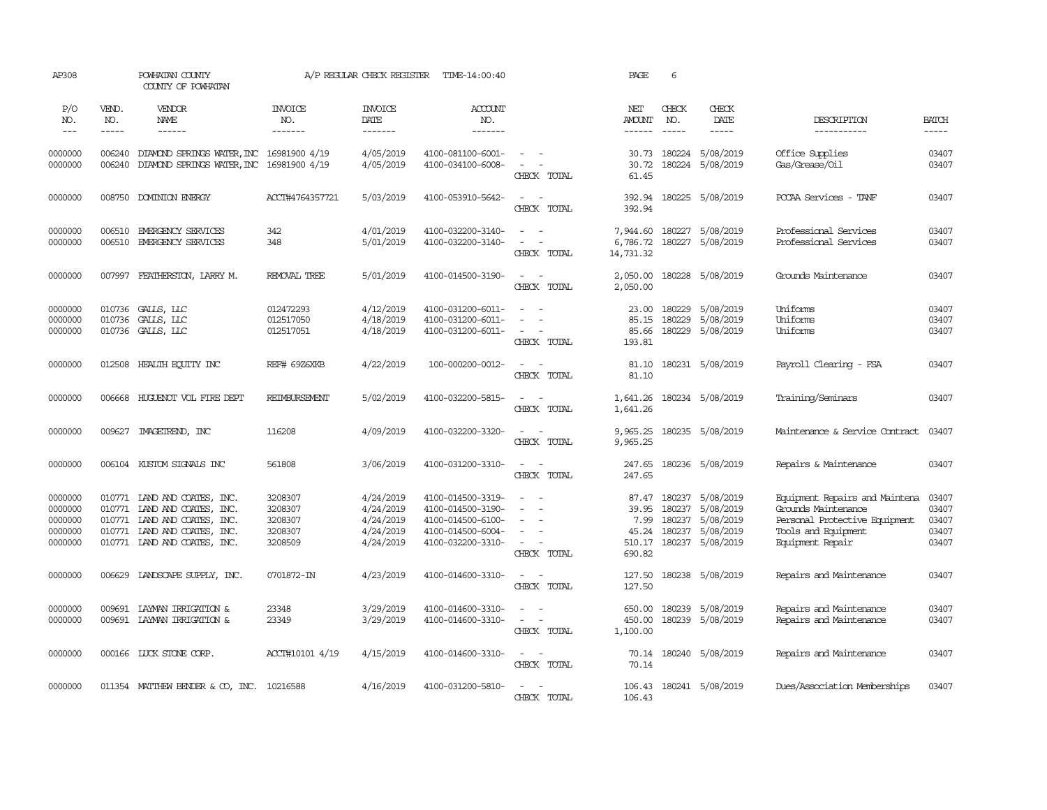| AP308                                               |                               | POWHATAN COUNTY<br>COUNTY OF POWHATAN                                                                                                                                                                                                                                                                                                                                                                                                                                                               |                                                     | A/P REGULAR CHECK REGISTER                                    | TIME-14:00:40                                                                                         |                                                                                                               | PAGE                                      | 6                                    |                                                                             |                                                                                                                                   |                                           |
|-----------------------------------------------------|-------------------------------|-----------------------------------------------------------------------------------------------------------------------------------------------------------------------------------------------------------------------------------------------------------------------------------------------------------------------------------------------------------------------------------------------------------------------------------------------------------------------------------------------------|-----------------------------------------------------|---------------------------------------------------------------|-------------------------------------------------------------------------------------------------------|---------------------------------------------------------------------------------------------------------------|-------------------------------------------|--------------------------------------|-----------------------------------------------------------------------------|-----------------------------------------------------------------------------------------------------------------------------------|-------------------------------------------|
| P/O<br>NO.<br>$ -$                                  | VEND.<br>NO.<br>$\frac{1}{2}$ | VENDOR<br><b>NAME</b><br>$\frac{1}{2} \left( \frac{1}{2} \right) \left( \frac{1}{2} \right) \left( \frac{1}{2} \right) \left( \frac{1}{2} \right) \left( \frac{1}{2} \right) \left( \frac{1}{2} \right) \left( \frac{1}{2} \right) \left( \frac{1}{2} \right) \left( \frac{1}{2} \right) \left( \frac{1}{2} \right) \left( \frac{1}{2} \right) \left( \frac{1}{2} \right) \left( \frac{1}{2} \right) \left( \frac{1}{2} \right) \left( \frac{1}{2} \right) \left( \frac{1}{2} \right) \left( \frac$ | <b>INVOICE</b><br>NO.<br>-------                    | <b>INVOICE</b><br>DATE<br>-------                             | <b>ACCOUNT</b><br>NO.<br>-------                                                                      |                                                                                                               | NET<br><b>AMOUNT</b><br>$- - - - - -$     | CHECK<br>NO.<br>$\frac{1}{2}$        | CHECK<br>DATE<br>$- - - - -$                                                | DESCRIPTION<br>-----------                                                                                                        | <b>BATCH</b><br>-----                     |
| 0000000<br>0000000                                  | 006240<br>006240              | DIAMOND SPRINGS WATER, INC 16981900 4/19<br>DIAMOND SPRINGS WATER, INC 16981900 4/19                                                                                                                                                                                                                                                                                                                                                                                                                |                                                     | 4/05/2019<br>4/05/2019                                        | 4100-081100-6001-<br>4100-034100-6008-                                                                | $\equiv$<br>$\sim$<br>CHECK TOTAL                                                                             | 30.73<br>30.72<br>61.45                   | 180224                               | 5/08/2019<br>180224 5/08/2019                                               | Office Supplies<br>Gas/Grease/Oil                                                                                                 | 03407<br>03407                            |
| 0000000                                             | 008750                        | DOMINION ENERGY                                                                                                                                                                                                                                                                                                                                                                                                                                                                                     | ACCT#4764357721                                     | 5/03/2019                                                     | 4100-053910-5642-                                                                                     | $\sim$<br>$\sim$<br>CHECK TOTAL                                                                               | 392.94<br>392.94                          |                                      | 180225 5/08/2019                                                            | PCCAA Services - TANF                                                                                                             | 03407                                     |
| 0000000<br>0000000                                  | 006510<br>006510              | EMERGENCY SERVICES<br>EMERGENCY SERVICES                                                                                                                                                                                                                                                                                                                                                                                                                                                            | 342<br>348                                          | 4/01/2019<br>5/01/2019                                        | 4100-032200-3140-<br>4100-032200-3140-                                                                | $\sim$<br>$\sim$<br>$\sim$<br>CHECK TOTAL                                                                     | 7,944.60<br>6,786.72<br>14,731.32         |                                      | 180227 5/08/2019<br>180227 5/08/2019                                        | Professional Services<br>Professional Services                                                                                    | 03407<br>03407                            |
| 0000000                                             | 007997                        | FEATHERSTON, LARRY M.                                                                                                                                                                                                                                                                                                                                                                                                                                                                               | REMOVAL TREE                                        | 5/01/2019                                                     | 4100-014500-3190-                                                                                     | $\sim$<br>CHECK TOTAL                                                                                         | 2,050.00<br>2,050.00                      |                                      | 180228 5/08/2019                                                            | Grounds Maintenance                                                                                                               | 03407                                     |
| 0000000<br>0000000<br>0000000                       | 010736                        | 010736 GALLS, LLC<br>GALLS, LLC<br>010736 GALLS, LLC                                                                                                                                                                                                                                                                                                                                                                                                                                                | 012472293<br>012517050<br>012517051                 | 4/12/2019<br>4/18/2019<br>4/18/2019                           | 4100-031200-6011-<br>4100-031200-6011-<br>4100-031200-6011-                                           | $\equiv$<br>$\sim$<br>CHECK TOTAL                                                                             | 23.00<br>85.15<br>85.66<br>193.81         | 180229<br>180229<br>180229           | 5/08/2019<br>5/08/2019<br>5/08/2019                                         | Uniforms<br>Uniforms<br>Uniforms                                                                                                  | 03407<br>03407<br>03407                   |
| 0000000                                             | 012508                        | HEALTH EOUITY INC                                                                                                                                                                                                                                                                                                                                                                                                                                                                                   | REF# 69Z6XKB                                        | 4/22/2019                                                     | 100-000200-0012-                                                                                      | $\sim$<br>$\sim$<br>CHECK TOTAL                                                                               | 81.10<br>81.10                            |                                      | 180231 5/08/2019                                                            | Payroll Clearing - FSA                                                                                                            | 03407                                     |
| 0000000                                             |                               | 006668 HUGUENOT VOL FIRE DEPT                                                                                                                                                                                                                                                                                                                                                                                                                                                                       | REIMBURSEMENT                                       | 5/02/2019                                                     | 4100-032200-5815-                                                                                     | $\sim$ $ \sim$<br>CHECK TOTAL                                                                                 | 1,641.26<br>1,641.26                      |                                      | 180234 5/08/2019                                                            | Training/Seminars                                                                                                                 | 03407                                     |
| 0000000                                             |                               | 009627 IMAGETREND, INC                                                                                                                                                                                                                                                                                                                                                                                                                                                                              | 116208                                              | 4/09/2019                                                     | 4100-032200-3320-                                                                                     | $\sim$<br>$\sim$<br>CHECK TOTAL                                                                               | 9,965.25<br>9,965.25                      |                                      | 180235 5/08/2019                                                            | Maintenance & Service Contract                                                                                                    | 03407                                     |
| 0000000                                             | 006104                        | KUSTOM SIGNALS INC                                                                                                                                                                                                                                                                                                                                                                                                                                                                                  | 561808                                              | 3/06/2019                                                     | 4100-031200-3310-                                                                                     | $\sim$<br>$\sim$<br>CHECK TOTAL                                                                               | 247.65<br>247.65                          |                                      | 180236 5/08/2019                                                            | Repairs & Maintenance                                                                                                             | 03407                                     |
| 0000000<br>0000000<br>0000000<br>0000000<br>0000000 | 010771                        | 010771 LAND AND COATES, INC.<br>010771 LAND AND COATES, INC.<br>IAND AND COATES, INC.<br>010771 LAND AND COATES, INC.<br>010771 LAND AND COATES, INC.                                                                                                                                                                                                                                                                                                                                               | 3208307<br>3208307<br>3208307<br>3208307<br>3208509 | 4/24/2019<br>4/24/2019<br>4/24/2019<br>4/24/2019<br>4/24/2019 | 4100-014500-3319-<br>4100-014500-3190-<br>4100-014500-6100-<br>4100-014500-6004-<br>4100-032200-3310- | $\sim$<br>$\sim$<br>$\equiv$<br>$\overline{\phantom{a}}$<br>$\sim$<br>$\overline{\phantom{a}}$<br>CHECK TOTAL | 87.47<br>39.95<br>7.99<br>45.24<br>690.82 | 180237<br>180237<br>180237<br>180237 | 5/08/2019<br>5/08/2019<br>5/08/2019<br>5/08/2019<br>510.17 180237 5/08/2019 | Equipment Repairs and Maintena<br>Grounds Maintenance<br>Personal Protective Equipment<br>Tools and Equipment<br>Equipment Repair | 03407<br>03407<br>03407<br>03407<br>03407 |
| 0000000                                             |                               | 006629 LANDSCAPE SUPPLY, INC.                                                                                                                                                                                                                                                                                                                                                                                                                                                                       | 0701872-IN                                          | 4/23/2019                                                     | 4100-014600-3310-                                                                                     | $\sim$<br>$\sim$<br>CHECK TOTAL                                                                               | 127.50<br>127.50                          |                                      | 180238 5/08/2019                                                            | Repairs and Maintenance                                                                                                           | 03407                                     |
| 0000000<br>0000000                                  | 009691<br>009691              | LAYMAN IRRIGATION &<br>LAYMAN IRRIGATION &                                                                                                                                                                                                                                                                                                                                                                                                                                                          | 23348<br>23349                                      | 3/29/2019<br>3/29/2019                                        | 4100-014600-3310-<br>4100-014600-3310-                                                                | $\sim$<br>$\sim$<br>$\equiv$<br>$\overline{\phantom{a}}$<br>CHECK TOTAL                                       | 650.00<br>450.00<br>1,100.00              | 180239                               | 5/08/2019<br>180239 5/08/2019                                               | Repairs and Maintenance<br>Repairs and Maintenance                                                                                | 03407<br>03407                            |
| 0000000                                             |                               | 000166 LUCK STONE CORP.                                                                                                                                                                                                                                                                                                                                                                                                                                                                             | ACCT#10101 4/19                                     | 4/15/2019                                                     | 4100-014600-3310-                                                                                     | $\sim$ $ \sim$<br>CHECK TOTAL                                                                                 | 70.14<br>70.14                            |                                      | 180240 5/08/2019                                                            | Repairs and Maintenance                                                                                                           | 03407                                     |
| 0000000                                             |                               | 011354 MATTHEW BENDER & CO, INC. 10216588                                                                                                                                                                                                                                                                                                                                                                                                                                                           |                                                     | 4/16/2019                                                     | 4100-031200-5810-                                                                                     | $\sim$<br>CHECK TOTAL                                                                                         | 106.43<br>106.43                          |                                      | 180241 5/08/2019                                                            | Dues/Association Memberships                                                                                                      | 03407                                     |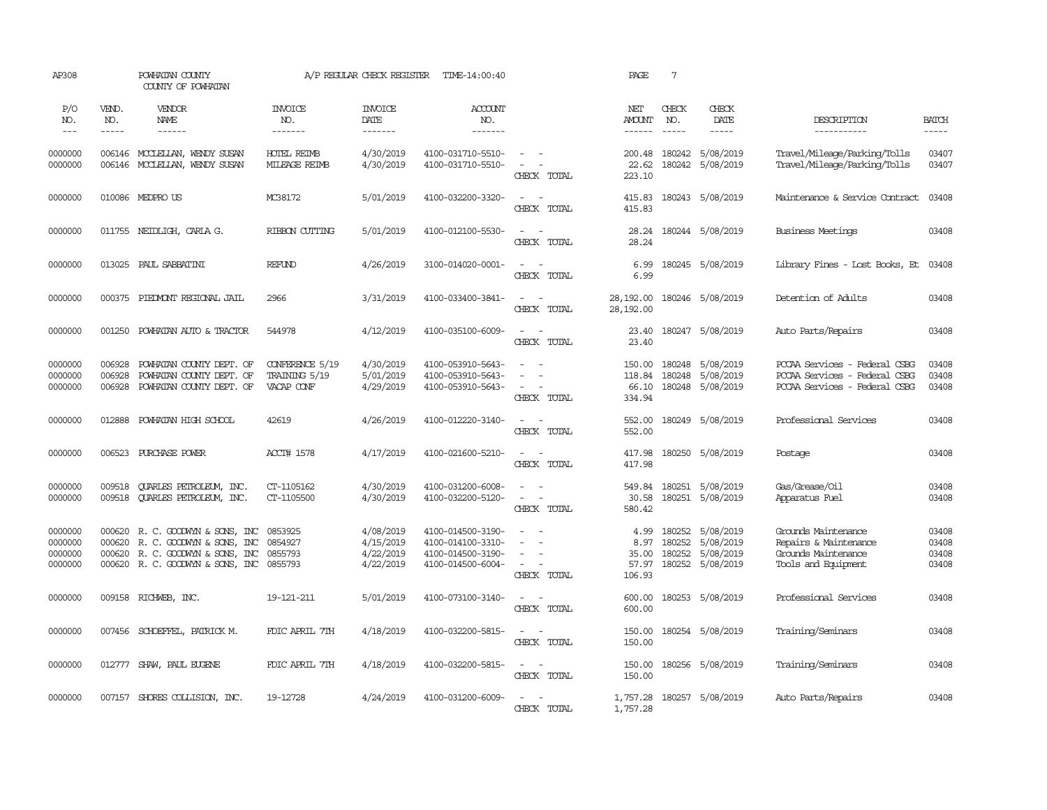| AP308                                    |                            | POWHATAN COUNTY<br>COUNTY OF POWHATAN                                                                                         |                                                | A/P REGULAR CHECK REGISTER                       | TIME-14:00:40                                                                    |                                                                                                                             | PAGE                                     | $7\phantom{.0}$                      |                                                  |                                                                                                 |                                  |
|------------------------------------------|----------------------------|-------------------------------------------------------------------------------------------------------------------------------|------------------------------------------------|--------------------------------------------------|----------------------------------------------------------------------------------|-----------------------------------------------------------------------------------------------------------------------------|------------------------------------------|--------------------------------------|--------------------------------------------------|-------------------------------------------------------------------------------------------------|----------------------------------|
| P/O<br>NO.<br>$---$                      | VEND.<br>NO.<br>-----      | VENDOR<br>NAME<br>------                                                                                                      | <b>INVOICE</b><br>NO.<br>-------               | <b>INVOICE</b><br>DATE<br>-------                | ACCOUNT<br>NO.<br>-------                                                        |                                                                                                                             | NET<br>AMOUNT                            | CHECK<br>NO.<br>$\frac{1}{2}$        | CHECK<br>DATE<br>$\frac{1}{2}$                   | DESCRIPTION<br>-----------                                                                      | <b>BATCH</b><br>-----            |
| 0000000<br>0000000                       | 006146                     | 006146 MCCLELLAN, WENDY SUSAN<br>MOCLELLAN, WENDY SUSAN                                                                       | <b>HOTEL REIMB</b><br>MILEAGE REIMB            | 4/30/2019<br>4/30/2019                           | 4100-031710-5510-<br>4100-031710-5510-                                           | $\overline{\phantom{a}}$<br>$\sim$<br>$\equiv$<br>CHECK TOTAL                                                               | 200.48<br>22.62<br>223.10                | 180242<br>180242                     | 5/08/2019<br>5/08/2019                           | Travel/Mileage/Parking/Tolls<br>Travel/Mileage/Parking/Tolls                                    | 03407<br>03407                   |
| 0000000                                  |                            | 010086 MEDPROUS                                                                                                               | MC38172                                        | 5/01/2019                                        | 4100-032200-3320-                                                                | $\overline{\phantom{a}}$<br>$\sim$<br>CHECK TOTAL                                                                           | 415.83<br>415.83                         |                                      | 180243 5/08/2019                                 | Maintenance & Service Contract                                                                  | 03408                            |
| 0000000                                  |                            | 011755 NEIDLIGH, CARLA G.                                                                                                     | RIBBON CUITING                                 | 5/01/2019                                        | 4100-012100-5530-                                                                | $\sim$<br>$\sim$ $-$<br>CHECK TOTAL                                                                                         | 28.24<br>28.24                           |                                      | 180244 5/08/2019                                 | Business Meetings                                                                               | 03408                            |
| 0000000                                  | 013025                     | PAUL SABBATINI                                                                                                                | REFUND                                         | 4/26/2019                                        | 3100-014020-0001-                                                                | $\sim$<br>$\sim$<br>CHECK TOTAL                                                                                             | 6.99<br>6.99                             |                                      | 180245 5/08/2019                                 | Library Fines - Lost Books, Et                                                                  | 03408                            |
| 0000000                                  |                            | 000375 PIEDMONT REGIONAL JAIL                                                                                                 | 2966                                           | 3/31/2019                                        | 4100-033400-3841-                                                                | $\sim$<br>CHECK TOTAL                                                                                                       | 28,192.00<br>28,192.00                   |                                      | 180246 5/08/2019                                 | Detention of Adults                                                                             | 03408                            |
| 0000000                                  | 001250                     | POWHATAN AUTO & TRACTOR                                                                                                       | 544978                                         | 4/12/2019                                        | 4100-035100-6009-                                                                | $\sim$<br>$\sim$<br>CHECK TOTAL                                                                                             | 23.40<br>23.40                           |                                      | 180247 5/08/2019                                 | Auto Parts/Repairs                                                                              | 03408                            |
| 0000000<br>0000000<br>0000000            | 006928<br>006928<br>006928 | POWHATAN COUNTY DEPT. OF<br>POWHATAN COUNTY DEPT. OF<br>POWHATAN COUNTY DEPT. OF                                              | CONFERENCE 5/19<br>TRAINING 5/19<br>VACAP CONF | 4/30/2019<br>5/01/2019<br>4/29/2019              | 4100-053910-5643-<br>4100-053910-5643-<br>4100-053910-5643-                      | $\overline{\phantom{a}}$<br>$\overline{\phantom{a}}$<br>CHECK TOTAL                                                         | 150.00<br>118.84<br>66.10<br>334.94      | 180248<br>180248                     | 5/08/2019<br>5/08/2019<br>180248 5/08/2019       | PCCAA Services - Federal CSBG<br>PCCAA Services - Federal CSBG<br>PCCAA Services - Federal CSBG | 03408<br>03408<br>03408          |
| 0000000                                  | 012888                     | POWHATAN HIGH SCHOOL                                                                                                          | 42619                                          | 4/26/2019                                        | 4100-012220-3140-                                                                | $\frac{1}{2} \left( \frac{1}{2} \right) \left( \frac{1}{2} \right) = \frac{1}{2} \left( \frac{1}{2} \right)$<br>CHECK TOTAL | 552.00<br>552.00                         |                                      | 180249 5/08/2019                                 | Professional Services                                                                           | 03408                            |
| 0000000                                  | 006523                     | PURCHASE POWER                                                                                                                | ACCT# 1578                                     | 4/17/2019                                        | 4100-021600-5210-                                                                | $\sim$<br>$\equiv$<br>CHECK TOTAL                                                                                           | 417.98<br>417.98                         |                                      | 180250 5/08/2019                                 | Postage                                                                                         | 03408                            |
| 0000000<br>0000000                       | 009518<br>009518           | QUARLES PETROLEUM, INC.<br><b>OUARLES PETROLEUM, INC.</b>                                                                     | CT-1105162<br>CT-1105500                       | 4/30/2019<br>4/30/2019                           | 4100-031200-6008-<br>4100-032200-5120-                                           | $\sim$<br>$\sim$<br>CHECK TOTAL                                                                                             | 549.84<br>30.58<br>580.42                | 180251                               | 5/08/2019<br>180251 5/08/2019                    | Gas/Grease/Oil<br>Apparatus Fuel                                                                | 03408<br>03408                   |
| 0000000<br>0000000<br>0000000<br>0000000 | 000620<br>000620           | 000620 R. C. GOODWYN & SONS, INC<br>R. C. GOODWIN & SONS, INC<br>R. C. GOODWIN & SONS, INC<br>000620 R.C. GOODWYN & SONS, INC | 0853925<br>0854927<br>0855793<br>0855793       | 4/08/2019<br>4/15/2019<br>4/22/2019<br>4/22/2019 | 4100-014500-3190-<br>4100-014100-3310-<br>4100-014500-3190-<br>4100-014500-6004- | $\sim$<br>$\overline{\phantom{a}}$<br>$\overline{\phantom{a}}$<br>CHECK TOTAL                                               | 4.99<br>8.97<br>35.00<br>57.97<br>106.93 | 180252<br>180252<br>180252<br>180252 | 5/08/2019<br>5/08/2019<br>5/08/2019<br>5/08/2019 | Grounds Maintenance<br>Repairs & Maintenance<br>Grounds Maintenance<br>Tools and Equipment      | 03408<br>03408<br>03408<br>03408 |
| 0000000                                  |                            | 009158 RICHWEB, INC.                                                                                                          | 19-121-211                                     | 5/01/2019                                        | 4100-073100-3140-                                                                | $\sim$<br>$\sim$<br>CHECK TOTAL                                                                                             | 600.00<br>600.00                         |                                      | 180253 5/08/2019                                 | Professional Services                                                                           | 03408                            |
| 0000000                                  |                            | 007456 SCHOEFFEL, PATRICK M.                                                                                                  | FDIC APRIL 7TH                                 | 4/18/2019                                        | 4100-032200-5815-                                                                | $\sim$ $  -$<br>CHECK TOTAL                                                                                                 | 150.00<br>150.00                         |                                      | 180254 5/08/2019                                 | Training/Seminars                                                                               | 03408                            |
| 0000000                                  |                            | 012777 SHAW, PAUL EUGENE                                                                                                      | FDIC APRIL 7TH                                 | 4/18/2019                                        | 4100-032200-5815-                                                                | $\sim$<br>$\sim$<br>CHECK TOTAL                                                                                             | 150.00<br>150.00                         |                                      | 180256 5/08/2019                                 | Training/Seminars                                                                               | 03408                            |
| 0000000                                  |                            | 007157 SHORES COLLISION, INC.                                                                                                 | 19-12728                                       | 4/24/2019                                        | 4100-031200-6009-                                                                | $\frac{1}{2} \left( \frac{1}{2} \right) \left( \frac{1}{2} \right) = \frac{1}{2} \left( \frac{1}{2} \right)$<br>CHECK TOTAL | 1,757.28<br>1,757.28                     |                                      | 180257 5/08/2019                                 | Auto Parts/Repairs                                                                              | 03408                            |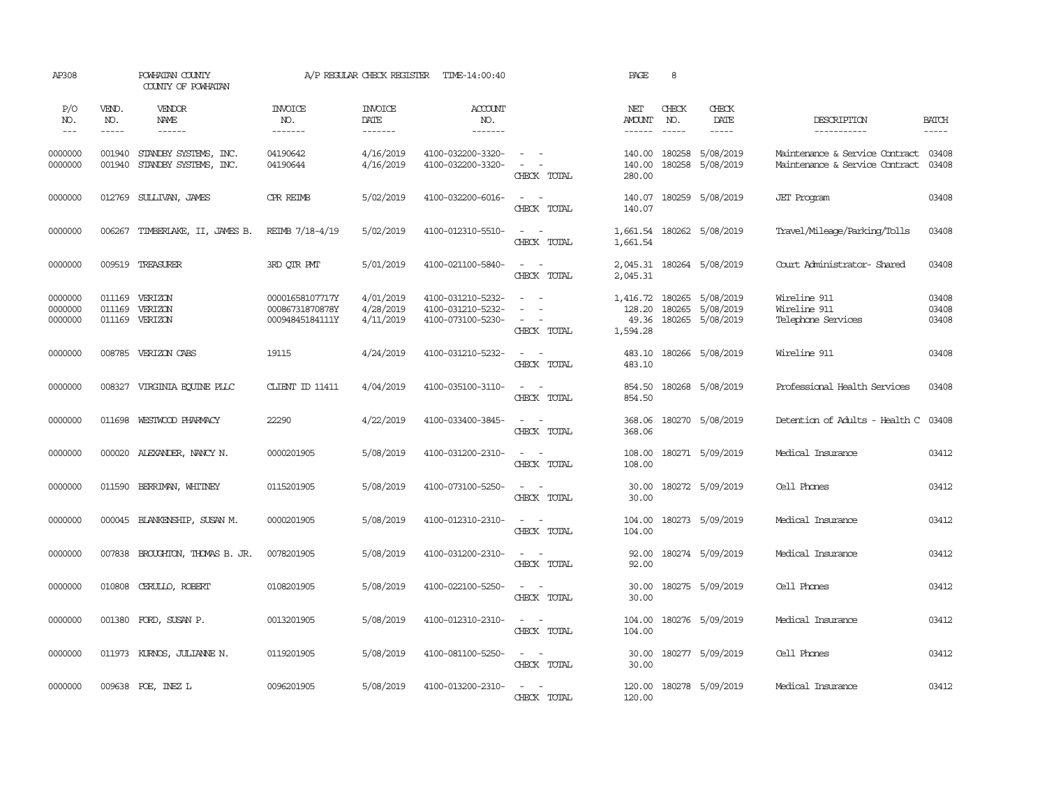| AP308                         |                       | POWHATAN COUNTY<br>COUNTY OF POWHATAN          |                                                       | A/P REGULAR CHECK REGISTER          | TIME-14:00:40                                               |                                                                      | PAGE                                    | 8                                                                                                                                                                                                                                                                                                                                                                                                            |                                            |                                                                        |                         |
|-------------------------------|-----------------------|------------------------------------------------|-------------------------------------------------------|-------------------------------------|-------------------------------------------------------------|----------------------------------------------------------------------|-----------------------------------------|--------------------------------------------------------------------------------------------------------------------------------------------------------------------------------------------------------------------------------------------------------------------------------------------------------------------------------------------------------------------------------------------------------------|--------------------------------------------|------------------------------------------------------------------------|-------------------------|
| P/O<br>NO.<br>$---$           | VEND.<br>NO.<br>----- | VENDOR<br>NAME<br>------                       | <b>INVOICE</b><br>NO.<br>-------                      | <b>INVOICE</b><br>DATE<br>-------   | ACCOUNT<br>NO.<br>-------                                   |                                                                      | NET<br>AMOUNT<br>------                 | CHECK<br>NO.<br>$\frac{1}{2} \frac{1}{2} \frac{1}{2} \frac{1}{2} \frac{1}{2} \frac{1}{2} \frac{1}{2} \frac{1}{2} \frac{1}{2} \frac{1}{2} \frac{1}{2} \frac{1}{2} \frac{1}{2} \frac{1}{2} \frac{1}{2} \frac{1}{2} \frac{1}{2} \frac{1}{2} \frac{1}{2} \frac{1}{2} \frac{1}{2} \frac{1}{2} \frac{1}{2} \frac{1}{2} \frac{1}{2} \frac{1}{2} \frac{1}{2} \frac{1}{2} \frac{1}{2} \frac{1}{2} \frac{1}{2} \frac{$ | CHECK<br>DATE<br>$- - - - -$               | DESCRIPTION<br>-----------                                             | <b>BATCH</b><br>-----   |
| 0000000<br>0000000            | 001940<br>001940      | STANDBY SYSTEMS, INC.<br>STANDBY SYSTEMS, INC. | 04190642<br>04190644                                  | 4/16/2019<br>4/16/2019              | 4100-032200-3320-<br>4100-032200-3320-                      | $\sim$ $ -$<br>$\sim$ $ \sim$<br>CHECK TOTAL                         | 140.00<br>140.00<br>280.00              | 180258<br>180258                                                                                                                                                                                                                                                                                                                                                                                             | 5/08/2019<br>5/08/2019                     | Maintenance & Service Contract 03408<br>Maintenance & Service Contract | 03408                   |
| 0000000                       |                       | 012769 SULLIVAN, JAMES                         | CPR REIMB                                             | 5/02/2019                           | 4100-032200-6016-                                           | $\omega_{\rm{max}}$ and $\omega_{\rm{max}}$<br>CHECK TOTAL           | 140.07<br>140.07                        |                                                                                                                                                                                                                                                                                                                                                                                                              | 180259 5/08/2019                           | <b>JET</b> Program                                                     | 03408                   |
| 0000000                       | 006267                | TIMBERLAKE, II, JAMES B.                       | REIMB 7/18-4/19                                       | 5/02/2019                           | 4100-012310-5510-                                           | $\omega_{\rm{max}}$ and $\omega_{\rm{max}}$<br>CHECK TOTAL           | 1,661.54<br>1,661.54                    |                                                                                                                                                                                                                                                                                                                                                                                                              | 180262 5/08/2019                           | Travel/Mileage/Parking/Tolls                                           | 03408                   |
| 0000000                       |                       | 009519 TREASURER                               | 3RD OIR PMT                                           | 5/01/2019                           | 4100-021100-5840-                                           | $\sim$<br>$\sim$<br>CHECK TOTAL                                      | 2,045.31                                |                                                                                                                                                                                                                                                                                                                                                                                                              | 2,045.31 180264 5/08/2019                  | Court Administrator- Shared                                            | 03408                   |
| 0000000<br>0000000<br>0000000 | 011169<br>011169      | VERIZON<br>VERIZON<br>011169 VERIZON           | 00001658107717Y<br>00086731870878Y<br>00094845184111Y | 4/01/2019<br>4/28/2019<br>4/11/2019 | 4100-031210-5232-<br>4100-031210-5232-<br>4100-073100-5230- | $\sim 100$ km s $^{-1}$<br>$\sim$<br>$\sim$<br>$\sim$<br>CHECK TOTAL | 1,416.72<br>128.20<br>49.36<br>1,594.28 | 180265<br>180265                                                                                                                                                                                                                                                                                                                                                                                             | 5/08/2019<br>5/08/2019<br>180265 5/08/2019 | Wireline 911<br>Wireline 911<br>Telephone Services                     | 03408<br>03408<br>03408 |
| 0000000                       |                       | 008785 VERIZON CABS                            | 19115                                                 | 4/24/2019                           | 4100-031210-5232-                                           | $\sim$ $ \sim$<br>CHECK TOTAL                                        | 483.10<br>483.10                        |                                                                                                                                                                                                                                                                                                                                                                                                              | 180266 5/08/2019                           | Wireline 911                                                           | 03408                   |
| 0000000                       |                       | 008327 VIRGINIA EQUINE PLLC                    | CLIENT ID 11411                                       | 4/04/2019                           | 4100-035100-3110-                                           | $\omega_{\rm{max}}$ and $\omega_{\rm{max}}$<br>CHECK TOTAL           | 854.50<br>854.50                        |                                                                                                                                                                                                                                                                                                                                                                                                              | 180268 5/08/2019                           | Professional Health Services                                           | 03408                   |
| 0000000                       |                       | 011698 WESTWOOD PHARMACY                       | 22290                                                 | 4/22/2019                           | 4100-033400-3845-                                           | $\sim$ $ \sim$<br>CHECK TOTAL                                        | 368.06<br>368.06                        |                                                                                                                                                                                                                                                                                                                                                                                                              | 180270 5/08/2019                           | Detention of Adults - Health C 03408                                   |                         |
| 0000000                       |                       | 000020 ALEXANDER, NANCY N.                     | 0000201905                                            | 5/08/2019                           | 4100-031200-2310-                                           | $\sim$ 100 $\sim$<br>CHECK TOTAL                                     | 108.00<br>108.00                        |                                                                                                                                                                                                                                                                                                                                                                                                              | 180271 5/09/2019                           | Medical Insurance                                                      | 03412                   |
| 0000000                       | 011590                | BERRIMAN, WHITNEY                              | 0115201905                                            | 5/08/2019                           | 4100-073100-5250-                                           | $\sim$<br>$\sim$<br>CHECK TOTAL                                      | 30.00<br>30.00                          |                                                                                                                                                                                                                                                                                                                                                                                                              | 180272 5/09/2019                           | Cell Phones                                                            | 03412                   |
| 0000000                       |                       | 000045 BLANKENSHIP, SUSAN M.                   | 0000201905                                            | 5/08/2019                           | 4100-012310-2310-                                           | $\sim$ $ \sim$<br>CHECK TOTAL                                        | 104.00<br>104.00                        |                                                                                                                                                                                                                                                                                                                                                                                                              | 180273 5/09/2019                           | Medical Insurance                                                      | 03412                   |
| 0000000                       | 007838                | BROUGHTON, THOMAS B. JR.                       | 0078201905                                            | 5/08/2019                           | 4100-031200-2310-                                           | $\sim$ $ -$<br>CHECK TOTAL                                           | 92.00<br>92.00                          |                                                                                                                                                                                                                                                                                                                                                                                                              | 180274 5/09/2019                           | Medical Insurance                                                      | 03412                   |
| 0000000                       | 010808                | CERULLO, ROBERT                                | 0108201905                                            | 5/08/2019                           | 4100-022100-5250-                                           | $\omega_{\rm{max}}$ and $\omega_{\rm{max}}$<br>CHECK TOTAL           | 30.00<br>30.00                          |                                                                                                                                                                                                                                                                                                                                                                                                              | 180275 5/09/2019                           | Cell Phones                                                            | 03412                   |
| 0000000                       | 001380                | FORD, SUSAN P.                                 | 0013201905                                            | 5/08/2019                           | 4100-012310-2310-                                           | $\sim$ $ -$<br>CHECK TOTAL                                           | 104.00<br>104.00                        |                                                                                                                                                                                                                                                                                                                                                                                                              | 180276 5/09/2019                           | Medical Insurance                                                      | 03412                   |
| 0000000                       |                       | 011973 KURNOS, JULIANNE N.                     | 0119201905                                            | 5/08/2019                           | 4100-081100-5250-                                           | $\omega_{\rm{max}}$ and $\omega_{\rm{max}}$<br>CHECK TOTAL           | 30.00<br>30.00                          |                                                                                                                                                                                                                                                                                                                                                                                                              | 180277 5/09/2019                           | Cell Phones                                                            | 03412                   |
| 0000000                       |                       | 009638 POE, INEZ L                             | 0096201905                                            | 5/08/2019                           | 4100-013200-2310-                                           | $\sim$<br>$\sim$<br>CHECK TOTAL                                      | 120.00<br>120.00                        |                                                                                                                                                                                                                                                                                                                                                                                                              | 180278 5/09/2019                           | Medical Insurance                                                      | 03412                   |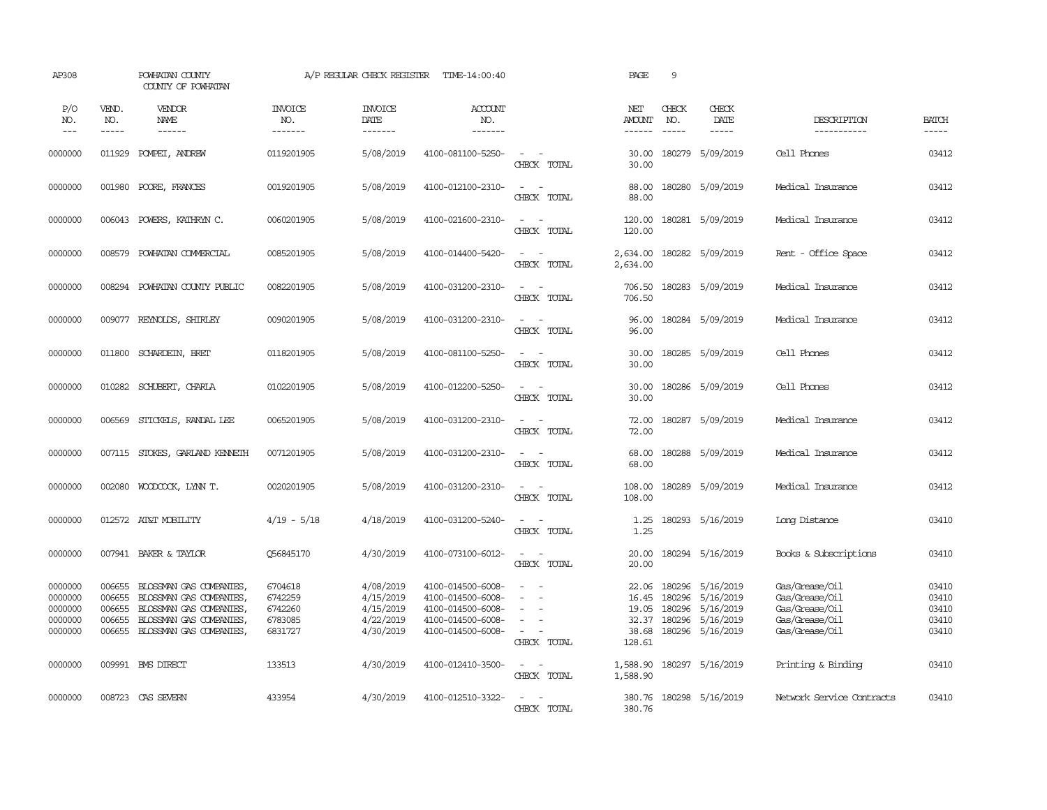| AP308                                               |                                                | POWHATAN COUNTY<br>COUNTY OF POWHATAN                                                                                               |                                                     | A/P REGULAR CHECK REGISTER                                    | TIME-14:00:40                                                                                         |                                                                           | PAGE                                                | 9                                    |                                                                      |                                                                                        |                                           |
|-----------------------------------------------------|------------------------------------------------|-------------------------------------------------------------------------------------------------------------------------------------|-----------------------------------------------------|---------------------------------------------------------------|-------------------------------------------------------------------------------------------------------|---------------------------------------------------------------------------|-----------------------------------------------------|--------------------------------------|----------------------------------------------------------------------|----------------------------------------------------------------------------------------|-------------------------------------------|
| P/O<br>NO.<br>$- - -$                               | VEND.<br>NO.<br>$- - - - -$                    | VENDOR<br>NAME<br>$- - - - - -$                                                                                                     | <b>INVOICE</b><br>NO.<br>-------                    | <b>INVOICE</b><br>DATE<br>-------                             | ACCOUNT<br>NO.<br>-------                                                                             |                                                                           | NET<br><b>AMOUNT</b><br>------                      | CHECK<br>NO.<br>$\frac{1}{2}$        | CHECK<br>DATE<br>$- - - - -$                                         | DESCRIPTION<br>-----------                                                             | <b>BATCH</b><br>-----                     |
| 0000000                                             | 011929                                         | POMPEI, ANDREW                                                                                                                      | 0119201905                                          | 5/08/2019                                                     | 4100-081100-5250-                                                                                     | $\sim$<br>CHECK TOTAL                                                     | 30.00<br>30.00                                      | 180279                               | 5/09/2019                                                            | Cell Phones                                                                            | 03412                                     |
| 0000000                                             | 001980                                         | POORE, FRANCES                                                                                                                      | 0019201905                                          | 5/08/2019                                                     | 4100-012100-2310-                                                                                     | $\sim$<br>$\sim$ $-$<br>CHECK TOTAL                                       | 88.00<br>88.00                                      |                                      | 180280 5/09/2019                                                     | Medical Insurance                                                                      | 03412                                     |
| 0000000                                             | 006043                                         | POWERS, KATHRYN C.                                                                                                                  | 0060201905                                          | 5/08/2019                                                     | 4100-021600-2310-                                                                                     | $\sim$<br>$\sim$<br>CHECK TOTAL                                           | 120.00<br>120.00                                    |                                      | 180281 5/09/2019                                                     | Medical Insurance                                                                      | 03412                                     |
| 0000000                                             | 008579                                         | POWHATAN COMMERCIAL                                                                                                                 | 0085201905                                          | 5/08/2019                                                     | 4100-014400-5420-                                                                                     | $\omega_{\rm{max}}$ and $\omega_{\rm{max}}$<br>CHECK TOTAL                | 2,634.00<br>2,634.00                                |                                      | 180282 5/09/2019                                                     | Rent - Office Space                                                                    | 03412                                     |
| 0000000                                             | 008294                                         | POWHATAN COUNTY PUBLIC                                                                                                              | 0082201905                                          | 5/08/2019                                                     | 4100-031200-2310-                                                                                     | $\sim$ $\sim$<br>CHECK TOTAL                                              | 706.50<br>706.50                                    |                                      | 180283 5/09/2019                                                     | Medical Insurance                                                                      | 03412                                     |
| 0000000                                             | 009077                                         | REYNOLDS, SHIRLEY                                                                                                                   | 0090201905                                          | 5/08/2019                                                     | 4100-031200-2310-                                                                                     | $\sim$<br>$\sim$<br>CHECK TOTAL                                           | 96.00<br>96.00                                      |                                      | 180284 5/09/2019                                                     | Medical Insurance                                                                      | 03412                                     |
| 0000000                                             | 011800                                         | SCHARDEIN, BRET                                                                                                                     | 0118201905                                          | 5/08/2019                                                     | 4100-081100-5250-                                                                                     | $\sim$<br>$\sim$<br>CHECK TOTAL                                           | 30.00<br>30.00                                      |                                      | 180285 5/09/2019                                                     | Cell Phones                                                                            | 03412                                     |
| 0000000                                             | 010282                                         | SCHUBERT, CHARLA                                                                                                                    | 0102201905                                          | 5/08/2019                                                     | 4100-012200-5250-                                                                                     | $\overline{\phantom{a}}$<br>$\sim$<br>CHECK TOTAL                         | 30.00<br>30.00                                      |                                      | 180286 5/09/2019                                                     | Cell Phones                                                                            | 03412                                     |
| 0000000                                             | 006569                                         | STICKELS, RANDAL LEE                                                                                                                | 0065201905                                          | 5/08/2019                                                     | 4100-031200-2310-                                                                                     | $\sim$ $ \sim$<br>CHECK TOTAL                                             | 72.00<br>72.00                                      |                                      | 180287 5/09/2019                                                     | Medical Insurance                                                                      | 03412                                     |
| 0000000                                             | 007115                                         | STOKES, GARLAND KENNETH                                                                                                             | 0071201905                                          | 5/08/2019                                                     | 4100-031200-2310-                                                                                     | $\sim$<br>$\sim$<br>CHECK TOTAL                                           | 68.00<br>68.00                                      |                                      | 180288 5/09/2019                                                     | Medical Insurance                                                                      | 03412                                     |
| 0000000                                             | 002080                                         | WOODCOCK, LYNN T.                                                                                                                   | 0020201905                                          | 5/08/2019                                                     | 4100-031200-2310-                                                                                     | $\sim$ $ \sim$<br>CHECK TOTAL                                             | 108.00<br>108.00                                    |                                      | 180289 5/09/2019                                                     | Medical Insurance                                                                      | 03412                                     |
| 0000000                                             |                                                | 012572 AT&T MOBILITY                                                                                                                | 4/19 - 5/18                                         | 4/18/2019                                                     | 4100-031200-5240-                                                                                     | $\sim$<br>$\sim$<br>CHECK TOTAL                                           | 1.25<br>1.25                                        |                                      | 180293 5/16/2019                                                     | Long Distance                                                                          | 03410                                     |
| 0000000                                             |                                                | 007941 BAKER & TAYLOR                                                                                                               | Q56845170                                           | 4/30/2019                                                     | 4100-073100-6012-                                                                                     | $\sim$ $ \sim$<br>CHECK TOTAL                                             | 20.00<br>20.00                                      |                                      | 180294 5/16/2019                                                     | Books & Subscriptions                                                                  | 03410                                     |
| 0000000<br>0000000<br>0000000<br>0000000<br>0000000 | 006655<br>006655<br>006655<br>006655<br>006655 | BLOSSMAN GAS COMPANIES,<br>BLOSSMAN GAS COMPANIES,<br>BLOSSMAN GAS COMPANIES,<br>BLOSSMAN GAS COMPANIES,<br>BLOSSMAN GAS COMPANIES, | 6704618<br>6742259<br>6742260<br>6783085<br>6831727 | 4/08/2019<br>4/15/2019<br>4/15/2019<br>4/22/2019<br>4/30/2019 | 4100-014500-6008-<br>4100-014500-6008-<br>4100-014500-6008-<br>4100-014500-6008-<br>4100-014500-6008- | $\sim$<br>$\sim$<br>$\sim$<br>$\equiv$<br>$\sim$<br>$\sim$<br>CHECK TOTAL | 22.06<br>16.45<br>19.05<br>32.37<br>38.68<br>128.61 | 180296<br>180296<br>180296<br>180296 | 5/16/2019<br>5/16/2019<br>5/16/2019<br>5/16/2019<br>180296 5/16/2019 | Gas/Grease/Oil<br>Gas/Grease/Oil<br>Gas/Grease/Oil<br>Gas/Grease/Oil<br>Gas/Grease/Oil | 03410<br>03410<br>03410<br>03410<br>03410 |
| 0000000                                             |                                                | 009991 BMS DIRECT                                                                                                                   | 133513                                              | 4/30/2019                                                     | 4100-012410-3500-                                                                                     | $\sim$ $ -$<br>CHECK TOTAL                                                | 1,588.90<br>1,588.90                                |                                      | 180297 5/16/2019                                                     | Printing & Binding                                                                     | 03410                                     |
| 0000000                                             |                                                | 008723 CAS SEVERN                                                                                                                   | 433954                                              | 4/30/2019                                                     | 4100-012510-3322-                                                                                     | $\sim$<br>$\overline{\phantom{a}}$<br>CHECK TOTAL                         | 380.76<br>380.76                                    |                                      | 180298 5/16/2019                                                     | Network Service Contracts                                                              | 03410                                     |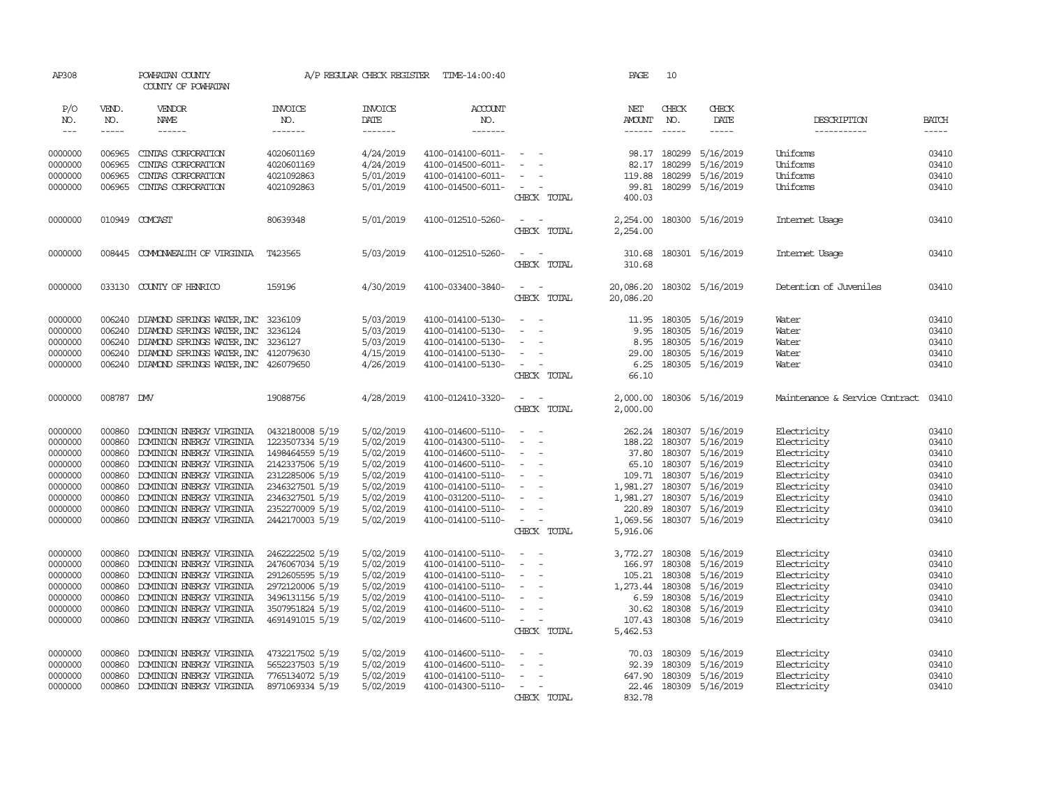| AP308                       |                          | POWHATAN COUNTY<br>COUNTY OF POWHATAN                                                                                                                                                                                                                                                                                                                                                                                                                                                                           |                                    | A/P REGULAR CHECK REGISTER               | TIME-14:00:40                          |                                              | PAGE                 | 10               |                               |                                |                       |
|-----------------------------|--------------------------|-----------------------------------------------------------------------------------------------------------------------------------------------------------------------------------------------------------------------------------------------------------------------------------------------------------------------------------------------------------------------------------------------------------------------------------------------------------------------------------------------------------------|------------------------------------|------------------------------------------|----------------------------------------|----------------------------------------------|----------------------|------------------|-------------------------------|--------------------------------|-----------------------|
| P/O<br>NO.<br>$\frac{1}{2}$ | VEND.<br>NO.<br>$\cdots$ | VENDOR<br><b>NAME</b><br>$\begin{array}{cccccccccc} \multicolumn{2}{c}{} & \multicolumn{2}{c}{} & \multicolumn{2}{c}{} & \multicolumn{2}{c}{} & \multicolumn{2}{c}{} & \multicolumn{2}{c}{} & \multicolumn{2}{c}{} & \multicolumn{2}{c}{} & \multicolumn{2}{c}{} & \multicolumn{2}{c}{} & \multicolumn{2}{c}{} & \multicolumn{2}{c}{} & \multicolumn{2}{c}{} & \multicolumn{2}{c}{} & \multicolumn{2}{c}{} & \multicolumn{2}{c}{} & \multicolumn{2}{c}{} & \multicolumn{2}{c}{} & \multicolumn{2}{c}{} & \mult$ | <b>INVOICE</b><br>NO.<br>-------   | <b>INVOICE</b><br><b>DATE</b><br>------- | <b>ACCOUNT</b><br>NO.<br>-------       |                                              | NET<br>AMOUNT        | CHECK<br>NO.     | CHECK<br><b>DATE</b><br>----- | DESCRIPTION<br>-----------     | <b>BATCH</b><br>----- |
| 0000000                     | 006965                   | CINIAS CORPORATION                                                                                                                                                                                                                                                                                                                                                                                                                                                                                              | 4020601169                         | 4/24/2019                                | 4100-014100-6011-                      | $\sim$                                       | 98.17                | 180299           | 5/16/2019                     | Uniforms                       | 03410                 |
| 0000000                     | 006965                   | CINIAS CORPORATION                                                                                                                                                                                                                                                                                                                                                                                                                                                                                              | 4020601169                         | 4/24/2019                                | 4100-014500-6011-                      |                                              | 82.17                | 180299           | 5/16/2019                     | Uniforms                       | 03410                 |
| 0000000                     | 006965                   | CINIAS CORPORATION                                                                                                                                                                                                                                                                                                                                                                                                                                                                                              | 4021092863                         | 5/01/2019                                | 4100-014100-6011-                      | $\overline{\phantom{a}}$                     | 119.88               | 180299           | 5/16/2019                     | Uniforms                       | 03410                 |
| 0000000                     | 006965                   | CINIAS CORPORATION                                                                                                                                                                                                                                                                                                                                                                                                                                                                                              | 4021092863                         | 5/01/2019                                | 4100-014500-6011-                      | $\sim$<br>CHECK TOTAL                        | 99.81<br>400.03      | 180299           | 5/16/2019                     | Uniforms                       | 03410                 |
| 0000000                     |                          | 010949 COMCAST                                                                                                                                                                                                                                                                                                                                                                                                                                                                                                  | 80639348                           | 5/01/2019                                | 4100-012510-5260-                      | $\sim$<br>$\sim$<br>CHECK TOTAL              | 2,254.00<br>2,254.00 |                  | 180300 5/16/2019              | Internet Usage                 | 03410                 |
| 0000000                     |                          | 008445 COMMONWEALTH OF VIRGINIA                                                                                                                                                                                                                                                                                                                                                                                                                                                                                 | T423565                            | 5/03/2019                                | 4100-012510-5260-                      | $\sim$<br>$\sim$<br>CHECK TOTAL              | 310.68<br>310.68     |                  | 180301 5/16/2019              | Internet Usage                 | 03410                 |
| 0000000                     |                          | 033130 COUNTY OF HENRICO                                                                                                                                                                                                                                                                                                                                                                                                                                                                                        | 159196                             | 4/30/2019                                | 4100-033400-3840-                      | $\sim$<br>$\sim$                             | 20,086.20            |                  | 180302 5/16/2019              | Detention of Juveniles         | 03410                 |
|                             |                          |                                                                                                                                                                                                                                                                                                                                                                                                                                                                                                                 |                                    |                                          |                                        | CHECK TOTAL                                  | 20,086.20            |                  |                               |                                |                       |
| 0000000                     | 006240                   | DIAMOND SPRINGS WATER, INC 3236109                                                                                                                                                                                                                                                                                                                                                                                                                                                                              |                                    | 5/03/2019                                | 4100-014100-5130-                      | $\sim$ $\sim$                                | 11.95                |                  | 180305 5/16/2019              | Water                          | 03410                 |
| 0000000                     | 006240                   | DIAMOND SPRINGS WATER, INC                                                                                                                                                                                                                                                                                                                                                                                                                                                                                      | 3236124                            | 5/03/2019                                | 4100-014100-5130-                      | $\sim$                                       | 9.95                 | 180305           | 5/16/2019                     | Water                          | 03410                 |
| 0000000                     | 006240                   | DIAMOND SPRINGS WATER, INC 3236127                                                                                                                                                                                                                                                                                                                                                                                                                                                                              |                                    | 5/03/2019                                | 4100-014100-5130-                      | $\sim$                                       | 8.95                 | 180305           | 5/16/2019                     | Water                          | 03410                 |
| 0000000<br>0000000          | 006240<br>006240         | DIAMOND SPRINGS WATER, INC 412079630<br>DIAMOND SPRINGS WATER, INC 426079650                                                                                                                                                                                                                                                                                                                                                                                                                                    |                                    | 4/15/2019<br>4/26/2019                   | 4100-014100-5130-<br>4100-014100-5130- | $\sim$<br>$\overline{\phantom{a}}$           | 29.00<br>6.25        | 180305           | 5/16/2019<br>180305 5/16/2019 | Water<br>Water                 | 03410<br>03410        |
|                             |                          |                                                                                                                                                                                                                                                                                                                                                                                                                                                                                                                 |                                    |                                          |                                        | CHECK TOTAL                                  | 66.10                |                  |                               |                                |                       |
| 0000000                     | 008787 DW                |                                                                                                                                                                                                                                                                                                                                                                                                                                                                                                                 | 19088756                           | 4/28/2019                                | 4100-012410-3320-                      | $\sim$<br>$\sim$<br>CHECK TOTAL              | 2,000.00<br>2,000.00 |                  | 180306 5/16/2019              | Maintenance & Service Contract | 03410                 |
| 0000000                     | 000860                   | DOMINION ENERGY VIRGINIA                                                                                                                                                                                                                                                                                                                                                                                                                                                                                        | 0432180008 5/19                    | 5/02/2019                                | 4100-014600-5110-                      | $\sim$                                       | 262.24               | 180307           | 5/16/2019                     | Electricity                    | 03410                 |
| 0000000                     | 000860                   | DOMINION ENERGY VIRGINIA                                                                                                                                                                                                                                                                                                                                                                                                                                                                                        | 1223507334 5/19                    | 5/02/2019                                | 4100-014300-5110-                      | $\sim$                                       | 188.22               | 180307           | 5/16/2019                     | Electricity                    | 03410                 |
| 0000000<br>0000000          | 000860<br>000860         | DOMINION ENERGY VIRGINIA<br>DOMINION ENERGY VIRGINIA                                                                                                                                                                                                                                                                                                                                                                                                                                                            | 1498464559 5/19<br>2142337506 5/19 | 5/02/2019<br>5/02/2019                   | 4100-014600-5110-<br>4100-014600-5110- | $\sim$<br>$\sim$<br>$\overline{\phantom{a}}$ | 37.80                | 65.10 180307     | 180307 5/16/2019<br>5/16/2019 | Electricity<br>Electricity     | 03410<br>03410        |
| 0000000                     | 000860                   | DOMINION ENERGY VIRGINIA                                                                                                                                                                                                                                                                                                                                                                                                                                                                                        | 2312285006 5/19                    | 5/02/2019                                | 4100-014100-5110-                      | $\overline{\phantom{a}}$                     | 109.71               | 180307           | 5/16/2019                     | Electricity                    | 03410                 |
| 0000000                     | 000860                   | DOMINION ENERGY VIRGINIA                                                                                                                                                                                                                                                                                                                                                                                                                                                                                        | 2346327501 5/19                    | 5/02/2019                                | 4100-014100-5110-                      |                                              | 1,981.27             | 180307           | 5/16/2019                     | Electricity                    | 03410                 |
| 0000000                     | 000860                   | DOMINION ENERGY VIRGINIA                                                                                                                                                                                                                                                                                                                                                                                                                                                                                        | 2346327501 5/19                    | 5/02/2019                                | 4100-031200-5110-                      | $\overline{\phantom{a}}$                     | 1,981.27             |                  | 180307 5/16/2019              | Electricity                    | 03410                 |
| 0000000                     | 000860                   | DOMINION ENERGY VIRGINIA                                                                                                                                                                                                                                                                                                                                                                                                                                                                                        | 2352270009 5/19                    | 5/02/2019                                | 4100-014100-5110-                      | $\sim$                                       | 220.89               |                  | 180307 5/16/2019              | Electricity                    | 03410                 |
| 0000000                     | 000860                   | DOMINION ENERGY VIRGINIA                                                                                                                                                                                                                                                                                                                                                                                                                                                                                        | 2442170003 5/19                    | 5/02/2019                                | 4100-014100-5110-                      | $\sim$<br>$\sim$                             | 1,069.56             |                  | 180307 5/16/2019              | Electricity                    | 03410                 |
|                             |                          |                                                                                                                                                                                                                                                                                                                                                                                                                                                                                                                 |                                    |                                          |                                        | CHECK TOTAL                                  | 5,916.06             |                  |                               |                                |                       |
| 0000000                     | 000860                   | DOMINION ENERGY VIRGINIA                                                                                                                                                                                                                                                                                                                                                                                                                                                                                        | 2462222502 5/19                    | 5/02/2019                                | 4100-014100-5110-                      | $\sim$<br>$\sim$                             | 3,772.27             |                  | 180308 5/16/2019              | Electricity                    | 03410                 |
| 0000000                     | 000860                   | DOMINION ENERGY VIRGINIA                                                                                                                                                                                                                                                                                                                                                                                                                                                                                        | 2476067034 5/19                    | 5/02/2019                                | 4100-014100-5110-                      | $\blacksquare$                               | 166.97               | 180308           | 5/16/2019                     | Electricity                    | 03410                 |
| 0000000                     | 000860                   | DOMINION ENERGY VIRGINIA                                                                                                                                                                                                                                                                                                                                                                                                                                                                                        | 2912605595 5/19                    | 5/02/2019                                | 4100-014100-5110-                      | $\overline{\phantom{a}}$                     | 105.21               | 180308           | 5/16/2019                     | Electricity                    | 03410                 |
| 0000000                     | 000860                   | DOMINION ENERGY VIRGINIA                                                                                                                                                                                                                                                                                                                                                                                                                                                                                        | 2972120006 5/19                    | 5/02/2019                                | 4100-014100-5110-                      |                                              | 1,273.44             | 180308           | 5/16/2019                     | Electricity                    | 03410                 |
| 0000000                     | 000860                   | DOMINION ENERGY VIRGINIA                                                                                                                                                                                                                                                                                                                                                                                                                                                                                        | 3496131156 5/19                    | 5/02/2019                                | 4100-014100-5110-                      | $\sim$                                       | 6.59                 | 180308<br>180308 | 5/16/2019                     | Electricity                    | 03410<br>03410        |
| 0000000<br>0000000          | 000860<br>000860         | DOMINION ENERGY VIRGINIA<br>DOMINION ENERGY VIRGINIA                                                                                                                                                                                                                                                                                                                                                                                                                                                            | 3507951824 5/19<br>4691491015 5/19 | 5/02/2019<br>5/02/2019                   | 4100-014600-5110-<br>4100-014600-5110- | $\sim$<br>$\sim$                             | 30.62<br>107.43      |                  | 5/16/2019<br>180308 5/16/2019 | Electricity<br>Electricity     | 03410                 |
|                             |                          |                                                                                                                                                                                                                                                                                                                                                                                                                                                                                                                 |                                    |                                          |                                        | CHECK TOTAL                                  | 5,462.53             |                  |                               |                                |                       |
| 0000000                     | 000860                   | DOMINION ENERGY VIRGINIA                                                                                                                                                                                                                                                                                                                                                                                                                                                                                        | 4732217502 5/19                    | 5/02/2019                                | 4100-014600-5110-                      | $\sim$                                       | 70.03                | 180309           | 5/16/2019                     | Electricity                    | 03410                 |
| 0000000                     | 000860                   | DOMINION ENERGY VIRGINIA                                                                                                                                                                                                                                                                                                                                                                                                                                                                                        | 5652237503 5/19                    | 5/02/2019                                | 4100-014600-5110-                      |                                              | 92.39                | 180309           | 5/16/2019                     | Electricity                    | 03410                 |
| 0000000                     | 000860                   | DOMINION ENERGY VIRGINIA                                                                                                                                                                                                                                                                                                                                                                                                                                                                                        | 7765134072 5/19                    | 5/02/2019                                | 4100-014100-5110-                      | $\overline{\phantom{a}}$                     | 647.90               | 180309           | 5/16/2019                     | Electricity                    | 03410                 |
| 0000000                     | 000860                   | DOMINION ENERGY VIRGINIA                                                                                                                                                                                                                                                                                                                                                                                                                                                                                        | 8971069334 5/19                    | 5/02/2019                                | 4100-014300-5110-                      | $\sim$<br>CHECK TOTAL                        | 22.46<br>832.78      |                  | 180309 5/16/2019              | Electricity                    | 03410                 |
|                             |                          |                                                                                                                                                                                                                                                                                                                                                                                                                                                                                                                 |                                    |                                          |                                        |                                              |                      |                  |                               |                                |                       |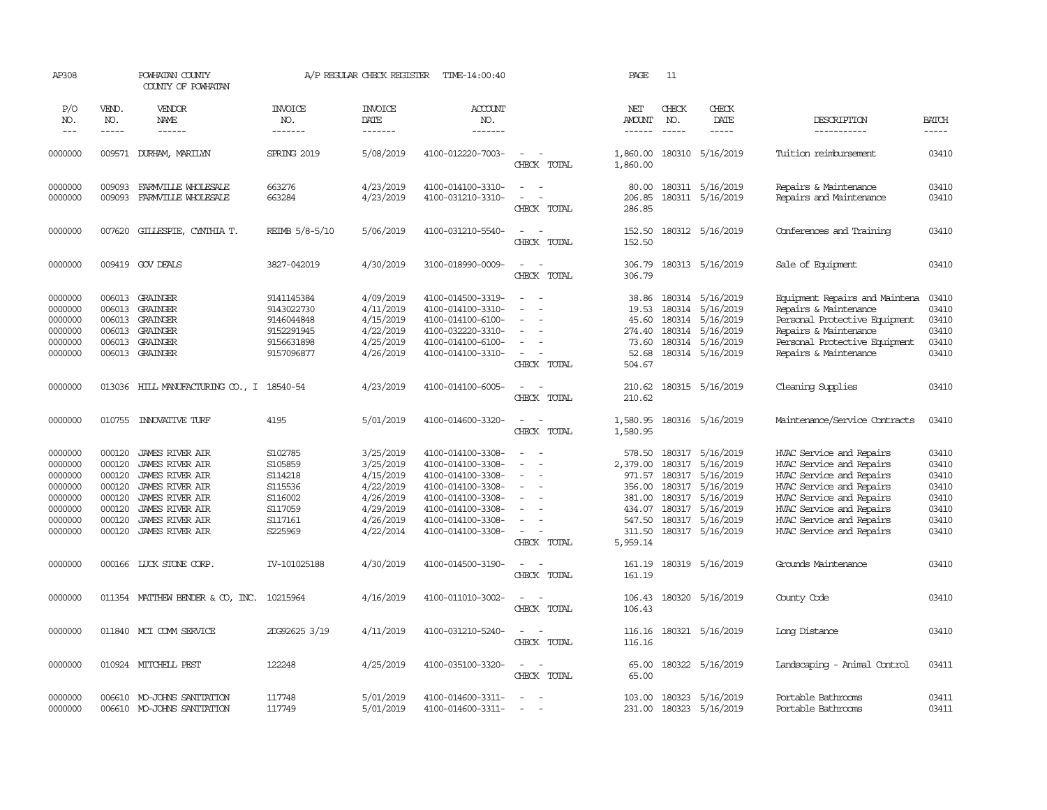| AP308                                                                                |                                                                              | POWHATAN COUNTY<br>COUNTY OF POWHATAN                                                                                                                                                                        |                                                                                      | A/P REGULAR CHECK REGISTER                                                                           | TIME-14:00:40                                                                                                                                                        |                                                                                                     | PAGE                                                                   | 11                                                    |                                                                                                                                  |                                                                                                                                                                                                                              |                                                                      |
|--------------------------------------------------------------------------------------|------------------------------------------------------------------------------|--------------------------------------------------------------------------------------------------------------------------------------------------------------------------------------------------------------|--------------------------------------------------------------------------------------|------------------------------------------------------------------------------------------------------|----------------------------------------------------------------------------------------------------------------------------------------------------------------------|-----------------------------------------------------------------------------------------------------|------------------------------------------------------------------------|-------------------------------------------------------|----------------------------------------------------------------------------------------------------------------------------------|------------------------------------------------------------------------------------------------------------------------------------------------------------------------------------------------------------------------------|----------------------------------------------------------------------|
| P/O<br>NO.<br>$---$                                                                  | VEND.<br>NO.<br>$\frac{1}{2}$                                                | VENDOR<br>NAME                                                                                                                                                                                               | <b>INVOICE</b><br>NO.<br>-------                                                     | <b>INVOICE</b><br>DATE<br>--------                                                                   | ACCOUNT<br>NO.                                                                                                                                                       |                                                                                                     | NET<br><b>AMOUNT</b>                                                   | CHECK<br>NO.<br>$\frac{1}{2}$                         | CHECK<br>DATE<br>$- - - - -$                                                                                                     | DESCRIPTION<br>-----------                                                                                                                                                                                                   | <b>BATCH</b><br>-----                                                |
|                                                                                      |                                                                              | ------                                                                                                                                                                                                       |                                                                                      |                                                                                                      | -------                                                                                                                                                              |                                                                                                     | $- - - - - -$                                                          |                                                       |                                                                                                                                  |                                                                                                                                                                                                                              |                                                                      |
| 0000000                                                                              |                                                                              | 009571 DURHAM, MARILYN                                                                                                                                                                                       | SPRING 2019                                                                          | 5/08/2019                                                                                            | 4100-012220-7003-                                                                                                                                                    | $\overline{\phantom{a}}$<br>CHECK TOTAL                                                             | 1,860.00<br>1,860.00                                                   |                                                       | 180310 5/16/2019                                                                                                                 | Tuition reimbursement                                                                                                                                                                                                        | 03410                                                                |
| 0000000<br>0000000                                                                   | 009093<br>009093                                                             | FARMVILLE WHOLESALE<br>FARMVILLE WHOLESALE                                                                                                                                                                   | 663276<br>663284                                                                     | 4/23/2019<br>4/23/2019                                                                               | 4100-014100-3310-<br>4100-031210-3310-                                                                                                                               | $\sim$ $ \sim$<br>$\sim$                                                                            | 206.85                                                                 |                                                       | 80.00 180311 5/16/2019<br>180311 5/16/2019                                                                                       | Repairs & Maintenance<br>Repairs and Maintenance                                                                                                                                                                             | 03410<br>03410                                                       |
|                                                                                      |                                                                              |                                                                                                                                                                                                              |                                                                                      |                                                                                                      |                                                                                                                                                                      | CHECK TOTAL                                                                                         | 286.85                                                                 |                                                       |                                                                                                                                  |                                                                                                                                                                                                                              |                                                                      |
| 0000000                                                                              | 007620                                                                       | GILLESPIE, CYNIHIA T.                                                                                                                                                                                        | REIMB 5/8-5/10                                                                       | 5/06/2019                                                                                            | 4100-031210-5540-                                                                                                                                                    | $\sim$<br>$\sim$<br>CHECK TOTAL                                                                     | 152.50<br>152.50                                                       |                                                       | 180312 5/16/2019                                                                                                                 | Conferences and Training                                                                                                                                                                                                     | 03410                                                                |
| 0000000                                                                              |                                                                              | 009419 GOV DEALS                                                                                                                                                                                             | 3827-042019                                                                          | 4/30/2019                                                                                            | 3100-018990-0009-                                                                                                                                                    | $\sim$<br>$\sim$<br>CHECK TOTAL                                                                     | 306.79<br>306.79                                                       |                                                       | 180313 5/16/2019                                                                                                                 | Sale of Equipment                                                                                                                                                                                                            | 03410                                                                |
| 0000000<br>0000000<br>0000000<br>0000000<br>0000000                                  | 006013<br>006013<br>006013<br>006013                                         | GRAINGER<br>GRAINGER<br>GRAINGER<br>GRAINGER<br>006013 GRAINGER                                                                                                                                              | 9141145384<br>9143022730<br>9146044848<br>9152291945<br>9156631898                   | 4/09/2019<br>4/11/2019<br>4/15/2019<br>4/22/2019<br>4/25/2019                                        | 4100-014500-3319-<br>4100-014100-3310-<br>4100-014100-6100-<br>4100-032220-3310-<br>4100-014100-6100-                                                                | $\equiv$<br>$\sim$<br>$\overline{\phantom{a}}$                                                      | 38.86<br>19.53<br>45.60<br>274.40<br>73.60                             | 180314                                                | 5/16/2019<br>180314 5/16/2019<br>180314 5/16/2019<br>180314 5/16/2019<br>180314 5/16/2019                                        | Equipment Repairs and Maintena<br>Repairs & Maintenance<br>Personal Protective Equipment<br>Repairs & Maintenance<br>Personal Protective Equipment                                                                           | 03410<br>03410<br>03410<br>03410<br>03410                            |
| 0000000                                                                              |                                                                              | 006013 GRAINGER                                                                                                                                                                                              | 9157096877                                                                           | 4/26/2019                                                                                            | 4100-014100-3310-                                                                                                                                                    | $\sim$<br>$\overline{\phantom{a}}$<br>CHECK TOTAL                                                   | 52.68<br>504.67                                                        |                                                       | 180314 5/16/2019                                                                                                                 | Repairs & Maintenance                                                                                                                                                                                                        | 03410                                                                |
| 0000000                                                                              | 013036                                                                       | HILL MANJFACTURING CO., I 18540-54                                                                                                                                                                           |                                                                                      | 4/23/2019                                                                                            | 4100-014100-6005-                                                                                                                                                    | $\sim$<br>$\sim$<br>CHECK TOTAL                                                                     | 210.62<br>210.62                                                       |                                                       | 180315 5/16/2019                                                                                                                 | Cleaning Supplies                                                                                                                                                                                                            | 03410                                                                |
| 0000000                                                                              | 010755                                                                       | INVOVATIVE TURF                                                                                                                                                                                              | 4195                                                                                 | 5/01/2019                                                                                            | 4100-014600-3320-                                                                                                                                                    | $\overline{\phantom{a}}$<br>CHECK TOTAL                                                             | 1,580.95<br>1,580.95                                                   |                                                       | 180316 5/16/2019                                                                                                                 | Maintenance/Service Contracts                                                                                                                                                                                                | 03410                                                                |
| 0000000<br>0000000<br>0000000<br>0000000<br>0000000<br>0000000<br>0000000<br>0000000 | 000120<br>000120<br>000120<br>000120<br>000120<br>000120<br>000120<br>000120 | <b>JAMES RIVER AIR</b><br><b>JAMES RIVER AIR</b><br><b>JAMES RIVER AIR</b><br><b>JAMES RIVER AIR</b><br><b>JAMES RIVER AIR</b><br><b>JAMES RIVER AIR</b><br><b>JAMES RIVER AIR</b><br><b>JAMES RIVER AIR</b> | S102785<br>S105859<br>S114218<br>S115536<br>S116002<br>S117059<br>S117161<br>S225969 | 3/25/2019<br>3/25/2019<br>4/15/2019<br>4/22/2019<br>4/26/2019<br>4/29/2019<br>4/26/2019<br>4/22/2014 | 4100-014100-3308-<br>4100-014100-3308-<br>4100-014100-3308-<br>4100-014100-3308-<br>4100-014100-3308-<br>4100-014100-3308-<br>4100-014100-3308-<br>4100-014100-3308- | $\sim$<br>$\sim$<br>$\sim$<br>$\sim$<br>$\sim$<br>$\sim$<br>$\overline{\phantom{a}}$<br>CHECK TOTAL | 578.50<br>2,379.00<br>381.00<br>434.07<br>547.50<br>311.50<br>5,959.14 | 180317<br>180317<br>971.57 180317<br>180317<br>180317 | 5/16/2019<br>5/16/2019<br>5/16/2019<br>356.00 180317 5/16/2019<br>5/16/2019<br>5/16/2019<br>180317 5/16/2019<br>180317 5/16/2019 | HVAC Service and Repairs<br>HVAC Service and Repairs<br>HVAC Service and Repairs<br>HVAC Service and Repairs<br>HVAC Service and Repairs<br>HVAC Service and Repairs<br>HVAC Service and Repairs<br>HVAC Service and Repairs | 03410<br>03410<br>03410<br>03410<br>03410<br>03410<br>03410<br>03410 |
| 0000000                                                                              |                                                                              | 000166 LUCK STONE CORP.                                                                                                                                                                                      | IV-101025188                                                                         | 4/30/2019                                                                                            | 4100-014500-3190-                                                                                                                                                    | $\sim$<br>$\sim$<br>CHECK TOTAL                                                                     | 161.19<br>161.19                                                       |                                                       | 180319 5/16/2019                                                                                                                 | Grounds Maintenance                                                                                                                                                                                                          | 03410                                                                |
| 0000000                                                                              |                                                                              | 011354 MATTHEW BENDER & CO, INC. 10215964                                                                                                                                                                    |                                                                                      | 4/16/2019                                                                                            | 4100-011010-3002-                                                                                                                                                    | $\sim$<br>$\sim$<br>CHECK TOTAL                                                                     | 106.43<br>106.43                                                       |                                                       | 180320 5/16/2019                                                                                                                 | County Code                                                                                                                                                                                                                  | 03410                                                                |
| 0000000                                                                              |                                                                              | 011840 MCI COMM SERVICE                                                                                                                                                                                      | 2DG92625 3/19                                                                        | 4/11/2019                                                                                            | 4100-031210-5240-                                                                                                                                                    | $\sim$ $\sim$<br>CHECK TOTAL                                                                        | 116.16<br>116.16                                                       |                                                       | 180321 5/16/2019                                                                                                                 | Long Distance                                                                                                                                                                                                                | 03410                                                                |
| 0000000                                                                              |                                                                              | 010924 MITCHELL PEST                                                                                                                                                                                         | 122248                                                                               | 4/25/2019                                                                                            | 4100-035100-3320-                                                                                                                                                    | $\sim$<br>$\sim$<br>CHECK TOTAL                                                                     | 65.00<br>65.00                                                         |                                                       | 180322 5/16/2019                                                                                                                 | Landscaping - Animal Control                                                                                                                                                                                                 | 03411                                                                |
| 0000000<br>0000000                                                                   |                                                                              | 006610 MO-JOHNS SANITATION<br>006610 MO-JOHNS SANITATION                                                                                                                                                     | 117748<br>117749                                                                     | 5/01/2019<br>5/01/2019                                                                               | 4100-014600-3311-<br>4100-014600-3311-                                                                                                                               | $\sim$<br>$\overline{\phantom{a}}$                                                                  | 103.00<br>231.00                                                       |                                                       | 180323 5/16/2019<br>180323 5/16/2019                                                                                             | Portable Bathrooms<br>Portable Bathrooms                                                                                                                                                                                     | 03411<br>03411                                                       |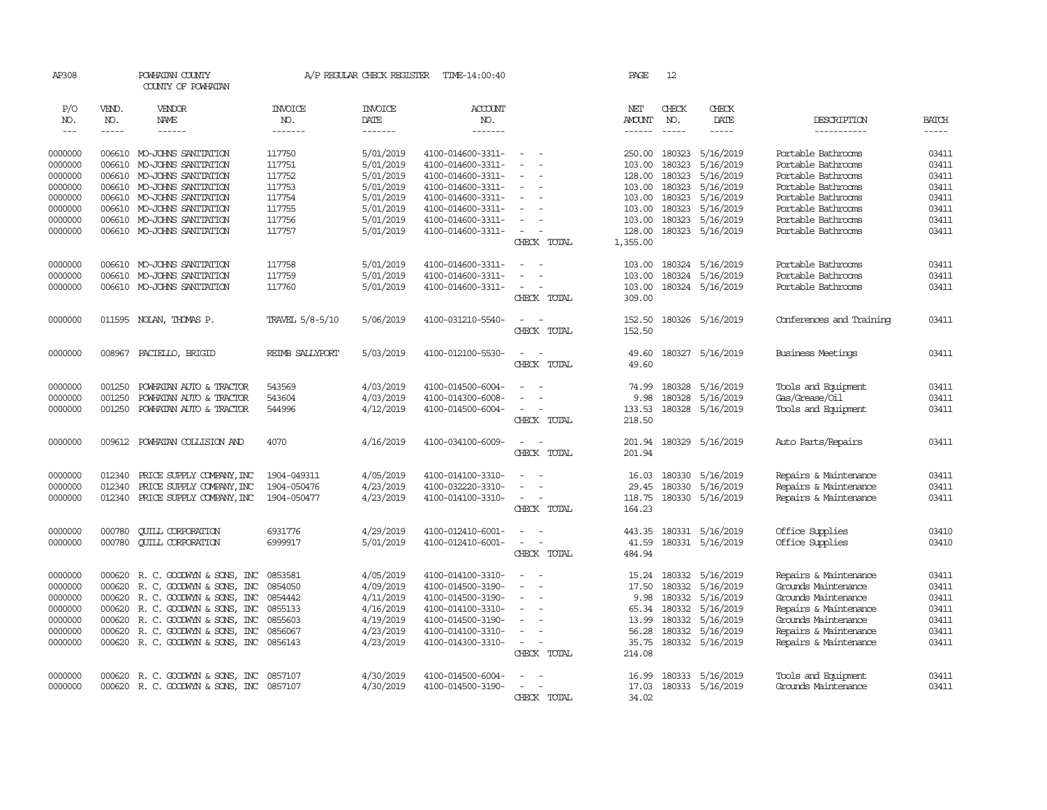| AP308        |                    | POWHATAN COUNTY<br>COUNTY OF POWHATAN              |                  | A/P REGULAR CHECK REGISTER | TIME-14:00:40                          |                                      | PAGE                    | 12                   |                     |                                    |                               |
|--------------|--------------------|----------------------------------------------------|------------------|----------------------------|----------------------------------------|--------------------------------------|-------------------------|----------------------|---------------------|------------------------------------|-------------------------------|
| P/O          | VEND.              | VENDOR                                             | <b>INVOICE</b>   | <b>INVOICE</b>             | <b>ACCOUNT</b>                         |                                      | NET                     | CHECK                | CHECK               |                                    |                               |
| NO.<br>$---$ | NO.<br>$- - - - -$ | NAME<br>------                                     | NO.<br>-------   | DATE<br>$- - - - - - -$    | NO.<br>-------                         |                                      | AMOUNT<br>$- - - - - -$ | NO.<br>$\frac{1}{2}$ | DATE<br>$- - - - -$ | DESCRIPTION<br>-----------         | <b>BATCH</b><br>$\frac{1}{2}$ |
|              |                    |                                                    |                  |                            |                                        |                                      |                         |                      |                     |                                    |                               |
| 0000000      | 006610             | MO-JOHNS SANITATION                                | 117750           | 5/01/2019                  | 4100-014600-3311-                      | $\equiv$                             | 250.00                  | 180323               | 5/16/2019           | Portable Bathrooms                 | 03411                         |
| 0000000      | 006610             | MO-JOHNS SANITATION                                | 117751           | 5/01/2019                  | 4100-014600-3311-                      |                                      | 103.00                  | 180323               | 5/16/2019           | Portable Bathrooms                 | 03411                         |
| 0000000      | 006610             | MO-JOHNS SANITATION                                | 117752           | 5/01/2019                  | 4100-014600-3311-                      |                                      | 128.00                  | 180323               | 5/16/2019           | Portable Bathrooms                 | 03411                         |
| 0000000      | 006610             | MO-JOHNS SANITATION                                | 117753           | 5/01/2019                  | 4100-014600-3311-                      |                                      | 103.00                  | 180323               | 5/16/2019           | Portable Bathrooms                 | 03411                         |
| 0000000      | 006610             | MO-JOHNS SANITATION                                | 117754           | 5/01/2019                  | 4100-014600-3311-                      |                                      | 103.00                  | 180323               | 5/16/2019           | Portable Bathrooms                 | 03411                         |
| 0000000      | 006610             | MO-JOHNS SANITATION                                | 117755           | 5/01/2019                  | 4100-014600-3311-                      |                                      | 103.00                  | 180323               | 5/16/2019           | Portable Bathrooms                 | 03411                         |
| 0000000      | 006610             | MO-JOHNS SANITATION                                | 117756           | 5/01/2019                  | 4100-014600-3311-                      | $\equiv$                             | 103.00                  | 180323               | 5/16/2019           | Portable Bathrooms                 | 03411                         |
| 0000000      | 006610             | MO-JOHNS SANITATION                                | 117757           | 5/01/2019                  | 4100-014600-3311-                      | $\sim$<br>CHECK TOTAL                | 128.00<br>1,355.00      |                      | 180323 5/16/2019    | Portable Bathrooms                 | 03411                         |
|              |                    |                                                    |                  |                            |                                        |                                      |                         |                      |                     |                                    |                               |
| 0000000      | 006610             | MO-JOHNS SANITATION                                | 117758           | 5/01/2019                  | 4100-014600-3311-                      | $\overline{\phantom{a}}$             | 103.00                  | 180324               | 5/16/2019           | Portable Bathrooms                 | 03411                         |
| 0000000      | 006610             | MO-JOHNS SANITATION                                | 117759           | 5/01/2019                  | 4100-014600-3311-                      |                                      | 103.00                  | 180324               | 5/16/2019           | Portable Bathrooms                 | 03411                         |
| 0000000      |                    | 006610 MO-JOHNS SANITATION                         | 117760           | 5/01/2019                  | 4100-014600-3311-                      | $\overline{\phantom{a}}$             | 103.00                  |                      | 180324 5/16/2019    | Portable Bathrooms                 | 03411                         |
|              |                    |                                                    |                  |                            |                                        | CHECK TOTAL                          | 309.00                  |                      |                     |                                    |                               |
| 0000000      |                    | 011595 NOLAN, THOMAS P.                            | TRAVEL 5/8-5/10  | 5/06/2019                  | 4100-031210-5540-                      | $\sim$                               | 152.50                  |                      | 180326 5/16/2019    | Conferences and Training           | 03411                         |
|              |                    |                                                    |                  |                            |                                        | CHECK TOTAL                          | 152.50                  |                      |                     |                                    |                               |
|              |                    |                                                    |                  |                            |                                        |                                      |                         |                      |                     |                                    |                               |
| 0000000      | 008967             | PACIELLO, BRIGID                                   | REIMB SALLYPORT  | 5/03/2019                  | 4100-012100-5530-                      | $\overline{\phantom{a}}$<br>$\sim$   | 49.60                   |                      | 180327 5/16/2019    | Business Meetings                  | 03411                         |
|              |                    |                                                    |                  |                            |                                        | CHECK TOTAL                          | 49.60                   |                      |                     |                                    |                               |
| 0000000      | 001250             |                                                    |                  | 4/03/2019                  |                                        |                                      |                         | 180328               | 5/16/2019           | Tools and Equipment                | 03411                         |
| 0000000      | 001250             | POWHATAN AUTO & TRACTOR<br>POWHATAN AUTO & TRACTOR | 543569<br>543604 | 4/03/2019                  | 4100-014500-6004-<br>4100-014300-6008- |                                      | 74.99<br>9.98           | 180328               | 5/16/2019           | Gas/Grease/Oil                     | 03411                         |
| 0000000      | 001250             | POWHATAN AUTO & TRACTOR                            | 544996           | 4/12/2019                  | 4100-014500-6004-                      |                                      | 133.53                  | 180328               | 5/16/2019           | Tools and Equipment                | 03411                         |
|              |                    |                                                    |                  |                            |                                        | CHECK TOTAL                          | 218.50                  |                      |                     |                                    |                               |
|              |                    |                                                    |                  |                            |                                        |                                      |                         |                      |                     |                                    |                               |
| 0000000      | 009612             | POWHATAN COLLISION AND                             | 4070             | 4/16/2019                  | 4100-034100-6009-                      | $\sim$                               | 201.94                  |                      | 180329 5/16/2019    | Auto Parts/Repairs                 | 03411                         |
|              |                    |                                                    |                  |                            |                                        | CHECK TOTAL                          | 201.94                  |                      |                     |                                    |                               |
| 0000000      | 012340             | PRICE SUPPLY COMPANY, INC                          | 1904-049311      | 4/05/2019                  | 4100-014100-3310-                      |                                      | 16.03                   |                      | 180330 5/16/2019    | Repairs & Maintenance              | 03411                         |
| 0000000      | 012340             | PRICE SUPPLY COMPANY, INC                          | 1904-050476      | 4/23/2019                  | 4100-032220-3310-                      |                                      | 29.45                   | 180330               | 5/16/2019           | Repairs & Maintenance              | 03411                         |
| 0000000      | 012340             | PRICE SUPPLY COMPANY, INC                          | 1904-050477      | 4/23/2019                  | 4100-014100-3310-                      | $\overline{\phantom{a}}$             | 118.75                  |                      | 180330 5/16/2019    | Repairs & Maintenance              | 03411                         |
|              |                    |                                                    |                  |                            |                                        | CHECK TOTAL                          | 164.23                  |                      |                     |                                    |                               |
| 0000000      | 000780             | <b>CUILL CORPORATION</b>                           | 6931776          | 4/29/2019                  | 4100-012410-6001-                      | $\equiv$                             |                         |                      | 180331 5/16/2019    |                                    | 03410                         |
| 0000000      | 000780             | <b>CUILL CORPORATION</b>                           | 6999917          | 5/01/2019                  | 4100-012410-6001-                      | $\equiv$<br>$\overline{\phantom{a}}$ | 443.35<br>41.59         |                      | 180331 5/16/2019    | Office Supplies<br>Office Supplies | 03410                         |
|              |                    |                                                    |                  |                            |                                        | CHECK TOTAL                          | 484.94                  |                      |                     |                                    |                               |
|              |                    |                                                    |                  |                            |                                        |                                      |                         |                      |                     |                                    |                               |
| 0000000      | 000620             | R. C. GOODWIN & SONS, INC                          | 0853581          | 4/05/2019                  | 4100-014100-3310-                      | $\equiv$                             | 15.24                   | 180332               | 5/16/2019           | Repairs & Maintenance              | 03411                         |
| 0000000      | 000620             | R. C. GOODWYN & SONS, INC                          | 0854050          | 4/09/2019                  | 4100-014500-3190-                      |                                      | 17.50                   |                      | 180332 5/16/2019    | Grounds Maintenance                | 03411                         |
| 0000000      | 000620             | R. C. GOODWIN & SONS, INC                          | 0854442          | 4/11/2019                  | 4100-014500-3190-                      |                                      | 9.98                    | 180332               | 5/16/2019           | Grounds Maintenance                | 03411                         |
| 0000000      | 000620             | R. C. GOODWYN & SONS, INC                          | 0855133          | 4/16/2019                  | 4100-014100-3310-                      | $\equiv$                             | 65.34                   | 180332               | 5/16/2019           | Repairs & Maintenance              | 03411                         |
| 0000000      | 000620             | R. C. GOODWYN & SONS, INC                          | 0855603          | 4/19/2019                  | 4100-014500-3190-                      |                                      | 13.99                   | 180332               | 5/16/2019           | Grounds Maintenance                | 03411                         |
| 0000000      | 000620             | R. C. GOODWIN & SONS, INC                          | 0856067          | 4/23/2019                  | 4100-014100-3310-                      |                                      | 56.28                   | 180332               | 5/16/2019           | Repairs & Maintenance              | 03411                         |
| 0000000      |                    | 000620 R. C. GOODWIN & SONS, INC                   | 0856143          | 4/23/2019                  | 4100-014300-3310-                      | $\sim$                               | 35.75                   |                      | 180332 5/16/2019    | Repairs & Maintenance              | 03411                         |
|              |                    |                                                    |                  |                            |                                        | CHECK TOTAL                          | 214.08                  |                      |                     |                                    |                               |
| 0000000      | 000620             | R. C. GOODWYN & SONS, INC                          | 0857107          | 4/30/2019                  | 4100-014500-6004-                      |                                      | 16.99                   |                      | 180333 5/16/2019    | Tools and Equipment                | 03411                         |
| 0000000      |                    | 000620 R. C. GOODWYN & SONS, INC 0857107           |                  | 4/30/2019                  | 4100-014500-3190-                      | $\sim$                               | 17.03                   |                      | 180333 5/16/2019    | Grounds Maintenance                | 03411                         |
|              |                    |                                                    |                  |                            |                                        | CHECK TOTAL                          | 34.02                   |                      |                     |                                    |                               |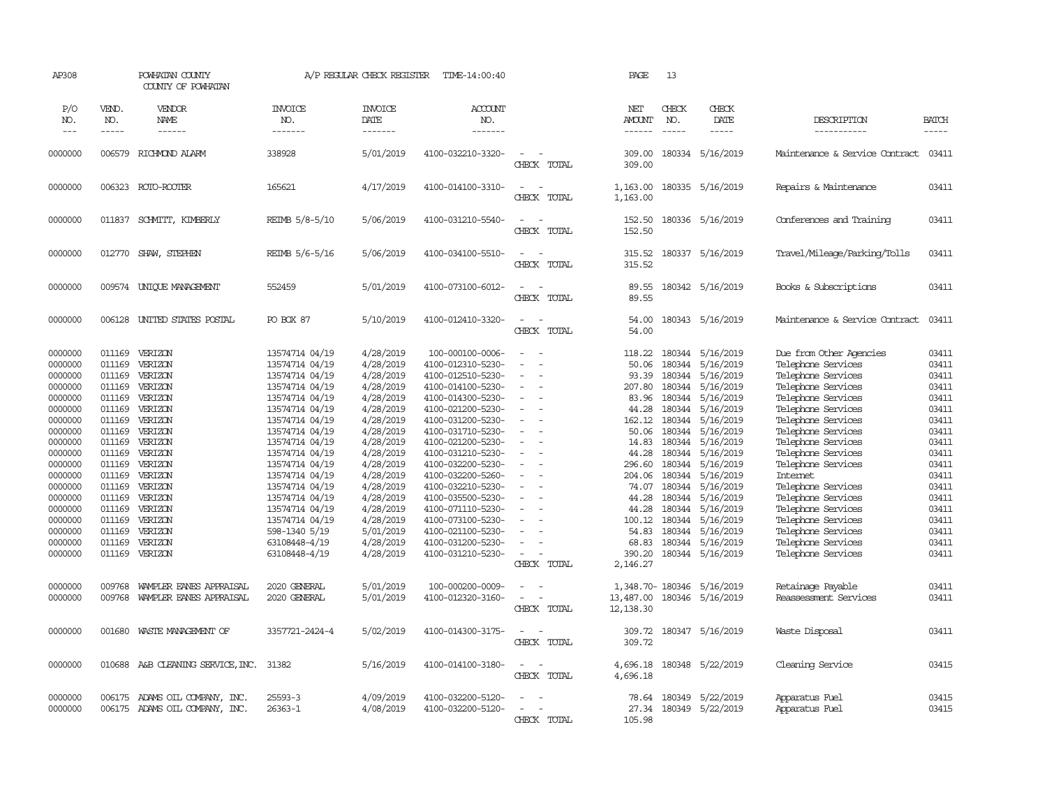| AP308                                                                                                                                                                                                         |                                                                                                                                                                                            | POWHATAN COUNTY<br>COUNTY OF POWHATAN                                                                                                                                                                         |                                                                                                                                                                                                                                                                                                                                                 | A/P REGULAR CHECK REGISTER                                                                                                                                                                                                                          | TIME-14:00:40                                                                                                                                                                                                                                                                                                                                                                                              |                                                                                                                                                                                        | PAGE                                                                                                                                                                                       | 13                                                                                                                                                                     |                                                                                                                                                                                                                                                                   |                                                                                                                                                                                                                                                                                                                                                                                                                                  |                                                                                                                                                                         |
|---------------------------------------------------------------------------------------------------------------------------------------------------------------------------------------------------------------|--------------------------------------------------------------------------------------------------------------------------------------------------------------------------------------------|---------------------------------------------------------------------------------------------------------------------------------------------------------------------------------------------------------------|-------------------------------------------------------------------------------------------------------------------------------------------------------------------------------------------------------------------------------------------------------------------------------------------------------------------------------------------------|-----------------------------------------------------------------------------------------------------------------------------------------------------------------------------------------------------------------------------------------------------|------------------------------------------------------------------------------------------------------------------------------------------------------------------------------------------------------------------------------------------------------------------------------------------------------------------------------------------------------------------------------------------------------------|----------------------------------------------------------------------------------------------------------------------------------------------------------------------------------------|--------------------------------------------------------------------------------------------------------------------------------------------------------------------------------------------|------------------------------------------------------------------------------------------------------------------------------------------------------------------------|-------------------------------------------------------------------------------------------------------------------------------------------------------------------------------------------------------------------------------------------------------------------|----------------------------------------------------------------------------------------------------------------------------------------------------------------------------------------------------------------------------------------------------------------------------------------------------------------------------------------------------------------------------------------------------------------------------------|-------------------------------------------------------------------------------------------------------------------------------------------------------------------------|
| P/O<br>NO.<br>$---$                                                                                                                                                                                           | VEND.<br>NO.<br>$- - - - -$                                                                                                                                                                | <b>VENDOR</b><br>NAME<br>$- - - - - -$                                                                                                                                                                        | <b>INVOICE</b><br>NO.<br>-------                                                                                                                                                                                                                                                                                                                | <b>INVOICE</b><br>DATE<br>-------                                                                                                                                                                                                                   | <b>ACCOUNT</b><br>NO.<br>-------                                                                                                                                                                                                                                                                                                                                                                           |                                                                                                                                                                                        | NET<br>AMOUNT<br>------                                                                                                                                                                    | CHECK<br>NO.<br>$\frac{1}{2}$                                                                                                                                          | CHECK<br>DATE<br>$- - - - -$                                                                                                                                                                                                                                      | DESCRIPTION<br>-----------                                                                                                                                                                                                                                                                                                                                                                                                       | <b>BATCH</b><br>$- - - - -$                                                                                                                                             |
| 0000000                                                                                                                                                                                                       |                                                                                                                                                                                            | 006579 RICHMOND ALARM                                                                                                                                                                                         | 338928                                                                                                                                                                                                                                                                                                                                          | 5/01/2019                                                                                                                                                                                                                                           | 4100-032210-3320-                                                                                                                                                                                                                                                                                                                                                                                          | CHECK TOTAL                                                                                                                                                                            | 309.00<br>309.00                                                                                                                                                                           |                                                                                                                                                                        | 180334 5/16/2019                                                                                                                                                                                                                                                  | Maintenance & Service Contract.                                                                                                                                                                                                                                                                                                                                                                                                  | 03411                                                                                                                                                                   |
| 0000000                                                                                                                                                                                                       |                                                                                                                                                                                            | 006323 ROTO-ROOTER                                                                                                                                                                                            | 165621                                                                                                                                                                                                                                                                                                                                          | 4/17/2019                                                                                                                                                                                                                                           | 4100-014100-3310-                                                                                                                                                                                                                                                                                                                                                                                          | $\sim$<br>$\sim$<br>CHECK TOTAL                                                                                                                                                        | 1,163.00<br>1,163.00                                                                                                                                                                       |                                                                                                                                                                        | 180335 5/16/2019                                                                                                                                                                                                                                                  | Repairs & Maintenance                                                                                                                                                                                                                                                                                                                                                                                                            | 03411                                                                                                                                                                   |
| 0000000                                                                                                                                                                                                       | 011837                                                                                                                                                                                     | SCHMITT, KIMBERLY                                                                                                                                                                                             | REIMB 5/8-5/10                                                                                                                                                                                                                                                                                                                                  | 5/06/2019                                                                                                                                                                                                                                           | 4100-031210-5540-                                                                                                                                                                                                                                                                                                                                                                                          | $\sim$<br>$\sim$<br>CHECK TOTAL                                                                                                                                                        | 152.50<br>152.50                                                                                                                                                                           |                                                                                                                                                                        | 180336 5/16/2019                                                                                                                                                                                                                                                  | Conferences and Training                                                                                                                                                                                                                                                                                                                                                                                                         | 03411                                                                                                                                                                   |
| 0000000                                                                                                                                                                                                       | 012770                                                                                                                                                                                     | SHAW, STEPHEN                                                                                                                                                                                                 | REIMB 5/6-5/16                                                                                                                                                                                                                                                                                                                                  | 5/06/2019                                                                                                                                                                                                                                           | 4100-034100-5510-                                                                                                                                                                                                                                                                                                                                                                                          | $\sim$<br>CHECK TOTAL                                                                                                                                                                  | 315.52<br>315.52                                                                                                                                                                           |                                                                                                                                                                        | 180337 5/16/2019                                                                                                                                                                                                                                                  | Travel/Mileage/Parking/Tolls                                                                                                                                                                                                                                                                                                                                                                                                     | 03411                                                                                                                                                                   |
| 0000000                                                                                                                                                                                                       | 009574                                                                                                                                                                                     | UNIOUE MANAGEMENT                                                                                                                                                                                             | 552459                                                                                                                                                                                                                                                                                                                                          | 5/01/2019                                                                                                                                                                                                                                           | 4100-073100-6012-                                                                                                                                                                                                                                                                                                                                                                                          | $\overline{\phantom{a}}$<br>. —<br>CHECK TOTAL                                                                                                                                         | 89.55<br>89.55                                                                                                                                                                             |                                                                                                                                                                        | 180342 5/16/2019                                                                                                                                                                                                                                                  | Books & Subscriptions                                                                                                                                                                                                                                                                                                                                                                                                            | 03411                                                                                                                                                                   |
| 0000000                                                                                                                                                                                                       | 006128                                                                                                                                                                                     | UNITED STATES POSTAL                                                                                                                                                                                          | <b>PO BOX 87</b>                                                                                                                                                                                                                                                                                                                                | 5/10/2019                                                                                                                                                                                                                                           | 4100-012410-3320-                                                                                                                                                                                                                                                                                                                                                                                          | $\sim$<br>$\sim$<br>CHECK TOTAL                                                                                                                                                        | 54.00<br>54.00                                                                                                                                                                             |                                                                                                                                                                        | 180343 5/16/2019                                                                                                                                                                                                                                                  | Maintenance & Service Contract                                                                                                                                                                                                                                                                                                                                                                                                   | 03411                                                                                                                                                                   |
| 0000000<br>0000000<br>0000000<br>0000000<br>0000000<br>0000000<br>0000000<br>0000000<br>0000000<br>0000000<br>0000000<br>0000000<br>0000000<br>0000000<br>0000000<br>0000000<br>0000000<br>0000000<br>0000000 | 011169<br>011169<br>011169<br>011169<br>011169<br>011169<br>011169<br>011169<br>011169<br>011169<br>011169<br>011169<br>011169<br>011169<br>011169<br>011169<br>011169<br>011169<br>011169 | VERIZON<br>VERIZON<br>VERIZON<br>VERIZON<br>VERIZON<br>VERIZON<br>VERIZON<br>VERIZON<br>VERIZON<br>VERIZON<br>VERIZON<br>VERIZON<br>VERIZON<br>VERIZON<br>VERIZON<br>VERIZON<br>VERIZON<br>VERIZON<br>VERIZON | 13574714 04/19<br>13574714 04/19<br>13574714 04/19<br>13574714 04/19<br>13574714 04/19<br>13574714 04/19<br>13574714 04/19<br>13574714 04/19<br>13574714 04/19<br>13574714 04/19<br>13574714 04/19<br>13574714 04/19<br>13574714 04/19<br>13574714 04/19<br>13574714 04/19<br>13574714 04/19<br>598-1340 5/19<br>63108448-4/19<br>63108448-4/19 | 4/28/2019<br>4/28/2019<br>4/28/2019<br>4/28/2019<br>4/28/2019<br>4/28/2019<br>4/28/2019<br>4/28/2019<br>4/28/2019<br>4/28/2019<br>4/28/2019<br>4/28/2019<br>4/28/2019<br>4/28/2019<br>4/28/2019<br>4/28/2019<br>5/01/2019<br>4/28/2019<br>4/28/2019 | 100-000100-0006-<br>4100-012310-5230-<br>4100-012510-5230-<br>4100-014100-5230-<br>4100-014300-5230-<br>4100-021200-5230-<br>4100-031200-5230-<br>4100-031710-5230-<br>4100-021200-5230-<br>4100-031210-5230-<br>4100-032200-5230-<br>4100-032200-5260-<br>4100-032210-5230-<br>4100-035500-5230-<br>4100-071110-5230-<br>4100-073100-5230-<br>4100-021100-5230-<br>4100-031200-5230-<br>4100-031210-5230- | $\equiv$<br>$\sim$<br>$\equiv$<br>$\equiv$<br>$\omega$<br>$\equiv$<br>$\sim$<br>$\sim$<br>÷<br>$\overline{\phantom{a}}$<br>$\blacksquare$<br>$\overline{a}$<br>$\equiv$<br>CHECK TOTAL | 118.22<br>50.06<br>93.39<br>207.80<br>83.96<br>44.28<br>162.12<br>50.06<br>14.83<br>44.28<br>296.60<br>204.06<br>74.07<br>44.28<br>44.28<br>100.12<br>54.83<br>68.83<br>390.20<br>2,146.27 | 180344<br>180344<br>180344<br>180344<br>180344<br>180344<br>180344<br>180344<br>180344<br>180344<br>180344<br>180344<br>180344<br>180344<br>180344<br>180344<br>180344 | 5/16/2019<br>5/16/2019<br>5/16/2019<br>5/16/2019<br>5/16/2019<br>5/16/2019<br>5/16/2019<br>5/16/2019<br>5/16/2019<br>5/16/2019<br>5/16/2019<br>5/16/2019<br>5/16/2019<br>5/16/2019<br>5/16/2019<br>5/16/2019<br>5/16/2019<br>180344 5/16/2019<br>180344 5/16/2019 | Due from Other Agencies<br>Telephone Services<br>Telephone Services<br>Telephone Services<br>Telephone Services<br>Telephone Services<br>Telephone Services<br>Telephone Services<br>Telephone Services<br>Telephone Services<br>Telephone Services<br><b>Internet</b><br>Telephone Services<br>Telephone Services<br>Telephone Services<br>Telephone Services<br>Telephone Services<br>Telephone Services<br>Telephone Services | 03411<br>03411<br>03411<br>03411<br>03411<br>03411<br>03411<br>03411<br>03411<br>03411<br>03411<br>03411<br>03411<br>03411<br>03411<br>03411<br>03411<br>03411<br>03411 |
| 0000000<br>0000000                                                                                                                                                                                            | 009768<br>009768                                                                                                                                                                           | WAMPLER EANES APPRAISAL<br>WAMPLER EANES APPRAISAL                                                                                                                                                            | 2020 GENERAL<br>2020 GENERAL                                                                                                                                                                                                                                                                                                                    | 5/01/2019<br>5/01/2019                                                                                                                                                                                                                              | 100-000200-0009-<br>4100-012320-3160-                                                                                                                                                                                                                                                                                                                                                                      | $\sim$<br>$\overline{\phantom{a}}$<br>$\overline{\phantom{a}}$<br>CHECK TOTAL                                                                                                          | 13,487.00<br>12,138.30                                                                                                                                                                     |                                                                                                                                                                        | 1,348.70-180346 5/16/2019<br>180346 5/16/2019                                                                                                                                                                                                                     | Retainage Payable<br>Reassessment Services                                                                                                                                                                                                                                                                                                                                                                                       | 03411<br>03411                                                                                                                                                          |
| 0000000                                                                                                                                                                                                       | 001680                                                                                                                                                                                     | WASTE MANAGEMENT OF                                                                                                                                                                                           | 3357721-2424-4                                                                                                                                                                                                                                                                                                                                  | 5/02/2019                                                                                                                                                                                                                                           | 4100-014300-3175-                                                                                                                                                                                                                                                                                                                                                                                          | $\overline{\phantom{a}}$<br>CHECK TOTAL                                                                                                                                                | 309.72<br>309.72                                                                                                                                                                           |                                                                                                                                                                        | 180347 5/16/2019                                                                                                                                                                                                                                                  | Waste Disposal                                                                                                                                                                                                                                                                                                                                                                                                                   | 03411                                                                                                                                                                   |
| 0000000                                                                                                                                                                                                       |                                                                                                                                                                                            | 010688 A&B CLEANING SERVICE, INC. 31382                                                                                                                                                                       |                                                                                                                                                                                                                                                                                                                                                 | 5/16/2019                                                                                                                                                                                                                                           | 4100-014100-3180-                                                                                                                                                                                                                                                                                                                                                                                          | $\overline{\phantom{a}}$<br>$\sim$<br>CHECK TOTAL                                                                                                                                      | 4,696.18<br>4,696.18                                                                                                                                                                       |                                                                                                                                                                        | 180348 5/22/2019                                                                                                                                                                                                                                                  | Cleaning Service                                                                                                                                                                                                                                                                                                                                                                                                                 | 03415                                                                                                                                                                   |
| 0000000<br>0000000                                                                                                                                                                                            | 006175                                                                                                                                                                                     | ADAMS OIL COMPANY, INC.<br>006175 ADAMS OIL COMPANY, INC.                                                                                                                                                     | 25593-3<br>26363-1                                                                                                                                                                                                                                                                                                                              | 4/09/2019<br>4/08/2019                                                                                                                                                                                                                              | 4100-032200-5120-<br>4100-032200-5120-                                                                                                                                                                                                                                                                                                                                                                     | $\sim$<br>CHECK TOTAL                                                                                                                                                                  | 78.64<br>27.34<br>105.98                                                                                                                                                                   |                                                                                                                                                                        | 180349 5/22/2019<br>180349 5/22/2019                                                                                                                                                                                                                              | Apparatus Fuel<br>Apparatus Fuel                                                                                                                                                                                                                                                                                                                                                                                                 | 03415<br>03415                                                                                                                                                          |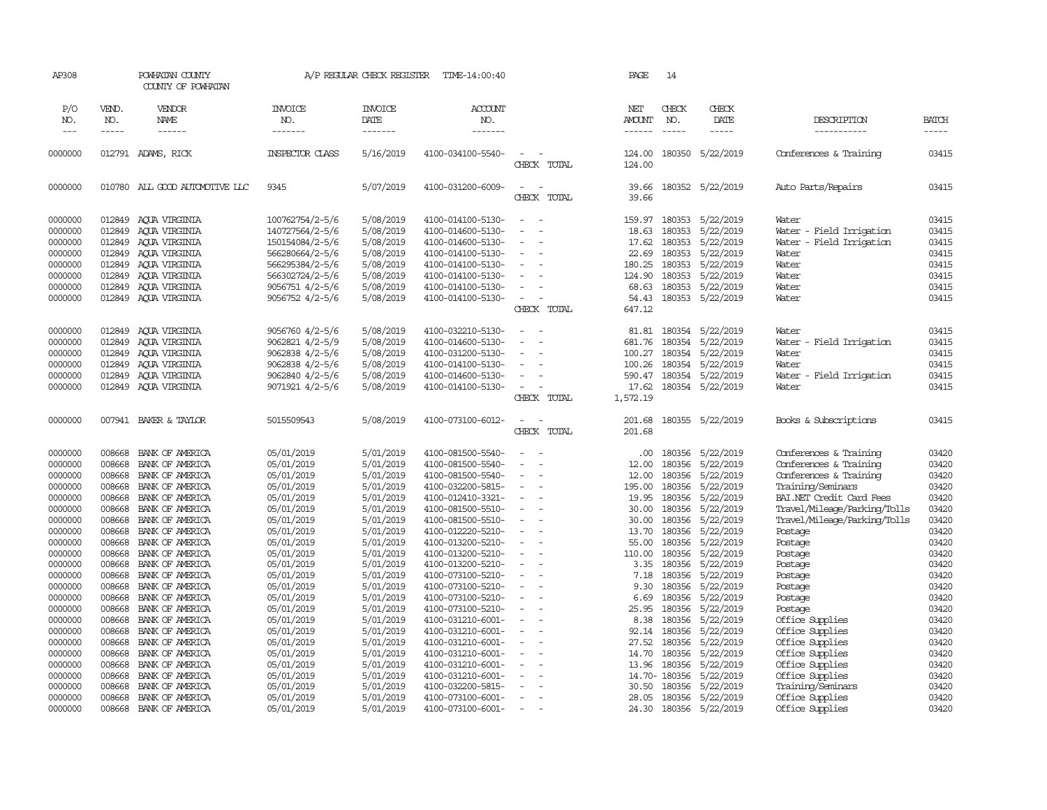| AP308               |                       | POWHATAN COUNTY<br>COUNTY OF POWHATAN |                        | A/P REGULAR CHECK REGISTER        | TIME-14:00:40             |                                                      | PAGE                           | 14                                                                                                                                                                                                                                                                                                                                                                                                           |                        |                              |                       |
|---------------------|-----------------------|---------------------------------------|------------------------|-----------------------------------|---------------------------|------------------------------------------------------|--------------------------------|--------------------------------------------------------------------------------------------------------------------------------------------------------------------------------------------------------------------------------------------------------------------------------------------------------------------------------------------------------------------------------------------------------------|------------------------|------------------------------|-----------------------|
| P/O<br>NO.<br>$---$ | VEND.<br>NO.<br>----- | VENDOR<br><b>NAME</b><br>------       | <b>INVOICE</b><br>NO.  | <b>INVOICE</b><br>DATE<br>------- | ACCOUNT<br>NO.<br>------- |                                                      | NET<br><b>AMOUNT</b><br>------ | CHECK<br>NO.<br>$\frac{1}{2} \frac{1}{2} \frac{1}{2} \frac{1}{2} \frac{1}{2} \frac{1}{2} \frac{1}{2} \frac{1}{2} \frac{1}{2} \frac{1}{2} \frac{1}{2} \frac{1}{2} \frac{1}{2} \frac{1}{2} \frac{1}{2} \frac{1}{2} \frac{1}{2} \frac{1}{2} \frac{1}{2} \frac{1}{2} \frac{1}{2} \frac{1}{2} \frac{1}{2} \frac{1}{2} \frac{1}{2} \frac{1}{2} \frac{1}{2} \frac{1}{2} \frac{1}{2} \frac{1}{2} \frac{1}{2} \frac{$ | CHECK<br>DATE<br>----- | DESCRIPTION<br>-----------   | <b>BATCH</b><br>----- |
| 0000000             |                       | 012791 ADAMS, RICK                    | <b>INSPECTOR CLASS</b> | 5/16/2019                         | 4100-034100-5540-         | $\overline{\phantom{a}}$                             | 124.00                         | 180350                                                                                                                                                                                                                                                                                                                                                                                                       | 5/22/2019              | Conferences & Training       | 03415                 |
|                     |                       |                                       |                        |                                   |                           | CHECK TOTAL                                          | 124.00                         |                                                                                                                                                                                                                                                                                                                                                                                                              |                        |                              |                       |
| 0000000             |                       | 010780 ALL GOOD AUTOMOTIVE LLC        | 9345                   | 5/07/2019                         | 4100-031200-6009-         | $\sim$<br>$\overline{\phantom{a}}$<br>CHECK<br>TOTAL | 39.66<br>39.66                 |                                                                                                                                                                                                                                                                                                                                                                                                              | 180352 5/22/2019       | Auto Parts/Repairs           | 03415                 |
| 0000000             | 012849                | AQUA VIRGINIA                         | 100762754/2-5/6        | 5/08/2019                         | 4100-014100-5130-         | $\sim$<br>$\equiv$                                   | 159.97                         | 180353                                                                                                                                                                                                                                                                                                                                                                                                       | 5/22/2019              | Water                        | 03415                 |
| 0000000             | 012849                | AQUA VIRGINIA                         | 140727564/2-5/6        | 5/08/2019                         | 4100-014600-5130-         |                                                      | 18.63                          | 180353                                                                                                                                                                                                                                                                                                                                                                                                       | 5/22/2019              | Water - Field Irrigation     | 03415                 |
| 0000000             | 012849                | AQUA VIRGINIA                         | 150154084/2-5/6        | 5/08/2019                         | 4100-014600-5130-         |                                                      | 17.62                          | 180353                                                                                                                                                                                                                                                                                                                                                                                                       | 5/22/2019              | Water - Field Irrigation     | 03415                 |
| 0000000             | 012849                | AOUA VIRGINIA                         | 566280664/2-5/6        | 5/08/2019                         | 4100-014100-5130-         | $\overline{\phantom{a}}$                             | 22.69                          | 180353                                                                                                                                                                                                                                                                                                                                                                                                       | 5/22/2019              | Water                        | 03415                 |
| 0000000             | 012849                | AOUA VIRGINIA                         | 566295384/2-5/6        | 5/08/2019                         | 4100-014100-5130-         |                                                      | 180.25                         | 180353                                                                                                                                                                                                                                                                                                                                                                                                       | 5/22/2019              | Water                        | 03415                 |
| 0000000             | 012849                | AQUA VIRGINIA                         | 566302724/2-5/6        | 5/08/2019                         | 4100-014100-5130-         |                                                      | 124.90                         | 180353                                                                                                                                                                                                                                                                                                                                                                                                       | 5/22/2019              | Water                        | 03415                 |
| 0000000             | 012849                | AQUA VIRGINIA                         | 9056751 4/2-5/6        | 5/08/2019                         | 4100-014100-5130-         |                                                      | 68.63                          | 180353                                                                                                                                                                                                                                                                                                                                                                                                       | 5/22/2019              | Water                        | 03415                 |
| 0000000             |                       | 012849 AQUA VIRGINIA                  | 9056752 4/2-5/6        | 5/08/2019                         | 4100-014100-5130-         | $\sim$                                               | 54.43                          | 180353                                                                                                                                                                                                                                                                                                                                                                                                       | 5/22/2019              | Water                        | 03415                 |
|                     |                       |                                       |                        |                                   |                           | CHECK TOTAL                                          | 647.12                         |                                                                                                                                                                                                                                                                                                                                                                                                              |                        |                              |                       |
| 0000000             | 012849                | AQUA VIRGINIA                         | 9056760 4/2-5/6        | 5/08/2019                         | 4100-032210-5130-         | $\overline{a}$                                       | 81.81                          | 180354                                                                                                                                                                                                                                                                                                                                                                                                       | 5/22/2019              | Water                        | 03415                 |
|                     |                       |                                       |                        |                                   |                           | $\overline{a}$                                       |                                | 180354                                                                                                                                                                                                                                                                                                                                                                                                       |                        |                              |                       |
| 0000000             | 012849                | AOUA VIRGINIA                         | 9062821 4/2-5/9        | 5/08/2019                         | 4100-014600-5130-         | $\equiv$                                             | 681.76                         |                                                                                                                                                                                                                                                                                                                                                                                                              | 5/22/2019              | Water - Field Irrigation     | 03415                 |
| 0000000             | 012849                | ACUA VIRGINIA                         | 9062838 4/2-5/6        | 5/08/2019                         | 4100-031200-5130-         |                                                      | 100.27                         | 180354                                                                                                                                                                                                                                                                                                                                                                                                       | 5/22/2019              | Water                        | 03415                 |
| 0000000             | 012849                | AQUA VIRGINIA                         | 9062838 4/2-5/6        | 5/08/2019                         | 4100-014100-5130-         |                                                      | 100.26                         | 180354                                                                                                                                                                                                                                                                                                                                                                                                       | 5/22/2019              | Water                        | 03415                 |
| 0000000             | 012849                | AQUA VIRGINIA                         | 9062840 4/2-5/6        | 5/08/2019                         | 4100-014600-5130-         | $\overline{\phantom{a}}$                             | 590.47                         | 180354                                                                                                                                                                                                                                                                                                                                                                                                       | 5/22/2019              | Water - Field Irrigation     | 03415                 |
| 0000000             | 012849                | ACUA VIRGINIA                         | 9071921 4/2-5/6        | 5/08/2019                         | 4100-014100-5130-         | $\overline{\phantom{a}}$                             | 17.62                          | 180354                                                                                                                                                                                                                                                                                                                                                                                                       | 5/22/2019              | Water                        | 03415                 |
|                     |                       |                                       |                        |                                   |                           | CHECK TOTAL                                          | 1,572.19                       |                                                                                                                                                                                                                                                                                                                                                                                                              |                        |                              |                       |
| 0000000             |                       | 007941 BAKER & TAYLOR                 | 5015509543             | 5/08/2019                         | 4100-073100-6012-         |                                                      | 201.68                         |                                                                                                                                                                                                                                                                                                                                                                                                              | 180355 5/22/2019       | Books & Subscriptions        | 03415                 |
|                     |                       |                                       |                        |                                   |                           | CHECK TOTAL                                          | 201.68                         |                                                                                                                                                                                                                                                                                                                                                                                                              |                        |                              |                       |
| 0000000             | 008668                | BANK OF AMERICA                       | 05/01/2019             | 5/01/2019                         | 4100-081500-5540-         | $\overline{\phantom{a}}$                             | .00.                           | 180356                                                                                                                                                                                                                                                                                                                                                                                                       | 5/22/2019              | Conferences & Training       | 03420                 |
| 0000000             | 008668                | BANK OF AMERICA                       | 05/01/2019             | 5/01/2019                         | 4100-081500-5540-         | $\overline{\phantom{a}}$<br>$\sim$                   | 12.00                          | 180356                                                                                                                                                                                                                                                                                                                                                                                                       | 5/22/2019              | Conferences & Training       | 03420                 |
| 0000000             | 008668                | BANK OF AMERICA                       | 05/01/2019             | 5/01/2019                         | 4100-081500-5540-         |                                                      | 12.00                          | 180356                                                                                                                                                                                                                                                                                                                                                                                                       | 5/22/2019              | Conferences & Training       | 03420                 |
| 0000000             | 008668                | BANK OF AMERICA                       | 05/01/2019             | 5/01/2019                         | 4100-032200-5815-         | $\equiv$<br>$\overline{\phantom{a}}$                 | 195.00                         | 180356                                                                                                                                                                                                                                                                                                                                                                                                       | 5/22/2019              | Training/Seminars            | 03420                 |
| 0000000             | 008668                | BANK OF AMERICA                       | 05/01/2019             | 5/01/2019                         | 4100-012410-3321-         | $\blacksquare$                                       | 19.95                          | 180356                                                                                                                                                                                                                                                                                                                                                                                                       | 5/22/2019              | BAI.NET Credit Card Fees     | 03420                 |
| 0000000             | 008668                | BANK OF AMERICA                       | 05/01/2019             | 5/01/2019                         | 4100-081500-5510-         |                                                      | 30.00                          | 180356                                                                                                                                                                                                                                                                                                                                                                                                       | 5/22/2019              | Travel/Mileage/Parking/Tolls | 03420                 |
| 0000000             | 008668                | BANK OF AMERICA                       | 05/01/2019             | 5/01/2019                         | 4100-081500-5510-         |                                                      | 30.00                          | 180356                                                                                                                                                                                                                                                                                                                                                                                                       | 5/22/2019              | Travel/Mileage/Parking/Tolls | 03420                 |
| 0000000             | 008668                | BANK OF AMERICA                       | 05/01/2019             | 5/01/2019                         | 4100-012220-5210-         | $\overline{\phantom{a}}$                             | 13.70                          | 180356                                                                                                                                                                                                                                                                                                                                                                                                       | 5/22/2019              | Postage                      | 03420                 |
| 0000000             | 008668                | BANK OF AMERICA                       | 05/01/2019             | 5/01/2019                         | 4100-013200-5210-         |                                                      | 55.00                          | 180356                                                                                                                                                                                                                                                                                                                                                                                                       | 5/22/2019              | Postage                      | 03420                 |
| 0000000             | 008668                | BANK OF AMERICA                       | 05/01/2019             | 5/01/2019                         | 4100-013200-5210-         |                                                      | 110.00                         | 180356                                                                                                                                                                                                                                                                                                                                                                                                       | 5/22/2019              | Postage                      | 03420                 |
| 0000000             | 008668                | BANK OF AMERICA                       | 05/01/2019             | 5/01/2019                         | 4100-013200-5210-         | $\sim$<br>$\overline{\phantom{a}}$                   | 3.35                           | 180356                                                                                                                                                                                                                                                                                                                                                                                                       | 5/22/2019              |                              | 03420                 |
| 0000000             | 008668                | BANK OF AMERICA                       |                        | 5/01/2019                         | 4100-073100-5210-         | $\sim$                                               | 7.18                           | 180356                                                                                                                                                                                                                                                                                                                                                                                                       |                        | Postage                      | 03420                 |
|                     |                       |                                       | 05/01/2019             |                                   |                           | $\sim$                                               |                                |                                                                                                                                                                                                                                                                                                                                                                                                              | 5/22/2019              | Postage                      |                       |
| 0000000             | 008668                | BANK OF AMERICA                       | 05/01/2019             | 5/01/2019                         | 4100-073100-5210-         |                                                      | 9.30                           | 180356                                                                                                                                                                                                                                                                                                                                                                                                       | 5/22/2019              | Postage                      | 03420                 |
| 0000000             | 008668                | BANK OF AMERICA                       | 05/01/2019             | 5/01/2019                         | 4100-073100-5210-         | $\overline{\phantom{a}}$<br>÷.                       | 6.69                           | 180356                                                                                                                                                                                                                                                                                                                                                                                                       | 5/22/2019              | Postage                      | 03420                 |
| 0000000             | 008668                | BANK OF AMERICA                       | 05/01/2019             | 5/01/2019                         | 4100-073100-5210-         | $\overline{\phantom{a}}$                             | 25.95                          | 180356                                                                                                                                                                                                                                                                                                                                                                                                       | 5/22/2019              | Postage                      | 03420                 |
| 0000000             | 008668                | BANK OF AMERICA                       | 05/01/2019             | 5/01/2019                         | 4100-031210-6001-         | $\equiv$                                             | 8.38                           | 180356                                                                                                                                                                                                                                                                                                                                                                                                       | 5/22/2019              | Office Supplies              | 03420                 |
| 0000000             | 008668                | BANK OF AMERICA                       | 05/01/2019             | 5/01/2019                         | 4100-031210-6001-         | $\blacksquare$                                       | 92.14                          | 180356                                                                                                                                                                                                                                                                                                                                                                                                       | 5/22/2019              | Office Supplies              | 03420                 |
| 0000000             | 008668                | BANK OF AMERICA                       | 05/01/2019             | 5/01/2019                         | 4100-031210-6001-         | $\sim$                                               | 27.52                          | 180356                                                                                                                                                                                                                                                                                                                                                                                                       | 5/22/2019              | Office Supplies              | 03420                 |
| 0000000             | 008668                | BANK OF AMERICA                       | 05/01/2019             | 5/01/2019                         | 4100-031210-6001-         | ÷.                                                   | 14.70                          | 180356                                                                                                                                                                                                                                                                                                                                                                                                       | 5/22/2019              | Office Supplies              | 03420                 |
| 0000000             | 008668                | BANK OF AMERICA                       | 05/01/2019             | 5/01/2019                         | 4100-031210-6001-         |                                                      | 13.96                          | 180356                                                                                                                                                                                                                                                                                                                                                                                                       | 5/22/2019              | Office Supplies              | 03420                 |
| 0000000             | 008668                | BANK OF AMERICA                       | 05/01/2019             | 5/01/2019                         | 4100-031210-6001-         |                                                      |                                | 14.70-180356                                                                                                                                                                                                                                                                                                                                                                                                 | 5/22/2019              | Office Supplies              | 03420                 |
| 0000000             | 008668                | BANK OF AMERICA                       | 05/01/2019             | 5/01/2019                         | 4100-032200-5815-         |                                                      | 30.50                          | 180356                                                                                                                                                                                                                                                                                                                                                                                                       | 5/22/2019              | Training/Seminars            | 03420                 |
| 0000000             | 008668                | BANK OF AMERICA                       | 05/01/2019             | 5/01/2019                         | 4100-073100-6001-         | $\overline{\phantom{a}}$                             | 28.05                          | 180356                                                                                                                                                                                                                                                                                                                                                                                                       | 5/22/2019              | Office Supplies              | 03420                 |
| 0000000             | 008668                | BANK OF AMERICA                       | 05/01/2019             | 5/01/2019                         | 4100-073100-6001-         | $\overline{a}$                                       | 24.30                          |                                                                                                                                                                                                                                                                                                                                                                                                              | 180356 5/22/2019       | Office Supplies              | 03420                 |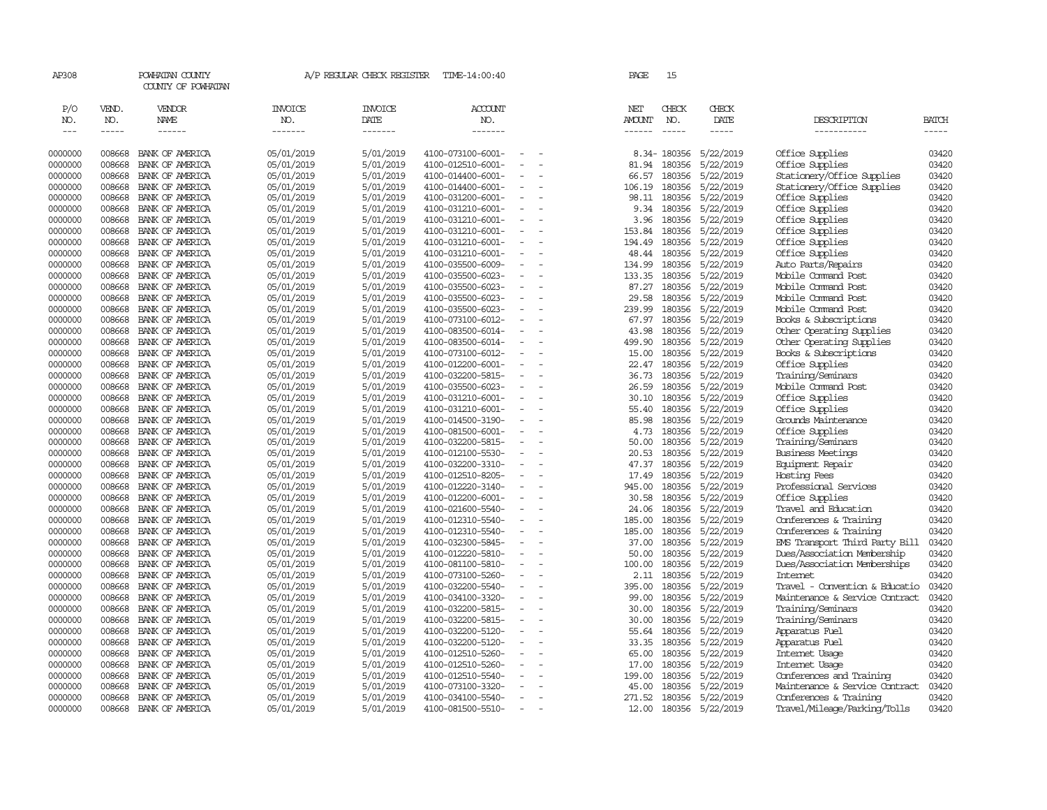| AP308                       |                             | POWHATAN COUNTY<br>COUNTY OF POWHATAN |                                  | A/P REGULAR CHECK REGISTER        | TIME-14:00:40                          |                          | PAGE                                  | 15                            |                              |                                                 |                |
|-----------------------------|-----------------------------|---------------------------------------|----------------------------------|-----------------------------------|----------------------------------------|--------------------------|---------------------------------------|-------------------------------|------------------------------|-------------------------------------------------|----------------|
| P/O<br>NO.<br>$\frac{1}{2}$ | VEND.<br>NO.<br>$- - - - -$ | VENDOR<br>NAME<br>$- - - - - -$       | <b>INVOICE</b><br>NO.<br>------- | <b>INVOICE</b><br>DATE<br>------- | ACCOUNT<br>NO.<br>-------              |                          | NET<br><b>AMOUNT</b><br>$- - - - - -$ | CHECK<br>NO.<br>$\frac{1}{2}$ | CHECK<br>DATE<br>$- - - - -$ | DESCRIPTION<br>-----------                      | BATCH<br>----- |
| 0000000                     | 008668                      | BANK OF AMERICA                       | 05/01/2019                       | 5/01/2019                         | 4100-073100-6001-                      |                          |                                       | 8.34-180356                   | 5/22/2019                    | Office Supplies                                 | 03420          |
| 0000000                     | 008668                      | BANK OF AMERICA                       | 05/01/2019                       | 5/01/2019                         | 4100-012510-6001-                      | $\equiv$                 | 81.94                                 | 180356                        | 5/22/2019                    | Office Supplies                                 | 03420          |
| 0000000                     | 008668                      | BANK OF AMERICA                       | 05/01/2019                       | 5/01/2019                         | 4100-014400-6001-                      |                          | 66.57                                 | 180356                        | 5/22/2019                    | Stationery/Office Supplies                      | 03420          |
| 0000000                     | 008668                      | BANK OF AMERICA                       | 05/01/2019                       | 5/01/2019                         | 4100-014400-6001-                      | $\overline{\phantom{a}}$ | 106.19                                | 180356                        | 5/22/2019                    | Stationery/Office Supplies                      | 03420          |
| 0000000                     | 008668                      | BANK OF AMERICA                       | 05/01/2019                       | 5/01/2019                         | 4100-031200-6001-                      |                          | 98.11                                 | 180356                        | 5/22/2019                    | Office Supplies                                 | 03420          |
| 0000000                     | 008668                      | BANK OF AMERICA                       | 05/01/2019                       | 5/01/2019                         | 4100-031210-6001-                      | $\overline{\phantom{a}}$ | 9.34                                  | 180356                        | 5/22/2019                    | Office Supplies                                 | 03420          |
| 0000000                     | 008668                      | BANK OF AMERICA                       | 05/01/2019                       | 5/01/2019                         | 4100-031210-6001-                      |                          | 3.96                                  | 180356                        | 5/22/2019                    | Office Supplies                                 | 03420          |
| 0000000                     | 008668                      | BANK OF AMERICA                       | 05/01/2019                       | 5/01/2019                         | 4100-031210-6001-                      |                          | 153.84                                | 180356                        | 5/22/2019                    | Office Supplies                                 | 03420          |
| 0000000                     | 008668                      | BANK OF AMERICA                       | 05/01/2019                       | 5/01/2019                         | 4100-031210-6001-                      | $\sim$                   | 194.49                                | 180356                        | 5/22/2019                    | Office Supplies                                 | 03420          |
| 0000000                     | 008668                      | BANK OF AMERICA                       | 05/01/2019                       | 5/01/2019                         | 4100-031210-6001-                      | $\overline{\phantom{a}}$ | 48.44                                 | 180356                        | 5/22/2019                    | Office Supplies                                 | 03420          |
| 0000000                     | 008668                      | BANK OF AMERICA                       | 05/01/2019                       | 5/01/2019                         | 4100-035500-6009-                      |                          | 134.99                                | 180356                        | 5/22/2019                    | Auto Parts/Repairs                              | 03420          |
| 0000000                     | 008668                      | BANK OF AMERICA                       | 05/01/2019                       | 5/01/2019                         | 4100-035500-6023-                      |                          | 133.35                                | 180356                        | 5/22/2019                    | Mobile Command Post                             | 03420          |
| 0000000                     | 008668                      | BANK OF AMERICA                       | 05/01/2019                       | 5/01/2019                         | 4100-035500-6023-                      | $\equiv$                 | 87.27                                 | 180356                        | 5/22/2019                    | Mobile Command Post                             | 03420          |
| 0000000                     | 008668                      | BANK OF AMERICA                       | 05/01/2019                       | 5/01/2019                         | 4100-035500-6023-                      | $\sim$                   | 29.58                                 | 180356                        | 5/22/2019                    | Mobile Command Post                             | 03420          |
| 0000000                     | 008668                      | BANK OF AMERICA                       | 05/01/2019                       | 5/01/2019                         | 4100-035500-6023-                      | $\sim$                   | 239.99                                | 180356                        | 5/22/2019                    | Mobile Command Post                             | 03420          |
| 0000000                     | 008668                      | BANK OF AMERICA                       | 05/01/2019                       | 5/01/2019                         | 4100-073100-6012-                      | $\sim$                   | 67.97                                 | 180356                        | 5/22/2019                    | Books & Subscriptions                           | 03420          |
| 0000000                     | 008668                      | BANK OF AMERICA                       | 05/01/2019                       | 5/01/2019                         | 4100-083500-6014-                      | $\overline{\phantom{a}}$ | 43.98                                 | 180356                        | 5/22/2019                    | Other Operating Supplies                        | 03420          |
| 0000000                     | 008668                      | BANK OF AMERICA                       | 05/01/2019                       | 5/01/2019                         | 4100-083500-6014-                      | $\equiv$                 | 499.90                                | 180356                        | 5/22/2019                    | Other Operating Supplies                        | 03420          |
| 0000000                     | 008668                      | BANK OF AMERICA                       | 05/01/2019                       | 5/01/2019                         | 4100-073100-6012-                      |                          | 15.00                                 | 180356                        | 5/22/2019                    | Books & Subscriptions                           | 03420          |
| 0000000                     | 008668                      | BANK OF AMERICA                       | 05/01/2019                       | 5/01/2019                         | 4100-012200-6001-                      | $\overline{\phantom{a}}$ | 22.47                                 | 180356                        | 5/22/2019                    | Office Supplies                                 | 03420          |
| 0000000                     | 008668                      | BANK OF AMERICA                       | 05/01/2019                       | 5/01/2019                         | 4100-032200-5815-                      |                          | 36.73                                 | 180356                        | 5/22/2019                    | Training/Seminars                               | 03420          |
| 0000000                     | 008668                      | BANK OF AMERICA                       | 05/01/2019                       | 5/01/2019                         | 4100-035500-6023-                      | $\equiv$                 | 26.59                                 | 180356                        | 5/22/2019                    | Mobile Command Post                             | 03420          |
| 0000000                     | 008668                      | BANK OF AMERICA                       | 05/01/2019                       | 5/01/2019                         | 4100-031210-6001-                      |                          | 30.10                                 | 180356                        | 5/22/2019                    | Office Supplies                                 | 03420          |
| 0000000                     | 008668                      | BANK OF AMERICA                       | 05/01/2019                       | 5/01/2019                         | 4100-031210-6001-                      | $\sim$                   | 55.40                                 | 180356                        | 5/22/2019                    | Office Supplies                                 | 03420          |
| 0000000                     | 008668                      | BANK OF AMERICA                       | 05/01/2019                       | 5/01/2019                         | 4100-014500-3190-                      | $\sim$                   | 85.98                                 | 180356                        | 5/22/2019                    | Grounds Maintenance                             | 03420          |
| 0000000                     | 008668                      | BANK OF AMERICA                       | 05/01/2019                       | 5/01/2019                         | 4100-081500-6001-                      |                          | 4.73                                  | 180356                        | 5/22/2019                    | Office Supplies                                 | 03420          |
| 0000000                     | 008668                      | BANK OF AMERICA                       | 05/01/2019                       | 5/01/2019                         | 4100-032200-5815-                      | $\equiv$                 | 50.00                                 | 180356                        | 5/22/2019                    | Training/Seminars                               | 03420          |
| 0000000                     | 008668                      | BANK OF AMERICA                       | 05/01/2019                       | 5/01/2019                         | 4100-012100-5530-                      | $\overline{\phantom{a}}$ | 20.53                                 | 180356                        | 5/22/2019                    | <b>Business Meetings</b>                        | 03420          |
| 0000000                     | 008668                      | BANK OF AMERICA                       | 05/01/2019                       | 5/01/2019                         | 4100-032200-3310-                      | $\equiv$                 | 47.37                                 | 180356                        | 5/22/2019                    | Equipment Repair                                | 03420          |
| 0000000                     | 008668                      | BANK OF AMERICA                       | 05/01/2019                       | 5/01/2019                         | 4100-012510-8205-                      |                          | 17.49                                 | 180356                        | 5/22/2019                    | Hosting Fees                                    | 03420          |
| 0000000                     | 008668                      | BANK OF AMERICA                       | 05/01/2019                       | 5/01/2019                         | 4100-012220-3140-                      | $\sim$                   | 945.00                                | 180356                        | 5/22/2019                    | Professional Services                           | 03420          |
| 0000000                     | 008668                      | BANK OF AMERICA                       | 05/01/2019                       | 5/01/2019                         | 4100-012200-6001-                      | $\sim$                   | 30.58                                 | 180356                        | 5/22/2019                    | Office Supplies                                 | 03420          |
| 0000000                     | 008668                      | BANK OF AMERICA                       | 05/01/2019                       | 5/01/2019                         | 4100-021600-5540-                      |                          | 24.06                                 | 180356                        | 5/22/2019                    | Travel and Education                            | 03420          |
| 0000000                     | 008668                      | BANK OF AMERICA                       | 05/01/2019                       | 5/01/2019                         | 4100-012310-5540-                      |                          | 185.00                                | 180356                        | 5/22/2019                    | Conferences & Training                          | 03420          |
| 0000000                     | 008668                      | BANK OF AMERICA                       | 05/01/2019                       | 5/01/2019                         | 4100-012310-5540-                      |                          | 185.00                                | 180356                        | 5/22/2019                    | Conferences & Training                          | 03420          |
| 0000000                     | 008668                      | BANK OF AMERICA                       | 05/01/2019                       | 5/01/2019                         | 4100-032300-5845-                      | $\equiv$<br>$\equiv$     | 37.00                                 | 180356                        | 5/22/2019                    | EMS Transport Third Party Bill                  | 03420          |
| 0000000                     | 008668                      | BANK OF AMERICA                       | 05/01/2019                       | 5/01/2019                         | 4100-012220-5810-                      | $\equiv$                 | 50.00                                 | 180356                        | 5/22/2019                    | Dues/Association Membership                     | 03420          |
| 0000000                     | 008668<br>008668            | BANK OF AMERICA                       | 05/01/2019                       | 5/01/2019                         | 4100-081100-5810-                      | $\equiv$                 | 100.00<br>2.11                        | 180356<br>180356              | 5/22/2019                    | Dues/Association Memberships<br><b>Internet</b> | 03420<br>03420 |
| 0000000<br>0000000          | 008668                      | BANK OF AMERICA                       | 05/01/2019<br>05/01/2019         | 5/01/2019<br>5/01/2019            | 4100-073100-5260-                      | $\equiv$                 | 395.00                                | 180356                        | 5/22/2019<br>5/22/2019       | Travel - Convention & Educatio                  | 03420          |
|                             | 008668                      | BANK OF AMERICA                       |                                  | 5/01/2019                         | 4100-032200-5540-                      | $\overline{\phantom{a}}$ | 99.00                                 | 180356                        |                              | Maintenance & Service Contract                  | 03420          |
| 0000000<br>0000000          | 008668                      | BANK OF AMERICA<br>BANK OF AMERICA    | 05/01/2019<br>05/01/2019         | 5/01/2019                         | 4100-034100-3320-<br>4100-032200-5815- |                          | 30.00                                 | 180356                        | 5/22/2019<br>5/22/2019       | Training/Seminars                               | 03420          |
|                             | 008668                      | BANK OF AMERICA                       |                                  |                                   |                                        | $\sim$                   | 30.00                                 | 180356                        |                              |                                                 |                |
| 0000000<br>0000000          | 008668                      | BANK OF AMERICA                       | 05/01/2019<br>05/01/2019         | 5/01/2019<br>5/01/2019            | 4100-032200-5815-<br>4100-032200-5120- |                          | 55.64                                 | 180356                        | 5/22/2019<br>5/22/2019       | Training/Seminars<br>Apparatus Fuel             | 03420<br>03420 |
| 0000000                     | 008668                      | BANK OF AMERICA                       | 05/01/2019                       | 5/01/2019                         | 4100-032200-5120-                      | $\equiv$                 | 33.35                                 | 180356                        | 5/22/2019                    | Apparatus Fuel                                  | 03420          |
| 0000000                     | 008668                      |                                       | 05/01/2019                       | 5/01/2019                         | 4100-012510-5260-                      |                          | 65.00                                 | 180356                        | 5/22/2019                    | Internet Usage                                  | 03420          |
| 0000000                     | 008668                      | BANK OF AMERICA<br>BANK OF AMERICA    | 05/01/2019                       | 5/01/2019                         | 4100-012510-5260-                      |                          | 17.00                                 | 180356                        | 5/22/2019                    | Internet Usage                                  | 03420          |
| 0000000                     | 008668                      | BANK OF AMERICA                       | 05/01/2019                       | 5/01/2019                         | 4100-012510-5540-                      |                          | 199.00                                | 180356                        | 5/22/2019                    | Conferences and Training                        | 03420          |
| 0000000                     | 008668                      | BANK OF AMERICA                       | 05/01/2019                       | 5/01/2019                         | 4100-073100-3320-                      |                          | 45.00                                 | 180356                        | 5/22/2019                    | Maintenance & Service Contract                  | 03420          |
| 0000000                     | 008668                      | BANK OF AMERICA                       | 05/01/2019                       | 5/01/2019                         | 4100-034100-5540-                      | $\equiv$                 | 271.52                                | 180356                        | 5/22/2019                    | Conferences & Training                          | 03420          |
| 0000000                     | 008668                      | BANK OF AMERICA                       | 05/01/2019                       | 5/01/2019                         | 4100-081500-5510-                      | $\sim$                   | 12.00                                 |                               | 180356 5/22/2019             | Travel/Mileage/Parking/Tolls                    | 03420          |
|                             |                             |                                       |                                  |                                   |                                        |                          |                                       |                               |                              |                                                 |                |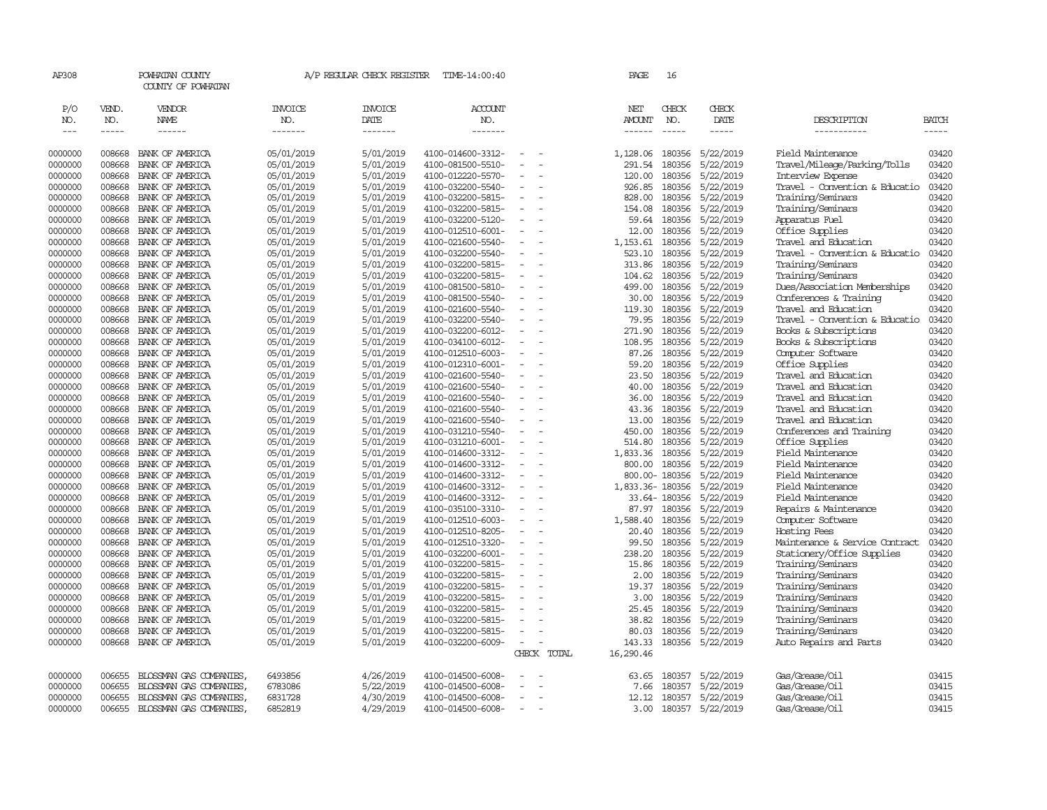| AP308               |                             | POWHATAN COUNTY<br>COUNTY OF POWHATAN |                                  | A/P REGULAR CHECK REGISTER        | TIME-14:00:40                          |                          |             | PAGE                           | 16                          |                        |                                                 |                      |
|---------------------|-----------------------------|---------------------------------------|----------------------------------|-----------------------------------|----------------------------------------|--------------------------|-------------|--------------------------------|-----------------------------|------------------------|-------------------------------------------------|----------------------|
| P/O<br>NO.<br>$---$ | VEND.<br>NO.<br>$- - - - -$ | VENDOR<br>NAME<br>------              | <b>INVOICE</b><br>NO.<br>------- | <b>INVOICE</b><br>DATE<br>------- | <b>ACCOUNT</b><br>NO.<br>-------       |                          |             | NET<br><b>AMOUNT</b><br>------ | CHECK<br>NO.<br>$- - - - -$ | CHECK<br>DATE<br>----- | DESCRIPTION<br>-----------                      | BATCH<br>$- - - - -$ |
|                     |                             |                                       |                                  |                                   |                                        |                          |             |                                |                             |                        |                                                 |                      |
| 0000000             | 008668                      | BANK OF AMERICA                       | 05/01/2019                       | 5/01/2019                         | 4100-014600-3312-                      |                          |             | 1,128.06                       | 180356                      | 5/22/2019              | Field Maintenance                               | 03420                |
| 0000000             | 008668                      | BANK OF AMERICA                       | 05/01/2019                       | 5/01/2019                         | 4100-081500-5510-                      | $\overline{\phantom{a}}$ |             | 291.54                         | 180356                      | 5/22/2019              | Travel/Mileage/Parking/Tolls                    | 03420                |
| 0000000             | 008668                      | BANK OF AMERICA                       | 05/01/2019                       | 5/01/2019                         | 4100-012220-5570-                      | ٠                        |             | 120.00                         | 180356                      | 5/22/2019              | Interview Expense                               | 03420                |
| 0000000             | 008668                      | BANK OF AMERICA                       | 05/01/2019                       | 5/01/2019                         | 4100-032200-5540-                      |                          |             | 926.85                         | 180356                      | 5/22/2019              | Travel - Convention & Educatio                  | 03420                |
| 0000000             | 008668                      | BANK OF AMERICA                       | 05/01/2019                       | 5/01/2019                         | 4100-032200-5815-                      | $\equiv$                 |             | 828.00                         | 180356                      | 5/22/2019              | Training/Seminars                               | 03420                |
| 0000000             | 008668                      | BANK OF AMERICA                       | 05/01/2019                       | 5/01/2019                         | 4100-032200-5815-                      | $\equiv$                 |             | 154.08                         | 180356                      | 5/22/2019              | Training/Seminars                               | 03420                |
| 0000000             | 008668                      | BANK OF AMERICA                       | 05/01/2019                       | 5/01/2019                         | 4100-032200-5120-                      |                          |             | 59.64                          | 180356                      | 5/22/2019              | Apparatus Fuel                                  | 03420                |
| 0000000             | 008668<br>008668            | BANK OF AMERICA                       | 05/01/2019                       | 5/01/2019                         | 4100-012510-6001-                      | $\qquad \qquad -$        |             | 12.00                          | 180356                      | 5/22/2019<br>5/22/2019 | Office Supplies<br>Travel and Education         | 03420<br>03420       |
| 0000000<br>0000000  | 008668                      | BANK OF AMERICA<br>BANK OF AMERICA    | 05/01/2019<br>05/01/2019         | 5/01/2019<br>5/01/2019            | 4100-021600-5540-<br>4100-032200-5540- | $\overline{\phantom{a}}$ |             | 1,153.61<br>523.10             | 180356<br>180356            | 5/22/2019              | Travel - Convention & Educatio                  | 03420                |
| 0000000             | 008668                      | BANK OF AMERICA                       | 05/01/2019                       | 5/01/2019                         | 4100-032200-5815-                      |                          |             | 313.86                         | 180356                      | 5/22/2019              | Training/Seminars                               | 03420                |
| 0000000             | 008668                      | BANK OF AMERICA                       | 05/01/2019                       | 5/01/2019                         | 4100-032200-5815-                      |                          |             | 104.62                         | 180356                      | 5/22/2019              | Training/Seminars                               | 03420                |
| 0000000             | 008668                      | BANK OF AMERICA                       | 05/01/2019                       | 5/01/2019                         | 4100-081500-5810-                      |                          |             | 499.00                         | 180356                      | 5/22/2019              | Dues/Association Memberships                    | 03420                |
| 0000000             | 008668                      | BANK OF AMERICA                       | 05/01/2019                       | 5/01/2019                         | 4100-081500-5540-                      | $\overline{\phantom{a}}$ |             | 30.00                          | 180356                      | 5/22/2019              | Conferences & Training                          | 03420                |
| 0000000             | 008668                      | BANK OF AMERICA                       | 05/01/2019                       | 5/01/2019                         | 4100-021600-5540-                      |                          |             | 119.30                         | 180356                      | 5/22/2019              | Travel and Education                            | 03420                |
| 0000000             | 008668                      | BANK OF AMERICA                       | 05/01/2019                       | 5/01/2019                         | 4100-032200-5540-                      | $\equiv$                 |             | 79.95                          | 180356                      | 5/22/2019              | Travel - Convention & Educatio                  | 03420                |
| 0000000             | 008668                      | BANK OF AMERICA                       | 05/01/2019                       | 5/01/2019                         | 4100-032200-6012-                      |                          |             | 271.90                         | 180356                      | 5/22/2019              | Books & Subscriptions                           | 03420                |
| 0000000             | 008668                      | BANK OF AMERICA                       | 05/01/2019                       | 5/01/2019                         | 4100-034100-6012-                      |                          |             | 108.95                         | 180356                      | 5/22/2019              | Books & Subscriptions                           | 03420                |
| 0000000             | 008668                      | BANK OF AMERICA                       | 05/01/2019                       | 5/01/2019                         | 4100-012510-6003-                      |                          |             | 87.26                          | 180356                      | 5/22/2019              | Computer Software                               | 03420                |
| 0000000             | 008668                      | BANK OF AMERICA                       | 05/01/2019                       | 5/01/2019                         | 4100-012310-6001-                      | $\sim$                   |             | 59.20                          | 180356                      | 5/22/2019              | Office Supplies                                 | 03420                |
| 0000000             | 008668                      | BANK OF AMERICA                       | 05/01/2019                       | 5/01/2019                         | 4100-021600-5540-                      | $\equiv$                 |             | 23.50                          | 180356                      | 5/22/2019              | Travel and Education                            | 03420                |
| 0000000             | 008668                      | BANK OF AMERICA                       | 05/01/2019                       | 5/01/2019                         | 4100-021600-5540-                      |                          |             | 40.00                          | 180356                      | 5/22/2019              | Travel and Education                            | 03420                |
| 0000000             | 008668                      | BANK OF AMERICA                       | 05/01/2019                       | 5/01/2019                         | 4100-021600-5540-                      |                          |             | 36.00                          | 180356                      | 5/22/2019              | Travel and Education                            | 03420                |
| 0000000             | 008668                      | BANK OF AMERICA                       | 05/01/2019                       | 5/01/2019                         | 4100-021600-5540-                      |                          |             | 43.36                          | 180356                      | 5/22/2019              | Travel and Education                            | 03420                |
| 0000000             | 008668                      | BANK OF AMERICA                       | 05/01/2019                       | 5/01/2019                         | 4100-021600-5540-                      | $\overline{\phantom{a}}$ |             | 13.00                          | 180356                      | 5/22/2019              | Travel and Education                            | 03420                |
| 0000000             | 008668                      | BANK OF AMERICA                       | 05/01/2019                       | 5/01/2019                         | 4100-031210-5540-                      |                          |             | 450.00                         | 180356                      | 5/22/2019              | Conferences and Training                        | 03420                |
| 0000000             | 008668                      | BANK OF AMERICA                       | 05/01/2019                       | 5/01/2019                         | 4100-031210-6001-                      | $\equiv$                 |             | 514.80                         | 180356                      | 5/22/2019              | Office Supplies                                 | 03420                |
| 0000000             | 008668                      | BANK OF AMERICA                       | 05/01/2019                       | 5/01/2019                         | 4100-014600-3312-                      |                          |             | 1,833.36                       | 180356                      | 5/22/2019              | Field Maintenance                               | 03420                |
| 0000000             | 008668                      | BANK OF AMERICA                       | 05/01/2019                       | 5/01/2019                         | 4100-014600-3312-                      | $\sim$                   |             | 800.00                         | 180356                      | 5/22/2019              | Field Maintenance                               | 03420                |
| 0000000             | 008668                      | BANK OF AMERICA                       | 05/01/2019                       | 5/01/2019                         | 4100-014600-3312-                      |                          |             |                                | 800.00-180356               | 5/22/2019              | Field Maintenance                               | 03420                |
| 0000000             | 008668                      | BANK OF AMERICA                       | 05/01/2019                       | 5/01/2019                         | 4100-014600-3312-                      | $\sim$                   |             | 1,833.36-180356                |                             | 5/22/2019              | Field Maintenance                               | 03420                |
| 0000000             | 008668                      | BANK OF AMERICA                       | 05/01/2019                       | 5/01/2019                         | 4100-014600-3312-                      | $\sim$                   |             |                                | 33.64-180356                | 5/22/2019              | Field Maintenance                               | 03420                |
| 0000000             | 008668                      | BANK OF AMERICA                       | 05/01/2019                       | 5/01/2019                         | 4100-035100-3310-                      |                          |             | 87.97                          | 180356                      | 5/22/2019              | Repairs & Maintenance                           | 03420                |
| 0000000             | 008668                      | BANK OF AMERICA                       | 05/01/2019                       | 5/01/2019                         | 4100-012510-6003-                      | $\equiv$                 |             | 1,588.40                       | 180356                      | 5/22/2019              | Computer Software                               | 03420                |
| 0000000             | 008668<br>008668            | BANK OF AMERICA                       | 05/01/2019                       | 5/01/2019                         | 4100-012510-8205-                      | $\equiv$                 |             | 20.40                          | 180356                      | 5/22/2019              | Hosting Fees                                    | 03420                |
| 0000000<br>0000000  | 008668                      | BANK OF AMERICA<br>BANK OF AMERICA    | 05/01/2019<br>05/01/2019         | 5/01/2019<br>5/01/2019            | 4100-012510-3320-<br>4100-032200-6001- |                          |             | 99.50<br>238.20                | 180356<br>180356            | 5/22/2019<br>5/22/2019 | Maintenance & Service Contract                  | 03420<br>03420       |
|                     | 008668                      | BANK OF AMERICA                       | 05/01/2019                       | 5/01/2019                         |                                        | $\equiv$                 |             | 15.86                          | 180356                      | 5/22/2019              | Stationery/Office Supplies<br>Training/Seminars | 03420                |
| 0000000<br>0000000  | 008668                      | BANK OF AMERICA                       | 05/01/2019                       | 5/01/2019                         | 4100-032200-5815-<br>4100-032200-5815- |                          |             | 2.00                           | 180356                      | 5/22/2019              | Training/Seminars                               | 03420                |
| 0000000             | 008668                      | BANK OF AMERICA                       | 05/01/2019                       | 5/01/2019                         | 4100-032200-5815-                      | $\overline{\phantom{a}}$ |             | 19.37                          | 180356                      | 5/22/2019              | Training/Seminars                               | 03420                |
| 0000000             | 008668                      | BANK OF AMERICA                       | 05/01/2019                       | 5/01/2019                         | 4100-032200-5815-                      |                          |             | 3.00                           | 180356                      | 5/22/2019              | Training/Seminars                               | 03420                |
| 0000000             | 008668                      | BANK OF AMERICA                       | 05/01/2019                       | 5/01/2019                         | 4100-032200-5815-                      | $\sim$                   |             | 25.45                          | 180356                      | 5/22/2019              | Training/Seminars                               | 03420                |
| 0000000             | 008668                      | BANK OF AMERICA                       | 05/01/2019                       | 5/01/2019                         | 4100-032200-5815-                      |                          |             | 38.82                          | 180356                      | 5/22/2019              | Training/Seminars                               | 03420                |
| 0000000             | 008668                      | BANK OF AMERICA                       | 05/01/2019                       | 5/01/2019                         | 4100-032200-5815-                      |                          |             | 80.03                          | 180356                      | 5/22/2019              | Training/Seminars                               | 03420                |
| 0000000             | 008668                      | BANK OF AMERICA                       | 05/01/2019                       | 5/01/2019                         | 4100-032200-6009-                      | $\equiv$                 |             | 143.33                         |                             | 180356 5/22/2019       | Auto Repairs and Parts                          | 03420                |
|                     |                             |                                       |                                  |                                   |                                        |                          | CHECK TOTAL | 16,290.46                      |                             |                        |                                                 |                      |
| 0000000             | 006655                      | BLOSSMAN GAS COMPANIES                | 6493856                          | 4/26/2019                         | 4100-014500-6008-                      |                          |             | 63.65                          | 180357                      | 5/22/2019              | Gas/Grease/Oil                                  | 03415                |
| 0000000             | 006655                      | BLOSSMAN GAS COMPANIES                | 6783086                          | 5/22/2019                         | 4100-014500-6008-                      | $\equiv$                 |             | 7.66                           | 180357                      | 5/22/2019              | Gas/Grease/Oil                                  | 03415                |
| 0000000             | 006655                      | BLOSSMAN GAS COMPANIES                | 6831728                          | 4/30/2019                         | 4100-014500-6008-                      | $\sim$                   |             | 12.12                          | 180357                      | 5/22/2019              | Gas/Grease/Oil                                  | 03415                |
| 0000000             | 006655                      | BLOSSMAN GAS COMPANIES                | 6852819                          | 4/29/2019                         | 4100-014500-6008-                      | $\sim$                   |             | 3.00                           |                             | 180357 5/22/2019       | Gas/Grease/Oil                                  | 03415                |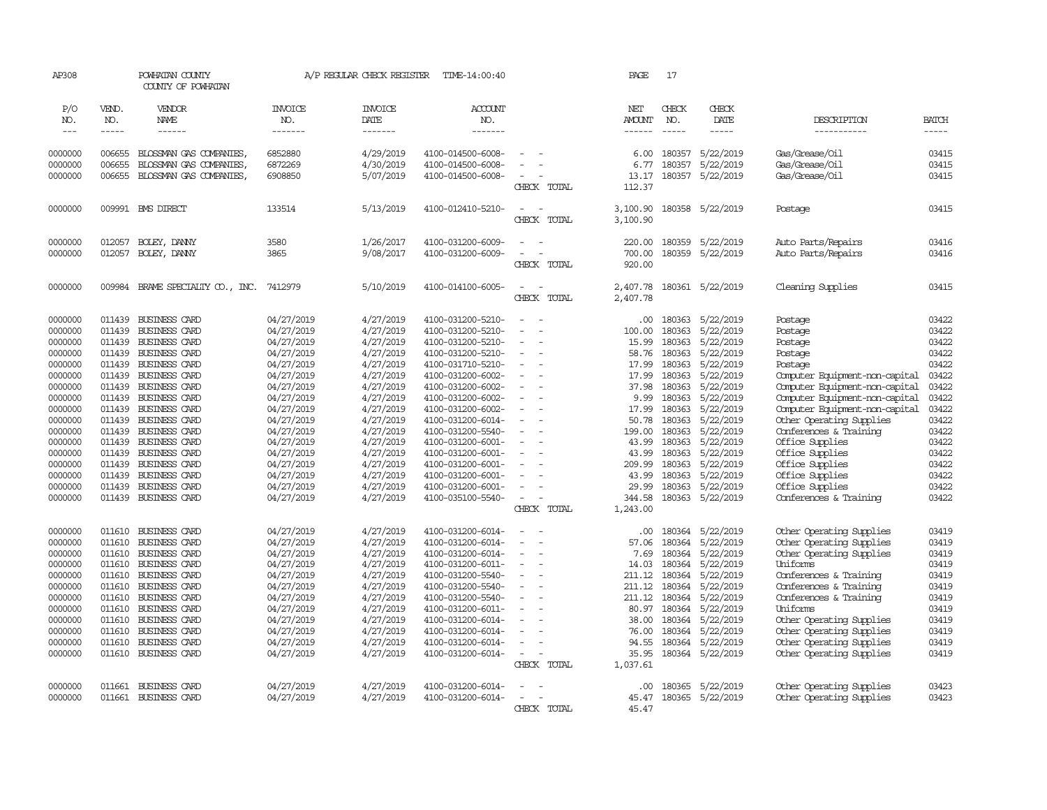| AP308                |                  | POWHATAN COUNTY<br>COUNTY OF POWHATAN |                          | A/P REGULAR CHECK REGISTER | TIME-14:00:40                          |                                                      |             | PAGE                 | 17               |                        |                                    |                |
|----------------------|------------------|---------------------------------------|--------------------------|----------------------------|----------------------------------------|------------------------------------------------------|-------------|----------------------|------------------|------------------------|------------------------------------|----------------|
| P/O<br>NO.           | VEND.<br>NO.     | VENDOR<br>NAME                        | <b>INVOICE</b><br>NO.    | <b>INVOICE</b><br>DATE     | ACCOUNT<br>NO.                         |                                                      |             | NET<br><b>AMOUNT</b> | CHECK<br>NO.     | CHECK<br>DATE          | DESCRIPTION                        | <b>BATCH</b>   |
| $\sim$ $\sim$ $\sim$ | -----            | ------                                | -------                  | -------                    | --------                               |                                                      |             | ------               | $\frac{1}{2}$    | $- - - - -$            | -----------                        | $- - - - -$    |
| 0000000              | 006655           | BLOSSMAN GAS COMPANIES                | 6852880                  | 4/29/2019                  | 4100-014500-6008-                      |                                                      |             | 6.00                 | 180357           | 5/22/2019              | Gas/Grease/Oil                     | 03415          |
| 0000000              | 006655           | BLOSSMAN GAS COMPANIES                | 6872269                  | 4/30/2019                  | 4100-014500-6008-                      |                                                      |             | 6.77                 | 180357           | 5/22/2019              | Gas/Grease/Oil                     | 03415          |
| 0000000              | 006655           | BLOSSMAN GAS COMPANIES,               | 6908850                  | 5/07/2019                  | 4100-014500-6008-                      |                                                      |             | 13.17                |                  | 180357 5/22/2019       | Gas/Grease/Oil                     | 03415          |
|                      |                  |                                       |                          |                            |                                        |                                                      | CHECK TOTAL | 112.37               |                  |                        |                                    |                |
| 0000000              |                  | 009991 BMS DIRECT                     | 133514                   | 5/13/2019                  | 4100-012410-5210-                      | $\overline{\phantom{a}}$<br>$\overline{\phantom{a}}$ |             | 3,100.90             |                  | 180358 5/22/2019       | Postage                            | 03415          |
|                      |                  |                                       |                          |                            |                                        |                                                      | CHECK TOTAL | 3,100.90             |                  |                        |                                    |                |
| 0000000              | 012057           | BOLEY, DANNY                          | 3580                     | 1/26/2017                  | 4100-031200-6009-                      | $\sim$                                               |             | 220.00               | 180359           | 5/22/2019              | Auto Parts/Repairs                 | 03416          |
| 0000000              | 012057           | BOLEY, DANNY                          | 3865                     | 9/08/2017                  | 4100-031200-6009-                      | $\equiv$<br>$\overline{\phantom{a}}$                 |             | 700.00               | 180359           | 5/22/2019              | Auto Parts/Repairs                 | 03416          |
|                      |                  |                                       |                          |                            |                                        |                                                      | CHECK TOTAL | 920.00               |                  |                        |                                    |                |
| 0000000              | 009984           | BRAME SPECIALITY CO., INC.            | 7412979                  | 5/10/2019                  | 4100-014100-6005-                      | $\sim$<br>$\overline{\phantom{a}}$                   |             | 2,407.78             | 180361           | 5/22/2019              | Cleaning Supplies                  | 03415          |
|                      |                  |                                       |                          |                            |                                        |                                                      | CHECK TOTAL | 2,407.78             |                  |                        |                                    |                |
| 0000000              | 011439           | BUSINESS CARD                         | 04/27/2019               | 4/27/2019                  | 4100-031200-5210-                      |                                                      |             | .00.                 | 180363           | 5/22/2019              | Postage                            | 03422          |
| 0000000              | 011439           | BUSINESS CARD                         | 04/27/2019               | 4/27/2019                  | 4100-031200-5210-                      |                                                      |             | 100.00               | 180363           | 5/22/2019              | Postage                            | 03422          |
| 0000000              | 011439           | BUSINESS CARD                         | 04/27/2019               | 4/27/2019                  | 4100-031200-5210-                      |                                                      |             | 15.99                | 180363           | 5/22/2019              | Postage                            | 03422          |
| 0000000              | 011439           | BUSINESS CARD                         | 04/27/2019               | 4/27/2019                  | 4100-031200-5210-                      | $\equiv$                                             |             | 58.76                | 180363           | 5/22/2019              | Postage                            | 03422          |
| 0000000              | 011439           | BUSINESS CARD                         | 04/27/2019               | 4/27/2019                  | 4100-031710-5210-                      |                                                      |             | 17.99                | 180363           | 5/22/2019              | Postage                            | 03422          |
| 0000000              | 011439           | BUSINESS CARD                         | 04/27/2019               | 4/27/2019                  | 4100-031200-6002-                      | $\equiv$                                             |             | 17.99                | 180363           | 5/22/2019              | Computer Equipment-non-capital     | 03422          |
| 0000000              | 011439           | BUSINESS CARD                         | 04/27/2019               | 4/27/2019                  | 4100-031200-6002-                      |                                                      |             | 37.98                | 180363           | 5/22/2019              | Computer Equipment-non-capital     | 03422          |
| 0000000              | 011439           | BUSINESS CARD                         | 04/27/2019               | 4/27/2019                  | 4100-031200-6002-                      | $\equiv$<br>÷.                                       |             | 9.99                 | 180363           | 5/22/2019              | Computer Equipment-non-capital     | 03422          |
| 0000000              | 011439           | BUSINESS CARD                         | 04/27/2019               | 4/27/2019                  | 4100-031200-6002-                      | ÷.                                                   |             | 17.99                | 180363           | 5/22/2019              | Computer Equipment-non-capital     | 03422          |
| 0000000              | 011439           | BUSINESS CARD                         | 04/27/2019               | 4/27/2019                  | 4100-031200-6014-                      |                                                      |             | 50.78                | 180363           | 5/22/2019              | Other Operating Supplies           | 03422          |
| 0000000              | 011439           | BUSINESS CARD                         | 04/27/2019               | 4/27/2019                  | 4100-031200-5540-                      | $\overline{a}$                                       |             | 199.00               | 180363           | 5/22/2019              | Conferences & Training             | 03422          |
| 0000000              | 011439           | BUSINESS CARD                         | 04/27/2019               | 4/27/2019                  | 4100-031200-6001-                      |                                                      |             | 43.99                | 180363           | 5/22/2019              | Office Supplies                    | 03422          |
| 0000000              | 011439           | BUSINESS CARD                         | 04/27/2019               | 4/27/2019                  | 4100-031200-6001-                      |                                                      |             | 43.99                | 180363           | 5/22/2019              | Office Supplies                    | 03422          |
| 0000000              | 011439           | BUSINESS CARD                         | 04/27/2019               | 4/27/2019                  | 4100-031200-6001-                      |                                                      |             | 209.99               | 180363           | 5/22/2019              | Office Supplies                    | 03422          |
| 0000000              | 011439           | BUSINESS CARD                         | 04/27/2019               | 4/27/2019                  | 4100-031200-6001-                      | $\equiv$                                             |             | 43.99                | 180363           | 5/22/2019              | Office Supplies                    | 03422          |
| 0000000              | 011439           | BUSINESS CARD                         | 04/27/2019               | 4/27/2019                  | 4100-031200-6001-                      | $\equiv$                                             |             | 29.99                | 180363           | 5/22/2019              | Office Supplies                    | 03422          |
| 0000000              |                  | 011439 BUSINESS CARD                  | 04/27/2019               | 4/27/2019                  | 4100-035100-5540-                      | $\sim$<br>$\overline{\phantom{a}}$                   | CHECK TOTAL | 344.58<br>1,243.00   | 180363           | 5/22/2019              | Conferences & Training             | 03422          |
|                      |                  |                                       |                          |                            |                                        |                                                      |             |                      |                  |                        |                                    |                |
| 0000000              | 011610           | BUSINESS CARD                         | 04/27/2019               | 4/27/2019                  | 4100-031200-6014-                      | $\equiv$                                             |             | .00.                 | 180364           | 5/22/2019              | Other Operating Supplies           | 03419          |
| 0000000              | 011610           | BUSINESS CARD                         | 04/27/2019               | 4/27/2019                  | 4100-031200-6014-                      |                                                      |             | 57.06                | 180364           | 5/22/2019              | Other Operating Supplies           | 03419          |
| 0000000              | 011610           | BUSINESS CARD                         | 04/27/2019               | 4/27/2019                  | 4100-031200-6014-                      | $\overline{\phantom{a}}$                             |             | 7.69                 | 180364           | 5/22/2019              | Other Operating Supplies           | 03419          |
| 0000000              | 011610           | BUSINESS CARD                         | 04/27/2019               | 4/27/2019                  | 4100-031200-6011-                      |                                                      |             | 14.03                | 180364           | 5/22/2019              | Uniforms                           | 03419          |
| 0000000              | 011610           | BUSINESS CARD                         | 04/27/2019               | 4/27/2019                  | 4100-031200-5540-                      |                                                      |             | 211.12               | 180364           | 5/22/2019<br>5/22/2019 | Conferences & Training             | 03419<br>03419 |
| 0000000              | 011610<br>011610 | BUSINESS CARD<br>BUSINESS CARD        | 04/27/2019               | 4/27/2019                  | 4100-031200-5540-                      | $\sim$                                               |             | 211.12               | 180364<br>180364 |                        | Conferences & Training             |                |
| 0000000              | 011610           | <b>BUSINESS CARD</b>                  | 04/27/2019<br>04/27/2019 | 4/27/2019<br>4/27/2019     | 4100-031200-5540-<br>4100-031200-6011- |                                                      |             | 211.12<br>80.97      | 180364           | 5/22/2019<br>5/22/2019 | Conferences & Training<br>Uniforms | 03419<br>03419 |
| 0000000<br>0000000   | 011610           | BUSINESS CARD                         |                          | 4/27/2019                  | 4100-031200-6014-                      |                                                      |             | 38.00                | 180364           | 5/22/2019              | Other Operating Supplies           | 03419          |
| 0000000              | 011610           | BUSINESS CARD                         | 04/27/2019<br>04/27/2019 | 4/27/2019                  | 4100-031200-6014-                      |                                                      |             | 76.00                | 180364           | 5/22/2019              | Other Operating Supplies           | 03419          |
| 0000000              | 011610           | <b>BUSINESS CARD</b>                  | 04/27/2019               | 4/27/2019                  | 4100-031200-6014-                      | $\sim$                                               |             | 94.55                | 180364           | 5/22/2019              | Other Operating Supplies           | 03419          |
| 0000000              | 011610           | BUSINESS CARD                         | 04/27/2019               | 4/27/2019                  | 4100-031200-6014-                      | $\overline{\phantom{a}}$                             |             | 35.95                | 180364           | 5/22/2019              | Other Operating Supplies           | 03419          |
|                      |                  |                                       |                          |                            |                                        |                                                      | CHECK TOTAL | 1,037.61             |                  |                        |                                    |                |
| 0000000              | 011661           | BUSINESS CARD                         | 04/27/2019               | 4/27/2019                  | 4100-031200-6014-                      |                                                      |             | .00                  | 180365           | 5/22/2019              | Other Operating Supplies           | 03423          |
| 0000000              | 011661           | <b>BUSINESS CARD</b>                  | 04/27/2019               | 4/27/2019                  | 4100-031200-6014-                      |                                                      |             | 45.47                | 180365           | 5/22/2019              | Other Operating Supplies           | 03423          |
|                      |                  |                                       |                          |                            |                                        |                                                      | CHECK TOTAL | 45.47                |                  |                        |                                    |                |
|                      |                  |                                       |                          |                            |                                        |                                                      |             |                      |                  |                        |                                    |                |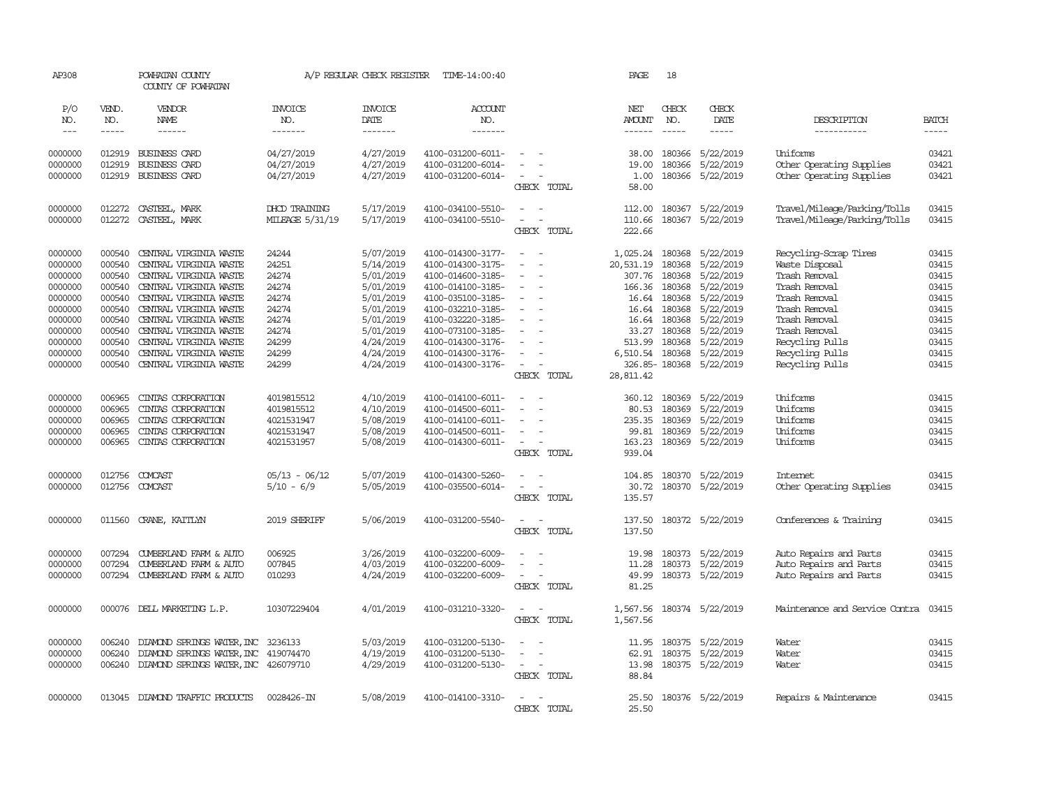| AP308               |                       | POWHATAN COUNTY<br>COUNTY OF POWHATAN |                                  | A/P REGULAR CHECK REGISTER        | TIME-14:00:40             |                                            | PAGE                           | 18                            |                         |                                |                       |
|---------------------|-----------------------|---------------------------------------|----------------------------------|-----------------------------------|---------------------------|--------------------------------------------|--------------------------------|-------------------------------|-------------------------|--------------------------------|-----------------------|
| P/O<br>NO.<br>$---$ | VEND.<br>NO.<br>----- | VENDOR<br>NAME<br>------              | <b>INVOICE</b><br>NO.<br>------- | <b>INVOICE</b><br>DATE<br>------- | ACCOUNT<br>NO.<br>------- |                                            | NET<br>AMOUNT<br>$- - - - - -$ | CHECK<br>NO.<br>$\frac{1}{2}$ | CHECK<br>DATE<br>-----  | DESCRIPTION<br>-----------     | <b>BATCH</b><br>----- |
|                     |                       |                                       |                                  |                                   |                           |                                            |                                |                               |                         |                                |                       |
| 0000000             | 012919                | <b>BUSINESS CARD</b>                  | 04/27/2019                       | 4/27/2019                         | 4100-031200-6011-         |                                            | 38.00                          | 180366                        | 5/22/2019               | Uniforms                       | 03421                 |
| 0000000             | 012919                | BUSINESS CARD                         | 04/27/2019                       | 4/27/2019                         | 4100-031200-6014-         |                                            | 19.00                          | 180366                        | 5/22/2019               | Other Operating Supplies       | 03421                 |
| 0000000             |                       | 012919 BUSINESS CARD                  | 04/27/2019                       | 4/27/2019                         | 4100-031200-6014-         | $\equiv$<br>CHECK TOTAL                    | 1.00<br>58.00                  |                               | 180366 5/22/2019        | Other Operating Supplies       | 03421                 |
|                     |                       |                                       |                                  |                                   |                           |                                            |                                |                               |                         |                                |                       |
| 0000000             |                       | 012272 CASTEEL, MARK                  | DHCD TRAINING                    | 5/17/2019                         | 4100-034100-5510-         | $\equiv$<br>- 1<br>$\sim$                  | 112.00                         | 180367                        | 5/22/2019               | Travel/Mileage/Parking/Tolls   | 03415                 |
| 0000000             |                       | 012272 CASTEEL, MARK                  | MILEAGE 5/31/19                  | 5/17/2019                         | 4100-034100-5510-         | $\sim$<br>CHECK TOTAL                      | 110.66<br>222.66               |                               | 180367 5/22/2019        | Travel/Mileage/Parking/Tolls   | 03415                 |
| 0000000             | 000540                | CENTRAL VIRGINIA WASTE                | 24244                            | 5/07/2019                         | 4100-014300-3177-         | $\sim$<br>$\sim$                           | 1,025.24                       | 180368                        | 5/22/2019               | Recycling-Scrap Tires          | 03415                 |
| 0000000             | 000540                | CENTRAL VIRGINIA WASTE                | 24251                            | 5/14/2019                         | 4100-014300-3175-         | $\blacksquare$<br>$\overline{\phantom{a}}$ | 20,531.19                      | 180368                        | 5/22/2019               | Waste Disposal                 | 03415                 |
| 0000000             | 000540                | CENTRAL VIRGINIA WASTE                | 24274                            | 5/01/2019                         | 4100-014600-3185-         | $\sim$                                     | 307.76                         | 180368                        | 5/22/2019               | Trash Removal                  | 03415                 |
| 0000000             | 000540                | CENTRAL VIRGINIA WASTE                | 24274                            | 5/01/2019                         | 4100-014100-3185-         | $\equiv$                                   | 166.36                         | 180368                        | 5/22/2019               | Trash Removal                  | 03415                 |
| 0000000             | 000540                | CENTRAL VIRGINIA WASTE                | 24274                            | 5/01/2019                         | 4100-035100-3185-         | $\overline{\phantom{a}}$                   | 16.64                          | 180368                        | 5/22/2019               | Trash Removal                  | 03415                 |
| 0000000             | 000540                | CENTRAL VIRGINIA WASTE                | 24274                            | 5/01/2019                         | 4100-032210-3185-         | $\sim$                                     | 16.64                          | 180368                        | 5/22/2019               | Trash Removal                  | 03415                 |
| 0000000             | 000540                | CENTRAL VIRGINIA WASTE                | 24274                            | 5/01/2019                         | 4100-032220-3185-         |                                            | 16.64                          | 180368                        | 5/22/2019               | Trash Removal                  | 03415                 |
| 0000000             | 000540                | CENTRAL VIRGINIA WASTE                | 24274                            | 5/01/2019                         | 4100-073100-3185-         | $\overline{\phantom{a}}$                   | 33.27                          | 180368                        | 5/22/2019               | Trash Removal                  | 03415                 |
| 0000000             | 000540                | CENTRAL VIRGINIA WASTE                | 24299                            | 4/24/2019                         | 4100-014300-3176-         |                                            | 513.99                         | 180368                        | 5/22/2019               | Recycling Pulls                | 03415                 |
| 0000000             | 000540                | CENTRAL VIRGINIA WASTE                | 24299                            | 4/24/2019                         | 4100-014300-3176-         |                                            | 6,510.54                       | 180368                        | 5/22/2019               | Recycling Pulls                | 03415                 |
| 0000000             | 000540                | CENTRAL VIRGINIA WASTE                | 24299                            | 4/24/2019                         | 4100-014300-3176-         | $\equiv$                                   |                                |                               | 326.85-180368 5/22/2019 | Recycling Pulls                | 03415                 |
|                     |                       |                                       |                                  |                                   |                           | CHECK TOTAL                                | 28,811.42                      |                               |                         |                                |                       |
| 0000000             | 006965                | CINIAS CORPORATION                    | 4019815512                       | 4/10/2019                         | 4100-014100-6011-         |                                            | 360.12                         | 180369                        | 5/22/2019               | Uniforms                       | 03415                 |
| 0000000             | 006965                | CINIAS CORPORATION                    | 4019815512                       | 4/10/2019                         | 4100-014500-6011-         | $\overline{\phantom{a}}$<br>$\sim$         | 80.53                          | 180369                        | 5/22/2019               | Uniforms                       | 03415                 |
| 0000000             | 006965                | CINIAS CORPORATION                    | 4021531947                       | 5/08/2019                         | 4100-014100-6011-         | $\overline{\phantom{a}}$                   | 235.35                         | 180369                        | 5/22/2019               | Uniforms                       | 03415                 |
| 0000000             | 006965                | CINIAS CORPORATION                    | 4021531947                       | 5/08/2019                         | 4100-014500-6011-         | $\blacksquare$                             | 99.81                          | 180369                        | 5/22/2019               | Uniforms                       | 03415                 |
| 0000000             | 006965                | CINIAS CORPORATION                    | 4021531957                       | 5/08/2019                         | 4100-014300-6011-         | $\sim$                                     | 163.23                         |                               | 180369 5/22/2019        | Uniforms                       | 03415                 |
|                     |                       |                                       |                                  |                                   |                           | CHECK TOTAL                                | 939.04                         |                               |                         |                                |                       |
| 0000000             | 012756                | COMCAST                               | $05/13 - 06/12$                  | 5/07/2019                         | 4100-014300-5260-         | $\sim$                                     | 104.85                         |                               | 180370 5/22/2019        | Internet                       | 03415                 |
| 0000000             |                       | 012756 COMCAST                        | $5/10 - 6/9$                     | 5/05/2019                         | 4100-035500-6014-         | $\sim$<br>$\overline{\phantom{a}}$         | 30.72                          |                               | 180370 5/22/2019        | Other Operating Supplies       | 03415                 |
|                     |                       |                                       |                                  |                                   |                           | CHECK TOTAL                                | 135.57                         |                               |                         |                                |                       |
| 0000000             | 011560                | CRANE, KAITLYN                        | 2019 SHERIFF                     | 5/06/2019                         | 4100-031200-5540-         | $\overline{\phantom{a}}$<br>$\sim$         | 137.50                         |                               | 180372 5/22/2019        | Conferences & Training         | 03415                 |
|                     |                       |                                       |                                  |                                   |                           | CHECK TOTAL                                | 137.50                         |                               |                         |                                |                       |
| 0000000             | 007294                | CUMBERLAND FARM & AUTO                | 006925                           | 3/26/2019                         | 4100-032200-6009-         |                                            | 19.98                          | 180373                        | 5/22/2019               | Auto Repairs and Parts         | 03415                 |
| 0000000             | 007294                | CUMBERLAND FARM & AUTO                | 007845                           | 4/03/2019                         | 4100-032200-6009-         | $\equiv$                                   | 11.28                          | 180373                        | 5/22/2019               | Auto Repairs and Parts         | 03415                 |
| 0000000             | 007294                | CUMBERLAND FARM & AUTO                | 010293                           | 4/24/2019                         | 4100-032200-6009-         | $\sim$<br>$\overline{\phantom{a}}$         | 49.99                          |                               | 180373 5/22/2019        | Auto Repairs and Parts         | 03415                 |
|                     |                       |                                       |                                  |                                   |                           | CHECK TOTAL                                | 81.25                          |                               |                         |                                |                       |
| 0000000             |                       | 000076 DELL MARKETING L.P.            | 10307229404                      | 4/01/2019                         | 4100-031210-3320-         | $\overline{\phantom{a}}$<br>$\sim$         | 1,567.56                       |                               | 180374 5/22/2019        | Maintenance and Service Contra | 03415                 |
|                     |                       |                                       |                                  |                                   |                           | CHECK TOTAL                                | 1,567.56                       |                               |                         |                                |                       |
| 0000000             | 006240                | DIAMOND SPRINGS WATER, INC            | 3236133                          | 5/03/2019                         | 4100-031200-5130-         | $\equiv$                                   | 11.95                          | 180375                        | 5/22/2019               | Water                          | 03415                 |
| 0000000             | 006240                | DIAMOND SPRINGS WATER, INC            | 419074470                        | 4/19/2019                         | 4100-031200-5130-         | $\blacksquare$                             | 62.91                          | 180375                        | 5/22/2019               | Water                          | 03415                 |
| 0000000             | 006240                | DIAMOND SPRINGS WATER, INC 426079710  |                                  | 4/29/2019                         | 4100-031200-5130-         | $\sim$<br>$\overline{\phantom{a}}$         | 13.98                          |                               | 180375 5/22/2019        | Water                          | 03415                 |
|                     |                       |                                       |                                  |                                   |                           | CHECK TOTAL                                | 88.84                          |                               |                         |                                |                       |
| 0000000             |                       | 013045 DIAMOND TRAFFIC PRODUCTS       | 0028426-IN                       | 5/08/2019                         | 4100-014100-3310-         | $\overline{\phantom{a}}$                   | 25.50                          |                               | 180376 5/22/2019        | Repairs & Maintenance          | 03415                 |
|                     |                       |                                       |                                  |                                   |                           | <b>CHECK</b><br><b>TOTAL</b>               | 25.50                          |                               |                         |                                |                       |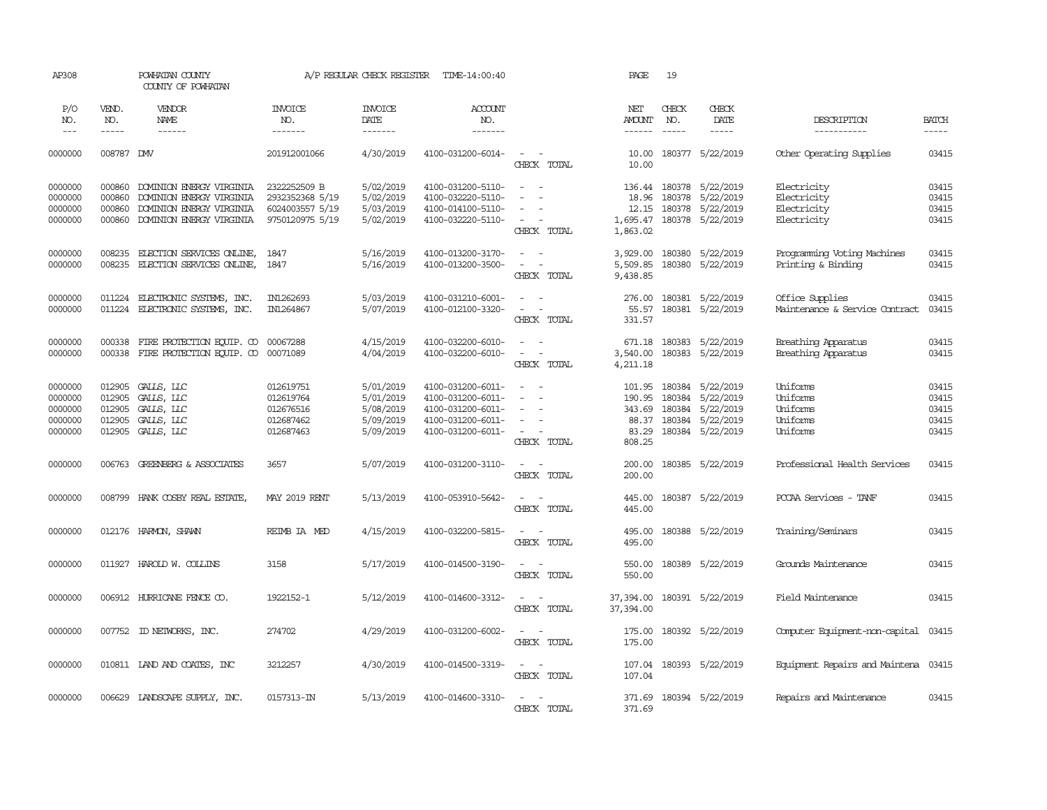| AP308                                               |                                                | POWHATAN COUNTY<br>COUNTY OF POWHATAN                                                                                                                                                                                                                                                                                                                                                                                                                                      |                                                               | A/P REGULAR CHECK REGISTER                                    | TIME-14:00:40                                                                                         |                                                                       | PAGE                                                   | 19                                   |                                                                      |                                                          |                                           |
|-----------------------------------------------------|------------------------------------------------|----------------------------------------------------------------------------------------------------------------------------------------------------------------------------------------------------------------------------------------------------------------------------------------------------------------------------------------------------------------------------------------------------------------------------------------------------------------------------|---------------------------------------------------------------|---------------------------------------------------------------|-------------------------------------------------------------------------------------------------------|-----------------------------------------------------------------------|--------------------------------------------------------|--------------------------------------|----------------------------------------------------------------------|----------------------------------------------------------|-------------------------------------------|
| P/O<br>NO.                                          | VEND.<br>NO.                                   | VENDOR<br>NAME                                                                                                                                                                                                                                                                                                                                                                                                                                                             | <b>INVOICE</b><br>NO.                                         | <b>INVOICE</b><br>DATE                                        | ACCOUNT<br>NO.                                                                                        |                                                                       | NET<br><b>AMOUNT</b>                                   | CHECK<br>NO.                         | CHECK<br>DATE                                                        | DESCRIPTION                                              | <b>BATCH</b>                              |
| $---$                                               | $\frac{1}{2}$                                  | $\frac{1}{2} \left( \frac{1}{2} \right) \left( \frac{1}{2} \right) \left( \frac{1}{2} \right) \left( \frac{1}{2} \right) \left( \frac{1}{2} \right) \left( \frac{1}{2} \right) \left( \frac{1}{2} \right) \left( \frac{1}{2} \right) \left( \frac{1}{2} \right) \left( \frac{1}{2} \right) \left( \frac{1}{2} \right) \left( \frac{1}{2} \right) \left( \frac{1}{2} \right) \left( \frac{1}{2} \right) \left( \frac{1}{2} \right) \left( \frac{1}{2} \right) \left( \frac$ | -------                                                       | --------                                                      | --------                                                                                              |                                                                       | $- - - - - -$                                          |                                      | $\frac{1}{2}$                                                        | -----------                                              | $\frac{1}{2}$                             |
| 0000000                                             | 008787 DW                                      |                                                                                                                                                                                                                                                                                                                                                                                                                                                                            | 201912001066                                                  | 4/30/2019                                                     | 4100-031200-6014-                                                                                     | $\overline{\phantom{a}}$<br>$\sim$<br>CHECK TOTAL                     | 10.00<br>10.00                                         |                                      | 180377 5/22/2019                                                     | Other Operating Supplies                                 | 03415                                     |
| 0000000<br>0000000<br>0000000                       | 000860<br>000860<br>000860                     | DOMINION ENERGY VIRGINIA<br>DOMINION ENERGY VIRGINIA<br>DOMINION ENERGY VIRGINIA                                                                                                                                                                                                                                                                                                                                                                                           | 2322252509 B<br>2932352368 5/19<br>6024003557 5/19            | 5/02/2019<br>5/02/2019<br>5/03/2019                           | 4100-031200-5110-<br>4100-032220-5110-<br>4100-014100-5110-                                           | $\sim$<br>$\sim$<br>$\equiv$                                          | 18.96<br>12.15                                         | 180378                               | 136.44 180378 5/22/2019<br>5/22/2019<br>180378 5/22/2019             | Electricity<br>Electricity<br>Electricity                | 03415<br>03415<br>03415                   |
| 0000000                                             | 000860                                         | DOMINION ENERGY VIRGINIA                                                                                                                                                                                                                                                                                                                                                                                                                                                   | 9750120975 5/19                                               | 5/02/2019                                                     | 4100-032220-5110-                                                                                     | $\overline{\phantom{a}}$<br>$\overline{\phantom{a}}$<br>CHECK TOTAL   | 1,695.47<br>1,863.02                                   |                                      | 180378 5/22/2019                                                     | Electricity                                              | 03415                                     |
| 0000000<br>0000000                                  | 008235                                         | ELECTION SERVICES ONLINE,<br>008235 ELECTION SERVICES ONLINE,                                                                                                                                                                                                                                                                                                                                                                                                              | 1847<br>1847                                                  | 5/16/2019<br>5/16/2019                                        | 4100-013200-3170-<br>4100-013200-3500-                                                                | $\sim$<br>$\sim$<br>$\sim$<br>$\overline{\phantom{a}}$<br>CHECK TOTAL | 3,929.00<br>5,509.85<br>9,438.85                       |                                      | 180380 5/22/2019<br>180380 5/22/2019                                 | Programming Voting Machines<br>Printing & Binding        | 03415<br>03415                            |
| 0000000<br>0000000                                  | 011224                                         | ELECTRONIC SYSTEMS, INC.<br>011224 ELECTRONIC SYSTEMS, INC.                                                                                                                                                                                                                                                                                                                                                                                                                | IN1262693<br>IN1264867                                        | 5/03/2019<br>5/07/2019                                        | 4100-031210-6001-<br>4100-012100-3320-                                                                | $\sim$<br>$\sim$<br>$\sim$<br>CHECK TOTAL                             | 276.00<br>55.57<br>331.57                              |                                      | 180381 5/22/2019<br>180381 5/22/2019                                 | Office Supplies<br>Maintenance & Service Contract        | 03415<br>03415                            |
| 0000000<br>0000000                                  | 000338<br>000338                               | FIRE PROTECTION EQUIP. CO 00067288<br>FIRE PROTECTION EQUIP. CO                                                                                                                                                                                                                                                                                                                                                                                                            | 00071089                                                      | 4/15/2019<br>4/04/2019                                        | 4100-032200-6010-<br>4100-032200-6010-                                                                | $\sim$<br>$\sim$<br>$\sim$<br>CHECK TOTAL                             | 671.18<br>3,540.00<br>4,211.18                         | 180383                               | 180383 5/22/2019<br>5/22/2019                                        | Breathing Apparatus<br>Breathing Apparatus               | 03415<br>03415                            |
| 0000000<br>0000000<br>0000000<br>0000000<br>0000000 | 012905<br>012905<br>012905<br>012905<br>012905 | GALLS, LLC<br>GALLS, LLC<br>GALLS, LLC<br>GALLS, LLC<br>GALLS, LLC                                                                                                                                                                                                                                                                                                                                                                                                         | 012619751<br>012619764<br>012676516<br>012687462<br>012687463 | 5/01/2019<br>5/01/2019<br>5/08/2019<br>5/09/2019<br>5/09/2019 | 4100-031200-6011-<br>4100-031200-6011-<br>4100-031200-6011-<br>4100-031200-6011-<br>4100-031200-6011- | $\sim$<br>$\sim$<br>$\equiv$<br>$\sim$<br>CHECK TOTAL                 | 101.95<br>190.95<br>343.69<br>88.37<br>83.29<br>808.25 | 180384<br>180384<br>180384<br>180384 | 5/22/2019<br>5/22/2019<br>5/22/2019<br>5/22/2019<br>180384 5/22/2019 | Uniforms<br>Uniforms<br>Uniforms<br>Uniforms<br>Uniforms | 03415<br>03415<br>03415<br>03415<br>03415 |
| 0000000                                             |                                                | 006763 GREENBERG & ASSOCIATES                                                                                                                                                                                                                                                                                                                                                                                                                                              | 3657                                                          | 5/07/2019                                                     | 4100-031200-3110-                                                                                     | $\sim$ $ \sim$<br>CHECK TOTAL                                         | 200.00<br>200.00                                       |                                      | 180385 5/22/2019                                                     | Professional Health Services                             | 03415                                     |
| 0000000                                             |                                                | 008799 HANK COSBY REAL ESTATE,                                                                                                                                                                                                                                                                                                                                                                                                                                             | <b>MAY 2019 RENT</b>                                          | 5/13/2019                                                     | 4100-053910-5642-                                                                                     | $\sim$<br>$\sim$<br>CHECK TOTAL                                       | 445.00<br>445.00                                       |                                      | 180387 5/22/2019                                                     | PCCAA Services - TANF                                    | 03415                                     |
| 0000000                                             |                                                | 012176 HARMON, SHAWN                                                                                                                                                                                                                                                                                                                                                                                                                                                       | REIMB IA MED                                                  | 4/15/2019                                                     | 4100-032200-5815-                                                                                     | $\sim$ $\sim$<br>CHECK TOTAL                                          | 495.00<br>495.00                                       |                                      | 180388 5/22/2019                                                     | Training/Seminars                                        | 03415                                     |
| 0000000                                             |                                                | 011927 HAROLD W. COLLINS                                                                                                                                                                                                                                                                                                                                                                                                                                                   | 3158                                                          | 5/17/2019                                                     | 4100-014500-3190-                                                                                     | $\sim$ $\sim$<br>CHECK TOTAL                                          | 550.00<br>550.00                                       |                                      | 180389 5/22/2019                                                     | Grounds Maintenance                                      | 03415                                     |
| 0000000                                             |                                                | 006912 HURRICANE FENCE CO.                                                                                                                                                                                                                                                                                                                                                                                                                                                 | 1922152-1                                                     | 5/12/2019                                                     | 4100-014600-3312-                                                                                     | $\sim$<br>$\sim$<br>CHECK TOTAL                                       | 37,394.00<br>37,394.00                                 |                                      | 180391 5/22/2019                                                     | Field Maintenance                                        | 03415                                     |
| 0000000                                             |                                                | 007752 ID NEIWORKS, INC.                                                                                                                                                                                                                                                                                                                                                                                                                                                   | 274702                                                        | 4/29/2019                                                     | 4100-031200-6002-                                                                                     | $\sim$<br>$\sim$<br>CHECK TOTAL                                       | 175.00<br>175.00                                       |                                      | 180392 5/22/2019                                                     | Computer Equipment-non-capital                           | 03415                                     |
| 0000000                                             |                                                | 010811 IAND AND COATES, INC                                                                                                                                                                                                                                                                                                                                                                                                                                                | 3212257                                                       | 4/30/2019                                                     | 4100-014500-3319-                                                                                     | $\sim$ $ \sim$<br>CHECK TOTAL                                         | 107.04<br>107.04                                       |                                      | 180393 5/22/2019                                                     | Equipment Repairs and Maintena 03415                     |                                           |
| 0000000                                             |                                                | 006629 LANDSCAPE SUPPLY, INC.                                                                                                                                                                                                                                                                                                                                                                                                                                              | $0157313 - TN$                                                | 5/13/2019                                                     | 4100-014600-3310-                                                                                     | $\sim$ $ \sim$<br>CHECK TOTAL                                         | 371.69                                                 |                                      | 371.69 180394 5/22/2019                                              | Repairs and Maintenance                                  | 03415                                     |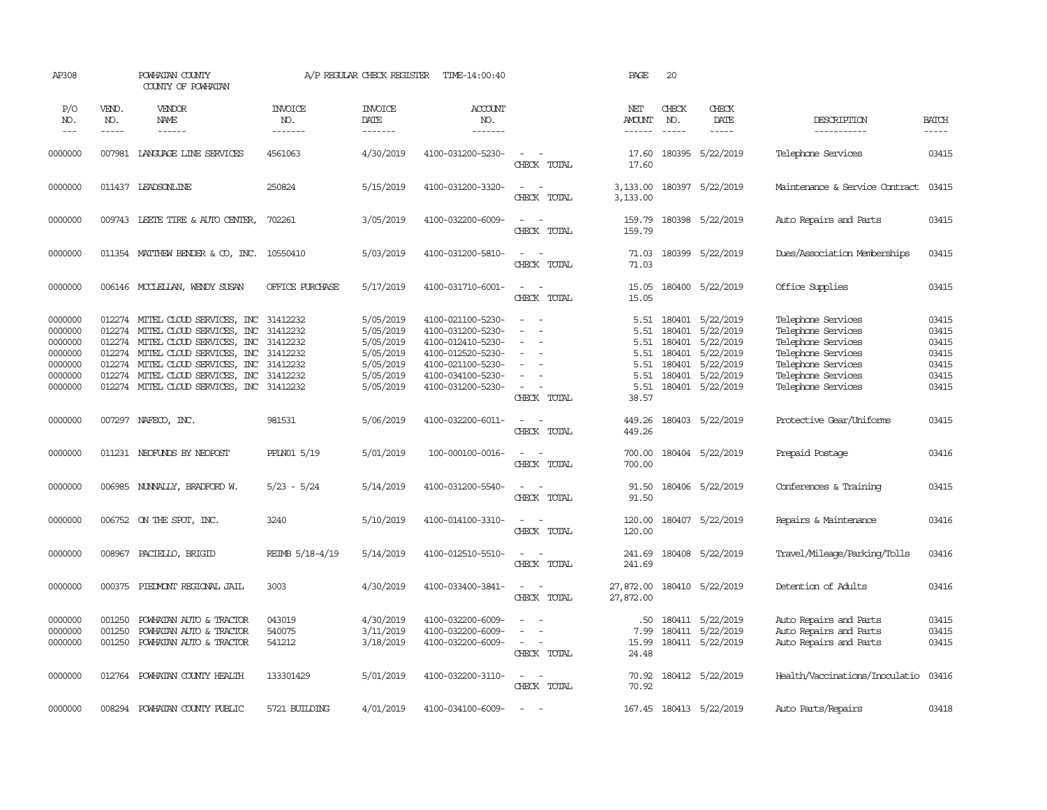| AP308                                                                     |                       | POWHATAN COUNTY<br>COUNTY OF POWHATAN                                                                                                                                                                                                                                                        |                                  | A/P REGULAR CHECK REGISTER                                                              | TIME-14:00:40                                                                                                                                   |                                                                                                                             | PAGE                                                          | 20                                   |                                                                                                              |                                                                                                                                                        |                                                             |
|---------------------------------------------------------------------------|-----------------------|----------------------------------------------------------------------------------------------------------------------------------------------------------------------------------------------------------------------------------------------------------------------------------------------|----------------------------------|-----------------------------------------------------------------------------------------|-------------------------------------------------------------------------------------------------------------------------------------------------|-----------------------------------------------------------------------------------------------------------------------------|---------------------------------------------------------------|--------------------------------------|--------------------------------------------------------------------------------------------------------------|--------------------------------------------------------------------------------------------------------------------------------------------------------|-------------------------------------------------------------|
| P/O<br>NO.<br>$\qquad \qquad -$                                           | VEND.<br>NO.<br>----- | VENDOR<br>NAME<br>------                                                                                                                                                                                                                                                                     | <b>INVOICE</b><br>NO.<br>------- | <b>INVOICE</b><br>DATE<br>--------                                                      | <b>ACCOUNT</b><br>NO.<br>-------                                                                                                                |                                                                                                                             | NET<br><b>AMOUNT</b><br>------                                | CHECK<br>NO.<br>$\frac{1}{2}$        | CHECK<br>DATE<br>-----                                                                                       | DESCRIPTION<br>-----------                                                                                                                             | <b>BATCH</b><br>-----                                       |
| 0000000                                                                   |                       | 007981 LANGUAGE LINE SERVICES                                                                                                                                                                                                                                                                | 4561063                          | 4/30/2019                                                                               | 4100-031200-5230-                                                                                                                               | $\sim$<br>$\sim$<br>CHECK TOTAL                                                                                             | 17.60<br>17.60                                                |                                      | 180395 5/22/2019                                                                                             | Telephone Services                                                                                                                                     | 03415                                                       |
| 0000000                                                                   |                       | 011437 LEADSONLINE                                                                                                                                                                                                                                                                           | 250824                           | 5/15/2019                                                                               | 4100-031200-3320-                                                                                                                               | $\sim$<br>$\sim$<br>TOTAL<br>CHECK                                                                                          | 3,133.00<br>3,133.00                                          |                                      | 180397 5/22/2019                                                                                             | Maintenance & Service Contract                                                                                                                         | 03415                                                       |
| 0000000                                                                   |                       | 009743 LEETE TIRE & AUTO CENTER,                                                                                                                                                                                                                                                             | 702261                           | 3/05/2019                                                                               | 4100-032200-6009-                                                                                                                               | $\sim$<br>$\overline{\phantom{a}}$<br>CHECK TOTAL                                                                           | 159.79                                                        |                                      | 159.79 180398 5/22/2019                                                                                      | Auto Repairs and Parts                                                                                                                                 | 03415                                                       |
| 0000000                                                                   |                       | 011354 MATTHEW BENDER & CO, INC. 10550410                                                                                                                                                                                                                                                    |                                  | 5/03/2019                                                                               | 4100-031200-5810-                                                                                                                               | $\sim$ $\sim$<br>CHECK TOTAL                                                                                                | 71.03<br>71.03                                                |                                      | 180399 5/22/2019                                                                                             | Dues/Association Memberships                                                                                                                           | 03415                                                       |
| 0000000                                                                   |                       | 006146 MCCLELLAN, WENDY SUSAN                                                                                                                                                                                                                                                                | OFFICE PURCHASE                  | 5/17/2019                                                                               | 4100-031710-6001-                                                                                                                               | $\sim$<br>$\sim$<br>CHECK TOTAL                                                                                             | 15.05                                                         |                                      | 15.05 180400 5/22/2019                                                                                       | Office Supplies                                                                                                                                        | 03415                                                       |
| 0000000<br>0000000<br>0000000<br>0000000<br>0000000<br>0000000<br>0000000 |                       | 012274 MITEL CLOUD SERVICES, INC 31412232<br>012274 MITEL CLOUD SERVICES, INC<br>012274 MITEL CLOUD SERVICES, INC 31412232<br>012274 MITEL CLOUD SERVICES, INC 31412232<br>012274 MITEL CLOUD SERVICES, INC<br>012274 MITEL CLOUD SERVICES, INC<br>012274 MITEL CLOUD SERVICES, INC 31412232 | 31412232<br>31412232<br>31412232 | 5/05/2019<br>5/05/2019<br>5/05/2019<br>5/05/2019<br>5/05/2019<br>5/05/2019<br>5/05/2019 | 4100-021100-5230-<br>4100-031200-5230-<br>4100-012410-5230-<br>4100-012520-5230-<br>4100-021100-5230-<br>4100-034100-5230-<br>4100-031200-5230- | $\sim$<br>. —<br>$\sim$<br>$\sim$<br>$\sim$<br>$\sim$<br>$\overline{\phantom{a}}$<br>$\sim$<br>CHECK TOTAL                  | 5.51<br>5.51<br>5.51<br>5.51<br>5.51<br>5.51<br>5.51<br>38.57 | 180401<br>180401<br>180401<br>180401 | 180401 5/22/2019<br>5/22/2019<br>5/22/2019<br>5/22/2019<br>5/22/2019<br>180401 5/22/2019<br>180401 5/22/2019 | Telephone Services<br>Telephone Services<br>Telephone Services<br>Telephone Services<br>Telephone Services<br>Telephone Services<br>Telephone Services | 03415<br>03415<br>03415<br>03415<br>03415<br>03415<br>03415 |
| 0000000                                                                   |                       | 007297 NAFECO, INC.                                                                                                                                                                                                                                                                          | 981531                           | 5/06/2019                                                                               | 4100-032200-6011-                                                                                                                               | $\sim$<br>$\sim$<br>CHECK TOTAL                                                                                             | 449.26<br>449.26                                              |                                      | 180403 5/22/2019                                                                                             | Protective Gear/Uniforms                                                                                                                               | 03415                                                       |
| 0000000                                                                   |                       | 011231 NEOFUNDS BY NEOPOST                                                                                                                                                                                                                                                                   | PPLN01 5/19                      | 5/01/2019                                                                               | 100-000100-0016-                                                                                                                                | $\frac{1}{2} \left( \frac{1}{2} \right) \left( \frac{1}{2} \right) = \frac{1}{2} \left( \frac{1}{2} \right)$<br>CHECK TOTAL | 700.00<br>700.00                                              |                                      | 180404 5/22/2019                                                                                             | Prepaid Postage                                                                                                                                        | 03416                                                       |
| 0000000                                                                   |                       | 006985 NUNNALLY, BRADFORD W.                                                                                                                                                                                                                                                                 | $5/23 - 5/24$                    | 5/14/2019                                                                               | 4100-031200-5540-                                                                                                                               | $\overline{\phantom{a}}$<br>$\sim$<br>CHECK TOTAL                                                                           | 91.50<br>91.50                                                |                                      | 180406 5/22/2019                                                                                             | Conferences & Training                                                                                                                                 | 03415                                                       |
| 0000000                                                                   |                       | 006752 ON THE SPOT, INC.                                                                                                                                                                                                                                                                     | 3240                             | 5/10/2019                                                                               | 4100-014100-3310-                                                                                                                               | $\sim$ $\sim$<br>CHECK TOTAL                                                                                                | 120.00<br>120.00                                              |                                      | 180407 5/22/2019                                                                                             | Repairs & Maintenance                                                                                                                                  | 03416                                                       |
| 0000000                                                                   | 008967                | PACIELLO, BRIGID                                                                                                                                                                                                                                                                             | REIMB 5/18-4/19                  | 5/14/2019                                                                               | 4100-012510-5510-                                                                                                                               | $\overline{\phantom{a}}$<br>$\sim$<br>CHECK TOTAL                                                                           | 241.69<br>241.69                                              |                                      | 180408 5/22/2019                                                                                             | Travel/Mileage/Parking/Tolls                                                                                                                           | 03416                                                       |
| 0000000                                                                   | 000375                | PIEDMONT REGIONAL JAIL                                                                                                                                                                                                                                                                       | 3003                             | 4/30/2019                                                                               | 4100-033400-3841-                                                                                                                               | $\sim$<br>$\sim$<br>CHECK TOTAL                                                                                             | 27,872.00<br>27,872.00                                        |                                      | 180410 5/22/2019                                                                                             | Detention of Adults                                                                                                                                    | 03416                                                       |
| 0000000<br>0000000<br>0000000                                             | 001250<br>001250      | POWHATAN AUTO & TRACTOR<br>POWHATAN AUTO & TRACTOR<br>001250 POWHATAN AUTO & TRACTOR                                                                                                                                                                                                         | 043019<br>540075<br>541212       | 4/30/2019<br>3/11/2019<br>3/18/2019                                                     | 4100-032200-6009-<br>4100-032200-6009-<br>4100-032200-6009-                                                                                     | $\sim$<br>$\overline{\phantom{a}}$<br>CHECK TOTAL                                                                           | .50<br>7.99<br>15.99<br>24.48                                 |                                      | 180411 5/22/2019<br>180411 5/22/2019<br>180411 5/22/2019                                                     | Auto Repairs and Parts<br>Auto Repairs and Parts<br>Auto Repairs and Parts                                                                             | 03415<br>03415<br>03415                                     |
| 0000000                                                                   |                       | 012764 POWHATAN COUNTY HEALTH                                                                                                                                                                                                                                                                | 133301429                        | 5/01/2019                                                                               | 4100-032200-3110-                                                                                                                               | $\sim$<br>$\sim$<br>CHECK TOTAL                                                                                             | 70.92<br>70.92                                                |                                      | 180412 5/22/2019                                                                                             | Health/Vaccinations/Inoculatio                                                                                                                         | 03416                                                       |
| 0000000                                                                   |                       | 008294 POWHATAN COUNTY PUBLIC                                                                                                                                                                                                                                                                | 5721 BUILDING                    | 4/01/2019                                                                               | 4100-034100-6009-                                                                                                                               | $\sim$                                                                                                                      |                                                               |                                      | 167.45 180413 5/22/2019                                                                                      | Auto Parts/Repairs                                                                                                                                     | 03418                                                       |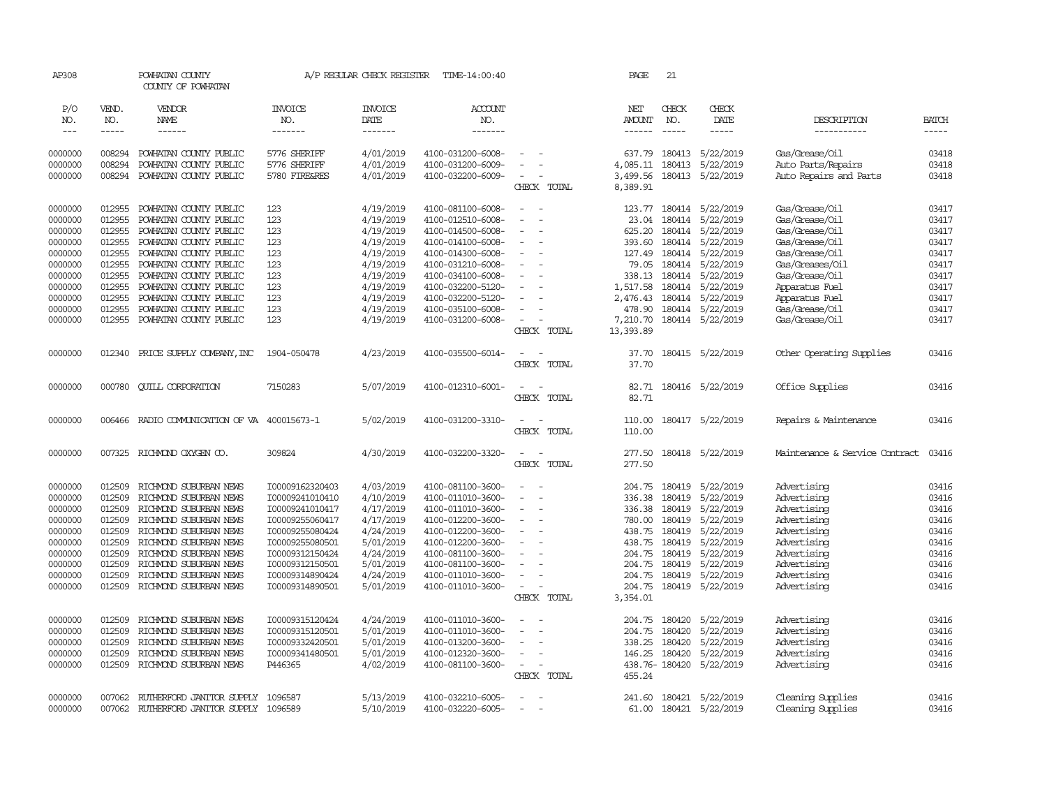| AP308             |              | POWHATAN COUNTY<br>COUNTY OF POWHATAN |                       | A/P REGULAR CHECK REGISTER | TIME-14:00:40     |                    | PAGE                 | 21            |                         |                                |              |
|-------------------|--------------|---------------------------------------|-----------------------|----------------------------|-------------------|--------------------|----------------------|---------------|-------------------------|--------------------------------|--------------|
| P/O<br>NO.        | VEND.<br>NO. | VENDOR<br>NAME                        | <b>INVOICE</b><br>NO. | <b>INVOICE</b><br>DATE     | ACCOUNT<br>NO.    |                    | NET<br><b>AMOUNT</b> | CHECK<br>NO.  | CHECK<br>DATE           | DESCRIPTION                    | <b>BATCH</b> |
| $\qquad \qquad -$ | -----        | ------                                | -------               | --------                   | -------           |                    | ------               | $- - - - -$   | $- - - - -$             | -----------                    | $- - - - -$  |
| 0000000           | 008294       | POWHATAN COUNTY PUBLIC                | 5776 SHERIFF          | 4/01/2019                  | 4100-031200-6008- |                    | 637.79               | 180413        | 5/22/2019               | Gas/Grease/Oil                 | 03418        |
| 0000000           | 008294       | POWHATAN COUNTY PUBLIC                | 5776 SHERIFF          | 4/01/2019                  | 4100-031200-6009- |                    | 4,085.11             | 180413        | 5/22/2019               | Auto Parts/Repairs             | 03418        |
| 0000000           | 008294       | POWHATAN COUNTY PUBLIC                | 5780 FIRE&RES         | 4/01/2019                  | 4100-032200-6009- |                    | 3,499.56             |               | 180413 5/22/2019        | Auto Repairs and Parts         | 03418        |
|                   |              |                                       |                       |                            |                   | CHECK TOTAL        | 8,389.91             |               |                         |                                |              |
| 0000000           | 012955       | POWHATAN COUNTY PUBLIC                | 123                   | 4/19/2019                  | 4100-081100-6008- |                    | 123.77               |               | 180414 5/22/2019        | Gas/Grease/Oil                 | 03417        |
| 0000000           | 012955       | POWHATAN COUNTY PUBLIC                | 123                   | 4/19/2019                  | 4100-012510-6008- | $\sim$             | 23.04                |               | 180414 5/22/2019        | Gas/Grease/Oil                 | 03417        |
| 0000000           | 012955       | POWHATAN COUNTY PUBLIC                | 123                   | 4/19/2019                  | 4100-014500-6008- | $\equiv$           | 625.20               |               | 180414 5/22/2019        | Gas/Grease/Oil                 | 03417        |
| 0000000           | 012955       | POWHATAN COUNTY PUBLIC                | 123                   | 4/19/2019                  | 4100-014100-6008- |                    | 393.60               |               | 180414 5/22/2019        | Gas/Grease/Oil                 | 03417        |
| 0000000           | 012955       | POWHATAN COUNTY PUBLIC                | 123                   | 4/19/2019                  | 4100-014300-6008- |                    | 127.49               |               | 180414 5/22/2019        | Gas/Grease/Oil                 | 03417        |
| 0000000           | 012955       | POWHATAN COUNTY PUBLIC                | 123                   | 4/19/2019                  | 4100-031210-6008- |                    | 79.05                |               | 180414 5/22/2019        | Gas/Greases/Oil                | 03417        |
| 0000000           | 012955       | POWHATAN COUNTY PUBLIC                | 123                   | 4/19/2019                  | 4100-034100-6008- |                    | 338.13               |               | 180414 5/22/2019        | Gas/Grease/Oil                 | 03417        |
| 0000000           | 012955       | POWHATAN COUNTY PUBLIC                | 123                   | 4/19/2019                  | 4100-032200-5120- |                    | 1,517.58             |               | 180414 5/22/2019        |                                | 03417        |
|                   | 012955       | POWHATAN COUNTY PUBLIC                | 123                   |                            |                   |                    |                      |               |                         | Apparatus Fuel                 | 03417        |
| 0000000           | 012955       |                                       | 123                   | 4/19/2019                  | 4100-032200-5120- |                    | 2,476.43             |               | 180414 5/22/2019        | Apparatus Fuel                 | 03417        |
| 0000000           |              | POWHATAN COUNTY PUBLIC                |                       | 4/19/2019                  | 4100-035100-6008- |                    | 478.90               |               | 180414 5/22/2019        | Gas/Grease/Oil                 |              |
| 0000000           | 012955       | POWHATAN COUNTY PUBLIC                | 123                   | 4/19/2019                  | 4100-031200-6008- | $\sim$             | 7,210.70             |               | 180414 5/22/2019        | Gas/Grease/Oil                 | 03417        |
|                   |              |                                       |                       |                            |                   | CHECK TOTAL        | 13,393.89            |               |                         |                                |              |
| 0000000           | 012340       | PRICE SUPPLY COMPANY, INC             | 1904-050478           | 4/23/2019                  | 4100-035500-6014- | $\sim$             | 37.70                |               | 180415 5/22/2019        | Other Operating Supplies       | 03416        |
|                   |              |                                       |                       |                            |                   | CHECK TOTAL        | 37.70                |               |                         |                                |              |
| 0000000           | 000780       | <b>CUILL CORPORATION</b>              | 7150283               | 5/07/2019                  | 4100-012310-6001- | $\sim$             | 82.71                |               | 180416 5/22/2019        | Office Supplies                | 03416        |
|                   |              |                                       |                       |                            |                   | CHECK TOTAL        | 82.71                |               |                         |                                |              |
| 0000000           | 006466       | RADIO COMMUNICATION OF VA 400015673-1 |                       | 5/02/2019                  | 4100-031200-3310- | $\equiv$           | 110.00               |               | 180417 5/22/2019        | Repairs & Maintenance          | 03416        |
|                   |              |                                       |                       |                            |                   | CHECK TOTAL        | 110.00               |               |                         |                                |              |
|                   |              |                                       |                       |                            |                   |                    |                      |               |                         |                                |              |
| 0000000           | 007325       | RICHMOND OXYGEN CO.                   | 309824                | 4/30/2019                  | 4100-032200-3320- | $\equiv$<br>$\sim$ | 277.50               |               | 180418 5/22/2019        | Maintenance & Service Contract | 03416        |
|                   |              |                                       |                       |                            |                   | CHECK TOTAL        | 277.50               |               |                         |                                |              |
| 0000000           | 012509       | RICHMOND SUBURBAN NEWS                | I00009162320403       | 4/03/2019                  | 4100-081100-3600- |                    | 204.75               | 180419        | 5/22/2019               | Advertising                    | 03416        |
| 0000000           | 012509       | RICHMOND SUBURBAN NEWS                | I00009241010410       | 4/10/2019                  | 4100-011010-3600- | $\sim$             | 336.38               | 180419        | 5/22/2019               | Advertising                    | 03416        |
| 0000000           | 012509       | RICHMOND SUBURBAN NEWS                | I00009241010417       | 4/17/2019                  | 4100-011010-3600- |                    | 336.38               | 180419        | 5/22/2019               | Advertising                    | 03416        |
| 0000000           | 012509       | RICHMOND SUBURBAN NEWS                | I00009255060417       | 4/17/2019                  | 4100-012200-3600- |                    |                      | 780.00 180419 | 5/22/2019               | Advertising                    | 03416        |
| 0000000           | 012509       | RICHMOND SUBURBAN NEWS                | I00009255080424       | 4/24/2019                  | 4100-012200-3600- |                    | 438.75               | 180419        | 5/22/2019               | Advertising                    | 03416        |
| 0000000           | 012509       | RICHMOND SUBURBAN NEWS                | I00009255080501       | 5/01/2019                  | 4100-012200-3600- |                    | 438.75               | 180419        | 5/22/2019               | Advertising                    | 03416        |
| 0000000           | 012509       | RICHMOND SUBURBAN NEWS                | 100009312150424       | 4/24/2019                  | 4100-081100-3600- |                    | 204.75               | 180419        | 5/22/2019               | Advertising                    | 03416        |
| 0000000           | 012509       | RICHMOND SUBURBAN NEWS                | I00009312150501       | 5/01/2019                  | 4100-081100-3600- | $\sim$             | 204.75               | 180419        | 5/22/2019               | Advertising                    | 03416        |
| 0000000           | 012509       | RICHMOND SUBURBAN NEWS                | I00009314890424       | 4/24/2019                  | 4100-011010-3600- |                    | 204.75               | 180419        | 5/22/2019               | Advertising                    | 03416        |
| 0000000           | 012509       | RICHMOND SUBURBAN NEWS                | I00009314890501       | 5/01/2019                  | 4100-011010-3600- | $\sim$             | 204.75               | 180419        | 5/22/2019               | Advertising                    | 03416        |
|                   |              |                                       |                       |                            |                   | CHECK TOTAL        | 3,354.01             |               |                         |                                |              |
|                   |              |                                       |                       |                            |                   |                    |                      |               |                         |                                | 03416        |
| 0000000           | 012509       | RICHMOND SUBURBAN NEWS                | 100009315120424       | 4/24/2019                  | 4100-011010-3600- |                    | 204.75               | 180420        | 5/22/2019               | Advertising                    |              |
| 0000000           | 012509       | RICHMOND SUBURBAN NEWS                | I00009315120501       | 5/01/2019                  | 4100-011010-3600- | $\equiv$           | 204.75               | 180420        | 5/22/2019               | Advertising                    | 03416        |
| 0000000           | 012509       | RICHMOND SUBURBAN NEWS                | I00009332420501       | 5/01/2019                  | 4100-013200-3600- |                    | 338.25               | 180420        | 5/22/2019               | Advertising                    | 03416        |
| 0000000           | 012509       | RICHMOND SUBURBAN NEWS                | I00009341480501       | 5/01/2019                  | 4100-012320-3600- | $\equiv$           | 146.25               | 180420        | 5/22/2019               | Advertising                    | 03416        |
| 0000000           | 012509       | RICHMOND SUBURBAN NEWS                | P446365               | 4/02/2019                  | 4100-081100-3600- | $\equiv$           |                      |               | 438.76-180420 5/22/2019 | Advertising                    | 03416        |
|                   |              |                                       |                       |                            |                   | CHECK TOTAL        | 455.24               |               |                         |                                |              |
| 0000000           | 007062       | RUTHERFORD JANITOR SUPPLY             | 1096587               | 5/13/2019                  | 4100-032210-6005- | $\equiv$           | 241.60               |               | 180421 5/22/2019        | Cleaning Supplies              | 03416        |
| 0000000           | 007062       | RUIHERFORD JANITOR SUPPLY             | 1096589               | 5/10/2019                  | 4100-032220-6005- |                    | 61.00                |               | 180421 5/22/2019        | Cleaning Supplies              | 03416        |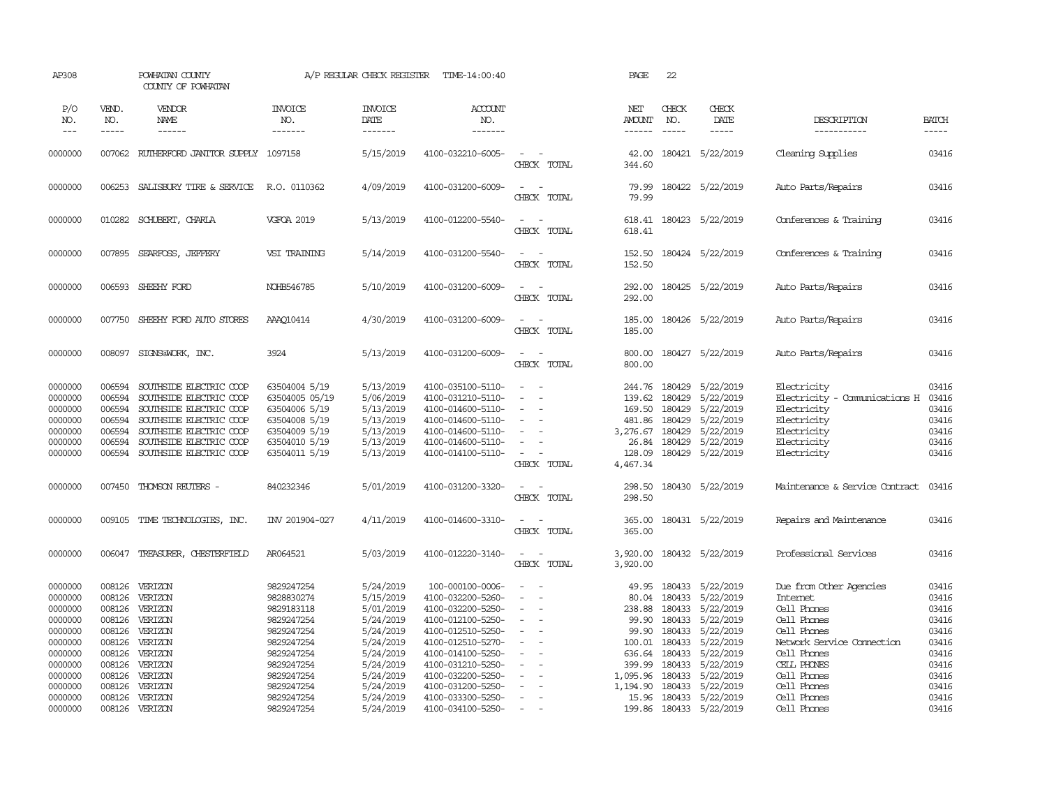| AP308                                                                     |                                                                    | POWHATAN COUNTY<br>COUNTY OF POWHATAN                                                                                                                                                     |                                                                                                                      | A/P REGULAR CHECK REGISTER                                                              | TIME-14:00:40                                                                                                                                   |                                                                                                                               | PAGE                                                                            | 22                                                                                                                                                                                                                                                                                                                                                                                                           |                                                                                                |                                                                                                                                      |                                                             |
|---------------------------------------------------------------------------|--------------------------------------------------------------------|-------------------------------------------------------------------------------------------------------------------------------------------------------------------------------------------|----------------------------------------------------------------------------------------------------------------------|-----------------------------------------------------------------------------------------|-------------------------------------------------------------------------------------------------------------------------------------------------|-------------------------------------------------------------------------------------------------------------------------------|---------------------------------------------------------------------------------|--------------------------------------------------------------------------------------------------------------------------------------------------------------------------------------------------------------------------------------------------------------------------------------------------------------------------------------------------------------------------------------------------------------|------------------------------------------------------------------------------------------------|--------------------------------------------------------------------------------------------------------------------------------------|-------------------------------------------------------------|
| P/O<br>NO.<br>$---$                                                       | VEND.<br>NO.<br>-----                                              | VENDOR<br>NAME<br>------                                                                                                                                                                  | <b>INVOICE</b><br>NO.<br>-------                                                                                     | <b>INVOICE</b><br>DATE<br>-------                                                       | ACCOUNT<br>NO.<br>-------                                                                                                                       |                                                                                                                               | NET<br><b>AMOUNT</b><br>------                                                  | CHECK<br>NO.<br>$\frac{1}{2} \frac{1}{2} \frac{1}{2} \frac{1}{2} \frac{1}{2} \frac{1}{2} \frac{1}{2} \frac{1}{2} \frac{1}{2} \frac{1}{2} \frac{1}{2} \frac{1}{2} \frac{1}{2} \frac{1}{2} \frac{1}{2} \frac{1}{2} \frac{1}{2} \frac{1}{2} \frac{1}{2} \frac{1}{2} \frac{1}{2} \frac{1}{2} \frac{1}{2} \frac{1}{2} \frac{1}{2} \frac{1}{2} \frac{1}{2} \frac{1}{2} \frac{1}{2} \frac{1}{2} \frac{1}{2} \frac{$ | CHECK<br>DATE<br>$- - - - -$                                                                   | DESCRIPTION<br>-----------                                                                                                           | <b>BATCH</b><br>-----                                       |
| 0000000                                                                   | 007062                                                             | RUTHERFORD JANITOR SUPPLY 1097158                                                                                                                                                         |                                                                                                                      | 5/15/2019                                                                               | 4100-032210-6005-                                                                                                                               | $\sim$<br>CHECK TOTAL                                                                                                         | 42.00<br>344.60                                                                 |                                                                                                                                                                                                                                                                                                                                                                                                              | 180421 5/22/2019                                                                               | Cleaning Supplies                                                                                                                    | 03416                                                       |
| 0000000                                                                   | 006253                                                             | SALISBURY TIRE & SERVICE                                                                                                                                                                  | R.O. 0110362                                                                                                         | 4/09/2019                                                                               | 4100-031200-6009-                                                                                                                               | $\sim$<br>$\sim$<br>CHECK TOTAL                                                                                               | 79.99<br>79.99                                                                  |                                                                                                                                                                                                                                                                                                                                                                                                              | 180422 5/22/2019                                                                               | Auto Parts/Repairs                                                                                                                   | 03416                                                       |
| 0000000                                                                   |                                                                    | 010282 SCHUBERT, CHARLA                                                                                                                                                                   | <b>VGFOA 2019</b>                                                                                                    | 5/13/2019                                                                               | 4100-012200-5540-                                                                                                                               | $\sim$<br>$\sim$<br>CHECK TOTAL                                                                                               | 618.41<br>618.41                                                                |                                                                                                                                                                                                                                                                                                                                                                                                              | 180423 5/22/2019                                                                               | Conferences & Training                                                                                                               | 03416                                                       |
| 0000000                                                                   | 007895                                                             | SEARFOSS, JEFFERY                                                                                                                                                                         | VSI TRAINING                                                                                                         | 5/14/2019                                                                               | 4100-031200-5540-                                                                                                                               | $\sim$<br>$\sim$<br>CHECK TOTAL                                                                                               | 152.50<br>152.50                                                                |                                                                                                                                                                                                                                                                                                                                                                                                              | 180424 5/22/2019                                                                               | Conferences & Training                                                                                                               | 03416                                                       |
| 0000000                                                                   | 006593                                                             | SHEEHY FORD                                                                                                                                                                               | NOHB546785                                                                                                           | 5/10/2019                                                                               | 4100-031200-6009-                                                                                                                               | $\omega_{\rm{max}}$ and $\omega_{\rm{max}}$<br>CHECK TOTAL                                                                    | 292.00<br>292.00                                                                |                                                                                                                                                                                                                                                                                                                                                                                                              | 180425 5/22/2019                                                                               | Auto Parts/Repairs                                                                                                                   | 03416                                                       |
| 0000000                                                                   | 007750                                                             | SHEEHY FORD AUTO STORES                                                                                                                                                                   | AAA010414                                                                                                            | 4/30/2019                                                                               | 4100-031200-6009-                                                                                                                               | $\sim$<br>$\sim$<br>CHECK TOTAL                                                                                               | 185.00<br>185.00                                                                |                                                                                                                                                                                                                                                                                                                                                                                                              | 180426 5/22/2019                                                                               | Auto Parts/Repairs                                                                                                                   | 03416                                                       |
| 0000000                                                                   | 008097                                                             | SIGNS@WORK, INC.                                                                                                                                                                          | 3924                                                                                                                 | 5/13/2019                                                                               | 4100-031200-6009-                                                                                                                               | $\sim$<br>$\sim$<br>CHECK TOTAL                                                                                               | 800.00<br>800.00                                                                |                                                                                                                                                                                                                                                                                                                                                                                                              | 180427 5/22/2019                                                                               | Auto Parts/Repairs                                                                                                                   | 03416                                                       |
| 0000000<br>0000000<br>0000000<br>0000000<br>0000000<br>0000000<br>0000000 | 006594<br>006594<br>006594<br>006594<br>006594<br>006594<br>006594 | SOUTHSIDE ELECTRIC COOP<br>SOUTHSIDE ELECTRIC COOP<br>SOUTHSIDE ELECTRIC COOP<br>SOUTHSIDE ELECTRIC COOP<br>SOUTHSIDE ELECTRIC COOP<br>SOUTHSIDE ELECTRIC COOP<br>SOUTHSIDE ELECTRIC COOP | 63504004 5/19<br>63504005 05/19<br>63504006 5/19<br>63504008 5/19<br>63504009 5/19<br>63504010 5/19<br>63504011 5/19 | 5/13/2019<br>5/06/2019<br>5/13/2019<br>5/13/2019<br>5/13/2019<br>5/13/2019<br>5/13/2019 | 4100-035100-5110-<br>4100-031210-5110-<br>4100-014600-5110-<br>4100-014600-5110-<br>4100-014600-5110-<br>4100-014600-5110-<br>4100-014100-5110- | $\overline{\phantom{a}}$<br>$\sim$<br>$\sim$<br>$\sim$<br>$\overline{\phantom{a}}$<br>CHECK TOTAL                             | 244.76<br>139.62<br>169.50<br>481.86<br>3,276.67<br>26.84<br>128.09<br>4,467.34 | 180429<br>180429<br>180429<br>180429<br>180429<br>180429                                                                                                                                                                                                                                                                                                                                                     | 5/22/2019<br>5/22/2019<br>5/22/2019<br>5/22/2019<br>5/22/2019<br>5/22/2019<br>180429 5/22/2019 | Electricity<br>Electricity - Comunications H<br>Electricity<br>Electricity<br>Electricity<br>Electricity<br>Electricity              | 03416<br>03416<br>03416<br>03416<br>03416<br>03416<br>03416 |
| 0000000                                                                   | 007450                                                             | THOMSON REUTERS -                                                                                                                                                                         | 840232346                                                                                                            | 5/01/2019                                                                               | 4100-031200-3320-                                                                                                                               | $\sim$<br>$\sim$<br>CHECK TOTAL                                                                                               | 298.50<br>298.50                                                                |                                                                                                                                                                                                                                                                                                                                                                                                              | 180430 5/22/2019                                                                               | Maintenance & Service Contract                                                                                                       | 03416                                                       |
| 0000000                                                                   | 009105                                                             | TIME TECHNOLOGIES, INC.                                                                                                                                                                   | INV 201904-027                                                                                                       | 4/11/2019                                                                               | 4100-014600-3310-                                                                                                                               | $\sim$<br>$\sim$<br>CHECK TOTAL                                                                                               | 365.00<br>365.00                                                                |                                                                                                                                                                                                                                                                                                                                                                                                              | 180431 5/22/2019                                                                               | Repairs and Maintenance                                                                                                              | 03416                                                       |
| 0000000                                                                   | 006047                                                             | TREASURER, CHESTERFIELD                                                                                                                                                                   | AR064521                                                                                                             | 5/03/2019                                                                               | 4100-012220-3140-                                                                                                                               | $\sim$ $ -$<br>CHECK TOTAL                                                                                                    | 3,920.00<br>3,920.00                                                            |                                                                                                                                                                                                                                                                                                                                                                                                              | 180432 5/22/2019                                                                               | Professional Services                                                                                                                | 03416                                                       |
| 0000000<br>0000000<br>0000000<br>0000000<br>0000000<br>0000000<br>0000000 | 008126<br>008126<br>008126<br>008126<br>008126<br>008126<br>008126 | VERIZON<br>VERIZON<br>VERIZON<br>VERIZON<br>VERIZON<br>VERIZON<br>VERIZON                                                                                                                 | 9829247254<br>9828830274<br>9829183118<br>9829247254<br>9829247254<br>9829247254<br>9829247254                       | 5/24/2019<br>5/15/2019<br>5/01/2019<br>5/24/2019<br>5/24/2019<br>5/24/2019<br>5/24/2019 | 100-000100-0006-<br>4100-032200-5260-<br>4100-032200-5250-<br>4100-012100-5250-<br>4100-012510-5250-<br>4100-012510-5270-<br>4100-014100-5250-  | $\overline{\phantom{a}}$<br>. —<br>$\overline{\phantom{a}}$<br>$\sim$<br>$\sim$<br>$\equiv$<br>÷.<br>$\overline{\phantom{a}}$ | 49.95<br>80.04<br>238.88<br>99.90<br>99.90<br>100.01<br>636.64                  | 180433<br>180433<br>180433<br>180433<br>180433<br>180433<br>180433                                                                                                                                                                                                                                                                                                                                           | 5/22/2019<br>5/22/2019<br>5/22/2019<br>5/22/2019<br>5/22/2019<br>5/22/2019<br>5/22/2019        | Due from Other Agencies<br><b>Internet</b><br>Cell Phones<br>Cell Phones<br>Cell Phones<br>Network Service Connection<br>Cell Phones | 03416<br>03416<br>03416<br>03416<br>03416<br>03416<br>03416 |
| 0000000<br>0000000<br>0000000<br>0000000<br>0000000                       | 008126<br>008126<br>008126<br>008126<br>008126                     | VERIZON<br>VERIZON<br>VERIZON<br>VERIZON<br>VERIZON                                                                                                                                       | 9829247254<br>9829247254<br>9829247254<br>9829247254<br>9829247254                                                   | 5/24/2019<br>5/24/2019<br>5/24/2019<br>5/24/2019<br>5/24/2019                           | 4100-031210-5250-<br>4100-032200-5250-<br>4100-031200-5250-<br>4100-033300-5250-<br>4100-034100-5250-                                           | $\equiv$<br>$\overline{a}$<br>$\overline{a}$                                                                                  | 399.99<br>1,095.96<br>1,194.90<br>199.86                                        | 180433<br>180433<br>180433                                                                                                                                                                                                                                                                                                                                                                                   | 5/22/2019<br>5/22/2019<br>5/22/2019<br>15.96 180433 5/22/2019<br>180433 5/22/2019              | CELL PHONES<br>Cell Phones<br>Cell Phones<br>Cell Phones<br>Cell Phones                                                              | 03416<br>03416<br>03416<br>03416<br>03416                   |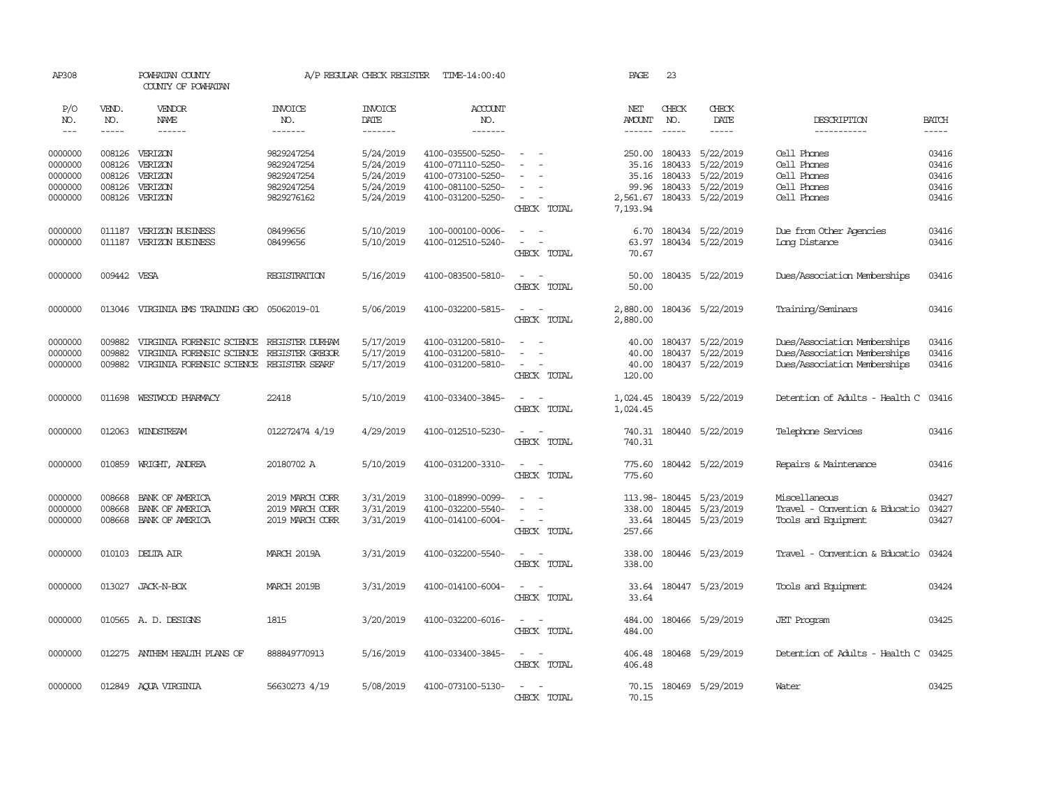| AP308               |                             | POWHATAN COUNTY<br>COUNTY OF POWHATAN  |                                          | A/P REGULAR CHECK REGISTER        | TIME-14:00:40                          |                                         | PAGE                 | 23                            |                                     |                                |                             |
|---------------------|-----------------------------|----------------------------------------|------------------------------------------|-----------------------------------|----------------------------------------|-----------------------------------------|----------------------|-------------------------------|-------------------------------------|--------------------------------|-----------------------------|
| P/O<br>NO.<br>$---$ | VEND.<br>NO.<br>$- - - - -$ | VENDOR<br><b>NAME</b><br>$- - - - - -$ | <b>INVOICE</b><br>NO.<br>$- - - - - - -$ | <b>INVOICE</b><br>DATE<br>------- | ACCOUNT<br>NO.<br>-------              |                                         | NET<br><b>AMOUNT</b> | CHECK<br>NO.<br>$\frac{1}{2}$ | CHECK<br><b>DATE</b><br>$- - - - -$ | DESCRIPTION<br>-----------     | <b>BATCH</b><br>$- - - - -$ |
|                     |                             |                                        |                                          |                                   |                                        |                                         |                      |                               |                                     |                                |                             |
| 0000000             | 008126                      | VERIZON                                | 9829247254                               | 5/24/2019                         | 4100-035500-5250-                      |                                         | 250.00               | 180433                        | 5/22/2019                           | Cell Phones                    | 03416                       |
| 0000000             | 008126                      | VERIZON                                | 9829247254                               | 5/24/2019                         | 4100-071110-5250-                      |                                         | 35.16                | 180433                        | 5/22/2019                           | Cell Phones                    | 03416                       |
| 0000000             | 008126                      | VERIZON                                | 9829247254                               | 5/24/2019                         | 4100-073100-5250-                      |                                         | 35.16                | 180433                        | 5/22/2019                           | Cell Phones                    | 03416                       |
| 0000000<br>0000000  | 008126<br>008126            | VERIZON<br>VERIZON                     | 9829247254<br>9829276162                 | 5/24/2019<br>5/24/2019            | 4100-081100-5250-<br>4100-031200-5250- | $\sim$                                  | 99.96<br>2,561.67    | 180433                        | 5/22/2019<br>180433 5/22/2019       | Cell Phones<br>Cell Phones     | 03416<br>03416              |
|                     |                             |                                        |                                          |                                   |                                        | CHECK TOTAL                             | 7,193.94             |                               |                                     |                                |                             |
| 0000000             | 011187                      | VERIZON BUSINESS                       | 08499656                                 | 5/10/2019                         | 100-000100-0006-                       | $\equiv$                                | 6.70                 |                               | 180434 5/22/2019                    | Due from Other Agencies        | 03416                       |
| 0000000             | 011187                      | VERIZON BUSINESS                       | 08499656                                 | 5/10/2019                         | 4100-012510-5240-                      | $\equiv$                                | 63.97                |                               | 180434 5/22/2019                    | Long Distance                  | 03416                       |
|                     |                             |                                        |                                          |                                   |                                        | CHECK TOTAL                             | 70.67                |                               |                                     |                                |                             |
| 0000000             | 009442 VESA                 |                                        | REGISTRATION                             | 5/16/2019                         | 4100-083500-5810-                      | $\overline{a}$<br>$\sim$                | 50.00                |                               | 180435 5/22/2019                    | Dues/Association Memberships   | 03416                       |
|                     |                             |                                        |                                          |                                   |                                        | CHECK TOTAL                             | 50.00                |                               |                                     |                                |                             |
| 0000000             | 013046                      | VIRGINIA EMS TRAINING GRO              | 05062019-01                              | 5/06/2019                         | 4100-032200-5815-                      | $\sim$<br>$\sim$                        | 2,880.00             |                               | 180436 5/22/2019                    | Training/Seminars              | 03416                       |
|                     |                             |                                        |                                          |                                   |                                        | CHECK TOTAL                             | 2,880.00             |                               |                                     |                                |                             |
| 0000000             | 009882                      | VIRGINIA FORENSIC SCIENCE              | REGISTER DURHAM                          | 5/17/2019                         | 4100-031200-5810-                      |                                         | 40.00                | 180437                        | 5/22/2019                           | Dues/Association Memberships   | 03416                       |
| 0000000             | 009882                      | VIRGINIA FORENSIC SCIENCE              | REGISTER GREGOR                          | 5/17/2019                         | 4100-031200-5810-                      | $\equiv$                                | 40.00                |                               | 180437 5/22/2019                    | Dues/Association Memberships   | 03416                       |
| 0000000             | 009882                      | VIRGINIA FORENSIC SCIENCE              | REGISTER SEARF                           | 5/17/2019                         | 4100-031200-5810-                      | $\sim$<br>CHECK TOTAL                   | 40.00<br>120.00      |                               | 180437 5/22/2019                    | Dues/Association Memberships   | 03416                       |
| 0000000             | 011698                      | WESTWOOD PHARMACY                      | 22418                                    | 5/10/2019                         | 4100-033400-3845-                      | $\overline{\phantom{a}}$<br>CHECK TOTAL | 1,024.45<br>1,024.45 |                               | 180439 5/22/2019                    | Detention of Adults - Health C | 03416                       |
| 0000000             | 012063                      | WINDSTREAM                             | 012272474 4/19                           | 4/29/2019                         | 4100-012510-5230-                      | $\sim$                                  | 740.31               |                               | 180440 5/22/2019                    | Telephone Services             | 03416                       |
|                     |                             |                                        |                                          |                                   |                                        | CHECK TOTAL                             | 740.31               |                               |                                     |                                |                             |
| 0000000             | 010859                      | WRIGHT, ANDREA                         | 20180702 A                               | 5/10/2019                         | 4100-031200-3310-                      | $\sim$<br>$\sim$                        | 775.60               |                               | 180442 5/22/2019                    | Repairs & Maintenance          | 03416                       |
|                     |                             |                                        |                                          |                                   |                                        | CHECK TOTAL                             | 775.60               |                               |                                     |                                |                             |
| 0000000             | 008668                      | BANK OF AMERICA                        | 2019 MARCH CORR                          | 3/31/2019                         | 3100-018990-0099-                      | $\equiv$                                |                      | 113.98-180445                 | 5/23/2019                           | Miscellaneous                  | 03427                       |
| 0000000             | 008668                      | BANK OF AMERICA                        | 2019 MARCH CORR                          | 3/31/2019                         | 4100-032200-5540-                      | $\equiv$                                | 338.00               | 180445                        | 5/23/2019                           | Travel - Convention & Educatio | 03427                       |
| 0000000             | 008668                      | BANK OF AMERICA                        | 2019 MARCH CORR                          | 3/31/2019                         | 4100-014100-6004-                      | $\sim$<br>CHECK TOTAL                   | 33.64<br>257.66      |                               | 180445 5/23/2019                    | Tools and Equipment            | 03427                       |
| 0000000             |                             | 010103 DELTA AIR                       | MARCH 2019A                              | 3/31/2019                         | 4100-032200-5540-                      | $\sim$<br>$\sim$                        | 338.00               |                               | 180446 5/23/2019                    | Travel - Convention & Educatio | 03424                       |
|                     |                             |                                        |                                          |                                   |                                        | CHECK TOTAL                             | 338.00               |                               |                                     |                                |                             |
| 0000000             |                             | 013027 JACK-N-BOX                      | MARCH 2019B                              | 3/31/2019                         | 4100-014100-6004-                      | $\sim$<br>$\sim$                        | 33.64                |                               | 180447 5/23/2019                    | Tools and Equipment            | 03424                       |
|                     |                             |                                        |                                          |                                   |                                        | CHECK TOTAL                             | 33.64                |                               |                                     |                                |                             |
| 0000000             |                             | 010565 A. D. DESIGNS                   | 1815                                     | 3/20/2019                         | 4100-032200-6016-                      | $\sim$<br>$\sim$                        | 484.00               |                               | 180466 5/29/2019                    | <b>JET</b> Program             | 03425                       |
|                     |                             |                                        |                                          |                                   |                                        | CHECK TOTAL                             | 484.00               |                               |                                     |                                |                             |
| 0000000             | 012275                      | ANTHEM HEALTH PLANS OF                 | 888849770913                             | 5/16/2019                         | 4100-033400-3845-                      | $\sim$                                  | 406.48               |                               | 180468 5/29/2019                    | Detention of Adults - Health C | 03425                       |
|                     |                             |                                        |                                          |                                   |                                        | CHECK TOTAL                             | 406.48               |                               |                                     |                                |                             |
| 0000000             |                             | 012849 AQUA VIRGINIA                   | 56630273 4/19                            | 5/08/2019                         | 4100-073100-5130-                      | $\sim$                                  | 70.15                |                               | 180469 5/29/2019                    | Water                          | 03425                       |
|                     |                             |                                        |                                          |                                   |                                        | CHECK TOTAL                             | 70.15                |                               |                                     |                                |                             |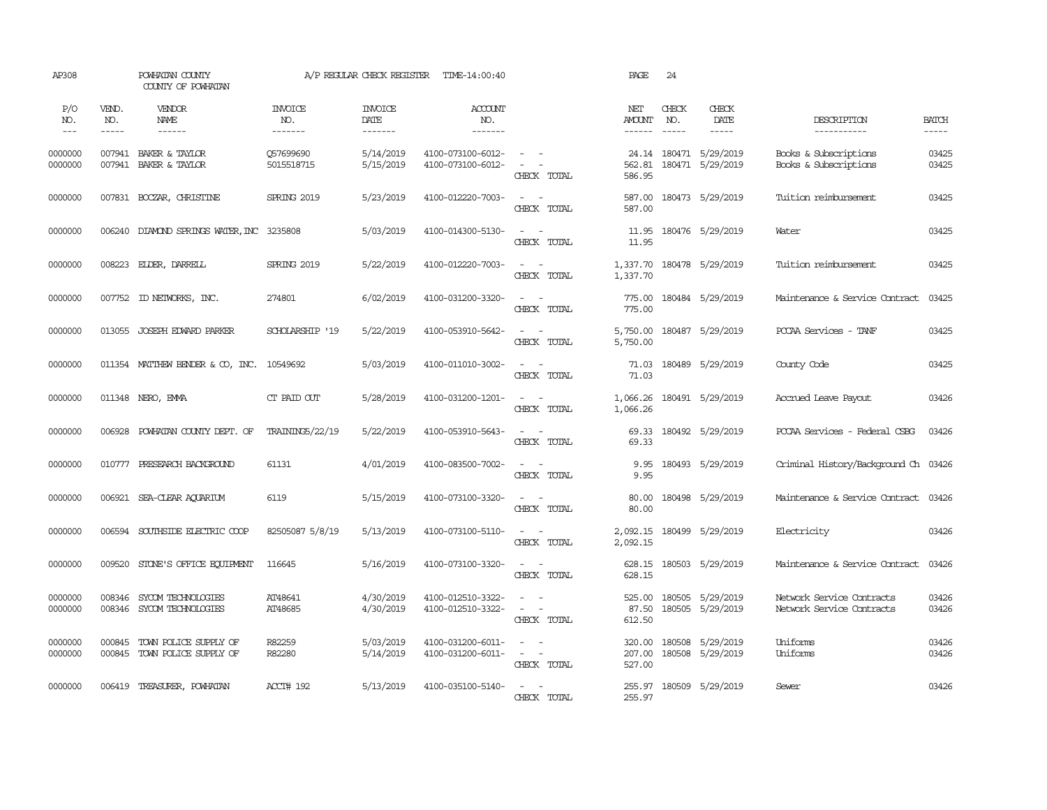| AP308               |                       | POWHATAN COUNTY<br>COUNTY OF POWHATAN                 |                                  | A/P REGULAR CHECK REGISTER        | TIME-14:00:40                          |                                                                                                  | PAGE                           | 24                            |                                            |                                                        |                       |
|---------------------|-----------------------|-------------------------------------------------------|----------------------------------|-----------------------------------|----------------------------------------|--------------------------------------------------------------------------------------------------|--------------------------------|-------------------------------|--------------------------------------------|--------------------------------------------------------|-----------------------|
| P/O<br>NO.<br>$---$ | VEND.<br>NO.<br>----- | VENDOR<br>NAME<br>$- - - - - -$                       | <b>INVOICE</b><br>NO.<br>------- | <b>INVOICE</b><br>DATE<br>------- | <b>ACCOUNT</b><br>NO.<br>-------       |                                                                                                  | NET<br>AMOUNT<br>$- - - - - -$ | CHECK<br>NO.<br>$\frac{1}{2}$ | CHECK<br>DATE<br>$- - - - -$               | DESCRIPTION<br>-----------                             | <b>BATCH</b><br>----- |
| 0000000<br>0000000  |                       | 007941 BAKER & TAYLOR<br>007941 BAKER & TAYLOR        | Q57699690<br>5015518715          | 5/14/2019<br>5/15/2019            | 4100-073100-6012-<br>4100-073100-6012- | $\sim$ $ \sim$<br>$\sim$ 100 $\sim$<br>CHECK TOTAL                                               | 562.81<br>586.95               |                               | 24.14 180471 5/29/2019<br>180471 5/29/2019 | Books & Subscriptions<br>Books & Subscriptions         | 03425<br>03425        |
| 0000000             |                       | 007831 BOCZAR, CHRISTINE                              | SPRING 2019                      | 5/23/2019                         | 4100-012220-7003-                      | $\omega_{\rm{max}}$ and $\omega_{\rm{max}}$<br>CHECK TOTAL                                       | 587.00<br>587.00               |                               | 180473 5/29/2019                           | Tuition reimbursement                                  | 03425                 |
| 0000000             |                       | 006240 DIAMOND SPRINGS WATER, INC 3235808             |                                  | 5/03/2019                         | 4100-014300-5130-                      | $\sim$ $ \sim$<br>CHECK TOTAL                                                                    | 11.95<br>11.95                 |                               | 180476 5/29/2019                           | Water                                                  | 03425                 |
| 0000000             |                       | 008223 ELDER, DARRELL                                 | SPRING 2019                      | 5/22/2019                         | 4100-012220-7003-                      | $\sim$<br>$\sim$<br>CHECK TOTAL                                                                  | 1,337.70<br>1,337.70           |                               | 180478 5/29/2019                           | Tuition reimbursement                                  | 03425                 |
| 0000000             |                       | 007752 ID NEIWORKS, INC.                              | 274801                           | 6/02/2019                         | 4100-031200-3320-                      | $\sim$ 100 $\sim$<br>CHECK TOTAL                                                                 | 775.00<br>775.00               |                               | 180484 5/29/2019                           | Maintenance & Service Contract                         | 03425                 |
| 0000000             |                       | 013055 JOSEPH EDWARD PARKER                           | SCHOLARSHIP '19                  | 5/22/2019                         | 4100-053910-5642-                      | $\sim$ $ \sim$<br>CHECK TOTAL                                                                    | 5,750.00<br>5,750.00           |                               | 180487 5/29/2019                           | PCCAA Services - TANF                                  | 03425                 |
| 0000000             |                       | 011354 MATTHEW BENDER & CO, INC. 10549692             |                                  | 5/03/2019                         | 4100-011010-3002-                      | $\sim$ $\sim$<br>CHECK TOTAL                                                                     | 71.03<br>71.03                 |                               | 180489 5/29/2019                           | County Code                                            | 03425                 |
| 0000000             |                       | 011348 NERO, EMMA                                     | CT PAID OUT                      | 5/28/2019                         | 4100-031200-1201-                      | $\sim$ $ -$<br>CHECK TOTAL                                                                       | 1,066.26<br>1,066.26           |                               | 180491 5/29/2019                           | Accrued Leave Payout                                   | 03426                 |
| 0000000             |                       | 006928 POWHATAN COUNTY DEPT. OF                       | TRAINING5/22/19                  | 5/22/2019                         | 4100-053910-5643-                      | $\sim$ $-$<br>$\sim$<br>CHECK TOTAL                                                              | 69.33<br>69.33                 |                               | 180492 5/29/2019                           | PCCAA Services - Federal CSBG                          | 03426                 |
| 0000000             |                       | 010777 PRESEARCH BACKGROUND                           | 61131                            | 4/01/2019                         | 4100-083500-7002-                      | $\sim$ $ -$<br>CHECK TOTAL                                                                       | 9.95<br>9.95                   |                               | 180493 5/29/2019                           | Criminal History/Background Ch 03426                   |                       |
| 0000000             |                       | 006921 SEA-CLEAR AQUARIUM                             | 6119                             | 5/15/2019                         | 4100-073100-3320-                      | $\omega_{\rm{max}}$ and $\omega_{\rm{max}}$<br>CHECK TOTAL                                       | 80.00<br>80.00                 |                               | 180498 5/29/2019                           | Maintenance & Service Contract 03426                   |                       |
| 0000000             | 006594                | SOUTHSIDE ELECTRIC COOP                               | 82505087 5/8/19                  | 5/13/2019                         | 4100-073100-5110-                      | $\sim$ $ -$<br>CHECK TOTAL                                                                       | 2,092.15<br>2,092.15           |                               | 180499 5/29/2019                           | Electricity                                            | 03426                 |
| 0000000             | 009520                | STONE'S OFFICE EQUIPMENT                              | 116645                           | 5/16/2019                         | 4100-073100-3320-                      | $\sim$ 100 $\sim$<br>CHECK TOTAL                                                                 | 628.15<br>628.15               |                               | 180503 5/29/2019                           | Maintenance & Service Contract                         | 03426                 |
| 0000000<br>0000000  | 008346                | SYCOM TECHNOLOGIES<br>008346 SYCOM TECHNOLOGIES       | AT48641<br>AT48685               | 4/30/2019<br>4/30/2019            | 4100-012510-3322-<br>4100-012510-3322- | $\sim$ 100 $\sim$<br>$\omega_{\rm{max}}$ and $\omega_{\rm{max}}$<br>CHECK TOTAL                  | 525.00<br>87.50<br>612.50      |                               | 180505 5/29/2019<br>180505 5/29/2019       | Network Service Contracts<br>Network Service Contracts | 03426<br>03426        |
| 0000000<br>0000000  | 000845                | TOWN POLICE SUPPLY OF<br>000845 TOWN POLICE SUPPLY OF | R82259<br>R82280                 | 5/03/2019<br>5/14/2019            | 4100-031200-6011-<br>4100-031200-6011- | $\overline{\phantom{a}}$<br>$\sim$<br>$\omega_{\rm{max}}$ and $\omega_{\rm{max}}$<br>CHECK TOTAL | 320.00<br>207.00<br>527.00     |                               | 180508 5/29/2019<br>180508 5/29/2019       | Uniforms<br>Uniforms                                   | 03426<br>03426        |
| 0000000             |                       | 006419 TREASURER, POWHATAN                            | ACCT# 192                        | 5/13/2019                         | 4100-035100-5140-                      | $\sim$ $-$<br>$\sim$<br>CHECK TOTAL                                                              | 255.97                         |                               | 255.97 180509 5/29/2019                    | Sewer                                                  | 03426                 |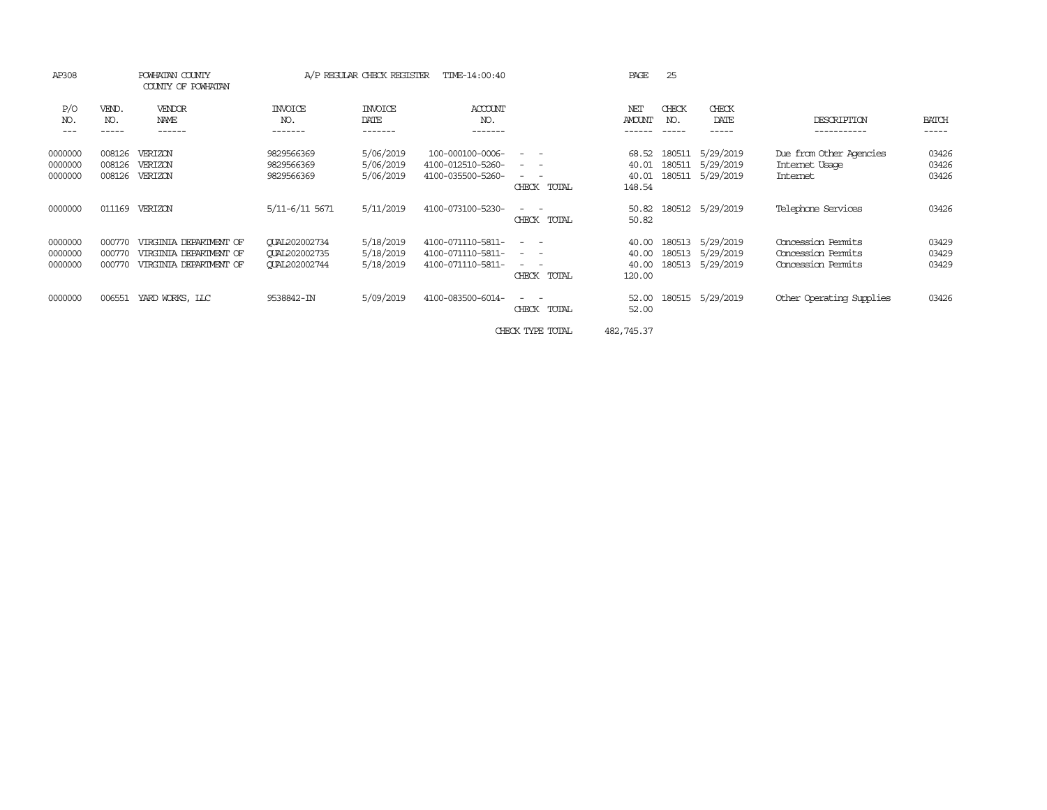| AP308                         |                            | POWHATAN COUNTY<br>COUNTY OF POWHATAN                                      |                                                                      | A/P REGULAR CHECK REGISTER          | TIME-14:00:40                                               |                                                                                                                                                                                                                                                                                                                                                                                                                                                        | PAGE                              | 25                         |                                     |                                                                |                         |
|-------------------------------|----------------------------|----------------------------------------------------------------------------|----------------------------------------------------------------------|-------------------------------------|-------------------------------------------------------------|--------------------------------------------------------------------------------------------------------------------------------------------------------------------------------------------------------------------------------------------------------------------------------------------------------------------------------------------------------------------------------------------------------------------------------------------------------|-----------------------------------|----------------------------|-------------------------------------|----------------------------------------------------------------|-------------------------|
| P/O<br>NO.<br>$- - -$         | VEND.<br>NO.<br>-----      | VENDOR<br>NAME<br>------                                                   | <b>INVOICE</b><br>NO.<br>-------                                     | <b>INVOICE</b><br>DATE<br>-------   | ACCOUNT<br>NO.<br>-------                                   |                                                                                                                                                                                                                                                                                                                                                                                                                                                        | NET<br><b>AMOUNT</b>              | CHECK<br>NO.               | CHECK<br>DATE<br>-----              | DESCRIPTION<br>-----------                                     | <b>BATCH</b><br>-----   |
| 0000000<br>0000000<br>0000000 | 008126<br>008126<br>008126 | VERIZON<br>VERIZON<br>VERIZON                                              | 9829566369<br>9829566369<br>9829566369                               | 5/06/2019<br>5/06/2019<br>5/06/2019 | 100-000100-0006-<br>4100-012510-5260-<br>4100-035500-5260-  | $\frac{1}{2} \left( \begin{array}{ccc} 1 & 0 & 0 \\ 0 & 1 & 0 \\ 0 & 0 & 0 \end{array} \right) = \frac{1}{2} \left( \begin{array}{ccc} 1 & 0 & 0 \\ 0 & 1 & 0 \\ 0 & 0 & 0 \\ 0 & 0 & 0 \end{array} \right)$<br>$\frac{1}{2} \left( \begin{array}{ccc} 1 & 0 & 0 \\ 0 & 1 & 0 \\ 0 & 0 & 0 \end{array} \right) = \frac{1}{2} \left( \begin{array}{ccc} 1 & 0 & 0 \\ 0 & 1 & 0 \\ 0 & 0 & 0 \\ 0 & 0 & 0 \end{array} \right)$<br>$ -$<br>CHECK<br>TOTAL | 68.52<br>40.01<br>40.01<br>148.54 | 180511<br>180511<br>180511 | 5/29/2019<br>5/29/2019<br>5/29/2019 | Due from Other Agencies<br>Internet Usage<br>Internet          | 03426<br>03426<br>03426 |
| 0000000                       | 011169                     | VERIZON                                                                    | 5/11-6/11 5671                                                       | 5/11/2019                           | 4100-073100-5230-                                           | $\frac{1}{2} \left( \begin{array}{ccc} 1 & 0 & 0 \\ 0 & 1 & 0 \\ 0 & 0 & 0 \end{array} \right) = \frac{1}{2} \left( \begin{array}{ccc} 1 & 0 & 0 \\ 0 & 1 & 0 \\ 0 & 0 & 0 \\ 0 & 0 & 0 \end{array} \right)$<br>CHECK<br>TOTAL                                                                                                                                                                                                                         | 50.82<br>50.82                    |                            | 180512 5/29/2019                    | Telephone Services                                             | 03426                   |
| 0000000<br>0000000<br>0000000 | 000770<br>000770<br>000770 | VIRGINIA DEPARIMENT OF<br>VIRGINIA DEPARIMENT OF<br>VIRGINIA DEPARIMENT OF | <b>CUAL202002734</b><br><b>CUAL202002735</b><br><b>CUAL202002744</b> | 5/18/2019<br>5/18/2019<br>5/18/2019 | 4100-071110-5811-<br>4100-071110-5811-<br>4100-071110-5811- | $\frac{1}{2} \left( \begin{array}{ccc} 1 & 0 & 0 \\ 0 & 1 & 0 \\ 0 & 0 & 0 \end{array} \right) = \frac{1}{2} \left( \begin{array}{ccc} 1 & 0 & 0 \\ 0 & 1 & 0 \\ 0 & 0 & 0 \\ 0 & 0 & 0 \end{array} \right)$<br>$\frac{1}{2} \left( \begin{array}{ccc} 1 & 0 & 0 \\ 0 & 1 & 0 \\ 0 & 0 & 0 \end{array} \right) = \frac{1}{2} \left( \begin{array}{ccc} 1 & 0 & 0 \\ 0 & 1 & 0 \\ 0 & 0 & 0 \\ 0 & 0 & 0 \end{array} \right)$<br>$ -$<br>CHECK<br>TOTAL | 40.00<br>40.00<br>40.00<br>120.00 | 180513<br>180513<br>180513 | 5/29/2019<br>5/29/2019<br>5/29/2019 | Concession Permits<br>Concession Permits<br>Concession Permits | 03429<br>03429<br>03429 |
| 0000000                       | 006551                     | YARD WORKS, LLC                                                            | 9538842-IN                                                           | 5/09/2019                           | 4100-083500-6014-                                           | $\frac{1}{2} \left( \begin{array}{ccc} 1 & 0 & 0 \\ 0 & 1 & 0 \\ 0 & 0 & 0 \end{array} \right) = \frac{1}{2} \left( \begin{array}{ccc} 1 & 0 & 0 \\ 0 & 1 & 0 \\ 0 & 0 & 0 \\ 0 & 0 & 0 \end{array} \right)$<br>CHECK<br>TOTAL                                                                                                                                                                                                                         | 52.00<br>52.00                    |                            | 180515 5/29/2019                    | Other Operating Supplies                                       | 03426                   |
|                               |                            |                                                                            |                                                                      |                                     |                                                             | CHECK TYPE TOTAL                                                                                                                                                                                                                                                                                                                                                                                                                                       | 482,745.37                        |                            |                                     |                                                                |                         |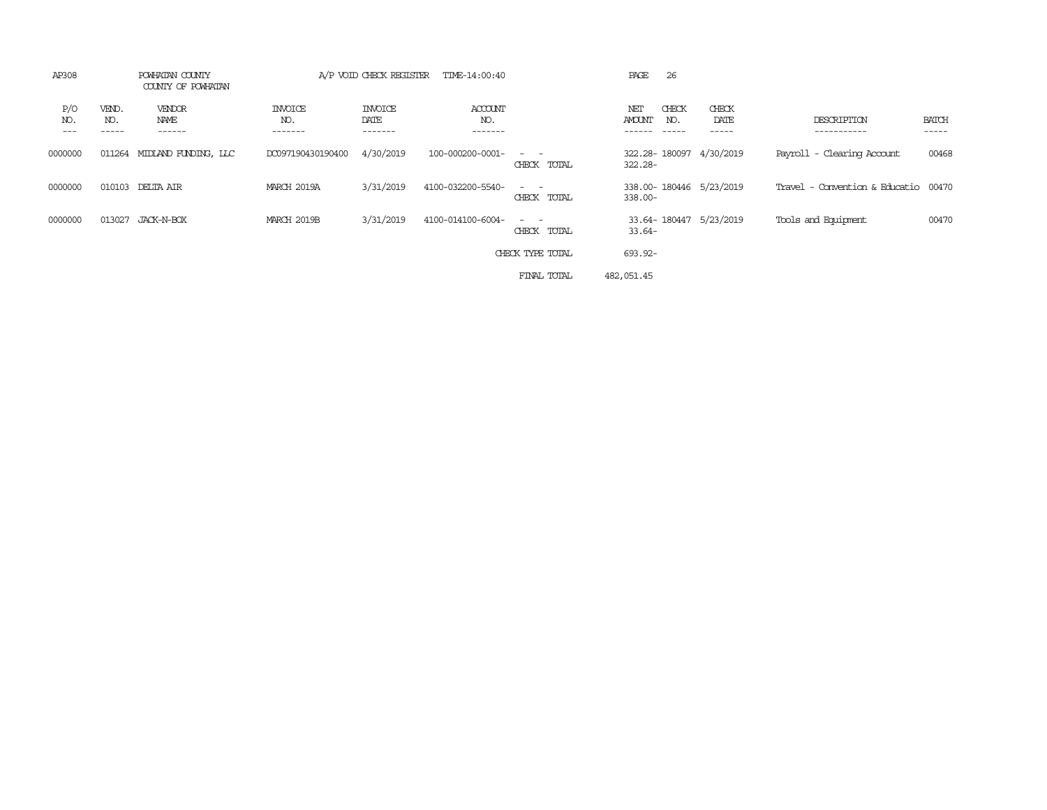| AP308      | POWHATAN COUNTY<br>COUNTY OF POWHATAN |                          |                                  | A/P VOID CHECK REGISTER           |                           |                                                                                                                                          |                      |              |                             |                                      |                       |
|------------|---------------------------------------|--------------------------|----------------------------------|-----------------------------------|---------------------------|------------------------------------------------------------------------------------------------------------------------------------------|----------------------|--------------|-----------------------------|--------------------------------------|-----------------------|
| P/O<br>NO. | VEND.<br>NO.                          | VENDOR<br>NAME<br>------ | <b>INVOICE</b><br>NO.<br>------- | <b>INVOICE</b><br>DATE<br>------- | ACCOUNT<br>NO.<br>------- |                                                                                                                                          | NET<br><b>AMOUNT</b> | CHECK<br>NO. | CHECK<br>DATE<br>. <b>.</b> | DESCRIPTION<br>---------             | <b>BATCH</b><br>----- |
| 0000000    | 011264                                | MIDIAND FUNDING, LLC     | DC097190430190400                | 4/30/2019                         | 100-000200-0001-          | $\frac{1}{2} \left( \frac{1}{2} \right) \left( \frac{1}{2} \right) \left( \frac{1}{2} \right) \left( \frac{1}{2} \right)$<br>CHECK TOTAL | 322.28-              |              | 322.28-180097 4/30/2019     | Payroll - Clearing Account           | 00468                 |
| 0000000    | 010103                                | DELTA AIR                | MARCH 2019A                      | 3/31/2019                         | 4100-032200-5540-         | $ -$<br>CHECK TOTAL                                                                                                                      | $338.00 -$           |              | 338.00-180446 5/23/2019     | Travel - Convention & Educatio 00470 |                       |
| 0000000    | 013027                                | JACK-N-BOX               | MARCH 2019B                      | 3/31/2019                         | 4100-014100-6004-         | $ -$<br>CHECK TOTAL                                                                                                                      | $33.64-$             |              | 33.64-180447 5/23/2019      | Tools and Equipment                  | 00470                 |
|            |                                       |                          |                                  |                                   |                           | CHECK TYPE TOTAL                                                                                                                         | 693.92-              |              |                             |                                      |                       |
|            |                                       |                          |                                  |                                   |                           | FINAL TOTAL                                                                                                                              | 482,051.45           |              |                             |                                      |                       |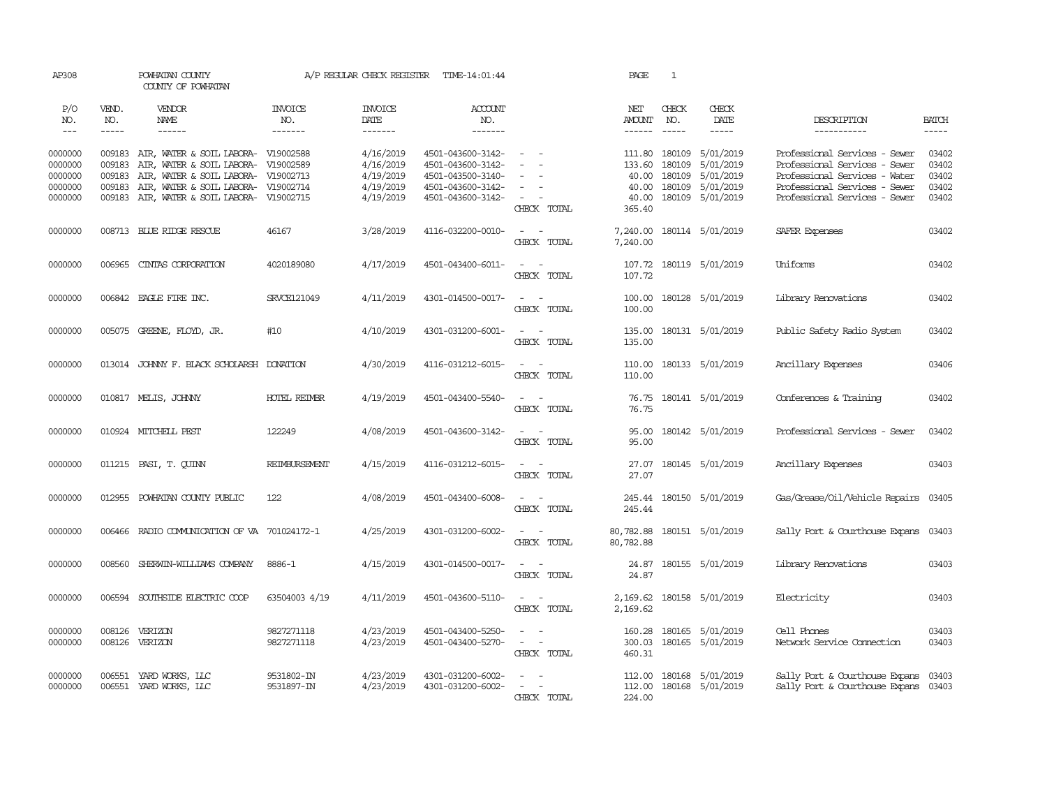| AP308                                               |                                      | POWHATAN COUNTY<br>COUNTY OF POWHATAN                                                                                                                                                                  |                          | A/P REGULAR CHECK REGISTER                                    | TIME-14:01:44                                                                                         |                                                                                                                                          | PAGE                              | $\mathbf{1}$                                          |                                                               |                                                                                                                                                                   |                                           |
|-----------------------------------------------------|--------------------------------------|--------------------------------------------------------------------------------------------------------------------------------------------------------------------------------------------------------|--------------------------|---------------------------------------------------------------|-------------------------------------------------------------------------------------------------------|------------------------------------------------------------------------------------------------------------------------------------------|-----------------------------------|-------------------------------------------------------|---------------------------------------------------------------|-------------------------------------------------------------------------------------------------------------------------------------------------------------------|-------------------------------------------|
| P/O<br>NO.                                          | VEND.<br>NO.                         | <b>VENDOR</b><br><b>NAME</b>                                                                                                                                                                           | <b>INVOICE</b><br>NO.    | <b>INVOICE</b><br>DATE                                        | <b>ACCOUNT</b><br>NO.                                                                                 |                                                                                                                                          | NET<br>AMOUNT                     | CHECK<br>NO.                                          | CHECK<br>DATE                                                 | DESCRIPTION                                                                                                                                                       | <b>BATCH</b>                              |
| $---$                                               | -----                                | $- - - - - -$                                                                                                                                                                                          | -------                  | -------                                                       | -------                                                                                               |                                                                                                                                          | $- - - - - -$                     | $\frac{1}{2}$                                         | $- - - - -$                                                   | -----------                                                                                                                                                       |                                           |
| 0000000<br>0000000<br>0000000<br>0000000<br>0000000 | 009183<br>009183<br>009183<br>009183 | 009183 AIR, WATER & SOIL LABORA- V19002588<br>AIR, WATER & SOIL LABORA- V19002589<br>AIR, WATER & SOIL LABORA- V19002713<br>AIR, WATER & SOIL LABORA- V19002714<br>AIR, WATER & SOIL LABORA- V19002715 |                          | 4/16/2019<br>4/16/2019<br>4/19/2019<br>4/19/2019<br>4/19/2019 | 4501-043600-3142-<br>4501-043600-3142-<br>4501-043500-3140-<br>4501-043600-3142-<br>4501-043600-3142- | $\sim$<br>$\sim$<br>$\sim$                                                                                                               | 133.60<br>40.00<br>40.00<br>40.00 | 111.80 180109<br>180109<br>180109<br>180109<br>180109 | 5/01/2019<br>5/01/2019<br>5/01/2019<br>5/01/2019<br>5/01/2019 | Professional Services - Sewer<br>Professional Services - Sewer<br>Professional Services - Water<br>Professional Services - Sewer<br>Professional Services - Sewer | 03402<br>03402<br>03402<br>03402<br>03402 |
|                                                     |                                      |                                                                                                                                                                                                        |                          |                                                               |                                                                                                       | CHECK TOTAL                                                                                                                              | 365.40                            |                                                       |                                                               |                                                                                                                                                                   |                                           |
| 0000000                                             |                                      | 008713 BLUE RIDGE RESCUE                                                                                                                                                                               | 46167                    | 3/28/2019                                                     | 4116-032200-0010-                                                                                     | $\sim$<br>$\sim$<br>CHECK TOTAL                                                                                                          | 7,240.00<br>7,240.00              |                                                       | 180114 5/01/2019                                              | SAFER Expenses                                                                                                                                                    | 03402                                     |
| 0000000                                             | 006965                               | CINTAS CORPORATION                                                                                                                                                                                     | 4020189080               | 4/17/2019                                                     | 4501-043400-6011-                                                                                     | $\overline{\phantom{a}}$<br>$\sim$<br>CHECK TOTAL                                                                                        | 107.72<br>107.72                  |                                                       | 180119 5/01/2019                                              | Uniforms                                                                                                                                                          | 03402                                     |
| 0000000                                             |                                      | 006842 EAGLE FIRE INC.                                                                                                                                                                                 | SRVCE121049              | 4/11/2019                                                     | 4301-014500-0017-                                                                                     | $\sim$ $ -$<br>CHECK TOTAL                                                                                                               | 100.00<br>100.00                  |                                                       | 180128 5/01/2019                                              | Library Renovations                                                                                                                                               | 03402                                     |
| 0000000                                             |                                      | 005075 GREENE, FLOYD, JR.                                                                                                                                                                              | #10                      | 4/10/2019                                                     | 4301-031200-6001-                                                                                     | $\sim$ $ \sim$<br>CHECK TOTAL                                                                                                            | 135.00<br>135.00                  |                                                       | 180131 5/01/2019                                              | Public Safety Radio System                                                                                                                                        | 03402                                     |
| 0000000                                             |                                      | 013014 JOHNNY F. BLACK SCHOLARSH DONATION                                                                                                                                                              |                          | 4/30/2019                                                     | 4116-031212-6015-                                                                                     | $\sim$ 100 $\sim$<br>CHECK TOTAL                                                                                                         | 110.00<br>110.00                  |                                                       | 180133 5/01/2019                                              | Ancillary Expenses                                                                                                                                                | 03406                                     |
| 0000000                                             |                                      | 010817 MELIS, JOHNNY                                                                                                                                                                                   | <b>HOTEL REIMBR</b>      | 4/19/2019                                                     | 4501-043400-5540-                                                                                     | $\sim$ $ \sim$<br>CHECK TOTAL                                                                                                            | 76.75<br>76.75                    |                                                       | 180141 5/01/2019                                              | Conferences & Training                                                                                                                                            | 03402                                     |
| 0000000                                             |                                      | 010924 MITCHELL PEST                                                                                                                                                                                   | 122249                   | 4/08/2019                                                     | 4501-043600-3142-                                                                                     | $\sim$ $\sim$<br>CHECK TOTAL                                                                                                             | 95.00<br>95.00                    |                                                       | 180142 5/01/2019                                              | Professional Services - Sewer                                                                                                                                     | 03402                                     |
| 0000000                                             |                                      | 011215 PASI, T. QUINN                                                                                                                                                                                  | REIMBURSEMENT            | 4/15/2019                                                     | 4116-031212-6015-                                                                                     | $\frac{1}{2} \left( \frac{1}{2} \right) \left( \frac{1}{2} \right) \left( \frac{1}{2} \right) \left( \frac{1}{2} \right)$<br>CHECK TOTAL | 27.07<br>27.07                    |                                                       | 180145 5/01/2019                                              | Ancillary Expenses                                                                                                                                                | 03403                                     |
| 0000000                                             |                                      | 012955 POWHATAN COUNTY PUBLIC                                                                                                                                                                          | 122                      | 4/08/2019                                                     | 4501-043400-6008-                                                                                     | $\sim$ 100 $\sim$<br>CHECK TOTAL                                                                                                         | 245.44<br>245.44                  |                                                       | 180150 5/01/2019                                              | Gas/Grease/Oil/Vehicle Repairs 03405                                                                                                                              |                                           |
| 0000000                                             | 006466                               | RADIO COMMUNICATION OF VA 701024172-1                                                                                                                                                                  |                          | 4/25/2019                                                     | 4301-031200-6002-                                                                                     | $\overline{\phantom{a}}$<br>CHECK TOTAL                                                                                                  | 80,782.88<br>80,782.88            |                                                       | 180151 5/01/2019                                              | Sally Port & Courthouse Expans                                                                                                                                    | 03403                                     |
| 0000000                                             | 008560                               | SHERWIN-WILLIAMS COMPANY                                                                                                                                                                               | 8886-1                   | 4/15/2019                                                     | 4301-014500-0017-                                                                                     | $\overline{\phantom{a}}$<br>$\overline{\phantom{a}}$<br>CHECK TOTAL                                                                      | 24.87<br>24.87                    |                                                       | 180155 5/01/2019                                              | Library Renovations                                                                                                                                               | 03403                                     |
| 0000000                                             | 006594                               | SOUTHSIDE ELECTRIC COOP                                                                                                                                                                                | 63504003 4/19            | 4/11/2019                                                     | 4501-043600-5110-                                                                                     | $\sim$<br>$\sim$<br>CHECK TOTAL                                                                                                          | 2,169.62<br>2,169.62              |                                                       | 180158 5/01/2019                                              | Electricity                                                                                                                                                       | 03403                                     |
| 0000000<br>0000000                                  |                                      | 008126 VERIZON<br>008126 VERIZON                                                                                                                                                                       | 9827271118<br>9827271118 | 4/23/2019<br>4/23/2019                                        | 4501-043400-5250-<br>4501-043400-5270-                                                                | $\equiv$<br>$\sim$<br>$\omega_{\rm{max}}$ and $\omega_{\rm{max}}$<br>CHECK TOTAL                                                         | 160.28<br>300.03<br>460.31        |                                                       | 180165 5/01/2019<br>180165 5/01/2019                          | Cell Phones<br>Network Service Connection                                                                                                                         | 03403<br>03403                            |
| 0000000<br>0000000                                  | 006551                               | YARD WORKS, LLC<br>006551 YARD WORKS, LLC                                                                                                                                                              | 9531802-IN<br>9531897-IN | 4/23/2019<br>4/23/2019                                        | 4301-031200-6002-<br>4301-031200-6002-                                                                | $\overline{\phantom{a}}$<br>CHECK TOTAL                                                                                                  | 224.00                            |                                                       | 112.00 180168 5/01/2019<br>112.00 180168 5/01/2019            | Sally Port & Courthouse Expans<br>Sally Port & Courthouse Expans 03403                                                                                            | 03403                                     |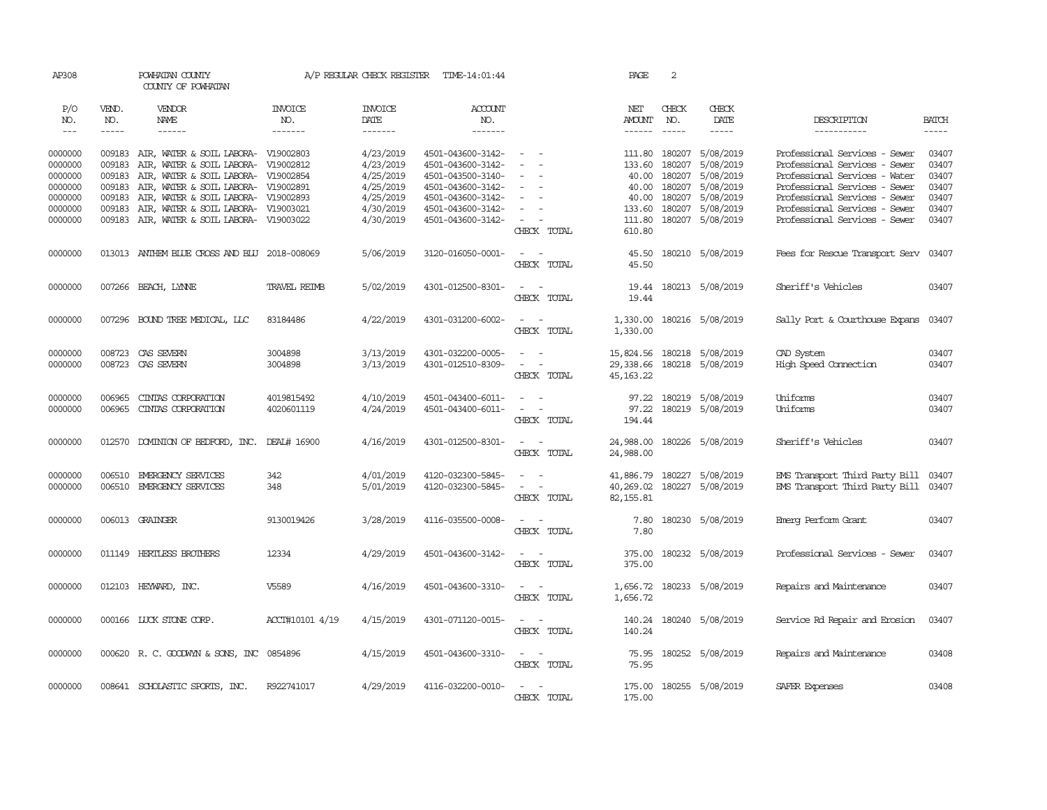| AP308                         |                            | POWHATAN COUNTY<br>COUNTY OF POWHATAN                                                                             |                                  | A/P REGULAR CHECK REGISTER          | TIME-14:01:44                                               |                                                                                                                                                         | PAGE                                 | 2                          |                                                |                                                                                                 |                             |
|-------------------------------|----------------------------|-------------------------------------------------------------------------------------------------------------------|----------------------------------|-------------------------------------|-------------------------------------------------------------|---------------------------------------------------------------------------------------------------------------------------------------------------------|--------------------------------------|----------------------------|------------------------------------------------|-------------------------------------------------------------------------------------------------|-----------------------------|
| P/O<br>NO.<br>$\frac{1}{2}$   | VEND.<br>NO.<br>-----      | VENDOR<br>NAME<br>$- - - - - -$                                                                                   | <b>INVOICE</b><br>NO.<br>------- | <b>INVOICE</b><br>DATE<br>-------   | <b>ACCOUNT</b><br>NO.<br>-------                            |                                                                                                                                                         | NET<br>AMOUNT                        | CHECK<br>NO.               | CHECK<br>DATE<br>-----                         | DESCRIPTION<br>-----------                                                                      | <b>BATCH</b><br>$- - - - -$ |
| 0000000<br>0000000            | 009183                     | 009183 AIR, WATER & SOIL LABORA- V19002803<br>AIR, WATER & SOIL LABORA- V19002812                                 |                                  | 4/23/2019<br>4/23/2019              | 4501-043600-3142-<br>4501-043600-3142-                      | $\overline{\phantom{a}}$                                                                                                                                | 111.80<br>133.60                     | 180207<br>180207           | 5/08/2019<br>5/08/2019                         | Professional Services - Sewer<br>Professional Services - Sewer                                  | 03407<br>03407              |
| 0000000<br>0000000<br>0000000 | 009183<br>009183<br>009183 | AIR, WATER & SOIL LABORA- V19002854<br>AIR, WATER & SOIL LABORA- V19002891<br>AIR, WATER & SOIL LABORA- V19002893 |                                  | 4/25/2019<br>4/25/2019<br>4/25/2019 | 4501-043500-3140-<br>4501-043600-3142-<br>4501-043600-3142- | $\sim$<br>$\sim$<br>$\sim$                                                                                                                              | 40.00<br>40.00<br>40.00              | 180207<br>180207<br>180207 | 5/08/2019<br>5/08/2019<br>5/08/2019            | Professional Services - Water<br>Professional Services - Sewer<br>Professional Services - Sewer | 03407<br>03407<br>03407     |
| 0000000<br>0000000            | 009183                     | AIR, WATER & SOIL LABORA- V19003021<br>009183 AIR, WATER & SOIL LABORA- V19003022                                 |                                  | 4/30/2019<br>4/30/2019              | 4501-043600-3142-<br>4501-043600-3142-                      | $\overline{\phantom{a}}$<br>$\sim$<br>CHECK TOTAL                                                                                                       | 133.60<br>111.80<br>610.80           | 180207<br>180207           | 5/08/2019<br>5/08/2019                         | Professional Services - Sewer<br>Professional Services - Sewer                                  | 03407<br>03407              |
| 0000000                       |                            | 013013 ANTHEM BLUE CROSS AND BLU 2018-008069                                                                      |                                  | 5/06/2019                           | 3120-016050-0001-                                           | $\sim$ $ -$<br>CHECK TOTAL                                                                                                                              | 45.50<br>45.50                       |                            | 180210 5/08/2019                               | Fees for Rescue Transport Serv                                                                  | 03407                       |
| 0000000                       |                            | 007266 BEACH, LYNNE                                                                                               | <b>TRAVEL REIMB</b>              | 5/02/2019                           | 4301-012500-8301-                                           | $\sim$ $ \sim$<br>CHECK TOTAL                                                                                                                           | 19.44                                |                            | 19.44 180213 5/08/2019                         | Sheriff's Vehicles                                                                              | 03407                       |
| 0000000                       |                            | 007296 BOUND TREE MEDICAL, LLC                                                                                    | 83184486                         | 4/22/2019                           | 4301-031200-6002-                                           | $\sim$ $\sim$<br>CHECK TOTAL                                                                                                                            | 1,330.00                             |                            | 1,330.00 180216 5/08/2019                      | Sally Port & Courthouse Expans                                                                  | 03407                       |
| 0000000<br>0000000            |                            | 008723 CAS SEVERN<br>008723 CAS SEVERN                                                                            | 3004898<br>3004898               | 3/13/2019<br>3/13/2019              | 4301-032200-0005-<br>4301-012510-8309-                      | $\overline{\phantom{a}}$<br>$\sim$<br>$\sim$ $ \sim$<br>CHECK TOTAL                                                                                     | 29,338.66<br>45, 163, 22             |                            | 15,824.56 180218 5/08/2019<br>180218 5/08/2019 | CAD System<br>High Speed Connection                                                             | 03407<br>03407              |
| 0000000<br>0000000            | 006965<br>006965           | CINIAS CORPORATION<br>CINIAS CORPORATION                                                                          | 4019815492<br>4020601119         | 4/10/2019<br>4/24/2019              | 4501-043400-6011-<br>4501-043400-6011-                      | $\overline{\phantom{a}}$<br>$\frac{1}{2} \left( \frac{1}{2} \right) \left( \frac{1}{2} \right) = \frac{1}{2} \left( \frac{1}{2} \right)$<br>CHECK TOTAL | 97.22<br>97.22<br>194.44             |                            | 180219 5/08/2019<br>180219 5/08/2019           | Uniforms<br>Uniforms                                                                            | 03407<br>03407              |
| 0000000                       |                            | 012570 DOMINION OF BEDFORD, INC.                                                                                  | DEAL# 16900                      | 4/16/2019                           | 4301-012500-8301-                                           | $\frac{1}{2} \left( \frac{1}{2} \right) \left( \frac{1}{2} \right) = \frac{1}{2} \left( \frac{1}{2} \right)$<br>CHECK TOTAL                             | 24,988.00<br>24,988.00               |                            | 180226 5/08/2019                               | Sheriff's Vehicles                                                                              | 03407                       |
| 0000000<br>0000000            | 006510                     | EMERGENCY SERVICES<br>006510 EMERGENCY SERVICES                                                                   | 342<br>348                       | 4/01/2019<br>5/01/2019              | 4120-032300-5845-<br>4120-032300-5845-                      | $\overline{\phantom{a}}$<br>$\sim$ $ \sim$<br>CHECK TOTAL                                                                                               | 41,886.79<br>40,269.02<br>82, 155.81 |                            | 180227 5/08/2019<br>180227 5/08/2019           | EMS Transport Third Party Bill<br>EMS Transport Third Party Bill 03407                          | 03407                       |
| 0000000                       |                            | 006013 GRAINGER                                                                                                   | 9130019426                       | 3/28/2019                           | 4116-035500-0008-                                           | $\sim$ $\sim$<br>CHECK TOTAL                                                                                                                            | 7.80<br>7.80                         |                            | 180230 5/08/2019                               | Emerg Perform Grant                                                                             | 03407                       |
| 0000000                       |                            | 011149 HERTLESS BROTHERS                                                                                          | 12334                            | 4/29/2019                           | 4501-043600-3142-                                           | $\sim$ $\sim$<br>CHECK TOTAL                                                                                                                            | 375.00<br>375.00                     |                            | 180232 5/08/2019                               | Professional Services - Sewer                                                                   | 03407                       |
| 0000000                       |                            | 012103 HEYWARD, INC.                                                                                              | V5589                            | 4/16/2019                           | 4501-043600-3310-                                           | $\sim$ $ -$<br>CHECK TOTAL                                                                                                                              | 1,656.72                             |                            | 1,656.72 180233 5/08/2019                      | Repairs and Maintenance                                                                         | 03407                       |
| 0000000                       |                            | 000166 LUCK STONE CORP.                                                                                           | ACCT#10101 4/19                  | 4/15/2019                           | 4301-071120-0015-                                           | $\sim$ $ -$<br>CHECK TOTAL                                                                                                                              | 140.24<br>140.24                     |                            | 180240 5/08/2019                               | Service Rd Repair and Erosion                                                                   | 03407                       |
| 0000000                       |                            | 000620 R.C. GOODWYN & SONS, INC 0854896                                                                           |                                  | 4/15/2019                           | 4501-043600-3310-                                           | $\sim$<br>$\sim$<br>CHECK TOTAL                                                                                                                         | 75.95<br>75.95                       |                            | 180252 5/08/2019                               | Repairs and Maintenance                                                                         | 03408                       |
| 0000000                       |                            | 008641 SCHOLASTIC SPORTS, INC.                                                                                    | R922741017                       | 4/29/2019                           | 4116-032200-0010-                                           | $\overline{\phantom{a}}$<br>$\sim$<br>CHECK TOTAL                                                                                                       | 175.00<br>175.00                     |                            | 180255 5/08/2019                               | SAFER Expenses                                                                                  | 03408                       |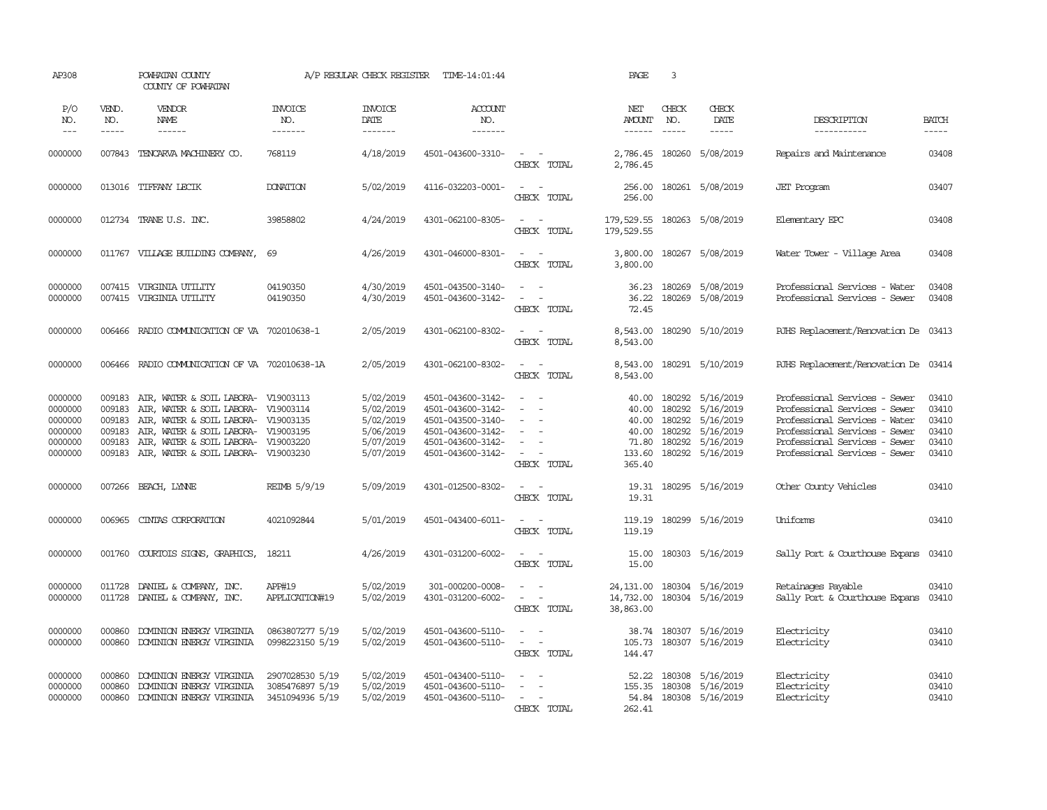| AP308                                                          |                                                | POWHATAN COUNTY<br>COUNTY OF POWHATAN                                                                                                                                                                                                         |                                                       | A/P REGULAR CHECK REGISTER                                                 | TIME-14:01:44                                                                                                              |                                                                                           | PAGE                                                          | 3                                                        |                                                                            |                                                                                                                                                                                                    |                                                    |
|----------------------------------------------------------------|------------------------------------------------|-----------------------------------------------------------------------------------------------------------------------------------------------------------------------------------------------------------------------------------------------|-------------------------------------------------------|----------------------------------------------------------------------------|----------------------------------------------------------------------------------------------------------------------------|-------------------------------------------------------------------------------------------|---------------------------------------------------------------|----------------------------------------------------------|----------------------------------------------------------------------------|----------------------------------------------------------------------------------------------------------------------------------------------------------------------------------------------------|----------------------------------------------------|
| P/O<br>NO.<br>$---$                                            | VEND.<br>NO.<br>$- - - - -$                    | VENDOR<br>NAME<br>------                                                                                                                                                                                                                      | <b>INVOICE</b><br>NO.<br>-------                      | <b>INVOICE</b><br>DATE<br>-------                                          | ACCOUNT<br>NO.<br>-------                                                                                                  |                                                                                           | NET<br>AMOUNT<br>------                                       | CHECK<br>NO.                                             | CHECK<br>DATE<br>-----                                                     | DESCRIPTION<br>-----------                                                                                                                                                                         | <b>BATCH</b><br>-----                              |
| 0000000                                                        | 007843                                         | TENCARVA MACHINERY CO.                                                                                                                                                                                                                        | 768119                                                | 4/18/2019                                                                  | 4501-043600-3310-                                                                                                          | $\sim$<br>$\sim$<br>CHECK TOTAL                                                           | 2,786.45<br>2,786.45                                          | 180260                                                   | 5/08/2019                                                                  | Repairs and Maintenance                                                                                                                                                                            | 03408                                              |
| 0000000                                                        |                                                | 013016 TIFFANY LECIK                                                                                                                                                                                                                          | <b>DONATION</b>                                       | 5/02/2019                                                                  | 4116-032203-0001-                                                                                                          | $\overline{\phantom{a}}$<br>$\sim$<br>CHECK TOTAL                                         | 256.00<br>256.00                                              |                                                          | 180261 5/08/2019                                                           | <b>JET</b> Program                                                                                                                                                                                 | 03407                                              |
| 0000000                                                        |                                                | 012734 TRANE U.S. INC.                                                                                                                                                                                                                        | 39858802                                              | 4/24/2019                                                                  | 4301-062100-8305-                                                                                                          | $\omega_{\rm{max}}$ and $\omega_{\rm{max}}$<br>CHECK TOTAL                                | 179,529.55 180263 5/08/2019<br>179,529.55                     |                                                          |                                                                            | Elementary EPC                                                                                                                                                                                     | 03408                                              |
| 0000000                                                        |                                                | 011767 VILLAGE BUILDING COMPANY,                                                                                                                                                                                                              | 69                                                    | 4/26/2019                                                                  | 4301-046000-8301-                                                                                                          | $\sim$<br>$\sim$ $-$<br>CHECK TOTAL                                                       | 3,800.00<br>3,800.00                                          |                                                          | 180267 5/08/2019                                                           | Water Tower - Village Area                                                                                                                                                                         | 03408                                              |
| 0000000<br>0000000                                             |                                                | 007415 VIRGINIA UTILITY<br>007415 VIRGINIA UTILITY                                                                                                                                                                                            | 04190350<br>04190350                                  | 4/30/2019<br>4/30/2019                                                     | 4501-043500-3140-<br>4501-043600-3142-                                                                                     | $\sim$<br>$\sim$<br>$\overline{\phantom{a}}$<br>$\overline{\phantom{a}}$<br>CHECK TOTAL   | 36.23<br>36.22<br>72.45                                       |                                                          | 180269 5/08/2019<br>180269 5/08/2019                                       | Professional Services - Water<br>Professional Services - Sewer                                                                                                                                     | 03408<br>03408                                     |
| 0000000                                                        | 006466                                         | RADIO COMMUNICATION OF VA 702010638-1                                                                                                                                                                                                         |                                                       | 2/05/2019                                                                  | 4301-062100-8302-                                                                                                          | $\sim$<br>$\sim$<br>CHECK TOTAL                                                           | 8,543.00<br>8,543.00                                          |                                                          | 180290 5/10/2019                                                           | RJHS Replacement/Renovation De 03413                                                                                                                                                               |                                                    |
| 0000000                                                        | 006466                                         | RADIO COMMUNICATION OF VA 702010638-1A                                                                                                                                                                                                        |                                                       | 2/05/2019                                                                  | 4301-062100-8302-                                                                                                          | $\sim$ $ \sim$<br>CHECK TOTAL                                                             | 8,543.00<br>8,543.00                                          |                                                          | 180291 5/10/2019                                                           | RJHS Replacement/Renovation De 03414                                                                                                                                                               |                                                    |
| 0000000<br>0000000<br>0000000<br>0000000<br>0000000<br>0000000 | 009183<br>009183<br>009183<br>009183<br>009183 | AIR, WATER & SOIL LABORA- V19003113<br>009183 AIR, WATER & SOIL LABORA- V19003114<br>AIR, WATER & SOIL LABORA- V19003135<br>AIR, WATER & SOIL LABORA- V19003195<br>AIR, WATER & SOIL LABORA- V19003220<br>AIR, WATER & SOIL LABORA- V19003230 |                                                       | 5/02/2019<br>5/02/2019<br>5/02/2019<br>5/06/2019<br>5/07/2019<br>5/07/2019 | 4501-043600-3142-<br>4501-043600-3142-<br>4501-043500-3140-<br>4501-043600-3142-<br>4501-043600-3142-<br>4501-043600-3142- | $\sim$<br>$\sim$<br>$\sim$<br>$\overline{\phantom{a}}$<br>$\sim$<br>$\sim$<br>CHECK TOTAL | 40.00<br>40.00<br>40.00<br>40.00<br>71.80<br>133.60<br>365.40 | 180292<br>180292<br>180292<br>180292<br>180292<br>180292 | 5/16/2019<br>5/16/2019<br>5/16/2019<br>5/16/2019<br>5/16/2019<br>5/16/2019 | Professional Services - Sewer<br>Professional Services - Sewer<br>Professional Services - Water<br>Professional Services - Sewer<br>Professional Services - Sewer<br>Professional Services - Sewer | 03410<br>03410<br>03410<br>03410<br>03410<br>03410 |
| 0000000                                                        | 007266                                         | BEACH, LYNNE                                                                                                                                                                                                                                  | REIMB 5/9/19                                          | 5/09/2019                                                                  | 4301-012500-8302-                                                                                                          | $\sim$ $ -$<br>CHECK TOTAL                                                                | 19.31<br>19.31                                                |                                                          | 180295 5/16/2019                                                           | Other County Vehicles                                                                                                                                                                              | 03410                                              |
| 0000000                                                        | 006965                                         | CINTAS CORPORATION                                                                                                                                                                                                                            | 4021092844                                            | 5/01/2019                                                                  | 4501-043400-6011-                                                                                                          | $\sim$ $ \sim$<br>CHECK TOTAL                                                             | 119.19                                                        |                                                          | 119.19 180299 5/16/2019                                                    | Uniforms                                                                                                                                                                                           | 03410                                              |
| 0000000                                                        | 001760                                         | COURTOIS SIGNS, GRAPHICS,                                                                                                                                                                                                                     | 18211                                                 | 4/26/2019                                                                  | 4301-031200-6002-                                                                                                          | $\sim$<br>$\sim$<br>CHECK TOTAL                                                           | 15.00<br>15.00                                                |                                                          | 180303 5/16/2019                                                           | Sally Port & Courthouse Expans                                                                                                                                                                     | 03410                                              |
| 0000000<br>0000000                                             | 011728                                         | DANIEL & COMPANY, INC.<br>011728 DANIEL & COMPANY, INC.                                                                                                                                                                                       | APP#19<br>APPLICATION#19                              | 5/02/2019<br>5/02/2019                                                     | 301-000200-0008-<br>4301-031200-6002-                                                                                      | $\overline{\phantom{a}}$<br>$\sim$<br>$\sim$ $ -$<br>CHECK TOTAL                          | 24, 131.00<br>14,732.00<br>38,863.00                          |                                                          | 180304 5/16/2019<br>180304 5/16/2019                                       | Retainages Payable<br>Sally Port & Courthouse Expans                                                                                                                                               | 03410<br>03410                                     |
| 0000000<br>0000000                                             | 000860<br>000860                               | DOMINION ENERGY VIRGINIA<br>DOMINION ENERGY VIRGINIA                                                                                                                                                                                          | 0863807277 5/19<br>0998223150 5/19                    | 5/02/2019<br>5/02/2019                                                     | 4501-043600-5110-<br>4501-043600-5110-                                                                                     | $\sim$<br>$\sim$<br>$\sim$<br>$\sim$ $-$<br>CHECK TOTAL                                   | 105.73<br>144.47                                              |                                                          | 38.74 180307 5/16/2019<br>180307 5/16/2019                                 | Electricity<br>Electricity                                                                                                                                                                         | 03410<br>03410                                     |
| 0000000<br>0000000<br>0000000                                  | 000860<br>000860<br>000860                     | DOMINION ENERGY VIRGINIA<br>DOMINION ENERGY VIRGINIA<br>DOMINION ENERGY VIRGINIA                                                                                                                                                              | 2907028530 5/19<br>3085476897 5/19<br>3451094936 5/19 | 5/02/2019<br>5/02/2019<br>5/02/2019                                        | 4501-043400-5110-<br>4501-043600-5110-<br>4501-043600-5110-                                                                | $\overline{\phantom{a}}$<br>- -<br>$\overline{\phantom{a}}$<br>$\sim$<br>CHECK TOTAL      | 52.22<br>155.35<br>262.41                                     | 180308                                                   | 5/16/2019<br>180308 5/16/2019<br>54.84 180308 5/16/2019                    | Electricity<br>Electricity<br>Electricity                                                                                                                                                          | 03410<br>03410<br>03410                            |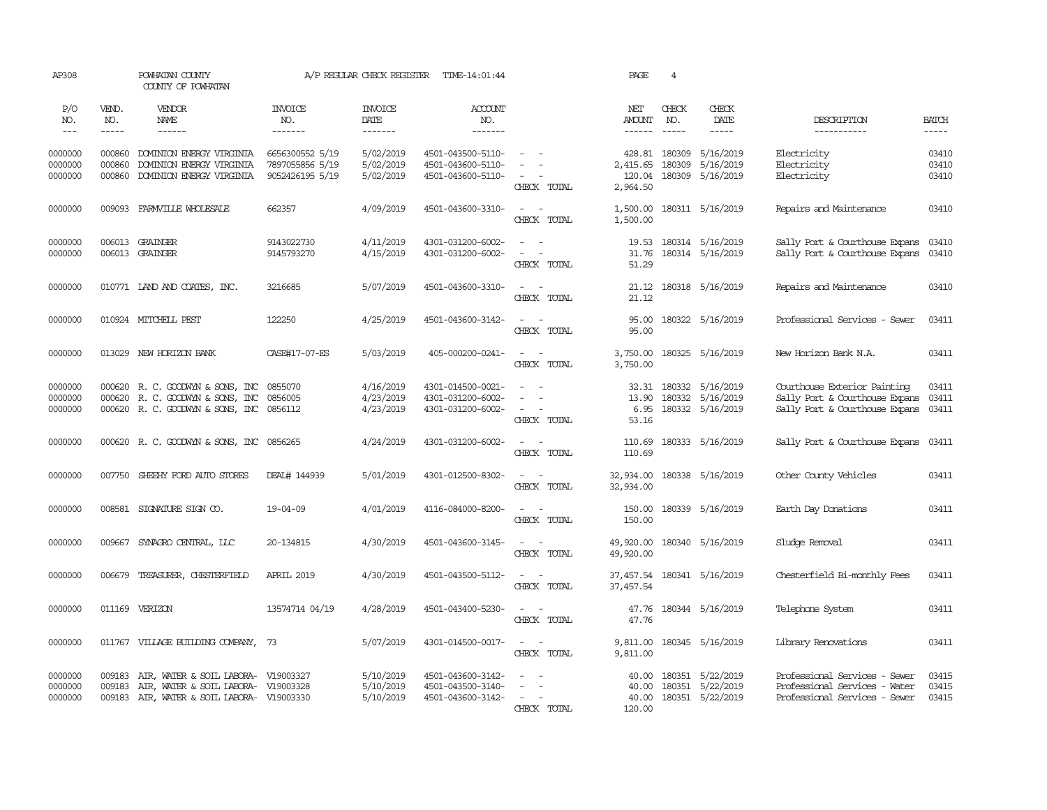| AP308                         |                            | POWHATAN COUNTY<br>COUNTY OF POWHATAN                                                                                    |                                                       | A/P REGULAR CHECK REGISTER          | TIME-14:01:44                                               |                                                                                                                                                                                                                                                                                       | PAGE                            | $\overline{4}$                                                                                                                                                                                                                                                                                                                                                                                                                                                             |                                                                |                                                                                                  |                         |
|-------------------------------|----------------------------|--------------------------------------------------------------------------------------------------------------------------|-------------------------------------------------------|-------------------------------------|-------------------------------------------------------------|---------------------------------------------------------------------------------------------------------------------------------------------------------------------------------------------------------------------------------------------------------------------------------------|---------------------------------|----------------------------------------------------------------------------------------------------------------------------------------------------------------------------------------------------------------------------------------------------------------------------------------------------------------------------------------------------------------------------------------------------------------------------------------------------------------------------|----------------------------------------------------------------|--------------------------------------------------------------------------------------------------|-------------------------|
| P/O<br>NO.                    | VEND.<br>NO.               | VENDOR<br>NAME                                                                                                           | <b>INVOICE</b><br>NO.                                 | <b>INVOICE</b><br>DATE              | ACCOUNT<br>NO.                                              |                                                                                                                                                                                                                                                                                       | NET<br>AMOUNT                   | CHECK<br>NO.                                                                                                                                                                                                                                                                                                                                                                                                                                                               | CHECK<br>DATE                                                  | DESCRIPTION                                                                                      | <b>BATCH</b>            |
| $---$                         | -----                      | $- - - - - -$                                                                                                            | -------                                               | -------                             | --------                                                    |                                                                                                                                                                                                                                                                                       | $- - - - - -$                   | $\frac{1}{2} \left( \frac{1}{2} \right) \left( \frac{1}{2} \right) \left( \frac{1}{2} \right) \left( \frac{1}{2} \right) \left( \frac{1}{2} \right) \left( \frac{1}{2} \right) \left( \frac{1}{2} \right) \left( \frac{1}{2} \right) \left( \frac{1}{2} \right) \left( \frac{1}{2} \right) \left( \frac{1}{2} \right) \left( \frac{1}{2} \right) \left( \frac{1}{2} \right) \left( \frac{1}{2} \right) \left( \frac{1}{2} \right) \left( \frac{1}{2} \right) \left( \frac$ | $- - - - -$                                                    | -----------                                                                                      | $- - - - -$             |
| 0000000<br>0000000<br>0000000 | 000860<br>000860<br>000860 | DOMINION ENERGY VIRGINIA<br>DOMINION ENERGY VIRGINIA<br>DOMINION ENERGY VIRGINIA                                         | 6656300552 5/19<br>7897055856 5/19<br>9052426195 5/19 | 5/02/2019<br>5/02/2019<br>5/02/2019 | 4501-043500-5110-<br>4501-043600-5110-<br>4501-043600-5110- | CHECK TOTAL                                                                                                                                                                                                                                                                           | 2,415.65<br>2,964.50            | 428.81 180309<br>180309                                                                                                                                                                                                                                                                                                                                                                                                                                                    | 5/16/2019<br>5/16/2019<br>120.04 180309 5/16/2019              | Electricity<br>Electricity<br>Electricity                                                        | 03410<br>03410<br>03410 |
| 0000000                       | 009093                     | FARMVILLE WHOLESALE                                                                                                      | 662357                                                | 4/09/2019                           | 4501-043600-3310-                                           | $\sim$ $  -$<br>CHECK TOTAL                                                                                                                                                                                                                                                           | 1,500.00                        |                                                                                                                                                                                                                                                                                                                                                                                                                                                                            | 1,500.00 180311 5/16/2019                                      | Repairs and Maintenance                                                                          | 03410                   |
| 0000000<br>0000000            |                            | 006013 GRAINGER<br>006013 GRAINGER                                                                                       | 9143022730<br>9145793270                              | 4/11/2019<br>4/15/2019              | 4301-031200-6002-<br>4301-031200-6002-                      | $\frac{1}{2} \left( \frac{1}{2} \right) \left( \frac{1}{2} \right) = \frac{1}{2} \left( \frac{1}{2} \right)$<br>$\sim$ $ \sim$<br>CHECK TOTAL                                                                                                                                         | 19.53<br>51.29                  |                                                                                                                                                                                                                                                                                                                                                                                                                                                                            | 180314 5/16/2019<br>31.76 180314 5/16/2019                     | Sally Port & Courthouse Expans<br>Sally Port & Courthouse Expans                                 | 03410<br>03410          |
| 0000000                       |                            | 010771 IAND AND COATES, INC.                                                                                             | 3216685                                               | 5/07/2019                           | 4501-043600-3310-                                           | $\sim$ $ \sim$<br>CHECK TOTAL                                                                                                                                                                                                                                                         | 21.12                           |                                                                                                                                                                                                                                                                                                                                                                                                                                                                            | 21.12 180318 5/16/2019                                         | Repairs and Maintenance                                                                          | 03410                   |
| 0000000                       |                            | 010924 MITCHELL PEST                                                                                                     | 122250                                                | 4/25/2019                           | 4501-043600-3142-                                           | $\sim$ $\sim$<br>CHECK TOTAL                                                                                                                                                                                                                                                          | 95.00<br>95.00                  |                                                                                                                                                                                                                                                                                                                                                                                                                                                                            | 180322 5/16/2019                                               | Professional Services - Sewer                                                                    | 03411                   |
| 0000000                       |                            | 013029 NEW HORIZON BANK                                                                                                  | CASE#17-07-ES                                         | 5/03/2019                           | 405-000200-0241-                                            | $\sim$ $ \sim$<br>CHECK TOTAL                                                                                                                                                                                                                                                         | 3,750.00<br>3,750.00            |                                                                                                                                                                                                                                                                                                                                                                                                                                                                            | 180325 5/16/2019                                               | New Horizon Bank N.A.                                                                            | 03411                   |
| 0000000<br>0000000<br>0000000 |                            | 000620 R. C. GOODWYN & SONS, INC<br>000620 R. C. GOODWIN & SONS, INC<br>000620 R. C. GOODWIN & SONS, INC 0856112         | 0855070<br>0856005                                    | 4/16/2019<br>4/23/2019<br>4/23/2019 | 4301-014500-0021-<br>4301-031200-6002-<br>4301-031200-6002- | $\sim$<br>$\sim$<br>CHECK TOTAL                                                                                                                                                                                                                                                       | 32.31<br>13.90<br>6.95<br>53.16 |                                                                                                                                                                                                                                                                                                                                                                                                                                                                            | 180332 5/16/2019<br>180332 5/16/2019<br>180332 5/16/2019       | Courthouse Exterior Painting<br>Sally Port & Courthouse Expans<br>Sally Port & Courthouse Expans | 03411<br>03411<br>03411 |
| 0000000                       |                            | 000620 R. C. GOODWYN & SONS, INC 0856265                                                                                 |                                                       | 4/24/2019                           | 4301-031200-6002-                                           | $\sim$ $ -$<br>CHECK TOTAL                                                                                                                                                                                                                                                            | 110.69<br>110.69                |                                                                                                                                                                                                                                                                                                                                                                                                                                                                            | 180333 5/16/2019                                               | Sally Port & Courthouse Expans                                                                   | 03411                   |
| 0000000                       | 007750                     | SHEEHY FORD AUTO STORES                                                                                                  | DEAL# 144939                                          | 5/01/2019                           | 4301-012500-8302-                                           | $\sim$ $  -$<br>CHECK TOTAL                                                                                                                                                                                                                                                           | 32,934.00                       |                                                                                                                                                                                                                                                                                                                                                                                                                                                                            | 32,934.00 180338 5/16/2019                                     | Other County Vehicles                                                                            | 03411                   |
| 0000000                       |                            | 008581 SIGNATURE SIGN CO.                                                                                                | $19 - 04 - 09$                                        | 4/01/2019                           | 4116-084000-8200-                                           | $\sim$<br>$\sim$<br>CHECK TOTAL                                                                                                                                                                                                                                                       | 150.00                          |                                                                                                                                                                                                                                                                                                                                                                                                                                                                            | 150.00 180339 5/16/2019                                        | Earth Day Donations                                                                              | 03411                   |
| 0000000                       | 009667                     | SYNAGRO CENTRAL, LLC                                                                                                     | 20-134815                                             | 4/30/2019                           | 4501-043600-3145-                                           | $\sim$ $ -$<br>CHECK TOTAL                                                                                                                                                                                                                                                            | 49,920.00<br>49,920.00          |                                                                                                                                                                                                                                                                                                                                                                                                                                                                            | 180340 5/16/2019                                               | Sludge Removal                                                                                   | 03411                   |
| 0000000                       | 006679                     | TREASURER, CHESTERFIELD                                                                                                  | <b>APRIL 2019</b>                                     | 4/30/2019                           | 4501-043500-5112-                                           | $\sim$<br>$\sim$<br>CHECK TOTAL                                                                                                                                                                                                                                                       | 37,457.54<br>37,457.54          |                                                                                                                                                                                                                                                                                                                                                                                                                                                                            | 180341 5/16/2019                                               | Chesterfield Bi-monthly Fees                                                                     | 03411                   |
| 0000000                       |                            | 011169 VERIZON                                                                                                           | 13574714 04/19                                        | 4/28/2019                           | 4501-043400-5230-                                           | $\sim$ $\sim$<br>CHECK TOTAL                                                                                                                                                                                                                                                          | 47.76<br>47.76                  |                                                                                                                                                                                                                                                                                                                                                                                                                                                                            | 180344 5/16/2019                                               | Telephone System                                                                                 | 03411                   |
| 0000000                       |                            | 011767 VILLAGE BUILDING COMPANY, 73                                                                                      |                                                       | 5/07/2019                           | 4301-014500-0017-                                           | $\sim$ $  -$<br>CHECK TOTAL                                                                                                                                                                                                                                                           | 9,811.00<br>9,811.00            |                                                                                                                                                                                                                                                                                                                                                                                                                                                                            | 180345 5/16/2019                                               | Library Renovations                                                                              | 03411                   |
| 0000000<br>0000000<br>0000000 | 009183<br>009183           | AIR, WATER & SOIL LABORA- V19003327<br>AIR, WATER & SOIL LABORA- V19003328<br>009183 AIR, WATER & SOIL LABORA- V19003330 |                                                       | 5/10/2019<br>5/10/2019<br>5/10/2019 | 4501-043600-3142-<br>4501-043500-3140-<br>4501-043600-3142- | $\sim$<br>$\equiv$<br><b><i><u>Part Contract Contract Contract Contract Contract Contract Contract Contract Contract Contract Contract Contract Contract Contract Contract Contract Contract Contract Contract Contract Contract Contract Contract Contrac</u></i></b><br>CHECK TOTAL | 40.00<br>40.00<br>120.00        |                                                                                                                                                                                                                                                                                                                                                                                                                                                                            | 180351 5/22/2019<br>180351 5/22/2019<br>40.00 180351 5/22/2019 | Professional Services - Sewer<br>Professional Services - Water<br>Professional Services - Sewer  | 03415<br>03415<br>03415 |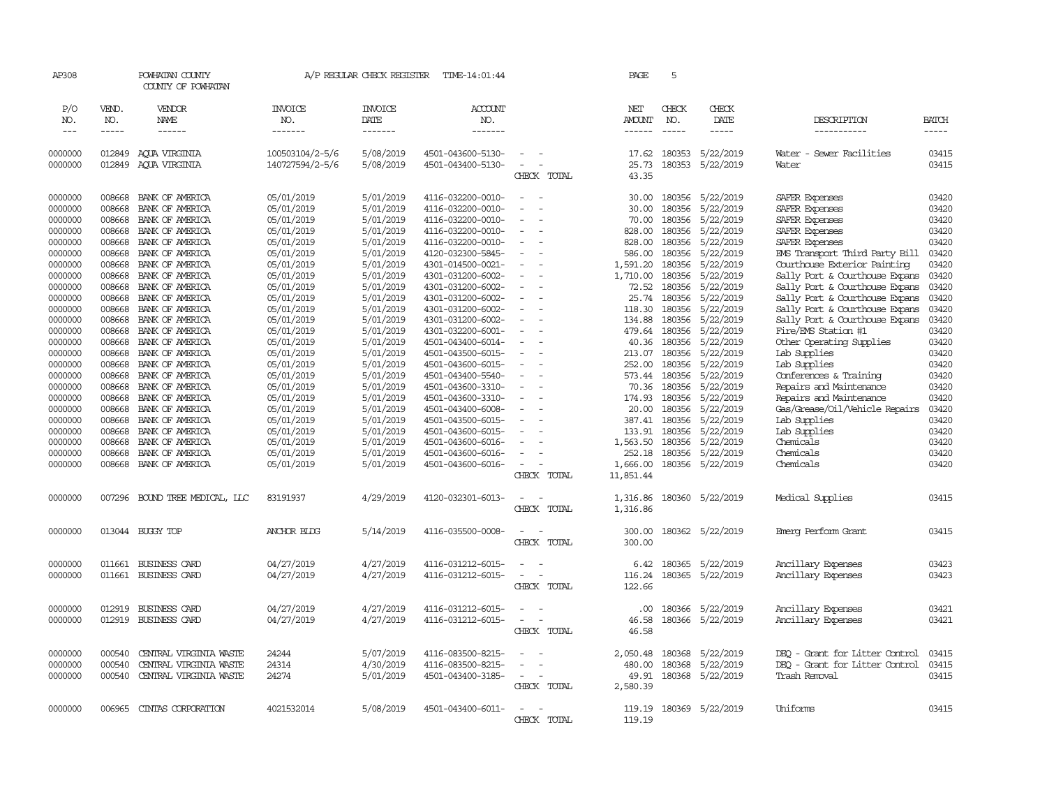| AP308              |                  | POWHATAN COUNTY<br>COUNTY OF POWHATAN |                                    | A/P REGULAR CHECK REGISTER | TIME-14:01:44                          |                                    | PAGE                    | 5                |                        |                                          |                |
|--------------------|------------------|---------------------------------------|------------------------------------|----------------------------|----------------------------------------|------------------------------------|-------------------------|------------------|------------------------|------------------------------------------|----------------|
| P/O<br>NO.         | VEND.<br>NO.     | VENDOR<br><b>NAME</b>                 | <b>INVOICE</b><br>NO.              | <b>INVOICE</b><br>DATE     | ACCOUNT<br>NO.                         |                                    | NET<br><b>AMOUNT</b>    | CHECK<br>NO.     | CHECK<br>DATE          | DESCRIPTION                              | BATCH          |
| $---$              | $- - - - -$      | ------                                | -------                            | -------                    | -------                                |                                    | ------                  | $- - - - -$      | -----                  | __________                               | $- - - - -$    |
| 0000000<br>0000000 | 012849<br>012849 | AOUA VIRGINIA<br>AQUA VIRGINIA        | 100503104/2-5/6<br>140727594/2-5/6 | 5/08/2019<br>5/08/2019     | 4501-043600-5130-<br>4501-043400-5130- | CHECK TOTAL                        | 17.62<br>25.73<br>43.35 | 180353<br>180353 | 5/22/2019<br>5/22/2019 | Water - Sewer Facilities<br>Water        | 03415<br>03415 |
|                    |                  |                                       |                                    |                            |                                        |                                    |                         |                  |                        |                                          |                |
| 0000000            | 008668           | BANK OF AMERICA                       | 05/01/2019                         | 5/01/2019                  | 4116-032200-0010-                      | $\sim$                             | 30.00                   | 180356           | 5/22/2019              | SAFER Expenses                           | 03420          |
| 0000000            | 008668           | BANK OF AMERICA                       | 05/01/2019                         | 5/01/2019                  | 4116-032200-0010-                      | $\sim$                             | 30.00                   | 180356           | 5/22/2019              | SAFER Expenses                           | 03420          |
| 0000000            | 008668           | BANK OF AMERICA                       | 05/01/2019                         | 5/01/2019                  | 4116-032200-0010-                      | $\overline{\phantom{a}}$           | 70.00                   | 180356           | 5/22/2019              | SAFER Expenses                           | 03420          |
| 0000000            | 008668           | BANK OF AMERICA                       | 05/01/2019                         | 5/01/2019                  | 4116-032200-0010-                      |                                    | 828.00                  | 180356           | 5/22/2019              | SAFER Expenses                           | 03420          |
| 0000000            | 008668           | BANK OF AMERICA                       | 05/01/2019                         | 5/01/2019                  | 4116-032200-0010-                      | $\sim$                             | 828.00                  | 180356           | 5/22/2019              | SAFER Expenses                           | 03420          |
| 0000000            | 008668           | BANK OF AMERICA                       | 05/01/2019                         | 5/01/2019                  | 4120-032300-5845-                      |                                    | 586.00                  | 180356           | 5/22/2019              | EMS Transport Third Party Bill           | 03420          |
| 0000000            | 008668           | BANK OF AMERICA                       | 05/01/2019                         | 5/01/2019                  | 4301-014500-0021-                      |                                    | 1,591.20                | 180356           | 5/22/2019              | Courthouse Exterior Painting             | 03420          |
| 0000000            | 008668           | BANK OF AMERICA                       | 05/01/2019                         | 5/01/2019                  | 4301-031200-6002-                      |                                    | 1,710.00                | 180356           | 5/22/2019              | Sally Port & Courthouse Expans           | 03420          |
| 0000000            | 008668           | BANK OF AMERICA                       | 05/01/2019                         | 5/01/2019                  | 4301-031200-6002-                      | $\sim$                             | 72.52                   | 180356           | 5/22/2019              | Sally Port & Courthouse Expans           | 03420          |
| 0000000            | 008668           | BANK OF AMERICA                       | 05/01/2019                         | 5/01/2019                  | 4301-031200-6002-                      | $\sim$                             | 25.74                   | 180356           | 5/22/2019              | Sally Port & Courthouse Expans           | 03420          |
| 0000000            | 008668           | BANK OF AMERICA                       | 05/01/2019                         | 5/01/2019                  | 4301-031200-6002-                      |                                    | 118.30                  | 180356<br>180356 | 5/22/2019              | Sally Port & Courthouse Expans           | 03420<br>03420 |
| 0000000<br>0000000 | 008668<br>008668 | BANK OF AMERICA<br>BANK OF AMERICA    | 05/01/2019<br>05/01/2019           | 5/01/2019<br>5/01/2019     | 4301-031200-6002-<br>4301-032200-6001- |                                    | 134.88<br>479.64        | 180356           | 5/22/2019<br>5/22/2019 | Sally Port & Courthouse Expans           | 03420          |
| 0000000            | 008668           | BANK OF AMERICA                       | 05/01/2019                         | 5/01/2019                  | 4501-043400-6014-                      |                                    | 40.36                   | 180356           | 5/22/2019              | Fire/EMS Station #1                      | 03420          |
| 0000000            | 008668           | BANK OF AMERICA                       | 05/01/2019                         | 5/01/2019                  | 4501-043500-6015-                      |                                    | 213.07                  | 180356           | 5/22/2019              | Other Operating Supplies<br>Lab Supplies | 03420          |
| 0000000            | 008668           | BANK OF AMERICA                       | 05/01/2019                         | 5/01/2019                  | 4501-043600-6015-                      | $\overline{\phantom{a}}$           | 252.00                  | 180356           | 5/22/2019              | Lab Supplies                             | 03420          |
| 0000000            | 008668           | BANK OF AMERICA                       | 05/01/2019                         | 5/01/2019                  | 4501-043400-5540-                      |                                    | 573.44                  | 180356           | 5/22/2019              | Conferences & Training                   | 03420          |
| 0000000            | 008668           | BANK OF AMERICA                       | 05/01/2019                         | 5/01/2019                  | 4501-043600-3310-                      |                                    | 70.36                   | 180356           | 5/22/2019              | Repairs and Maintenance                  | 03420          |
| 0000000            | 008668           | BANK OF AMERICA                       | 05/01/2019                         | 5/01/2019                  | 4501-043600-3310-                      |                                    | 174.93                  | 180356           | 5/22/2019              | Repairs and Maintenance                  | 03420          |
| 0000000            | 008668           | BANK OF AMERICA                       | 05/01/2019                         | 5/01/2019                  | 4501-043400-6008-                      | $\sim$                             | 20.00                   | 180356           | 5/22/2019              | Gas/Grease/Oil/Vehicle Repairs           | 03420          |
| 0000000            | 008668           | BANK OF AMERICA                       | 05/01/2019                         | 5/01/2019                  | 4501-043500-6015-                      |                                    | 387.41                  | 180356           | 5/22/2019              | Lab Supplies                             | 03420          |
| 0000000            | 008668           | BANK OF AMERICA                       | 05/01/2019                         | 5/01/2019                  | 4501-043600-6015-                      |                                    | 133.91                  | 180356           | 5/22/2019              | Lab Supplies                             | 03420          |
| 0000000            | 008668           | BANK OF AMERICA                       | 05/01/2019                         | 5/01/2019                  | 4501-043600-6016-                      |                                    | 1,563.50                | 180356           | 5/22/2019              | Chemicals                                | 03420          |
| 0000000            | 008668           | BANK OF AMERICA                       | 05/01/2019                         | 5/01/2019                  | 4501-043600-6016-                      | $\sim$                             | 252.18                  | 180356           | 5/22/2019              | Chemicals                                | 03420          |
| 0000000            | 008668           | BANK OF AMERICA                       | 05/01/2019                         | 5/01/2019                  | 4501-043600-6016-                      | $\sim$                             | 1,666.00                | 180356           | 5/22/2019              | Chemicals                                | 03420          |
|                    |                  |                                       |                                    |                            |                                        | CHECK TOTAL                        | 11,851.44               |                  |                        |                                          |                |
| 0000000            |                  |                                       | 83191937                           | 4/29/2019                  | 4120-032301-6013-                      | $\overline{\phantom{a}}$           | 1,316.86                |                  | 180360 5/22/2019       |                                          | 03415          |
|                    |                  | 007296 BOUND TREE MEDICAL, LLC        |                                    |                            |                                        | CHECK TOTAL                        | 1,316.86                |                  |                        | Medical Supplies                         |                |
|                    |                  |                                       |                                    |                            |                                        |                                    |                         |                  |                        |                                          |                |
| 0000000            |                  | 013044 BUGGY TOP                      | <b>ANCHOR BLDG</b>                 | 5/14/2019                  | 4116-035500-0008-                      | $\equiv$<br>- -                    | 300.00                  |                  | 180362 5/22/2019       | Emerg Perform Grant                      | 03415          |
|                    |                  |                                       |                                    |                            |                                        | CHECK TOTAL                        | 300.00                  |                  |                        |                                          |                |
|                    |                  |                                       |                                    |                            |                                        |                                    |                         |                  |                        |                                          |                |
| 0000000            | 011661           | BUSINESS CARD                         | 04/27/2019                         | 4/27/2019                  | 4116-031212-6015-                      |                                    | 6.42                    | 180365           | 5/22/2019              | Ancillary Expenses                       | 03423          |
| 0000000            |                  | 011661 BUSINESS CARD                  | 04/27/2019                         | 4/27/2019                  | 4116-031212-6015-                      | $\overline{\phantom{a}}$<br>$\sim$ | 116.24                  |                  | 180365 5/22/2019       | Ancillary Expenses                       | 03423          |
|                    |                  |                                       |                                    |                            |                                        | CHECK TOTAL                        | 122.66                  |                  |                        |                                          |                |
|                    |                  |                                       |                                    |                            |                                        |                                    |                         |                  |                        |                                          | 03421          |
| 0000000<br>0000000 | 012919           | BUSINESS CARD                         | 04/27/2019                         | 4/27/2019                  | 4116-031212-6015-                      | $\overline{\phantom{a}}$<br>$\sim$ | .00.                    | 180366           | 5/22/2019              | Ancillary Expenses                       | 03421          |
|                    |                  | 012919 BUSINESS CARD                  | 04/27/2019                         | 4/27/2019                  | 4116-031212-6015-                      | CHECK TOTAL                        | 46.58<br>46.58          |                  | 180366 5/22/2019       | Ancillary Expenses                       |                |
|                    |                  |                                       |                                    |                            |                                        |                                    |                         |                  |                        |                                          |                |
| 0000000            | 000540           | CENTRAL VIRGINIA WASTE                | 24244                              | 5/07/2019                  | 4116-083500-8215-                      |                                    | 2,050.48                | 180368           | 5/22/2019              | DEO - Grant for Litter Control           | 03415          |
| 0000000            | 000540           | CENTRAL VIRGINIA WASTE                | 24314                              | 4/30/2019                  | 4116-083500-8215-                      | $\equiv$                           | 480.00                  | 180368           | 5/22/2019              | DEO - Grant for Litter Control           | 03415          |
| 0000000            | 000540           | CENTRAL VIRGINIA WASTE                | 24274                              | 5/01/2019                  | 4501-043400-3185-                      | $\sim$                             | 49.91                   |                  | 180368 5/22/2019       | Trash Removal                            | 03415          |
|                    |                  |                                       |                                    |                            |                                        | CHECK TOTAL                        | 2,580.39                |                  |                        |                                          |                |
|                    |                  |                                       |                                    |                            |                                        |                                    |                         |                  |                        |                                          |                |
| 0000000            | 006965           | CINIAS CORPORATION                    | 4021532014                         | 5/08/2019                  | 4501-043400-6011-                      | $\overline{\phantom{a}}$<br>$\sim$ | 119.19                  |                  | 180369 5/22/2019       | Uniforms                                 | 03415          |
|                    |                  |                                       |                                    |                            |                                        | CHECK TOTAL                        | 119.19                  |                  |                        |                                          |                |
|                    |                  |                                       |                                    |                            |                                        |                                    |                         |                  |                        |                                          |                |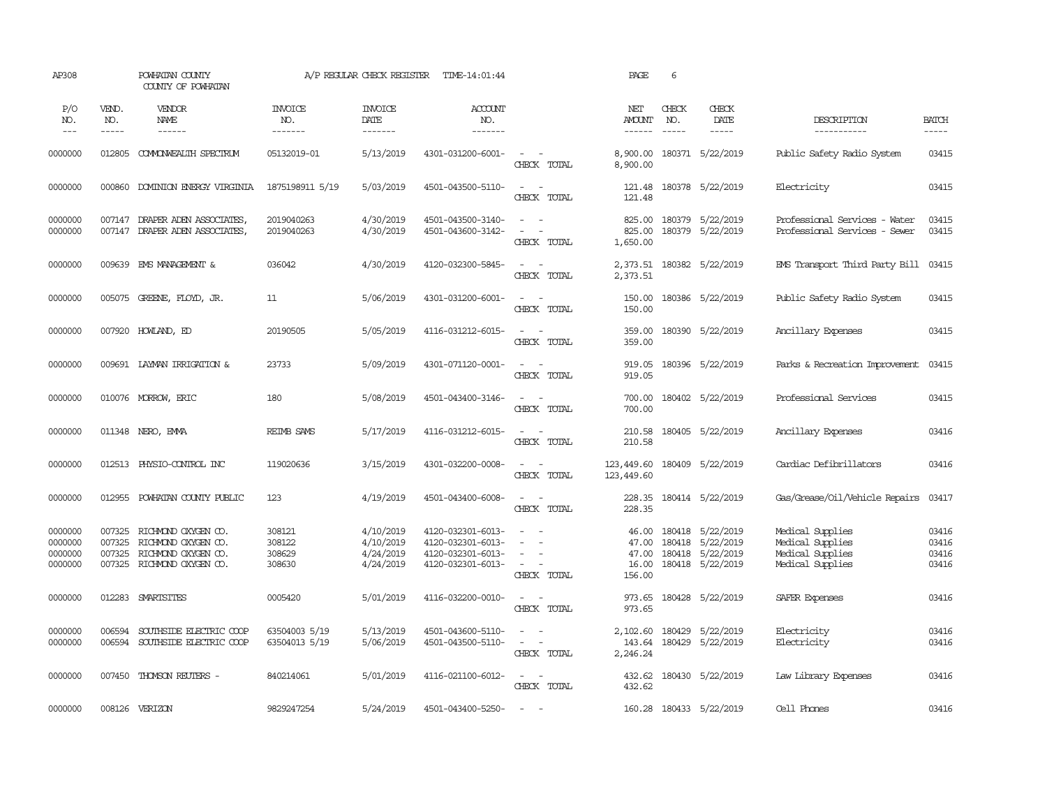| AP308                                    |                             | POWHATAN COUNTY<br>COUNTY OF POWHATAN                                                                  |                                      | A/P REGULAR CHECK REGISTER                       | TIME-14:01:44                                                                    |                                                                                                                                          | PAGE                              | 6                             |                                                                                    |                                                                              |                                  |
|------------------------------------------|-----------------------------|--------------------------------------------------------------------------------------------------------|--------------------------------------|--------------------------------------------------|----------------------------------------------------------------------------------|------------------------------------------------------------------------------------------------------------------------------------------|-----------------------------------|-------------------------------|------------------------------------------------------------------------------------|------------------------------------------------------------------------------|----------------------------------|
| P/O<br>NO.<br>$---$                      | VEND.<br>NO.<br>$- - - - -$ | VENDOR<br><b>NAME</b>                                                                                  | <b>INVOICE</b><br>NO.<br>-------     | <b>INVOICE</b><br>DATE<br>-------                | <b>ACCOUNT</b><br>NO.<br>--------                                                |                                                                                                                                          | NET<br>AMOUNT<br>$- - - - - -$    | CHECK<br>NO.<br>$\frac{1}{2}$ | CHECK<br>DATE<br>-----                                                             | DESCRIPTION<br>-----------                                                   | <b>BATCH</b><br>$- - - - -$      |
| 0000000                                  | 012805                      | COMMONWEALTH SPECTRUM                                                                                  | 05132019-01                          | 5/13/2019                                        | 4301-031200-6001-                                                                | $\sim$ $ -$<br>CHECK TOTAL                                                                                                               | 8,900.00<br>8,900.00              |                               | 180371 5/22/2019                                                                   | Public Safety Radio System                                                   | 03415                            |
| 0000000                                  |                             | 000860 DOMINION ENERGY VIRGINIA                                                                        | 1875198911 5/19                      | 5/03/2019                                        | 4501-043500-5110-                                                                | $\sim$ $ \sim$<br>CHECK TOTAL                                                                                                            | 121.48<br>121.48                  |                               | 180378 5/22/2019                                                                   | Electricity                                                                  | 03415                            |
| 0000000<br>0000000                       |                             | 007147 DRAPER ADEN ASSOCIATES,<br>007147 DRAPER ADEN ASSOCIATES,                                       | 2019040263<br>2019040263             | 4/30/2019<br>4/30/2019                           | 4501-043500-3140-<br>4501-043600-3142-                                           | $\sim$<br>$\sim$<br>$\sim$<br>$\sim$<br>CHECK TOTAL                                                                                      | 825.00<br>825.00<br>1,650.00      |                               | 180379 5/22/2019<br>180379 5/22/2019                                               | Professional Services - Water<br>Professional Services - Sewer               | 03415<br>03415                   |
| 0000000                                  | 009639                      | EMS MANAGEMENT &                                                                                       | 036042                               | 4/30/2019                                        | 4120-032300-5845-                                                                | $\sim$<br>$\sim$ $-$<br>CHECK TOTAL                                                                                                      | 2,373.51<br>2,373.51              |                               | 180382 5/22/2019                                                                   | EMS Transport Third Party Bill                                               | 03415                            |
| 0000000                                  |                             | 005075 GREENE, FLOYD, JR.                                                                              | 11                                   | 5/06/2019                                        | 4301-031200-6001-                                                                | $\omega_{\rm{max}}$ and $\omega_{\rm{max}}$<br>CHECK TOTAL                                                                               | 150.00<br>150.00                  |                               | 180386 5/22/2019                                                                   | Public Safety Radio System                                                   | 03415                            |
| 0000000                                  |                             | 007920 HOWLAND, ED                                                                                     | 20190505                             | 5/05/2019                                        | 4116-031212-6015-                                                                | $\sim$ $ \sim$<br>CHECK TOTAL                                                                                                            | 359.00<br>359.00                  |                               | 180390 5/22/2019                                                                   | Ancillary Expenses                                                           | 03415                            |
| 0000000                                  |                             | 009691 LAYMAN IRRIGATION &                                                                             | 23733                                | 5/09/2019                                        | 4301-071120-0001-                                                                | $\sim$ $ \sim$<br>CHECK TOTAL                                                                                                            | 919.05<br>919.05                  |                               | 180396 5/22/2019                                                                   | Parks & Recreation Improvement                                               | 03415                            |
| 0000000                                  |                             | 010076 MORROW, ERIC                                                                                    | 180                                  | 5/08/2019                                        | 4501-043400-3146-                                                                | $\frac{1}{2} \left( \frac{1}{2} \right) \left( \frac{1}{2} \right) \left( \frac{1}{2} \right) \left( \frac{1}{2} \right)$<br>CHECK TOTAL | 700.00<br>700.00                  |                               | 180402 5/22/2019                                                                   | Professional Services                                                        | 03415                            |
| 0000000                                  |                             | 011348 NERO, EMMA                                                                                      | <b>REIMB SAMS</b>                    | 5/17/2019                                        | 4116-031212-6015-                                                                | $\sim$<br>$\overline{\phantom{a}}$<br>CHECK TOTAL                                                                                        | 210.58<br>210.58                  |                               | 180405 5/22/2019                                                                   | Ancillary Expenses                                                           | 03416                            |
| 0000000                                  |                             | 012513 PHYSIO-CONTROL INC                                                                              | 119020636                            | 3/15/2019                                        | 4301-032200-0008-                                                                | $\sim$<br>$\sim$<br>CHECK TOTAL                                                                                                          | 123,449.60<br>123,449.60          |                               | 180409 5/22/2019                                                                   | Cardiac Defibrillators                                                       | 03416                            |
| 0000000                                  | 012955                      | POWHATAN COUNTY PUBLIC                                                                                 | 123                                  | 4/19/2019                                        | 4501-043400-6008-                                                                | $\overline{\phantom{a}}$<br>$\sim$<br>CHECK TOTAL                                                                                        | 228.35<br>228.35                  |                               | 180414 5/22/2019                                                                   | Gas/Grease/Oil/Vehicle Repairs                                               | 03417                            |
| 0000000<br>0000000<br>0000000<br>0000000 | 007325<br>007325            | 007325 RICHMOND OXYGEN CO.<br>RICHMOND OXYGEN CO.<br>RICHMOND OXYGEN CO.<br>007325 RICHMOND OXYGEN CO. | 308121<br>308122<br>308629<br>308630 | 4/10/2019<br>4/10/2019<br>4/24/2019<br>4/24/2019 | 4120-032301-6013-<br>4120-032301-6013-<br>4120-032301-6013-<br>4120-032301-6013- | $ -$<br>$\sim$<br>$\sim$<br>$\equiv$<br>$\sim$<br>$\sim$<br>CHECK TOTAL                                                                  | 47.00<br>47.00<br>16.00<br>156.00 |                               | 46.00 180418 5/22/2019<br>180418 5/22/2019<br>180418 5/22/2019<br>180418 5/22/2019 | Medical Supplies<br>Medical Supplies<br>Medical Supplies<br>Medical Supplies | 03416<br>03416<br>03416<br>03416 |
| 0000000                                  |                             | 012283 SMARTSITES                                                                                      | 0005420                              | 5/01/2019                                        | 4116-032200-0010-                                                                | $\sim$ $ \sim$<br>CHECK TOTAL                                                                                                            | 973.65<br>973.65                  |                               | 180428 5/22/2019                                                                   | SAFER Expenses                                                               | 03416                            |
| 0000000<br>0000000                       | 006594<br>006594            | SOUTHSIDE ELECTRIC COOP<br>SOUTHSIDE ELECTRIC COOP                                                     | 63504003 5/19<br>63504013 5/19       | 5/13/2019<br>5/06/2019                           | 4501-043600-5110-<br>4501-043500-5110-                                           | $\overline{\phantom{a}}$<br>$\sim$<br>$\sim$<br>$\sim$<br>CHECK TOTAL                                                                    | 2,102.60<br>143.64<br>2,246.24    | 180429                        | 5/22/2019<br>180429 5/22/2019                                                      | Electricity<br>Electricity                                                   | 03416<br>03416                   |
| 0000000                                  | 007450                      | THOMSON REUTERS -                                                                                      | 840214061                            | 5/01/2019                                        | 4116-021100-6012-                                                                | $\sim$ $-$<br>CHECK TOTAL                                                                                                                | 432.62<br>432.62                  |                               | 180430 5/22/2019                                                                   | Law Library Expenses                                                         | 03416                            |
| 0000000                                  |                             | 008126 VERIZON                                                                                         | 9829247254                           | 5/24/2019                                        | 4501-043400-5250-                                                                | $\overline{\phantom{a}}$<br>$\sim$                                                                                                       |                                   |                               | 160.28 180433 5/22/2019                                                            | Cell Phones                                                                  | 03416                            |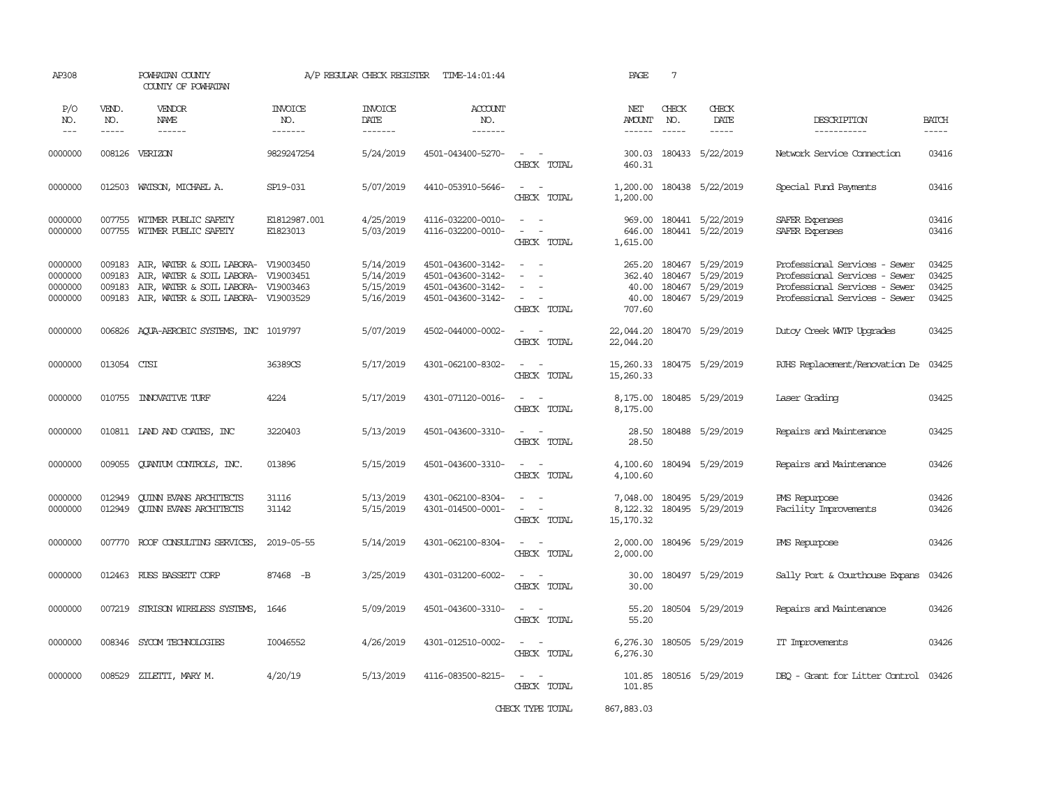| AP308                                    |                                      | POWHATAN COUNTY<br>COUNTY OF POWHATAN                                                                                                                    |                                   | A/P REGULAR CHECK REGISTER                       | TIME-14:01:44                                                                    |                                                                               | PAGE                                         | $7\phantom{.0}$                                                                                                                                                                                                                                                                                                                                                                                              |                                                                |                                                                                                                                  |                                  |
|------------------------------------------|--------------------------------------|----------------------------------------------------------------------------------------------------------------------------------------------------------|-----------------------------------|--------------------------------------------------|----------------------------------------------------------------------------------|-------------------------------------------------------------------------------|----------------------------------------------|--------------------------------------------------------------------------------------------------------------------------------------------------------------------------------------------------------------------------------------------------------------------------------------------------------------------------------------------------------------------------------------------------------------|----------------------------------------------------------------|----------------------------------------------------------------------------------------------------------------------------------|----------------------------------|
| P/O<br>NO.<br>$\frac{1}{2}$              | VEND.<br>NO.<br>$- - - - -$          | VENDOR<br>NAME<br>$- - - - - -$                                                                                                                          | INVOICE<br>NO.<br>$- - - - - - -$ | <b>INVOICE</b><br>DATE<br>-------                | ACCOUNT<br>NO.<br>--------                                                       |                                                                               | NET<br><b>AMOUNT</b><br>------               | CHECK<br>NO.<br>$\frac{1}{2} \frac{1}{2} \frac{1}{2} \frac{1}{2} \frac{1}{2} \frac{1}{2} \frac{1}{2} \frac{1}{2} \frac{1}{2} \frac{1}{2} \frac{1}{2} \frac{1}{2} \frac{1}{2} \frac{1}{2} \frac{1}{2} \frac{1}{2} \frac{1}{2} \frac{1}{2} \frac{1}{2} \frac{1}{2} \frac{1}{2} \frac{1}{2} \frac{1}{2} \frac{1}{2} \frac{1}{2} \frac{1}{2} \frac{1}{2} \frac{1}{2} \frac{1}{2} \frac{1}{2} \frac{1}{2} \frac{$ | CHECK<br>DATE<br>$- - - - -$                                   | DESCRIPTION<br>-----------                                                                                                       | <b>BATCH</b><br>-----            |
| 0000000                                  | 008126                               | VERIZON                                                                                                                                                  | 9829247254                        | 5/24/2019                                        | 4501-043400-5270-                                                                | $\sim$<br>$\sim$<br>CHECK TOTAL                                               | 300.03<br>460.31                             | 180433                                                                                                                                                                                                                                                                                                                                                                                                       | 5/22/2019                                                      | Network Service Connection                                                                                                       | 03416                            |
| 0000000                                  |                                      | 012503 WATSON, MICHAEL A.                                                                                                                                | SP19-031                          | 5/07/2019                                        | 4410-053910-5646-                                                                | $\sim$ $ -$<br>CHECK TOTAL                                                    | 1,200.00<br>1,200.00                         |                                                                                                                                                                                                                                                                                                                                                                                                              | 180438 5/22/2019                                               | Special Fund Payments                                                                                                            | 03416                            |
| 0000000<br>0000000                       | 007755                               | 007755 WITMER PUBLIC SAFETY<br>WITMER PUBLIC SAFETY                                                                                                      | E1812987.001<br>E1823013          | 4/25/2019<br>5/03/2019                           | 4116-032200-0010-<br>4116-032200-0010-                                           | $\sim$ $ -$<br>$\sim$<br>$\sim$ $-$<br>CHECK TOTAL                            | 646.00<br>1,615.00                           |                                                                                                                                                                                                                                                                                                                                                                                                              | 969.00 180441 5/22/2019<br>180441 5/22/2019                    | SAFER Expenses<br>SAFER Expenses                                                                                                 | 03416<br>03416                   |
| 0000000<br>0000000<br>0000000<br>0000000 | 009183<br>009183<br>009183<br>009183 | AIR, WATER & SOIL LABORA- V19003450<br>AIR, WATER & SOIL LABORA- V19003451<br>AIR, WATER & SOIL LABORA- V19003463<br>AIR, WATER & SOIL LABORA- V19003529 |                                   | 5/14/2019<br>5/14/2019<br>5/15/2019<br>5/16/2019 | 4501-043600-3142-<br>4501-043600-3142-<br>4501-043600-3142-<br>4501-043600-3142- | $\sim$ $ \sim$<br>$\sim$<br>$\sim$<br>$\overline{\phantom{a}}$<br>CHECK TOTAL | 265.20<br>362.40<br>40.00<br>40.00<br>707.60 | 180467<br>180467                                                                                                                                                                                                                                                                                                                                                                                             | 5/29/2019<br>5/29/2019<br>180467 5/29/2019<br>180467 5/29/2019 | Professional Services - Sewer<br>Professional Services - Sewer<br>Professional Services - Sewer<br>Professional Services - Sewer | 03425<br>03425<br>03425<br>03425 |
| 0000000                                  |                                      | 006826 AQUA-AEROBIC SYSTEMS, INC 1019797                                                                                                                 |                                   | 5/07/2019                                        | 4502-044000-0002-                                                                | $\omega_{\rm{max}}$ and $\omega_{\rm{max}}$<br>CHECK TOTAL                    | 22,044.20<br>22,044.20                       |                                                                                                                                                                                                                                                                                                                                                                                                              | 180470 5/29/2019                                               | Dutoy Creek WITP Upgrades                                                                                                        | 03425                            |
| 0000000                                  | 013054 CTSI                          |                                                                                                                                                          | 36389CS                           | 5/17/2019                                        | 4301-062100-8302-                                                                | $\omega_{\rm{max}}$ and $\omega_{\rm{max}}$<br>CHECK TOTAL                    | 15, 260.33 180475 5/29/2019<br>15,260.33     |                                                                                                                                                                                                                                                                                                                                                                                                              |                                                                | RJHS Replacement/Renovation De                                                                                                   | 03425                            |
| 0000000                                  |                                      | 010755 INNOVATIVE TURF                                                                                                                                   | 4224                              | 5/17/2019                                        | 4301-071120-0016-                                                                | $\omega_{\rm{max}}$ and $\omega_{\rm{max}}$<br>CHECK TOTAL                    | 8,175.00<br>8,175.00                         |                                                                                                                                                                                                                                                                                                                                                                                                              | 180485 5/29/2019                                               | Laser Grading                                                                                                                    | 03425                            |
| 0000000                                  |                                      | 010811 LAND AND COATES, INC                                                                                                                              | 3220403                           | 5/13/2019                                        | 4501-043600-3310-                                                                | $\sim$ 100 $\sim$<br>CHECK TOTAL                                              | 28.50<br>28.50                               |                                                                                                                                                                                                                                                                                                                                                                                                              | 180488 5/29/2019                                               | Repairs and Maintenance                                                                                                          | 03425                            |
| 0000000                                  |                                      | 009055 QUANTUM CONTROLS, INC.                                                                                                                            | 013896                            | 5/15/2019                                        | 4501-043600-3310-                                                                | $\omega_{\rm{max}}$ and $\omega_{\rm{max}}$<br>CHECK TOTAL                    | 4,100.60<br>4,100.60                         |                                                                                                                                                                                                                                                                                                                                                                                                              | 180494 5/29/2019                                               | Repairs and Maintenance                                                                                                          | 03426                            |
| 0000000<br>0000000                       | 012949<br>012949                     | <b>QUINN EVANS ARCHITECTS</b><br><b>CUINN EVANS ARCHITECTS</b>                                                                                           | 31116<br>31142                    | 5/13/2019<br>5/15/2019                           | 4301-062100-8304-<br>4301-014500-0001-                                           | $\sim$ $  -$<br>$\sim$ $ -$<br>CHECK TOTAL                                    | 7,048.00<br>15,170.32                        |                                                                                                                                                                                                                                                                                                                                                                                                              | 180495 5/29/2019<br>8,122.32 180495 5/29/2019                  | PMS Repurpose<br>Facility Improvements                                                                                           | 03426<br>03426                   |
| 0000000                                  |                                      | 007770 ROOF CONSULTING SERVICES,                                                                                                                         | 2019-05-55                        | 5/14/2019                                        | 4301-062100-8304-                                                                | $\sim$ $  -$<br>CHECK TOTAL                                                   | 2,000.00<br>2,000.00                         |                                                                                                                                                                                                                                                                                                                                                                                                              | 180496 5/29/2019                                               | PMS Repurpose                                                                                                                    | 03426                            |
| 0000000                                  |                                      | 012463 RUSS BASSETT CORP                                                                                                                                 | 87468 - B                         | 3/25/2019                                        | 4301-031200-6002-                                                                | $\sim$ $ \sim$<br>CHECK TOTAL                                                 | 30.00<br>30.00                               |                                                                                                                                                                                                                                                                                                                                                                                                              | 180497 5/29/2019                                               | Sally Port & Courthouse Expans                                                                                                   | 03426                            |
| 0000000                                  |                                      | 007219 STRISON WIRELESS SYSTEMS,                                                                                                                         | 1646                              | 5/09/2019                                        | 4501-043600-3310-                                                                | $\sim$ $\sim$<br>CHECK TOTAL                                                  | 55.20<br>55.20                               |                                                                                                                                                                                                                                                                                                                                                                                                              | 180504 5/29/2019                                               | Repairs and Maintenance                                                                                                          | 03426                            |
| 0000000                                  | 008346                               | SYCOM TECHNOLOGIES                                                                                                                                       | I0046552                          | 4/26/2019                                        | 4301-012510-0002-                                                                | $\sim$ $  -$<br>CHECK TOTAL                                                   | 6,276.30<br>6,276.30                         |                                                                                                                                                                                                                                                                                                                                                                                                              | 180505 5/29/2019                                               | IT Improvements                                                                                                                  | 03426                            |
| 0000000                                  |                                      | 008529 ZILETTI, MARY M.                                                                                                                                  | 4/20/19                           | 5/13/2019                                        | 4116-083500-8215-                                                                | $\omega_{\rm{max}}$ and $\omega_{\rm{max}}$<br>CHECK TOTAL                    | 101.85                                       |                                                                                                                                                                                                                                                                                                                                                                                                              | 101.85 180516 5/29/2019                                        | DEO - Grant for Litter Control 03426                                                                                             |                                  |
|                                          |                                      |                                                                                                                                                          |                                   |                                                  |                                                                                  | CHECK TYPE TOTAL                                                              | 867, 883, 03                                 |                                                                                                                                                                                                                                                                                                                                                                                                              |                                                                |                                                                                                                                  |                                  |